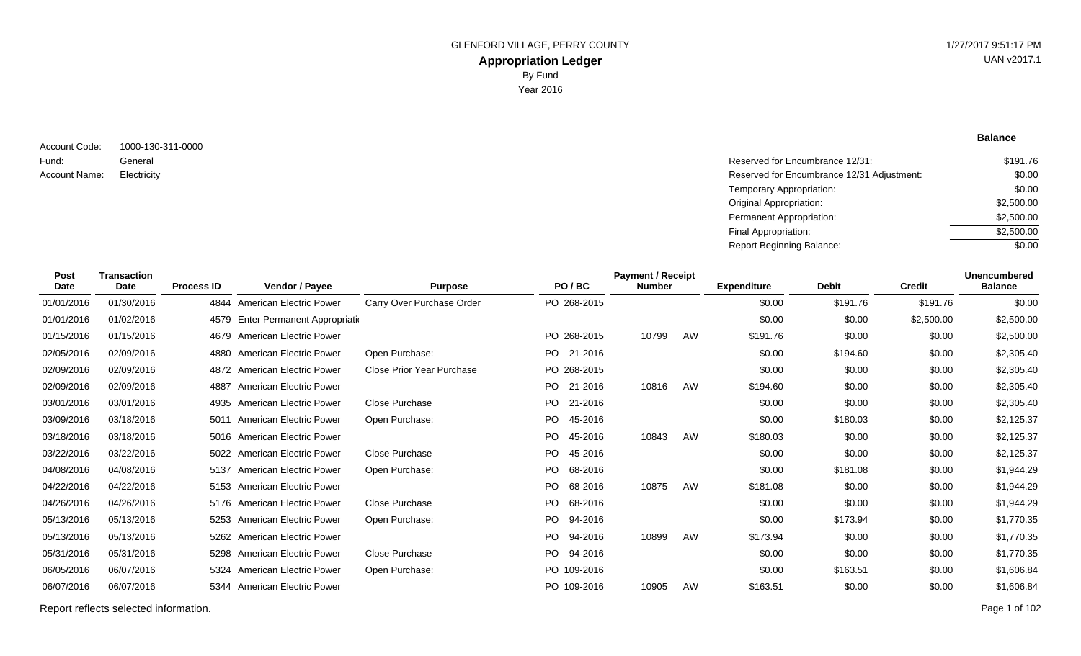**Balance**

1000-130-311-0000 General Account Code: Fund: Account Name:

Reserved for Encumbrance 12/31: Electricity Reserved for Encumbrance 12/31 Adjustment: Temporary Appropriation: Original Appropriation: Permanent Appropriation: Final Appropriation: Report Beginning Balance: \$191.76 \$0.00 \$0.00 \$2,500.00 \$2,500.00 \$2,500.00  $\sqrt{$0.00}$ 

| Post<br>Date | <b>Transaction</b><br><b>Date</b> | <b>Process ID</b> | <b>Vendor / Payee</b>              | <b>Purpose</b>            | PO/BC          | <b>Payment / Receipt</b><br><b>Number</b> |    | <b>Expenditure</b> | <b>Debit</b> | <b>Credit</b> | <b>Unencumbered</b><br><b>Balance</b> |
|--------------|-----------------------------------|-------------------|------------------------------------|---------------------------|----------------|-------------------------------------------|----|--------------------|--------------|---------------|---------------------------------------|
| 01/01/2016   | 01/30/2016                        |                   | 4844 American Electric Power       | Carry Over Purchase Order | PO 268-2015    |                                           |    | \$0.00             | \$191.76     | \$191.76      | \$0.00                                |
| 01/01/2016   | 01/02/2016                        |                   | 4579 Enter Permanent Appropriation |                           |                |                                           |    | \$0.00             | \$0.00       | \$2,500.00    | \$2,500.00                            |
| 01/15/2016   | 01/15/2016                        |                   | 4679 American Electric Power       |                           | PO 268-2015    | 10799                                     | AW | \$191.76           | \$0.00       | \$0.00        | \$2,500.00                            |
| 02/05/2016   | 02/09/2016                        | 4880              | <b>American Electric Power</b>     | Open Purchase:            | 21-2016<br>PO. |                                           |    | \$0.00             | \$194.60     | \$0.00        | \$2,305.40                            |
| 02/09/2016   | 02/09/2016                        |                   | 4872 American Electric Power       | Close Prior Year Purchase | PO 268-2015    |                                           |    | \$0.00             | \$0.00       | \$0.00        | \$2,305.40                            |
| 02/09/2016   | 02/09/2016                        | 4887              | <b>American Electric Power</b>     |                           | PO 21-2016     | 10816                                     | AW | \$194.60           | \$0.00       | \$0.00        | \$2,305.40                            |
| 03/01/2016   | 03/01/2016                        | 4935              | <b>American Electric Power</b>     | Close Purchase            | 21-2016<br>PO. |                                           |    | \$0.00             | \$0.00       | \$0.00        | \$2,305.40                            |
| 03/09/2016   | 03/18/2016                        | 5011              | <b>American Electric Power</b>     | Open Purchase:            | PO.<br>45-2016 |                                           |    | \$0.00             | \$180.03     | \$0.00        | \$2,125.37                            |
| 03/18/2016   | 03/18/2016                        |                   | 5016 American Electric Power       |                           | PO.<br>45-2016 | 10843                                     | AW | \$180.03           | \$0.00       | \$0.00        | \$2,125.37                            |
| 03/22/2016   | 03/22/2016                        | 5022              | <b>American Electric Power</b>     | Close Purchase            | PO.<br>45-2016 |                                           |    | \$0.00             | \$0.00       | \$0.00        | \$2,125.37                            |
| 04/08/2016   | 04/08/2016                        | 5137              | <b>American Electric Power</b>     | Open Purchase:            | PO.<br>68-2016 |                                           |    | \$0.00             | \$181.08     | \$0.00        | \$1,944.29                            |
| 04/22/2016   | 04/22/2016                        |                   | 5153 American Electric Power       |                           | PO.<br>68-2016 | 10875                                     | AW | \$181.08           | \$0.00       | \$0.00        | \$1,944.29                            |
| 04/26/2016   | 04/26/2016                        |                   | 5176 American Electric Power       | Close Purchase            | PO 68-2016     |                                           |    | \$0.00             | \$0.00       | \$0.00        | \$1,944.29                            |
| 05/13/2016   | 05/13/2016                        | 5253              | <b>American Electric Power</b>     | Open Purchase:            | PO.<br>94-2016 |                                           |    | \$0.00             | \$173.94     | \$0.00        | \$1,770.35                            |
| 05/13/2016   | 05/13/2016                        |                   | 5262 American Electric Power       |                           | PO.<br>94-2016 | 10899                                     | AW | \$173.94           | \$0.00       | \$0.00        | \$1,770.35                            |
| 05/31/2016   | 05/31/2016                        | 5298              | <b>American Electric Power</b>     | Close Purchase            | PO.<br>94-2016 |                                           |    | \$0.00             | \$0.00       | \$0.00        | \$1,770.35                            |
| 06/05/2016   | 06/07/2016                        |                   | 5324 American Electric Power       | Open Purchase:            | PO 109-2016    |                                           |    | \$0.00             | \$163.51     | \$0.00        | \$1,606.84                            |
| 06/07/2016   | 06/07/2016                        |                   | 5344 American Electric Power       |                           | PO 109-2016    | 10905                                     | AW | \$163.51           | \$0.00       | \$0.00        | \$1,606.84                            |

Report reflects selected information. Page 1 of 102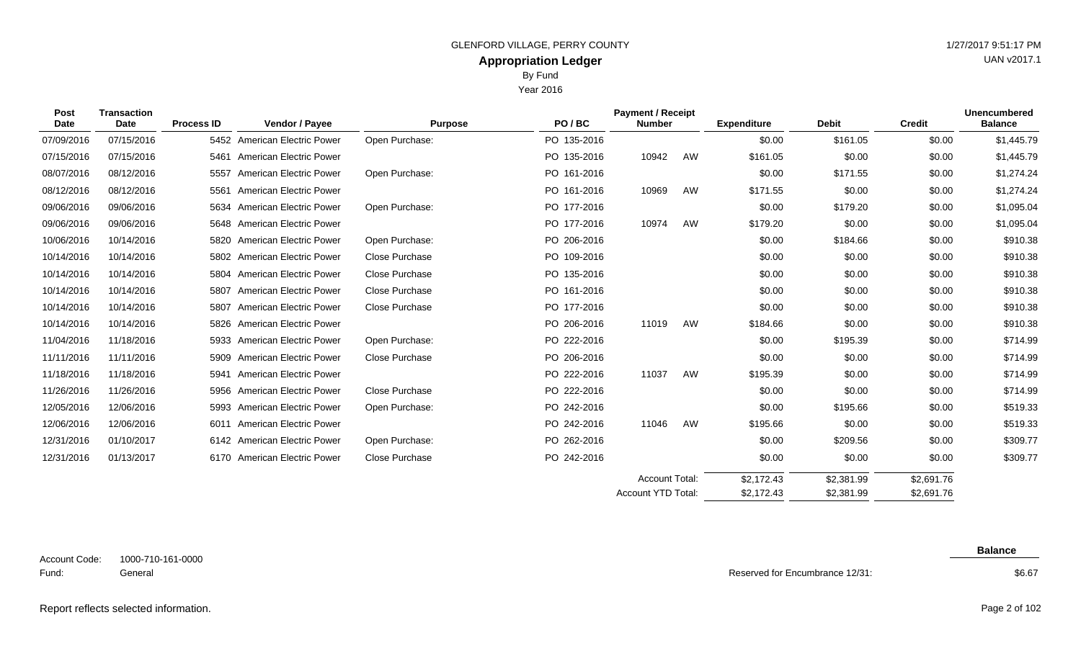Year 2016

| <b>Post</b><br><b>Transaction</b><br>Date<br><b>Date</b> | <b>Process ID</b> | <b>Vendor / Payee</b> | <b>Purpose</b>                 | PO/BC                 | <b>Payment / Receipt</b><br><b>Number</b> |                       | <b>Expenditure</b> | <b>Debit</b> | <b>Credit</b> | <b>Unencumbered</b><br><b>Balance</b> |            |
|----------------------------------------------------------|-------------------|-----------------------|--------------------------------|-----------------------|-------------------------------------------|-----------------------|--------------------|--------------|---------------|---------------------------------------|------------|
| 07/09/2016                                               | 07/15/2016        |                       | 5452 American Electric Power   | Open Purchase:        | PO 135-2016                               |                       |                    | \$0.00       | \$161.05      | \$0.00                                | \$1,445.79 |
| 07/15/2016                                               | 07/15/2016        | 5461                  | American Electric Power        |                       | PO 135-2016                               | 10942                 | AW                 | \$161.05     | \$0.00        | \$0.00                                | \$1,445.79 |
| 08/07/2016                                               | 08/12/2016        | 5557                  | American Electric Power        | Open Purchase:        | PO 161-2016                               |                       |                    | \$0.00       | \$171.55      | \$0.00                                | \$1,274.24 |
| 08/12/2016                                               | 08/12/2016        | 5561                  | <b>American Electric Power</b> |                       | PO 161-2016                               | 10969                 | AW                 | \$171.55     | \$0.00        | \$0.00                                | \$1,274.24 |
| 09/06/2016                                               | 09/06/2016        | 5634                  | <b>American Electric Power</b> | Open Purchase:        | PO 177-2016                               |                       |                    | \$0.00       | \$179.20      | \$0.00                                | \$1,095.04 |
| 09/06/2016                                               | 09/06/2016        |                       | 5648 American Electric Power   |                       | PO 177-2016                               | 10974                 | AW                 | \$179.20     | \$0.00        | \$0.00                                | \$1,095.04 |
| 10/06/2016                                               | 10/14/2016        | 5820                  | <b>American Electric Power</b> | Open Purchase:        | PO 206-2016                               |                       |                    | \$0.00       | \$184.66      | \$0.00                                | \$910.38   |
| 10/14/2016                                               | 10/14/2016        |                       | 5802 American Electric Power   | Close Purchase        | PO 109-2016                               |                       |                    | \$0.00       | \$0.00        | \$0.00                                | \$910.38   |
| 10/14/2016                                               | 10/14/2016        |                       | 5804 American Electric Power   | Close Purchase        | PO 135-2016                               |                       |                    | \$0.00       | \$0.00        | \$0.00                                | \$910.38   |
| 10/14/2016                                               | 10/14/2016        | 5807                  | <b>American Electric Power</b> | Close Purchase        | PO 161-2016                               |                       |                    | \$0.00       | \$0.00        | \$0.00                                | \$910.38   |
| 10/14/2016                                               | 10/14/2016        | 5807                  | <b>American Electric Power</b> | <b>Close Purchase</b> | PO 177-2016                               |                       |                    | \$0.00       | \$0.00        | \$0.00                                | \$910.38   |
| 10/14/2016                                               | 10/14/2016        |                       | 5826 American Electric Power   |                       | PO 206-2016                               | 11019                 | AW                 | \$184.66     | \$0.00        | \$0.00                                | \$910.38   |
| 11/04/2016                                               | 11/18/2016        | 5933                  | <b>American Electric Power</b> | Open Purchase:        | PO 222-2016                               |                       |                    | \$0.00       | \$195.39      | \$0.00                                | \$714.99   |
| 11/11/2016                                               | 11/11/2016        | 5909                  | <b>American Electric Power</b> | Close Purchase        | PO 206-2016                               |                       |                    | \$0.00       | \$0.00        | \$0.00                                | \$714.99   |
| 11/18/2016                                               | 11/18/2016        | 5941                  | American Electric Power        |                       | PO 222-2016                               | 11037                 | AW                 | \$195.39     | \$0.00        | \$0.00                                | \$714.99   |
| 11/26/2016                                               | 11/26/2016        | 5956                  | <b>American Electric Power</b> | Close Purchase        | PO 222-2016                               |                       |                    | \$0.00       | \$0.00        | \$0.00                                | \$714.99   |
| 12/05/2016                                               | 12/06/2016        | 5993                  | American Electric Power        | Open Purchase:        | PO 242-2016                               |                       |                    | \$0.00       | \$195.66      | \$0.00                                | \$519.33   |
| 12/06/2016                                               | 12/06/2016        | 6011                  | <b>American Electric Power</b> |                       | PO 242-2016                               | 11046                 | AW                 | \$195.66     | \$0.00        | \$0.00                                | \$519.33   |
| 12/31/2016                                               | 01/10/2017        |                       | 6142 American Electric Power   | Open Purchase:        | PO 262-2016                               |                       |                    | \$0.00       | \$209.56      | \$0.00                                | \$309.77   |
| 12/31/2016                                               | 01/13/2017        |                       | 6170 American Electric Power   | Close Purchase        | PO 242-2016                               |                       |                    | \$0.00       | \$0.00        | \$0.00                                | \$309.77   |
|                                                          |                   |                       |                                |                       |                                           | <b>Account Total:</b> |                    | \$2,172.43   | \$2,381.99    | \$2,691.76                            |            |

1000-710-161-0000 General Account Code: Fund:

**Balance**

\$2,691.76

Reserved for Encumbrance 12/31:

\$2,172.43

Account YTD Total:

\$2,381.99

#### \$6.67

### Report reflects selected information. Page 2 of 102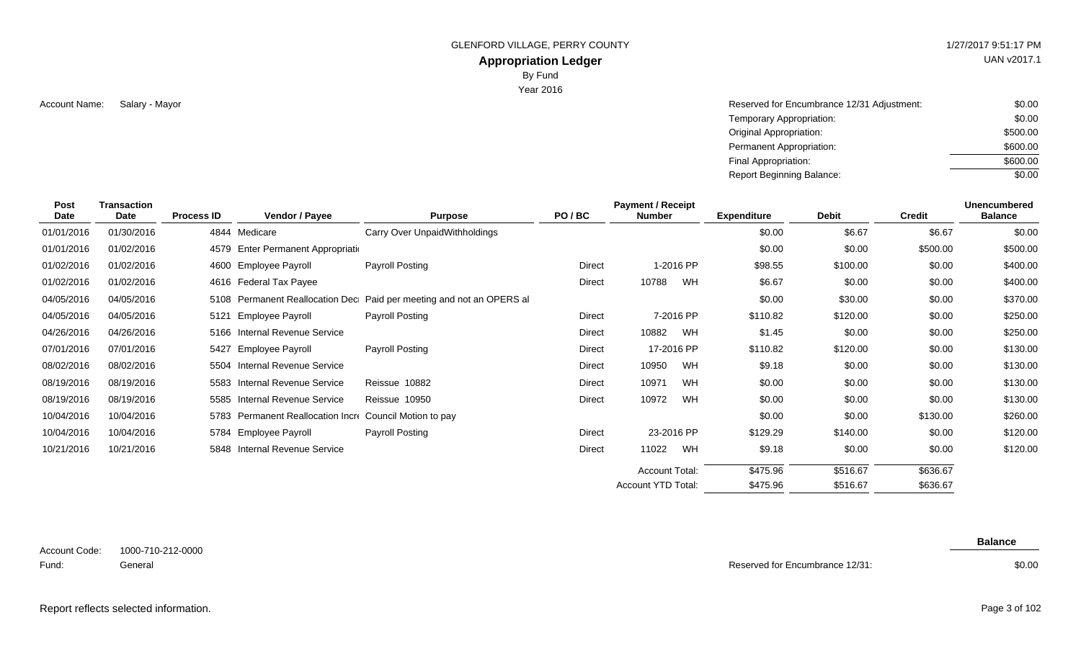# **Appropriation Ledger**

By Fund

Year 2016

Account Name: Salary - Mayor Name and South Account Name and South Account Name and South Account Name: Salary - Mayor South South Account Name: \$0.00 Temporary Appropriation: Original Appropriation: Permanent Appropriation: Final Appropriation: Report Beginning Balance: \$0.00 \$500.00 \$600.00 \$600.00 \$0.00

| Post<br>Date | <b>Transaction</b><br>Date | <b>Process ID</b> | Vendor / Payee                                          | <b>Purpose</b>                                                       | PO/BC  | <b>Payment / Receipt</b><br><b>Number</b> |            | <b>Expenditure</b> | <b>Debit</b> | <b>Credit</b> | Unencumbered<br><b>Balance</b> |
|--------------|----------------------------|-------------------|---------------------------------------------------------|----------------------------------------------------------------------|--------|-------------------------------------------|------------|--------------------|--------------|---------------|--------------------------------|
| 01/01/2016   | 01/30/2016                 | 4844              | Medicare                                                | Carry Over UnpaidWithholdings                                        |        |                                           |            | \$0.00             | \$6.67       | \$6.67        | \$0.00                         |
| 01/01/2016   | 01/02/2016                 |                   | 4579 Enter Permanent Appropriation                      |                                                                      |        |                                           |            | \$0.00             | \$0.00       | \$500.00      | \$500.00                       |
| 01/02/2016   | 01/02/2016                 |                   | 4600 Employee Payroll                                   | Payroll Posting                                                      | Direct |                                           | 1-2016 PP  | \$98.55            | \$100.00     | \$0.00        | \$400.00                       |
| 01/02/2016   | 01/02/2016                 |                   | 4616 Federal Tax Payee                                  |                                                                      | Direct | 10788                                     | WH         | \$6.67             | \$0.00       | \$0.00        | \$400.00                       |
| 04/05/2016   | 04/05/2016                 |                   |                                                         | 5108 Permanent Reallocation Dec Paid per meeting and not an OPERS al |        |                                           |            | \$0.00             | \$30.00      | \$0.00        | \$370.00                       |
| 04/05/2016   | 04/05/2016                 | 5121              | Employee Payroll                                        | Payroll Posting                                                      | Direct |                                           | 7-2016 PP  | \$110.82           | \$120.00     | \$0.00        | \$250.00                       |
| 04/26/2016   | 04/26/2016                 |                   | 5166 Internal Revenue Service                           |                                                                      | Direct | 10882                                     | WH         | \$1.45             | \$0.00       | \$0.00        | \$250.00                       |
| 07/01/2016   | 07/01/2016                 | 5427              | Employee Payroll                                        | Payroll Posting                                                      | Direct |                                           | 17-2016 PP | \$110.82           | \$120.00     | \$0.00        | \$130.00                       |
| 08/02/2016   | 08/02/2016                 |                   | 5504 Internal Revenue Service                           |                                                                      | Direct | 10950                                     | WH         | \$9.18             | \$0.00       | \$0.00        | \$130.00                       |
| 08/19/2016   | 08/19/2016                 |                   | 5583 Internal Revenue Service                           | Reissue 10882                                                        | Direct | 10971                                     | WH         | \$0.00             | \$0.00       | \$0.00        | \$130.00                       |
| 08/19/2016   | 08/19/2016                 |                   | 5585 Internal Revenue Service                           | Reissue 10950                                                        | Direct | 10972                                     | <b>WH</b>  | \$0.00             | \$0.00       | \$0.00        | \$130.00                       |
| 10/04/2016   | 10/04/2016                 |                   | 5783 Permanent Reallocation Incre Council Motion to pay |                                                                      |        |                                           |            | \$0.00             | \$0.00       | \$130.00      | \$260.00                       |
| 10/04/2016   | 10/04/2016                 |                   | 5784 Employee Payroll                                   | Payroll Posting                                                      | Direct |                                           | 23-2016 PP | \$129.29           | \$140.00     | \$0.00        | \$120.00                       |
| 10/21/2016   | 10/21/2016                 |                   | 5848 Internal Revenue Service                           |                                                                      | Direct | 11022                                     | WH         | \$9.18             | \$0.00       | \$0.00        | \$120.00                       |
|              |                            |                   |                                                         |                                                                      |        | <b>Account Total:</b>                     |            | \$475.96           | \$516.67     | \$636.67      |                                |
|              |                            |                   |                                                         |                                                                      |        | Account YTD Total:                        |            | \$475.96           | \$516.67     | \$636.67      |                                |

Reserved for Encumbrance 12/31:

**Balance**

UAN v2017.1

Report reflects selected information. Page 3 of 102

\$0.00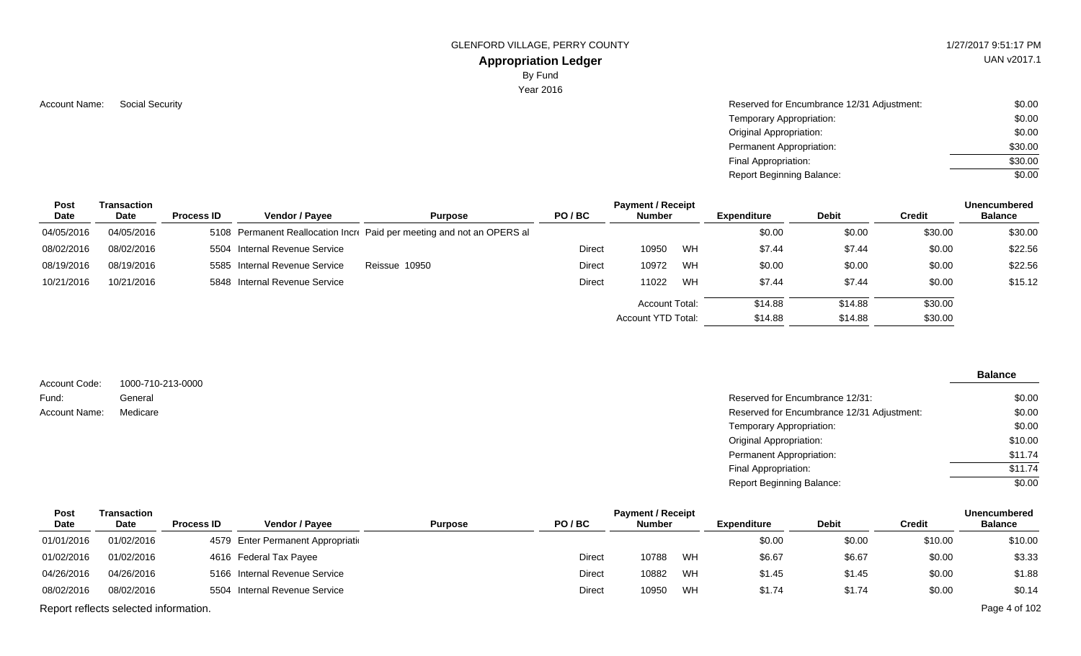## **Appropriation Ledger**

By Fund

Year 2016

Account Name: Social Security **Reserved for Encumbrance 12/31 Adjustment:** \$0.00 Temporary Appropriation: Original Appropriation: Permanent Appropriation: Final Appropriation: Report Beginning Balance: \$0.00 \$0.00 \$30.00 \$30.00 \$0.00

| Post       | Transaction |                   | <b>Payment / Receipt</b><br><b>Unencumbered</b> |                                                                        |        |                    |    |                    |              |               |                |  |
|------------|-------------|-------------------|-------------------------------------------------|------------------------------------------------------------------------|--------|--------------------|----|--------------------|--------------|---------------|----------------|--|
| Date       | Date        | <b>Process ID</b> | Vendor / Pavee                                  | <b>Purpose</b>                                                         | PO/BC  | <b>Number</b>      |    | <b>Expenditure</b> | <b>Debit</b> | <b>Credit</b> | <b>Balance</b> |  |
| 04/05/2016 | 04/05/2016  |                   |                                                 | 5108 Permanent Reallocation Incre Paid per meeting and not an OPERS al |        |                    |    | \$0.00             | \$0.00       | \$30.00       | \$30.00        |  |
| 08/02/2016 | 08/02/2016  |                   | 5504 Internal Revenue Service                   |                                                                        | Direct | 10950              | WH | \$7.44             | \$7.44       | \$0.00        | \$22.56        |  |
| 08/19/2016 | 08/19/2016  |                   | 5585 Internal Revenue Service                   | Reissue 10950                                                          | Direct | 10972              | WH | \$0.00             | \$0.00       | \$0.00        | \$22.56        |  |
| 10/21/2016 | 10/21/2016  |                   | 5848 Internal Revenue Service                   |                                                                        | Direct | 11022              | WH | \$7.44             | \$7.44       | \$0.00        | \$15.12        |  |
|            |             |                   |                                                 |                                                                        |        | Account Total:     |    | \$14.88            | \$14.88      | \$30.00       |                |  |
|            |             |                   |                                                 |                                                                        |        | Account YTD Total: |    | \$14.88            | \$14.88      | \$30.00       |                |  |

|                        |                              |                                            | <b>Balance</b> |
|------------------------|------------------------------|--------------------------------------------|----------------|
| Account Code:<br>Fund: | 1000-710-213-0000<br>General | Reserved for Encumbrance 12/31:            | \$0.00         |
| Account Name:          | Medicare                     | Reserved for Encumbrance 12/31 Adjustment: | \$0.00         |
|                        |                              | Temporary Appropriation:                   | \$0.00         |
|                        |                              | <b>Original Appropriation:</b>             | \$10.00        |
|                        |                              | Permanent Appropriation:                   | \$11.74        |
|                        |                              | Final Appropriation:                       | \$11.74        |
|                        |                              | <b>Report Beginning Balance:</b>           | \$0.00         |

| Post       | Transaction                           |                   |                                    | <b>Payment / Receipt</b><br><b>Unencumbered</b> |        |               |    |             |              |               |                |  |  |
|------------|---------------------------------------|-------------------|------------------------------------|-------------------------------------------------|--------|---------------|----|-------------|--------------|---------------|----------------|--|--|
| Date       | Date                                  | <b>Process ID</b> | <b>Vendor / Pavee</b>              | <b>Purpose</b>                                  | PO/BC  | <b>Number</b> |    | Expenditure | <b>Debit</b> | <b>Credit</b> | <b>Balance</b> |  |  |
| 01/01/2016 | 01/02/2016                            |                   | 4579 Enter Permanent Appropriation |                                                 |        |               |    | \$0.00      | \$0.00       | \$10.00       | \$10.00        |  |  |
| 01/02/2016 | 01/02/2016                            |                   | 4616 Federal Tax Payee             |                                                 | Direct | 10788         | WH | \$6.67      | \$6.67       | \$0.00        | \$3.33         |  |  |
| 04/26/2016 | 04/26/2016                            |                   | 5166 Internal Revenue Service      |                                                 | Direct | 10882         | WH | \$1.45      | \$1.45       | \$0.00        | \$1.88         |  |  |
| 08/02/2016 | 08/02/2016                            |                   | 5504 Internal Revenue Service      |                                                 | Direct | 10950         | WH | \$1.74      | \$1.74       | \$0.00        | \$0.14         |  |  |
|            | Report reflects selected information. |                   |                                    |                                                 |        |               |    |             |              |               | Page 4 of 102  |  |  |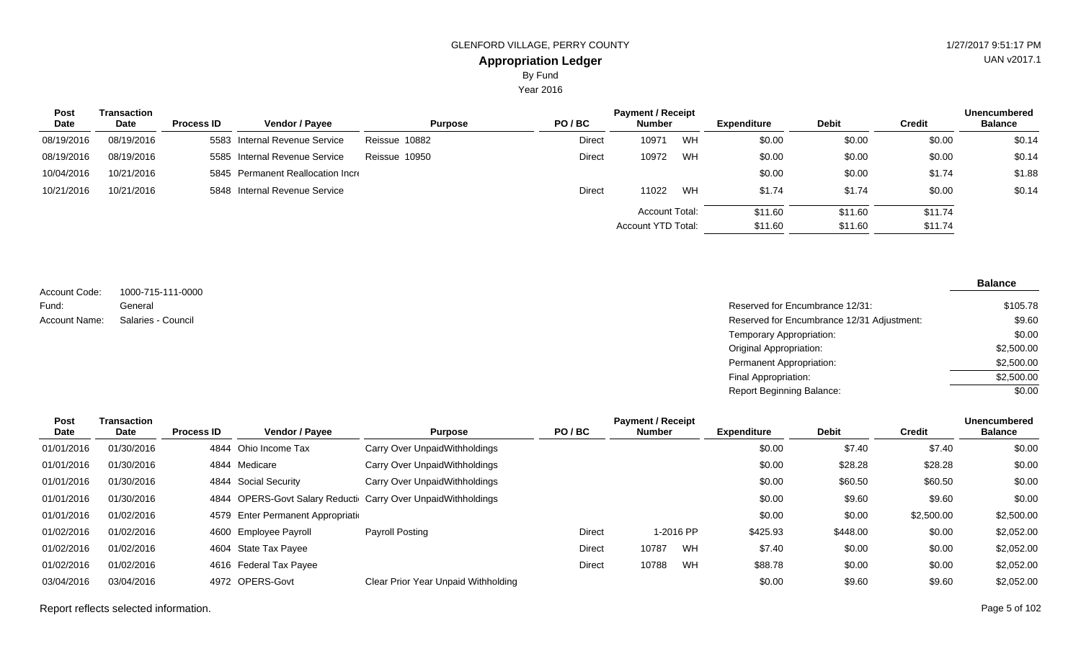Year 2016

| Post       | Transaction |                   |                                   | <b>Payment / Receipt</b> |        |                       |    |                    |              |               |                |  |
|------------|-------------|-------------------|-----------------------------------|--------------------------|--------|-----------------------|----|--------------------|--------------|---------------|----------------|--|
| Date       | Date        | <b>Process ID</b> | Vendor / Payee                    | <b>Purpose</b>           | PO/BC  | <b>Number</b>         |    | <b>Expenditure</b> | <b>Debit</b> | <b>Credit</b> | <b>Balance</b> |  |
| 08/19/2016 | 08/19/2016  |                   | 5583 Internal Revenue Service     | Reissue 10882            | Direct | 10971                 | WH | \$0.00             | \$0.00       | \$0.00        | \$0.14         |  |
| 08/19/2016 | 08/19/2016  |                   | 5585 Internal Revenue Service     | Reissue 10950            | Direct | 10972                 | WH | \$0.00             | \$0.00       | \$0.00        | \$0.14         |  |
| 10/04/2016 | 10/21/2016  |                   | 5845 Permanent Reallocation Incre |                          |        |                       |    | \$0.00             | \$0.00       | \$1.74        | \$1.88         |  |
| 10/21/2016 | 10/21/2016  |                   | 5848 Internal Revenue Service     |                          | Direct | 11022                 | WH | \$1.74             | \$1.74       | \$0.00        | \$0.14         |  |
|            |             |                   |                                   |                          |        | <b>Account Total:</b> |    | \$11.60            | \$11.60      | \$11.74       |                |  |
|            |             |                   |                                   |                          |        | Account YTD Total:    |    | \$11.60            | \$11.60      | \$11.74       |                |  |

1000-715-111-0000 General Account Code: Fund: Account Name: Salaries - Council

#### **Balance**

| General            | Reserved for Encumbrance 12/31:            | \$105.78   |
|--------------------|--------------------------------------------|------------|
| Salaries - Council | Reserved for Encumbrance 12/31 Adjustment: | \$9.60     |
|                    | Temporary Appropriation:                   | \$0.00     |
|                    | <b>Original Appropriation:</b>             | \$2,500.00 |
|                    | Permanent Appropriation:                   | \$2,500.00 |
|                    | Final Appropriation:                       | \$2,500.00 |
|                    | <b>Report Beginning Balance:</b>           | \$0.00     |

| Post       | Transaction |                   |                                    |                                                         |        | <b>Payment / Receipt</b> |    |                    |              |               | Unencumbered   |
|------------|-------------|-------------------|------------------------------------|---------------------------------------------------------|--------|--------------------------|----|--------------------|--------------|---------------|----------------|
| Date       | Date        | <b>Process ID</b> | Vendor / Payee                     | <b>Purpose</b>                                          | PO/BC  | <b>Number</b>            |    | <b>Expenditure</b> | <b>Debit</b> | <b>Credit</b> | <b>Balance</b> |
| 01/01/2016 | 01/30/2016  | 4844              | Ohio Income Tax                    | Carry Over UnpaidWithholdings                           |        |                          |    | \$0.00             | \$7.40       | \$7.40        | \$0.00         |
| 01/01/2016 | 01/30/2016  |                   | 4844 Medicare                      | Carry Over UnpaidWithholdings                           |        |                          |    | \$0.00             | \$28.28      | \$28.28       | \$0.00         |
| 01/01/2016 | 01/30/2016  |                   | 4844 Social Security               | Carry Over UnpaidWithholdings                           |        |                          |    | \$0.00             | \$60.50      | \$60.50       | \$0.00         |
| 01/01/2016 | 01/30/2016  | 4844              |                                    | OPERS-Govt Salary Reducti Carry Over UnpaidWithholdings |        |                          |    | \$0.00             | \$9.60       | \$9.60        | \$0.00         |
| 01/01/2016 | 01/02/2016  |                   | 4579 Enter Permanent Appropriation |                                                         |        |                          |    | \$0.00             | \$0.00       | \$2,500.00    | \$2,500.00     |
| 01/02/2016 | 01/02/2016  |                   | 4600 Employee Payroll              | Payroll Posting                                         | Direct | 1-2016 PP                |    | \$425.93           | \$448.00     | \$0.00        | \$2,052.00     |
| 01/02/2016 | 01/02/2016  |                   | 4604 State Tax Payee               |                                                         | Direct | 10787                    | WH | \$7.40             | \$0.00       | \$0.00        | \$2,052.00     |
| 01/02/2016 | 01/02/2016  |                   | 4616 Federal Tax Payee             |                                                         | Direct | 10788                    | WH | \$88.78            | \$0.00       | \$0.00        | \$2,052.00     |
| 03/04/2016 | 03/04/2016  |                   | 4972 OPERS-Govt                    | Clear Prior Year Unpaid Withholding                     |        |                          |    | \$0.00             | \$9.60       | \$9.60        | \$2,052.00     |

Report reflects selected information. Page 5 of 102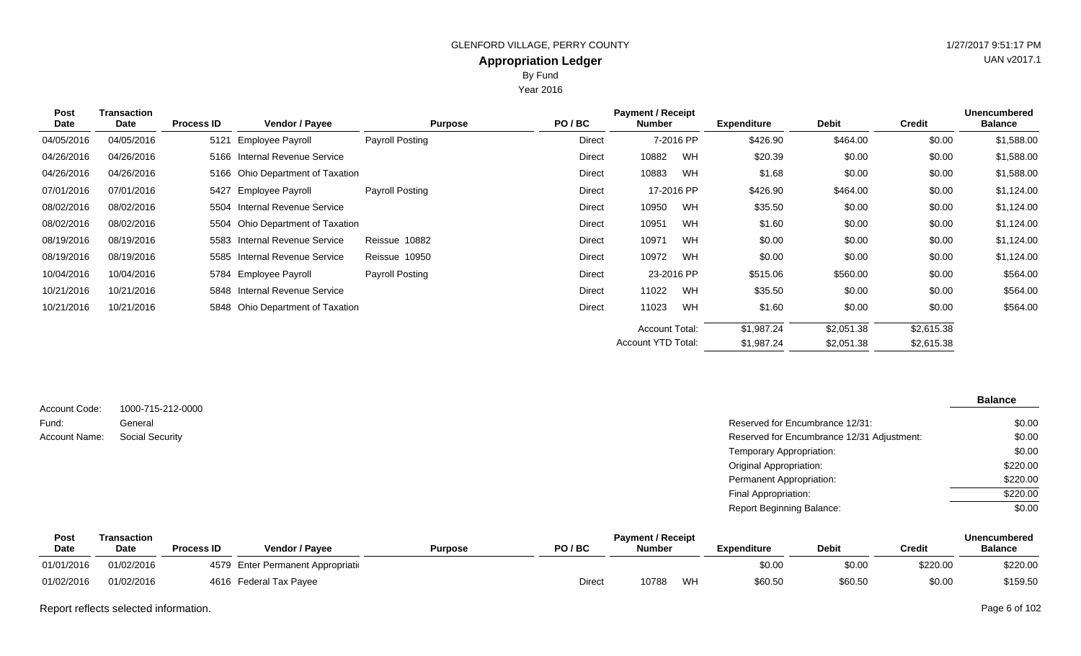Year 2016

| <b>Post</b><br><b>Date</b> | Transaction<br>Date | <b>Process ID</b> | Vendor / Payee                   | <b>Payment / Receipt</b><br>PO/BC<br><b>Purpose</b><br><b>Number</b> |        | <b>Expenditure</b>    | <b>Debit</b> | <b>Credit</b> | <b>Unencumbered</b><br><b>Balance</b> |            |            |
|----------------------------|---------------------|-------------------|----------------------------------|----------------------------------------------------------------------|--------|-----------------------|--------------|---------------|---------------------------------------|------------|------------|
| 04/05/2016                 | 04/05/2016          | 5121              | Employee Payroll                 | Payroll Posting                                                      | Direct |                       | 7-2016 PP    | \$426.90      | \$464.00                              | \$0.00     | \$1,588.00 |
| 04/26/2016                 | 04/26/2016          |                   | 5166 Internal Revenue Service    |                                                                      | Direct | 10882                 | WH           | \$20.39       | \$0.00                                | \$0.00     | \$1,588.00 |
| 04/26/2016                 | 04/26/2016          |                   | 5166 Ohio Department of Taxation |                                                                      | Direct | 10883                 | WH           | \$1.68        | \$0.00                                | \$0.00     | \$1,588.00 |
| 07/01/2016                 | 07/01/2016          |                   | 5427 Employee Payroll            | Payroll Posting                                                      | Direct |                       | 17-2016 PP   | \$426.90      | \$464.00                              | \$0.00     | \$1,124.00 |
| 08/02/2016                 | 08/02/2016          |                   | 5504 Internal Revenue Service    |                                                                      | Direct | 10950                 | WH           | \$35.50       | \$0.00                                | \$0.00     | \$1,124.00 |
| 08/02/2016                 | 08/02/2016          |                   | 5504 Ohio Department of Taxation |                                                                      | Direct | 10951                 | WH           | \$1.60        | \$0.00                                | \$0.00     | \$1,124.00 |
| 08/19/2016                 | 08/19/2016          |                   | 5583 Internal Revenue Service    | Reissue 10882                                                        | Direct | 10971                 | WH           | \$0.00        | \$0.00                                | \$0.00     | \$1,124.00 |
| 08/19/2016                 | 08/19/2016          |                   | 5585 Internal Revenue Service    | Reissue 10950                                                        | Direct | 10972                 | WH           | \$0.00        | \$0.00                                | \$0.00     | \$1,124.00 |
| 10/04/2016                 | 10/04/2016          |                   | 5784 Employee Payroll            | Payroll Posting                                                      | Direct |                       | 23-2016 PP   | \$515.06      | \$560.00                              | \$0.00     | \$564.00   |
| 10/21/2016                 | 10/21/2016          |                   | 5848 Internal Revenue Service    |                                                                      | Direct | 11022                 | WH           | \$35.50       | \$0.00                                | \$0.00     | \$564.00   |
| 10/21/2016                 | 10/21/2016          |                   | 5848 Ohio Department of Taxation |                                                                      | Direct | 11023                 | WH           | \$1.60        | \$0.00                                | \$0.00     | \$564.00   |
|                            |                     |                   |                                  |                                                                      |        | <b>Account Total:</b> |              | \$1,987.24    | \$2,051.38                            | \$2,615.38 |            |
|                            |                     |                   |                                  |                                                                      |        | Account YTD Total:    |              | \$1,987.24    | \$2,051.38                            | \$2,615.38 |            |

| Account Code: | 1000-715-212-0000      |                                            | <b>Balance</b> |
|---------------|------------------------|--------------------------------------------|----------------|
| Fund:         | General                | Reserved for Encumbrance 12/31:            | \$0.00         |
| Account Name: | <b>Social Security</b> | Reserved for Encumbrance 12/31 Adjustment: | \$0.00         |
|               |                        | Temporary Appropriation:                   | \$0.00         |
|               |                        | <b>Original Appropriation:</b>             | \$220.00       |
|               |                        | Permanent Appropriation:                   | \$220.00       |
|               |                        | Final Appropriation:                       | \$220.00       |
|               |                        | <b>Report Beginning Balance:</b>           | \$0.00         |

| Post        | <b>Fransaction</b> |                   |                                    |                | <b>Payment / Receipt</b> |               |    |                    | <b>Unencumbered</b> |          |                |
|-------------|--------------------|-------------------|------------------------------------|----------------|--------------------------|---------------|----|--------------------|---------------------|----------|----------------|
| <b>Date</b> | Date               | <b>Process ID</b> | <b>Vendor / Payee</b>              | <b>Purpose</b> | PO/BC                    | <b>Number</b> |    | <b>Expenditure</b> | <b>Debit</b>        | Credit   | <b>Balance</b> |
| 01/01/2016  | 01/02/2016         |                   | 4579 Enter Permanent Appropriation |                |                          |               |    | \$0.00             | \$0.00              | \$220.00 | \$220.00       |
| 01/02/2016  | 01/02/2016         |                   | 4616 Federal Tax Payee             |                | <b>Direct</b>            | 10788         | WH | \$60.50            | \$60.50             | \$0.00   | \$159.50       |

Report reflects selected information. Page 6 of 102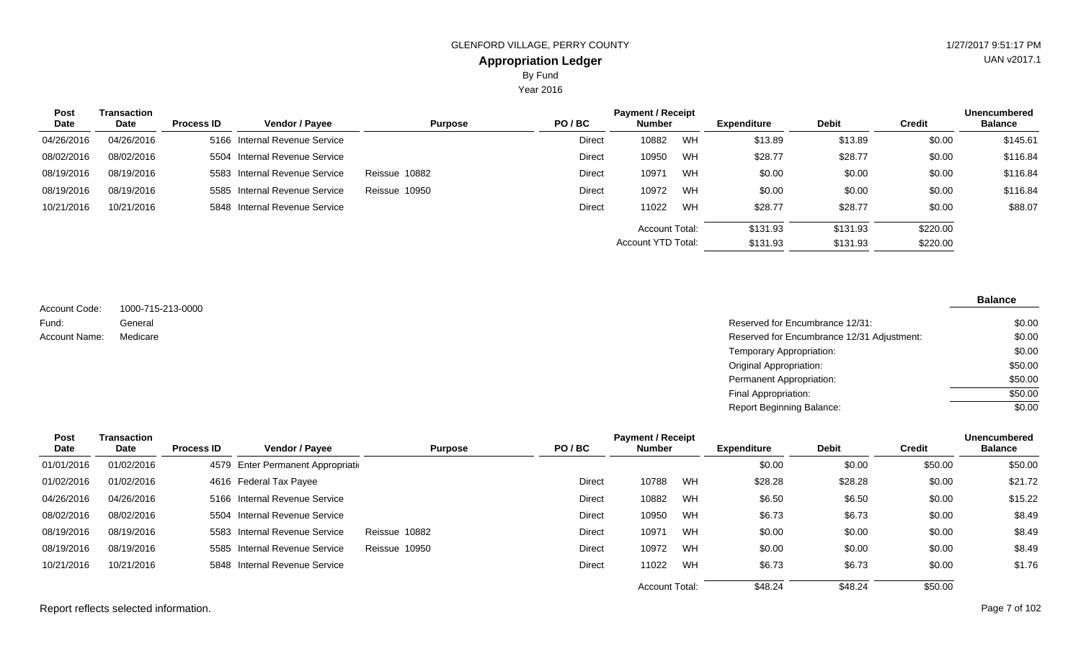Year 2016

| Post       | Transaction | <b>Process ID</b> |                               | <b>Purpose</b> | PO/BC  | <b>Payment / Receipt</b><br>Number |    | <b>Expenditure</b> | <b>Debit</b> | <b>Credit</b> | Unencumbered<br><b>Balance</b> |
|------------|-------------|-------------------|-------------------------------|----------------|--------|------------------------------------|----|--------------------|--------------|---------------|--------------------------------|
| Date       | Date        |                   | Vendor / Payee                |                |        |                                    |    |                    |              |               |                                |
| 04/26/2016 | 04/26/2016  |                   | 5166 Internal Revenue Service |                | Direct | 10882                              | WH | \$13.89            | \$13.89      | \$0.00        | \$145.61                       |
| 08/02/2016 | 08/02/2016  |                   | 5504 Internal Revenue Service |                | Direct | 10950                              | WH | \$28.77            | \$28.77      | \$0.00        | \$116.84                       |
| 08/19/2016 | 08/19/2016  |                   | 5583 Internal Revenue Service | Reissue 10882  | Direct | 10971                              | WH | \$0.00             | \$0.00       | \$0.00        | \$116.84                       |
| 08/19/2016 | 08/19/2016  |                   | 5585 Internal Revenue Service | Reissue 10950  | Direct | 10972                              | WH | \$0.00             | \$0.00       | \$0.00        | \$116.84                       |
| 10/21/2016 | 10/21/2016  |                   | 5848 Internal Revenue Service |                | Direct | 11022                              | WH | \$28.77            | \$28.77      | \$0.00        | \$88.07                        |
|            |             |                   |                               |                |        | Account Total:                     |    | \$131.93           | \$131.93     | \$220.00      |                                |
|            |             |                   |                               |                |        | Account YTD Total:                 |    | \$131.93           | \$131.93     | \$220.00      |                                |

1000-715-213-0000 General Account Code: Fund: Account Name:

Reserved for Encumbrance 12/31: Medicare Reserved for Encumbrance 12/31 Adjustment: Temporary Appropriation: Original Appropriation: Permanent Appropriation: Final Appropriation: Report Beginning Balance: \$0.00 \$0.00 \$0.00 \$50.00 \$50.00 \$50.00  $\sqrt{$0.00}$ 

| <b>Post</b> | <b>Transaction</b> |                   |                                    |                | <b>Payment / Receipt</b> |                       |           | <b>Unencumbered</b> |              |               |                |
|-------------|--------------------|-------------------|------------------------------------|----------------|--------------------------|-----------------------|-----------|---------------------|--------------|---------------|----------------|
| Date        | Date               | <b>Process ID</b> | Vendor / Payee                     | <b>Purpose</b> | PO/BC                    | <b>Number</b>         |           | <b>Expenditure</b>  | <b>Debit</b> | <b>Credit</b> | <b>Balance</b> |
| 01/01/2016  | 01/02/2016         |                   | 4579 Enter Permanent Appropriation |                |                          |                       |           | \$0.00              | \$0.00       | \$50.00       | \$50.00        |
| 01/02/2016  | 01/02/2016         |                   | 4616 Federal Tax Payee             |                | Direct                   | 10788                 | WH        | \$28.28             | \$28.28      | \$0.00        | \$21.72        |
| 04/26/2016  | 04/26/2016         |                   | 5166 Internal Revenue Service      |                | Direct                   | 10882                 | WH        | \$6.50              | \$6.50       | \$0.00        | \$15.22        |
| 08/02/2016  | 08/02/2016         |                   | 5504 Internal Revenue Service      |                | Direct                   | 10950                 | WH        | \$6.73              | \$6.73       | \$0.00        | \$8.49         |
| 08/19/2016  | 08/19/2016         |                   | 5583 Internal Revenue Service      | Reissue 10882  | Direct                   | 10971                 | WH        | \$0.00              | \$0.00       | \$0.00        | \$8.49         |
| 08/19/2016  | 08/19/2016         |                   | 5585 Internal Revenue Service      | Reissue 10950  | Direct                   | 10972                 | <b>WH</b> | \$0.00              | \$0.00       | \$0.00        | \$8.49         |
| 10/21/2016  | 10/21/2016         |                   | 5848 Internal Revenue Service      |                | Direct                   | 11022                 | WH        | \$6.73              | \$6.73       | \$0.00        | \$1.76         |
|             |                    |                   |                                    |                |                          | <b>Account Total:</b> |           | \$48.24             | \$48.24      | \$50.00       |                |

Report reflects selected information. Page 7 of 102

**Balance**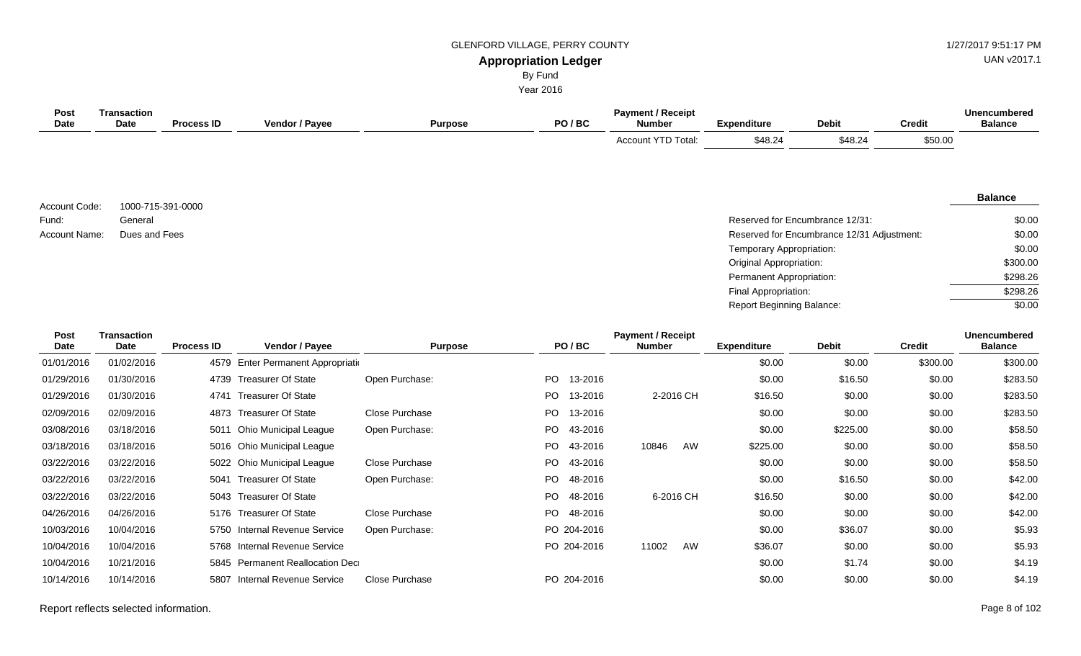# UAN v2017.1

#### **Appropriation Ledger** By Fund

Year 2016

| Post<br><b>Date</b> | <b>Transaction</b><br>Date | <b>Process ID</b> | Vendor / Payee                     | <b>Purpose</b> |     | PO/BC   | <b>Payment / Receipt</b><br><b>Number</b> | <b>Expenditure</b>               | <b>Debit</b>                               | <b>Credit</b> | <b>Unencumbered</b><br><b>Balance</b> |
|---------------------|----------------------------|-------------------|------------------------------------|----------------|-----|---------|-------------------------------------------|----------------------------------|--------------------------------------------|---------------|---------------------------------------|
|                     |                            |                   |                                    |                |     |         | Account YTD Total:                        | \$48.24                          | \$48.24                                    | \$50.00       |                                       |
| Account Code:       | 1000-715-391-0000          |                   |                                    |                |     |         |                                           |                                  |                                            |               | <b>Balance</b>                        |
| Fund:               | General                    |                   |                                    |                |     |         |                                           |                                  | Reserved for Encumbrance 12/31:            |               | \$0.00                                |
| Account Name:       | Dues and Fees              |                   |                                    |                |     |         |                                           |                                  | Reserved for Encumbrance 12/31 Adjustment: |               | \$0.00                                |
|                     |                            |                   |                                    |                |     |         |                                           | Temporary Appropriation:         |                                            |               | \$0.00                                |
|                     |                            |                   |                                    |                |     |         |                                           | Original Appropriation:          |                                            |               | \$300.00                              |
|                     |                            |                   |                                    |                |     |         |                                           | Permanent Appropriation:         |                                            |               | \$298.26                              |
|                     |                            |                   |                                    |                |     |         |                                           | Final Appropriation:             |                                            |               | \$298.26                              |
|                     |                            |                   |                                    |                |     |         |                                           | <b>Report Beginning Balance:</b> |                                            |               | \$0.00                                |
| Post<br><b>Date</b> | <b>Transaction</b><br>Date | <b>Process ID</b> | Vendor / Payee                     | <b>Purpose</b> |     | PO/BC   | <b>Payment / Receipt</b><br><b>Number</b> | <b>Expenditure</b>               | <b>Debit</b>                               | <b>Credit</b> | <b>Unencumbered</b><br><b>Balance</b> |
| 01/01/2016          | 01/02/2016                 |                   | 4579 Enter Permanent Appropriation |                |     |         |                                           | \$0.00                           | \$0.00                                     | \$300.00      | \$300.00                              |
| 01/29/2016          | 01/30/2016                 | 4739              | <b>Treasurer Of State</b>          | Open Purchase: | PO  | 13-2016 |                                           | \$0.00                           | \$16.50                                    | \$0.00        | \$283.50                              |
| 01/29/2016          | 01/30/2016                 | 4741              | <b>Treasurer Of State</b>          |                | PO  | 13-2016 | 2-2016 CH                                 | \$16.50                          | \$0.00                                     | \$0.00        | \$283.50                              |
| 02/09/2016          | 02/09/2016                 | 4873              | <b>Treasurer Of State</b>          | Close Purchase | PO  | 13-2016 |                                           | \$0.00                           | \$0.00                                     | \$0.00        | \$283.50                              |
| 03/08/2016          | 03/18/2016                 |                   | 5011 Ohio Municipal League         | Open Purchase: | PO. | 43-2016 |                                           | \$0.00                           | \$225.00                                   | \$0.00        | \$58.50                               |
| 03/18/2016          | 03/18/2016                 | 5016              | Ohio Municipal League              |                | PO  | 43-2016 | AW<br>10846                               | \$225.00                         | \$0.00                                     | \$0.00        | \$58.50                               |
| 03/22/2016          | 03/22/2016                 | 5022              | <b>Ohio Municipal League</b>       | Close Purchase | PO  | 43-2016 |                                           | \$0.00                           | \$0.00                                     | \$0.00        | \$58.50                               |
| 03/22/2016          | 03/22/2016                 | 5041              | <b>Treasurer Of State</b>          | Open Purchase: | PO. | 48-2016 |                                           | \$0.00                           | \$16.50                                    | \$0.00        | \$42.00                               |
| 03/22/2016          | 03/22/2016                 | 5043              | <b>Treasurer Of State</b>          |                | PO. | 48-2016 | 6-2016 CH                                 | \$16.50                          | \$0.00                                     | \$0.00        | \$42.00                               |

04/26/2016 04/26/2016 5176 Treasurer Of State Close Purchase PO 48-2016 \$0.00 \$0.00 \$0.00 \$142.00 10/03/2016 10/04/2016 5750 Internal Revenue Service Open Purchase: PO 204-2016 \$0.00 \$36.07 \$0.00 \$5.93 10/04/2016 10/04/2016 5768 Internal Revenue Service PO 204-2016 11002 AW \$36.07 \$0.00 \$0.00 \$5.93 10/04/2016 10/21/2016 5845 Permanent Reallocation Dec<br>
10/04/2016 10/21/2016 5845 Permanent Reallocation Dec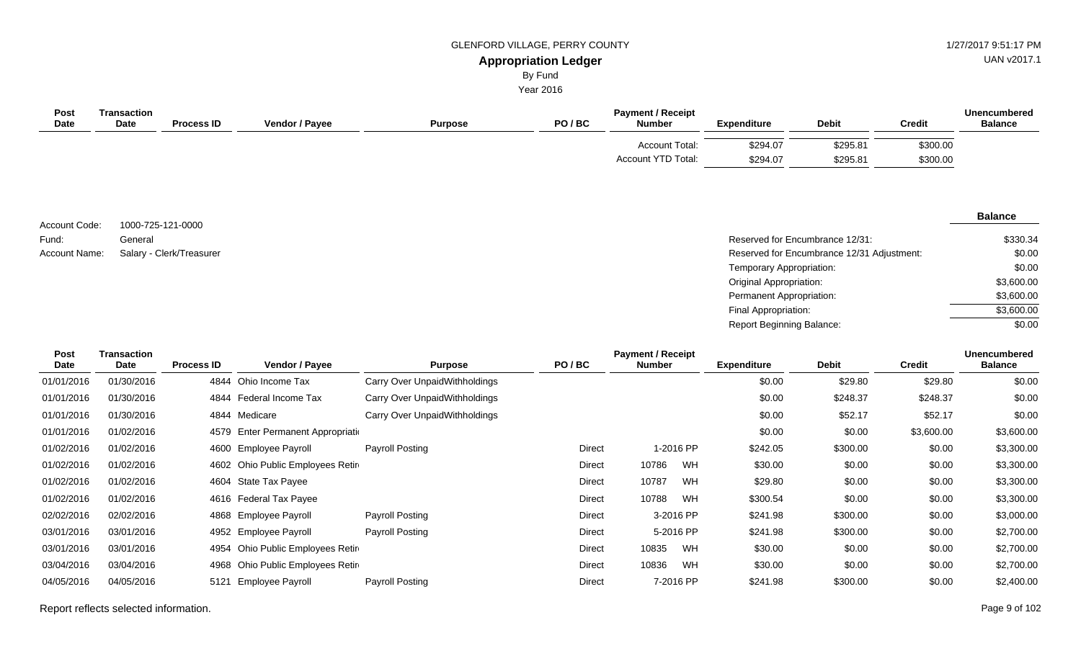UAN v2017.1

#### **Appropriation Ledger** By Fund

Year 2016

| Post<br><b>Date</b> | Transaction<br><b>Date</b> | <b>Process ID</b> | Vendor / Payee | <b>Purpose</b> | PO/BC | <b>Payment / Receipt</b><br><b>Number</b>   | <b>Expenditure</b>   | <b>Debit</b>         | <b>Credit</b>        | Unencumbered<br><b>Balance</b> |
|---------------------|----------------------------|-------------------|----------------|----------------|-------|---------------------------------------------|----------------------|----------------------|----------------------|--------------------------------|
|                     |                            |                   |                |                |       | <b>Account Total:</b><br>Account YTD Total: | \$294.07<br>\$294.07 | \$295.81<br>\$295.81 | \$300.00<br>\$300.00 |                                |

1000-725-121-0000 General Account Code: Fund:

#### **Balance**

| Fund:         | General                  | Reserved for Encumbrance 12/31:            | \$330.34   |
|---------------|--------------------------|--------------------------------------------|------------|
| Account Name: | Salary - Clerk/Treasurer | Reserved for Encumbrance 12/31 Adjustment: | \$0.00     |
|               |                          | Temporary Appropriation:                   | \$0.00     |
|               |                          | Original Appropriation:                    | \$3,600.00 |
|               |                          | Permanent Appropriation:                   | \$3,600.00 |
|               |                          | Final Appropriation:                       | \$3,600.00 |
|               |                          | <b>Report Beginning Balance:</b>           | \$0.00     |

| <b>Transaction</b> |                   |                                                                                                                                                                                                                                                      |                                                                                                                                                   |       |                                                                                               |                                                                                               |                    |               | <b>Unencumbered</b> |
|--------------------|-------------------|------------------------------------------------------------------------------------------------------------------------------------------------------------------------------------------------------------------------------------------------------|---------------------------------------------------------------------------------------------------------------------------------------------------|-------|-----------------------------------------------------------------------------------------------|-----------------------------------------------------------------------------------------------|--------------------|---------------|---------------------|
| Date               | <b>Process ID</b> | <b>Purpose</b>                                                                                                                                                                                                                                       |                                                                                                                                                   |       |                                                                                               |                                                                                               |                    | <b>Credit</b> | <b>Balance</b>      |
| 01/30/2016         |                   | Carry Over UnpaidWithholdings                                                                                                                                                                                                                        |                                                                                                                                                   |       |                                                                                               | \$0.00                                                                                        | \$29.80            | \$29.80       | \$0.00              |
| 01/30/2016         |                   | Carry Over UnpaidWithholdings                                                                                                                                                                                                                        |                                                                                                                                                   |       |                                                                                               | \$0.00                                                                                        | \$248.37           | \$248.37      | \$0.00              |
| 01/30/2016         |                   | Carry Over UnpaidWithholdings                                                                                                                                                                                                                        |                                                                                                                                                   |       |                                                                                               | \$0.00                                                                                        | \$52.17            | \$52.17       | \$0.00              |
| 01/02/2016         |                   |                                                                                                                                                                                                                                                      |                                                                                                                                                   |       |                                                                                               | \$0.00                                                                                        | \$0.00             | \$3,600.00    | \$3,600.00          |
| 01/02/2016         |                   | Payroll Posting                                                                                                                                                                                                                                      |                                                                                                                                                   |       |                                                                                               | \$242.05                                                                                      | \$300.00           | \$0.00        | \$3,300.00          |
| 01/02/2016         |                   |                                                                                                                                                                                                                                                      |                                                                                                                                                   | 10786 | WH                                                                                            | \$30.00                                                                                       | \$0.00             | \$0.00        | \$3,300.00          |
| 01/02/2016         |                   |                                                                                                                                                                                                                                                      |                                                                                                                                                   | 10787 | WH                                                                                            | \$29.80                                                                                       | \$0.00             | \$0.00        | \$3,300.00          |
| 01/02/2016         |                   |                                                                                                                                                                                                                                                      |                                                                                                                                                   | 10788 | WH                                                                                            | \$300.54                                                                                      | \$0.00             | \$0.00        | \$3,300.00          |
| 02/02/2016         |                   | Payroll Posting                                                                                                                                                                                                                                      |                                                                                                                                                   |       |                                                                                               | \$241.98                                                                                      | \$300.00           | \$0.00        | \$3,000.00          |
| 03/01/2016         |                   | Payroll Posting                                                                                                                                                                                                                                      |                                                                                                                                                   |       |                                                                                               | \$241.98                                                                                      | \$300.00           | \$0.00        | \$2,700.00          |
| 03/01/2016         |                   |                                                                                                                                                                                                                                                      |                                                                                                                                                   | 10835 | WH                                                                                            | \$30.00                                                                                       | \$0.00             | \$0.00        | \$2,700.00          |
| 03/04/2016         |                   |                                                                                                                                                                                                                                                      |                                                                                                                                                   | 10836 | WH                                                                                            | \$30.00                                                                                       | \$0.00             | \$0.00        | \$2,700.00          |
| 04/05/2016         | 5121              | Payroll Posting                                                                                                                                                                                                                                      |                                                                                                                                                   |       |                                                                                               | \$241.98                                                                                      | \$300.00           | \$0.00        | \$2,400.00          |
|                    |                   | <b>Vendor / Payee</b><br>4844 Ohio Income Tax<br>Federal Income Tax<br>4844<br>4844 Medicare<br>4600 Employee Payroll<br>4604 State Tax Payee<br>4616 Federal Tax Payee<br>4868 Employee Payroll<br>4952 Employee Payroll<br><b>Employee Payroll</b> | 4579 Enter Permanent Appropriation<br>4602 Ohio Public Employees Retire<br>4954 Ohio Public Employees Retire<br>4968 Ohio Public Employees Retire | PO/BC | Direct<br>Direct<br>Direct<br>Direct<br>Direct<br>Direct<br><b>Direct</b><br>Direct<br>Direct | <b>Payment / Receipt</b><br><b>Number</b><br>1-2016 PP<br>3-2016 PP<br>5-2016 PP<br>7-2016 PP | <b>Expenditure</b> | <b>Debit</b>  |                     |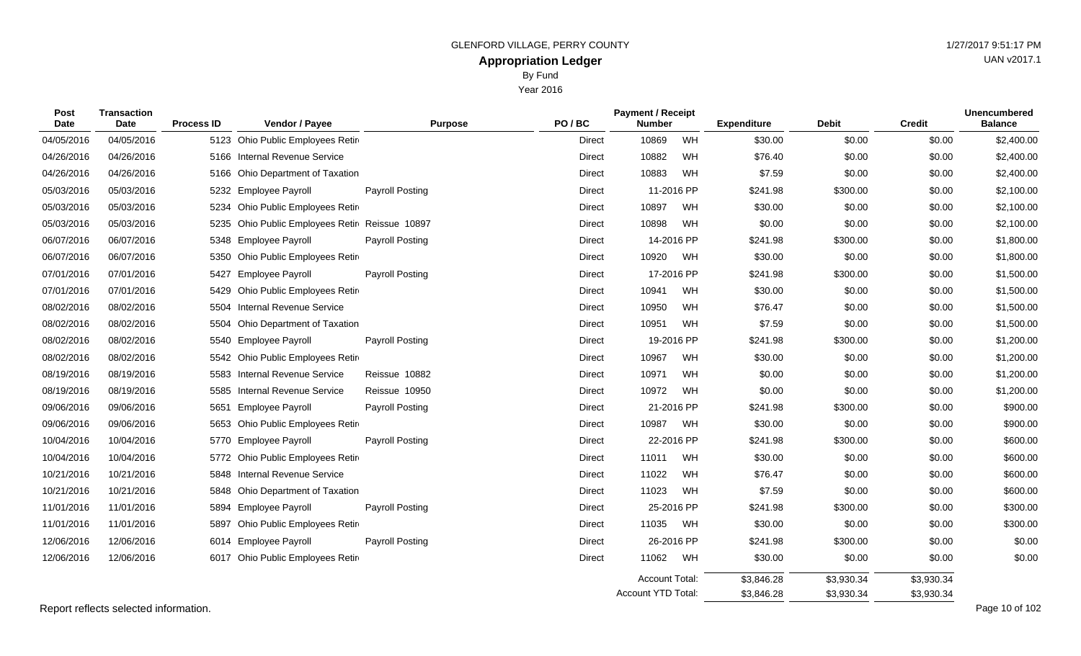| <b>Appropriation Ledger</b> |                   |                          |      |                    |              |               | UAN VZUTT.          |
|-----------------------------|-------------------|--------------------------|------|--------------------|--------------|---------------|---------------------|
| By Fund                     |                   |                          |      |                    |              |               |                     |
|                             | Year 2016         |                          |      |                    |              |               |                     |
|                             |                   | <b>Payment / Receipt</b> |      |                    |              |               | <b>Unencumbered</b> |
|                             | PO/BC             | <b>Number</b>            |      | <b>Expenditure</b> | <b>Debit</b> | <b>Credit</b> | <b>Balance</b>      |
|                             | D <sub>in A</sub> | 10000                    | 1111 | mo oo              | 0000         | 0000          | 0.10000             |

| Date       | <b>Date</b> | <b>Process ID</b> | Vendor / Payee                            | <b>Purpose</b>         | PO/BC         | <b>Number</b>         |            | <b>Expenditure</b> | <b>Debit</b> | <b>Credit</b> | <b>Balance</b> |
|------------|-------------|-------------------|-------------------------------------------|------------------------|---------------|-----------------------|------------|--------------------|--------------|---------------|----------------|
| 04/05/2016 | 04/05/2016  |                   | 5123 Ohio Public Employees Retir          |                        | <b>Direct</b> | 10869                 | WH         | \$30.00            | \$0.00       | \$0.00        | \$2,400.00     |
| 04/26/2016 | 04/26/2016  | 5166              | <b>Internal Revenue Service</b>           |                        | Direct        | 10882                 | WH         | \$76.40            | \$0.00       | \$0.00        | \$2,400.00     |
| 04/26/2016 | 04/26/2016  | 5166              | <b>Ohio Department of Taxation</b>        |                        | Direct        | 10883                 | WH         | \$7.59             | \$0.00       | \$0.00        | \$2,400.00     |
| 05/03/2016 | 05/03/2016  |                   | 5232 Employee Payroll                     | <b>Payroll Posting</b> | Direct        |                       | 11-2016 PP | \$241.98           | \$300.00     | \$0.00        | \$2,100.00     |
| 05/03/2016 | 05/03/2016  |                   | 5234 Ohio Public Employees Retir          |                        | <b>Direct</b> | 10897                 | WH         | \$30.00            | \$0.00       | \$0.00        | \$2,100.00     |
| 05/03/2016 | 05/03/2016  | 5235              | Ohio Public Employees Retir Reissue 10897 |                        | Direct        | 10898                 | WH         | \$0.00             | \$0.00       | \$0.00        | \$2,100.00     |
| 06/07/2016 | 06/07/2016  |                   | 5348 Employee Payroll                     | Payroll Posting        | Direct        |                       | 14-2016 PP | \$241.98           | \$300.00     | \$0.00        | \$1,800.00     |
| 06/07/2016 | 06/07/2016  |                   | 5350 Ohio Public Employees Retire         |                        | Direct        | 10920                 | WH         | \$30.00            | \$0.00       | \$0.00        | \$1,800.00     |
| 07/01/2016 | 07/01/2016  | 5427              | <b>Employee Payroll</b>                   | <b>Payroll Posting</b> | Direct        |                       | 17-2016 PP | \$241.98           | \$300.00     | \$0.00        | \$1,500.00     |
| 07/01/2016 | 07/01/2016  | 5429              | Ohio Public Employees Retir               |                        | <b>Direct</b> | 10941                 | WH         | \$30.00            | \$0.00       | \$0.00        | \$1,500.00     |
| 08/02/2016 | 08/02/2016  |                   | 5504 Internal Revenue Service             |                        | Direct        | 10950                 | WH         | \$76.47            | \$0.00       | \$0.00        | \$1,500.00     |
| 08/02/2016 | 08/02/2016  | 5504              | <b>Ohio Department of Taxation</b>        |                        | Direct        | 10951                 | WH         | \$7.59             | \$0.00       | \$0.00        | \$1,500.00     |
| 08/02/2016 | 08/02/2016  | 5540              | <b>Employee Payroll</b>                   | <b>Payroll Posting</b> | Direct        |                       | 19-2016 PP | \$241.98           | \$300.00     | \$0.00        | \$1,200.00     |
| 08/02/2016 | 08/02/2016  |                   | 5542 Ohio Public Employees Retire         |                        | Direct        | 10967                 | WH         | \$30.00            | \$0.00       | \$0.00        | \$1,200.00     |
| 08/19/2016 | 08/19/2016  | 5583              | <b>Internal Revenue Service</b>           | Reissue 10882          | Direct        | 10971                 | WH         | \$0.00             | \$0.00       | \$0.00        | \$1,200.00     |
| 08/19/2016 | 08/19/2016  | 5585              | Internal Revenue Service                  | Reissue 10950          | <b>Direct</b> | 10972                 | WH         | \$0.00             | \$0.00       | \$0.00        | \$1,200.00     |
| 09/06/2016 | 09/06/2016  | 5651              | <b>Employee Payroll</b>                   | <b>Payroll Posting</b> | <b>Direct</b> |                       | 21-2016 PP | \$241.98           | \$300.00     | \$0.00        | \$900.00       |
| 09/06/2016 | 09/06/2016  | 5653              | Ohio Public Employees Retir               |                        | Direct        | 10987                 | WH         | \$30.00            | \$0.00       | \$0.00        | \$900.00       |
| 10/04/2016 | 10/04/2016  | 5770              | <b>Employee Payroll</b>                   | Payroll Posting        | Direct        |                       | 22-2016 PP | \$241.98           | \$300.00     | \$0.00        | \$600.00       |
| 10/04/2016 | 10/04/2016  | 5772              | Ohio Public Employees Retir               |                        | Direct        | 11011                 | WH         | \$30.00            | \$0.00       | \$0.00        | \$600.00       |
| 10/21/2016 | 10/21/2016  | 5848              | <b>Internal Revenue Service</b>           |                        | <b>Direct</b> | 11022                 | WH         | \$76.47            | \$0.00       | \$0.00        | \$600.00       |
| 10/21/2016 | 10/21/2016  | 5848              | Ohio Department of Taxation               |                        | <b>Direct</b> | 11023                 | WH         | \$7.59             | \$0.00       | \$0.00        | \$600.00       |
| 11/01/2016 | 11/01/2016  | 5894              | <b>Employee Payroll</b>                   | Payroll Posting        | Direct        |                       | 25-2016 PP | \$241.98           | \$300.00     | \$0.00        | \$300.00       |
| 11/01/2016 | 11/01/2016  | 5897              | Ohio Public Employees Retir               |                        | Direct        | 11035 WH              |            | \$30.00            | \$0.00       | \$0.00        | \$300.00       |
| 12/06/2016 | 12/06/2016  |                   | 6014 Employee Payroll                     | <b>Payroll Posting</b> | <b>Direct</b> |                       | 26-2016 PP | \$241.98           | \$300.00     | \$0.00        | \$0.00         |
| 12/06/2016 | 12/06/2016  |                   | 6017 Ohio Public Employees Retir          |                        | <b>Direct</b> | 11062                 | WH         | \$30.00            | \$0.00       | \$0.00        | \$0.00         |
|            |             |                   |                                           |                        |               | <b>Account Total:</b> |            | \$3,846.28         | \$3,930.34   | \$3,930.34    |                |
|            |             |                   |                                           |                        |               | Account YTD Total:    |            | \$3,846.28         | \$3,930.34   | \$3,930.34    |                |

Report reflects selected information. Page 10 of 102

**Post**

**Transaction**

 $UAD_V2017.1$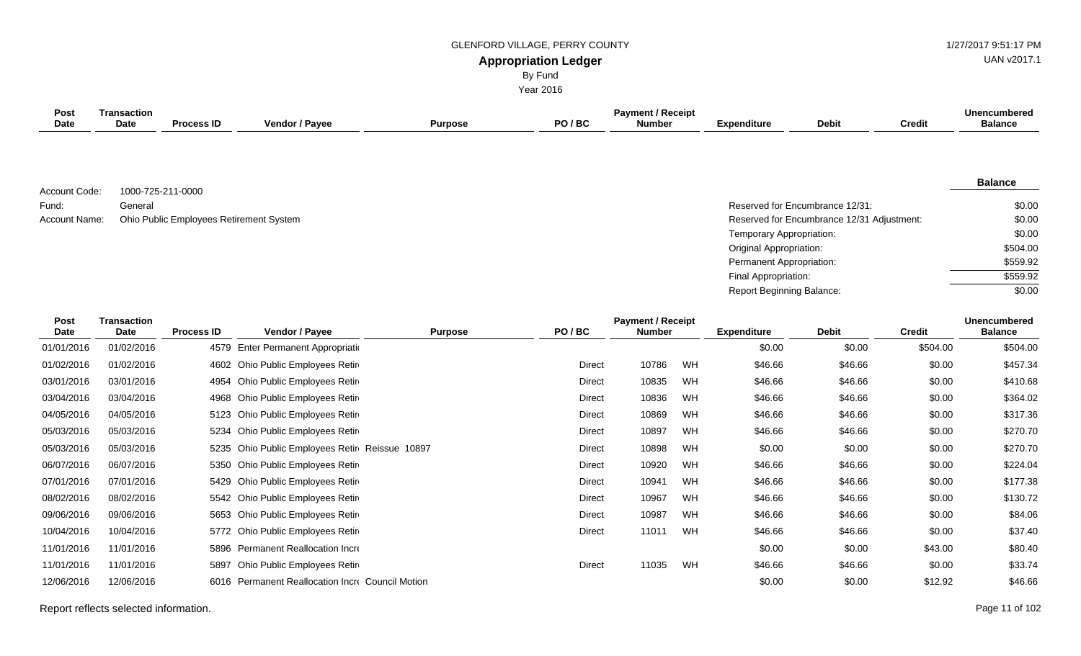**Appropriation Ledger** GLENFORD VILLAGE, PERRY COUNTY 61 AU AND 127/2017 9:51:17 PM

By Fund

UAN v2017.1

| <b>Year 2016</b>           |                                   |                                         |                                           |                |               |                                           |    |                                  |                                            |               |                                       |  |
|----------------------------|-----------------------------------|-----------------------------------------|-------------------------------------------|----------------|---------------|-------------------------------------------|----|----------------------------------|--------------------------------------------|---------------|---------------------------------------|--|
| <b>Post</b><br><b>Date</b> | <b>Transaction</b><br><b>Date</b> | <b>Process ID</b>                       | Vendor / Payee                            | <b>Purpose</b> | PO/BC         | <b>Payment / Receipt</b><br><b>Number</b> |    | <b>Expenditure</b>               | <b>Debit</b>                               | <b>Credit</b> | <b>Unencumbered</b><br><b>Balance</b> |  |
|                            |                                   |                                         |                                           |                |               |                                           |    |                                  |                                            |               |                                       |  |
| Account Code:              | 1000-725-211-0000                 |                                         |                                           |                |               |                                           |    |                                  |                                            |               | <b>Balance</b>                        |  |
| Fund:                      | General                           |                                         |                                           |                |               |                                           |    |                                  | Reserved for Encumbrance 12/31:            |               | \$0.00                                |  |
| Account Name:              |                                   | Ohio Public Employees Retirement System |                                           |                |               |                                           |    |                                  | Reserved for Encumbrance 12/31 Adjustment: |               | \$0.00                                |  |
|                            |                                   |                                         |                                           |                |               |                                           |    | Temporary Appropriation:         |                                            |               | \$0.00                                |  |
|                            |                                   |                                         |                                           |                |               |                                           |    | <b>Original Appropriation:</b>   |                                            |               | \$504.00                              |  |
|                            |                                   |                                         |                                           |                |               |                                           |    | Permanent Appropriation:         |                                            |               | \$559.92                              |  |
|                            |                                   |                                         |                                           |                |               |                                           |    | Final Appropriation:             |                                            |               | \$559.92                              |  |
|                            |                                   |                                         |                                           |                |               |                                           |    | <b>Report Beginning Balance:</b> |                                            |               | \$0.00                                |  |
| Post<br>Date               | <b>Transaction</b><br>Date        | <b>Process ID</b>                       | Vendor / Payee                            | <b>Purpose</b> | PO/BC         | <b>Payment / Receipt</b><br><b>Number</b> |    | <b>Expenditure</b>               | <b>Debit</b>                               | <b>Credit</b> | <b>Unencumbered</b><br><b>Balance</b> |  |
| 01/01/2016                 | 01/02/2016                        | 4579                                    | Enter Permanent Appropriatio              |                |               |                                           |    | \$0.00                           | \$0.00                                     | \$504.00      | \$504.00                              |  |
| 01/02/2016                 | 01/02/2016                        | 4602                                    | Ohio Public Employees Retir               |                | Direct        | 10786                                     | WH | \$46.66                          | \$46.66                                    | \$0.00        | \$457.34                              |  |
| 03/01/2016                 | 03/01/2016                        | 4954                                    | Ohio Public Employees Retir               |                | <b>Direct</b> | 10835                                     | WH | \$46.66                          | \$46.66                                    | \$0.00        | \$410.68                              |  |
| 03/04/2016                 | 03/04/2016                        | 4968                                    | Ohio Public Employees Retir               |                | <b>Direct</b> | 10836                                     | WH | \$46.66                          | \$46.66                                    | \$0.00        | \$364.02                              |  |
| 04/05/2016                 | 04/05/2016                        | 5123                                    | Ohio Public Employees Retir               |                | <b>Direct</b> | 10869                                     | WH | \$46.66                          | \$46.66                                    | \$0.00        | \$317.36                              |  |
| 05/03/2016                 | 05/03/2016                        | 5234                                    | Ohio Public Employees Retir               |                | <b>Direct</b> | 10897                                     | WH | \$46.66                          | \$46.66                                    | \$0.00        | \$270.70                              |  |
| 05/03/2016                 | 05/03/2016                        | 5235                                    | Ohio Public Employees Retir Reissue 10897 |                | <b>Direct</b> | 10898                                     | WH | \$0.00                           | \$0.00                                     | \$0.00        | \$270.70                              |  |
| 06/07/2016                 | 06/07/2016                        | 5350                                    | Ohio Public Employees Retin               |                | <b>Direct</b> | 10920                                     | WH | \$46.66                          | \$46.66                                    | \$0.00        | \$224.04                              |  |
| 07/01/2016                 | 07/01/2016                        | 5429                                    | Ohio Public Employees Retir               |                | <b>Direct</b> | 10941                                     | WH | \$46.66                          | \$46.66                                    | \$0.00        | \$177.38                              |  |
| 08/02/2016                 | 08/02/2016                        |                                         | 5542 Ohio Public Employees Retire         |                | <b>Direct</b> | 10967                                     | WH | \$46.66                          | \$46.66                                    | \$0.00        | \$130.72                              |  |
| 09/06/2016                 | 09/06/2016                        |                                         | 5653 Ohio Public Employees Retire         |                | <b>Direct</b> | 10987                                     | WH | \$46.66                          | \$46.66                                    | \$0.00        | \$84.06                               |  |

10/04/2016 10/04/2016 5772 Ohio Public Employees Retire and System Direct 11011 WH \$46.66 \$46.66 \$46.66 \$0.00 \$37.40 11/01/2016 11/01/2016 5896 Permanent Reallocation Increase \$0.00 \$0.00 \$43.00 \$80.40 11/01/2016 11/01/2016 5897 Ohio Public Employees Retire and System Direct 11035 WH \$46.66 \$46.66 \$0.00 \$33.74 12/06/2016 12/06/2016 6016 Permanent Reallocation Incre Council Motion 60 and the Council Motion 50.00 \$12.92 \$46.66

Report reflects selected information. Page 11 of 102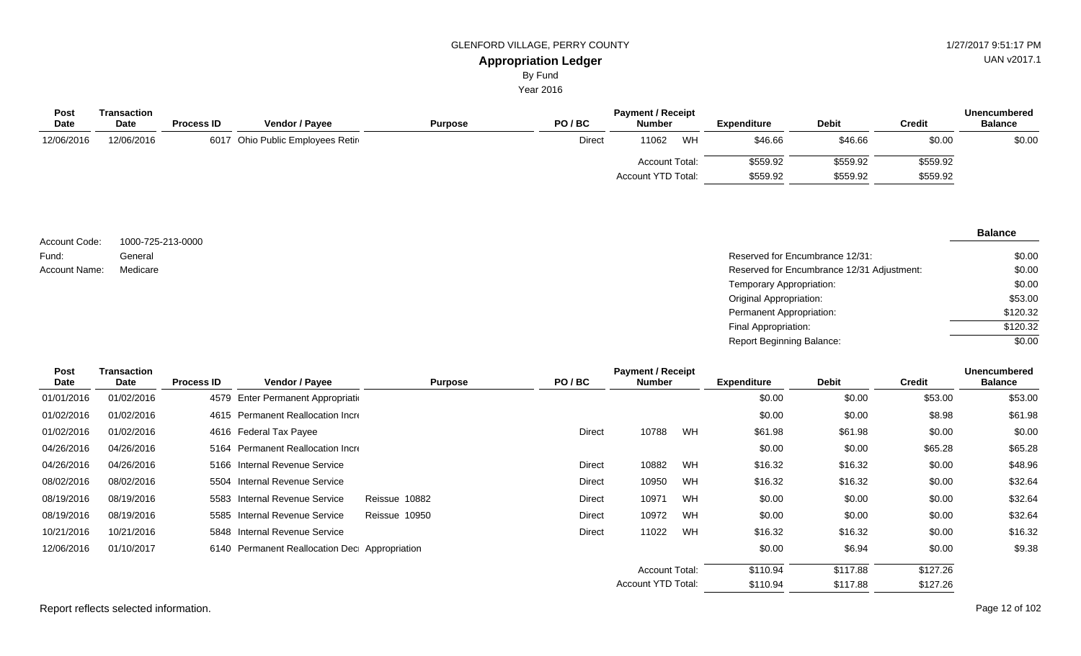Year 2016

| Post        | Transaction |                   |                                  |                | <b>Payment / Receipt</b> |                       | <b>Unencumbered</b> |                    |              |               |                |
|-------------|-------------|-------------------|----------------------------------|----------------|--------------------------|-----------------------|---------------------|--------------------|--------------|---------------|----------------|
| <b>Date</b> | <b>Date</b> | <b>Process ID</b> | Vendor / Payee                   | <b>Purpose</b> | PO/BC                    | <b>Number</b>         |                     | <b>Expenditure</b> | <b>Debit</b> | <b>Credit</b> | <b>Balance</b> |
| 12/06/2016  | 12/06/2016  |                   | 6017 Ohio Public Employees Retin |                | Direct                   | 11062                 | WH                  | \$46.66            | \$46.66      | \$0.00        | \$0.00         |
|             |             |                   |                                  |                |                          | <b>Account Total:</b> |                     | \$559.92           | \$559.92     | \$559.92      |                |
|             |             |                   |                                  |                |                          | Account YTD Total:    |                     | \$559.92           | \$559.92     | \$559.92      |                |

| Account Code:        | 1000-725-213-0000 |                                            | -------- |
|----------------------|-------------------|--------------------------------------------|----------|
|                      |                   |                                            |          |
| Fund:                | General           | Reserved for Encumbrance 12/31:            | \$0.00   |
| <b>Account Name:</b> | Medicare          | Reserved for Encumbrance 12/31 Adjustment: | \$0.00   |
|                      |                   | Temporary Appropriation:                   | \$0.00   |
|                      |                   | Original Appropriation:                    | \$53.00  |
|                      |                   | Permanent Appropriation:                   | \$120.32 |
|                      |                   | Final Appropriation:                       | \$120.32 |
|                      |                   |                                            |          |

| Post<br>Date | Transaction<br>Date | <b>Process ID</b> | <b>Vendor / Payee</b>                         | <b>Purpose</b> | PO/BC         | <b>Payment / Receipt</b><br><b>Number</b> |    | <b>Expenditure</b> | <b>Debit</b> | <b>Credit</b> | <b>Unencumbered</b><br><b>Balance</b> |
|--------------|---------------------|-------------------|-----------------------------------------------|----------------|---------------|-------------------------------------------|----|--------------------|--------------|---------------|---------------------------------------|
| 01/01/2016   | 01/02/2016          |                   | 4579 Enter Permanent Appropriation            |                |               |                                           |    | \$0.00             | \$0.00       | \$53.00       | \$53.00                               |
| 01/02/2016   | 01/02/2016          |                   | 4615 Permanent Reallocation Incre             |                |               |                                           |    | \$0.00             | \$0.00       | \$8.98        | \$61.98                               |
| 01/02/2016   | 01/02/2016          |                   | 4616 Federal Tax Payee                        |                | <b>Direct</b> | 10788                                     | WH | \$61.98            | \$61.98      | \$0.00        | \$0.00                                |
| 04/26/2016   | 04/26/2016          |                   | 5164 Permanent Reallocation Incre             |                |               |                                           |    | \$0.00             | \$0.00       | \$65.28       | \$65.28                               |
| 04/26/2016   | 04/26/2016          |                   | 5166 Internal Revenue Service                 |                | Direct        | 10882                                     | WH | \$16.32            | \$16.32      | \$0.00        | \$48.96                               |
| 08/02/2016   | 08/02/2016          |                   | 5504 Internal Revenue Service                 |                | Direct        | 10950                                     | WH | \$16.32            | \$16.32      | \$0.00        | \$32.64                               |
| 08/19/2016   | 08/19/2016          |                   | 5583 Internal Revenue Service                 | Reissue 10882  | Direct        | 10971                                     | WH | \$0.00             | \$0.00       | \$0.00        | \$32.64                               |
| 08/19/2016   | 08/19/2016          |                   | 5585 Internal Revenue Service                 | Reissue 10950  | Direct        | 10972                                     | WH | \$0.00             | \$0.00       | \$0.00        | \$32.64                               |
| 10/21/2016   | 10/21/2016          |                   | 5848 Internal Revenue Service                 |                | <b>Direct</b> | 11022                                     | WH | \$16.32            | \$16.32      | \$0.00        | \$16.32                               |
| 12/06/2016   | 01/10/2017          |                   | 6140 Permanent Reallocation Dec Appropriation |                |               |                                           |    | \$0.00             | \$6.94       | \$0.00        | \$9.38                                |
|              |                     |                   |                                               |                |               | <b>Account Total:</b>                     |    | \$110.94           | \$117.88     | \$127.26      |                                       |
|              |                     |                   |                                               |                |               | <b>Account YTD Total:</b>                 |    | \$110.94           | \$117.88     | \$127.26      |                                       |

Report reflects selected information. Page 12 of 102

# UAN v2017.1

#### **Balance**

 $\frac{1}{0.00}$ 

Report Beginning Balance: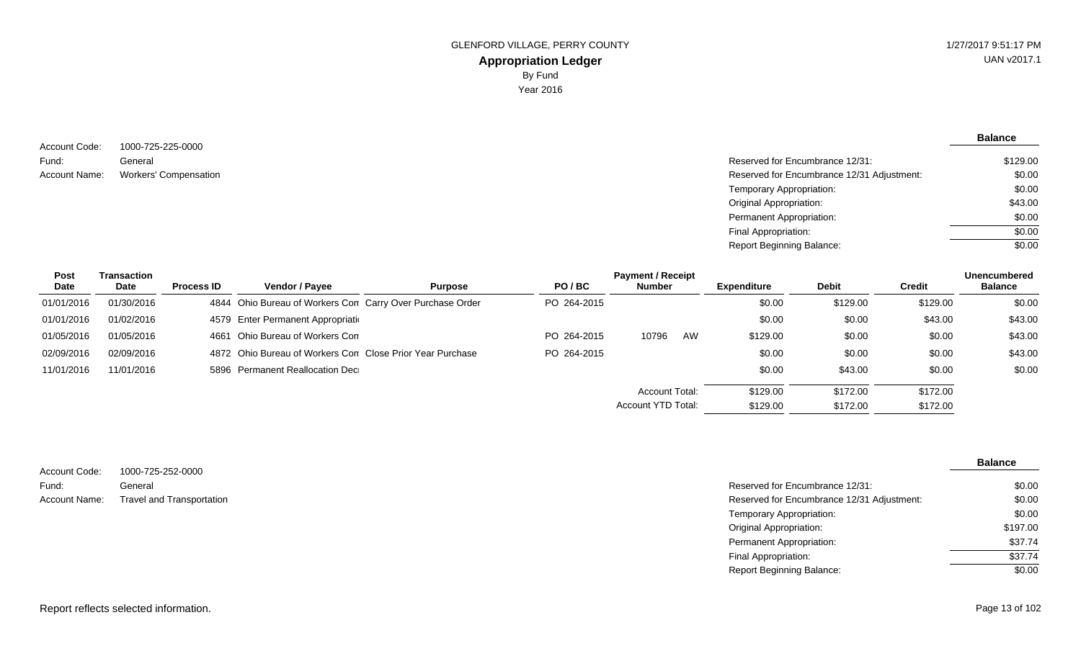**Balance**

1000-725-225-0000 General Account Name: Workers' Compensation  $\blacksquare$  Reserved for Encumbrance 12/31 Adjustment: Account Code: Fund:

| Reserved for Encumbrance 12/31:            | \$129.00 |
|--------------------------------------------|----------|
| Reserved for Encumbrance 12/31 Adjustment: | \$0.00   |
| Temporary Appropriation:                   | \$0.00   |
| Original Appropriation:                    | \$43.00  |
| Permanent Appropriation:                   | \$0.00   |
| Final Appropriation:                       | \$0.00   |
| Report Beginning Balance:                  | \$0.00   |

Report Beginning Balance:

| Post       | Transaction |                   |                                                           |                |             | <b>Payment / Receipt</b> |    |                    |              |               | <b>Unencumbered</b> |
|------------|-------------|-------------------|-----------------------------------------------------------|----------------|-------------|--------------------------|----|--------------------|--------------|---------------|---------------------|
| Date       | Date        | <b>Process ID</b> | <b>Vendor / Payee</b>                                     | <b>Purpose</b> | PO/BC       | <b>Number</b>            |    | <b>Expenditure</b> | <b>Debit</b> | <b>Credit</b> | <b>Balance</b>      |
| 01/01/2016 | 01/30/2016  |                   | 4844 Ohio Bureau of Workers Con Carry Over Purchase Order |                | PO 264-2015 |                          |    | \$0.00             | \$129.00     | \$129.00      | \$0.00              |
| 01/01/2016 | 01/02/2016  |                   | 4579 Enter Permanent Appropriation                        |                |             |                          |    | \$0.00             | \$0.00       | \$43.00       | \$43.00             |
| 01/05/2016 | 01/05/2016  | 4661              | Ohio Bureau of Workers Con                                |                | PO 264-2015 | 10796                    | AW | \$129.00           | \$0.00       | \$0.00        | \$43.00             |
| 02/09/2016 | 02/09/2016  |                   | 4872 Ohio Bureau of Workers Con Close Prior Year Purchase |                | PO 264-2015 |                          |    | \$0.00             | \$0.00       | \$0.00        | \$43.00             |
| 11/01/2016 | 11/01/2016  |                   | 5896 Permanent Reallocation Dec                           |                |             |                          |    | \$0.00             | \$43.00      | \$0.00        | \$0.00              |
|            |             |                   |                                                           |                |             | Account Total:           |    | \$129.00           | \$172.00     | \$172.00      |                     |
|            |             |                   |                                                           |                |             | Account YTD Total:       |    | \$129.00           | \$172.00     | \$172.00      |                     |

|               |                           |                                            | <b>Balance</b> |
|---------------|---------------------------|--------------------------------------------|----------------|
| Account Code: | 1000-725-252-0000         |                                            |                |
| Fund:         | General                   | Reserved for Encumbrance 12/31:            | \$0.00         |
| Account Name: | Travel and Transportation | Reserved for Encumbrance 12/31 Adjustment: | \$0.00         |
|               |                           | Temporary Appropriation:                   | \$0.00         |
|               |                           | Original Appropriation:                    | \$197.00       |
|               |                           | Permanent Appropriation:                   | \$37.74        |
|               |                           | Final Appropriation:                       | \$37.74        |

\$0.00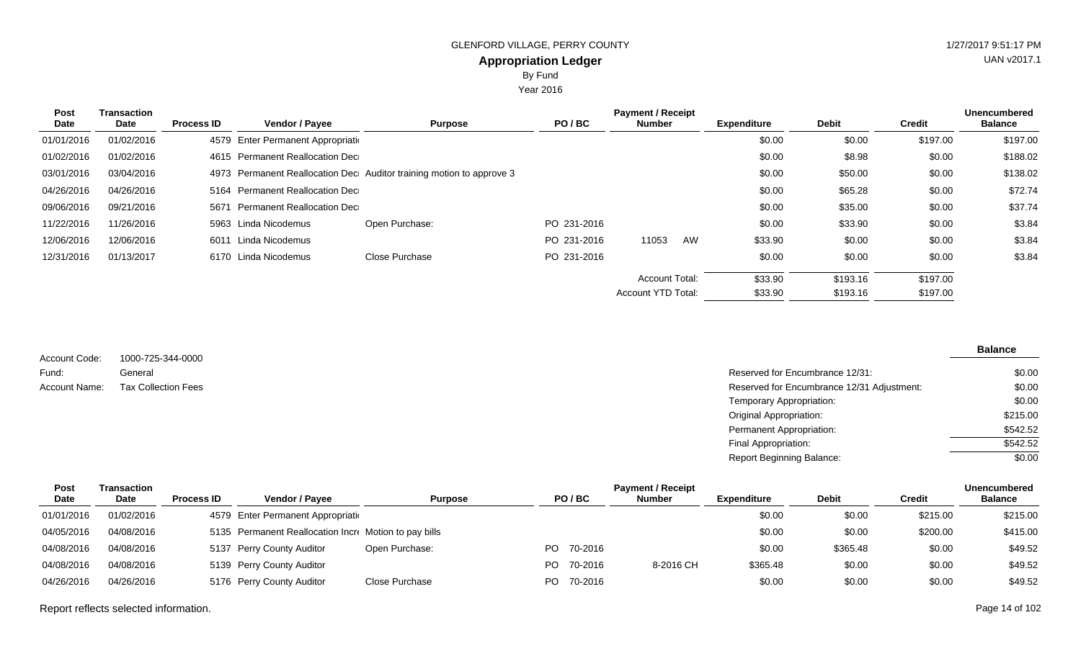By Fund

Year 2016

| Post<br>Date | Transaction<br>Date | <b>Process ID</b> | <b>Vendor / Payee</b>              | <b>Purpose</b>                                                       | PO/BC       | <b>Payment / Receipt</b><br><b>Number</b> |    | <b>Expenditure</b> | <b>Debit</b> | <b>Credit</b> | <b>Unencumbered</b><br><b>Balance</b> |
|--------------|---------------------|-------------------|------------------------------------|----------------------------------------------------------------------|-------------|-------------------------------------------|----|--------------------|--------------|---------------|---------------------------------------|
| 01/01/2016   | 01/02/2016          |                   | 4579 Enter Permanent Appropriation |                                                                      |             |                                           |    | \$0.00             | \$0.00       | \$197.00      | \$197.00                              |
| 01/02/2016   | 01/02/2016          |                   | 4615 Permanent Reallocation Dec    |                                                                      |             |                                           |    | \$0.00             | \$8.98       | \$0.00        | \$188.02                              |
| 03/01/2016   | 03/04/2016          |                   |                                    | 4973 Permanent Reallocation Dec Auditor training motion to approve 3 |             |                                           |    | \$0.00             | \$50.00      | \$0.00        | \$138.02                              |
| 04/26/2016   | 04/26/2016          |                   | 5164 Permanent Reallocation Dec    |                                                                      |             |                                           |    | \$0.00             | \$65.28      | \$0.00        | \$72.74                               |
| 09/06/2016   | 09/21/2016          | 5671              | Permanent Reallocation Dec         |                                                                      |             |                                           |    | \$0.00             | \$35.00      | \$0.00        | \$37.74                               |
| 11/22/2016   | 11/26/2016          |                   | 5963 Linda Nicodemus               | Open Purchase:                                                       | PO 231-2016 |                                           |    | \$0.00             | \$33.90      | \$0.00        | \$3.84                                |
| 12/06/2016   | 12/06/2016          |                   | 6011 Linda Nicodemus               |                                                                      | PO 231-2016 | 11053                                     | AW | \$33.90            | \$0.00       | \$0.00        | \$3.84                                |
| 12/31/2016   | 01/13/2017          |                   | 6170 Linda Nicodemus               | Close Purchase                                                       | PO 231-2016 |                                           |    | \$0.00             | \$0.00       | \$0.00        | \$3.84                                |
|              |                     |                   |                                    |                                                                      |             | Account Total:                            |    | \$33.90            | \$193.16     | \$197.00      |                                       |
|              |                     |                   |                                    |                                                                      |             | <b>Account YTD Total:</b>                 |    | \$33.90            | \$193.16     | \$197.00      |                                       |

|               |                            |                                            | <b>Balance</b> |
|---------------|----------------------------|--------------------------------------------|----------------|
| Account Code: | 1000-725-344-0000          |                                            |                |
| Fund:         | General                    | Reserved for Encumbrance 12/31:            | \$0.00         |
| Account Name: | <b>Tax Collection Fees</b> | Reserved for Encumbrance 12/31 Adjustment: | \$0.00         |
|               |                            | Temporary Appropriation:                   | \$0.00         |
|               |                            | <b>Original Appropriation:</b>             | \$215.00       |
|               |                            | Permanent Appropriation:                   | \$542.52       |
|               |                            | Final Appropriation:                       | \$542.52       |
|               |                            | <b>Report Beginning Balance:</b>           | \$0.00         |

| Post       | Transaction |                   |                                                       |                |     |            | <b>Payment / Receipt</b> |                    |              |               | <b>Unencumbered</b> |
|------------|-------------|-------------------|-------------------------------------------------------|----------------|-----|------------|--------------------------|--------------------|--------------|---------------|---------------------|
| Date       | <b>Date</b> | <b>Process ID</b> | <b>Vendor / Pavee</b>                                 | <b>Purpose</b> |     | PO/BC      | <b>Number</b>            | <b>Expenditure</b> | <b>Debit</b> | <b>Credit</b> | <b>Balance</b>      |
| 01/01/2016 | 01/02/2016  |                   | 4579 Enter Permanent Appropriation                    |                |     |            |                          | \$0.00             | \$0.00       | \$215.00      | \$215.00            |
| 04/05/2016 | 04/08/2016  |                   | 5135 Permanent Reallocation Incre Motion to pay bills |                |     |            |                          | \$0.00             | \$0.00       | \$200.00      | \$415.00            |
| 04/08/2016 | 04/08/2016  |                   | 5137 Perry County Auditor                             | Open Purchase: |     | PO 70-2016 |                          | \$0.00             | \$365.48     | \$0.00        | \$49.52             |
| 04/08/2016 | 04/08/2016  |                   | 5139 Perry County Auditor                             |                | PO. | 70-2016    | 8-2016 CH                | \$365.48           | \$0.00       | \$0.00        | \$49.52             |
| 04/26/2016 | 04/26/2016  |                   | 5176 Perry County Auditor                             | Close Purchase |     | PO 70-2016 |                          | \$0.00             | \$0.00       | \$0.00        | \$49.52             |

Report reflects selected information. Page 14 of 102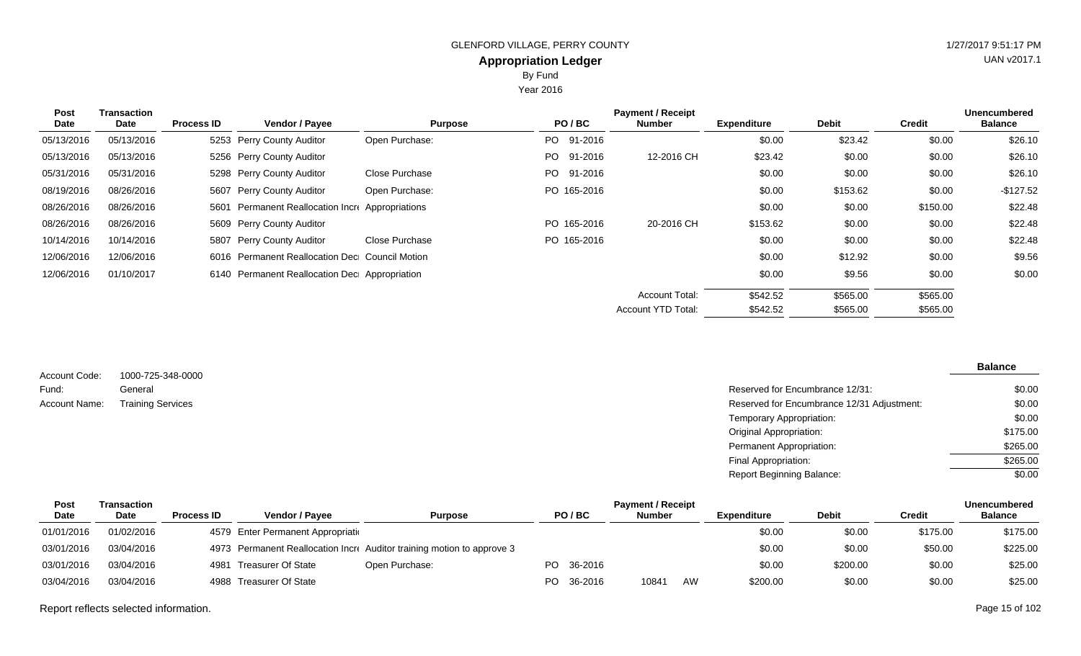Year 2016

| <b>Post</b><br>Date | <b>Transaction</b><br>Date | <b>Process ID</b> | <b>Vendor / Payee</b>                            | <b>Purpose</b> | PO/BC       | <b>Payment / Receipt</b><br><b>Number</b> | <b>Expenditure</b> | <b>Debit</b> | <b>Credit</b> | <b>Unencumbered</b><br><b>Balance</b> |
|---------------------|----------------------------|-------------------|--------------------------------------------------|----------------|-------------|-------------------------------------------|--------------------|--------------|---------------|---------------------------------------|
| 05/13/2016          | 05/13/2016                 |                   | 5253 Perry County Auditor                        | Open Purchase: | PO 91-2016  |                                           | \$0.00             | \$23.42      | \$0.00        | \$26.10                               |
| 05/13/2016          | 05/13/2016                 |                   | 5256 Perry County Auditor                        |                | PO 91-2016  | 12-2016 CH                                | \$23.42            | \$0.00       | \$0.00        | \$26.10                               |
| 05/31/2016          | 05/31/2016                 |                   | 5298 Perry County Auditor                        | Close Purchase | PO 91-2016  |                                           | \$0.00             | \$0.00       | \$0.00        | \$26.10                               |
| 08/19/2016          | 08/26/2016                 |                   | 5607 Perry County Auditor                        | Open Purchase: | PO 165-2016 |                                           | \$0.00             | \$153.62     | \$0.00        | -\$127.52                             |
| 08/26/2016          | 08/26/2016                 |                   | 5601 Permanent Reallocation Incre Appropriations |                |             |                                           | \$0.00             | \$0.00       | \$150.00      | \$22.48                               |
| 08/26/2016          | 08/26/2016                 |                   | 5609 Perry County Auditor                        |                | PO 165-2016 | 20-2016 CH                                | \$153.62           | \$0.00       | \$0.00        | \$22.48                               |
| 10/14/2016          | 10/14/2016                 |                   | 5807 Perry County Auditor                        | Close Purchase | PO 165-2016 |                                           | \$0.00             | \$0.00       | \$0.00        | \$22.48                               |
| 12/06/2016          | 12/06/2016                 |                   | 6016 Permanent Reallocation Dec Council Motion   |                |             |                                           | \$0.00             | \$12.92      | \$0.00        | \$9.56                                |
| 12/06/2016          | 01/10/2017                 |                   | 6140 Permanent Reallocation Dec Appropriation    |                |             |                                           | \$0.00             | \$9.56       | \$0.00        | \$0.00                                |
|                     |                            |                   |                                                  |                |             | <b>Account Total:</b>                     | \$542.52           | \$565.00     | \$565.00      |                                       |
|                     |                            |                   |                                                  |                |             | <b>Account YTD Total:</b>                 | \$542.52           | \$565.00     | \$565.00      |                                       |

| Account Code: | 1000-725-348-0000        |                                            | <b>Balance</b> |
|---------------|--------------------------|--------------------------------------------|----------------|
| Fund:         | General                  | Reserved for Encumbrance 12/31:            | \$0.00         |
| Account Name: | <b>Training Services</b> | Reserved for Encumbrance 12/31 Adjustment: | \$0.00         |
|               |                          | Temporary Appropriation:                   | \$0.00         |
|               |                          | Original Appropriation:                    | \$175.00       |
|               |                          | Permanent Appropriation:                   | \$265.00       |
|               |                          | Final Appropriation:                       | \$265.00       |
|               |                          | <b>Report Beginning Balance:</b>           | \$0.00         |

| Post        | Transaction |                   |                                    |                                                                        |            | <b>Payment / Receipt</b> |    |                    |              |          | <b>Unencumbered</b> |
|-------------|-------------|-------------------|------------------------------------|------------------------------------------------------------------------|------------|--------------------------|----|--------------------|--------------|----------|---------------------|
| <b>Date</b> | <b>Date</b> | <b>Process ID</b> | <b>Vendor / Pavee</b>              | Purpose                                                                | PO/BC      | <b>Number</b>            |    | <b>Expenditure</b> | <b>Debit</b> | Credit   | <b>Balance</b>      |
| 01/01/2016  | 01/02/2016  |                   | 4579 Enter Permanent Appropriation |                                                                        |            |                          |    | \$0.00             | \$0.00       | \$175.00 | \$175.00            |
| 03/01/2016  | 03/04/2016  |                   |                                    | 4973 Permanent Reallocation Incre Auditor training motion to approve 3 |            |                          |    | \$0.00             | \$0.00       | \$50.00  | \$225.00            |
| 03/01/2016  | 03/04/2016  |                   | 4981 Treasurer Of State            | Open Purchase:                                                         | PO 36-2016 |                          |    | \$0.00             | \$200.00     | \$0.00   | \$25.00             |
| 03/04/2016  | 03/04/2016  |                   | 4988 Treasurer Of State            |                                                                        | PO 36-2016 | 10841                    | AW | \$200.00           | \$0.00       | \$0.00   | \$25.00             |

Report reflects selected information. Page 15 of 102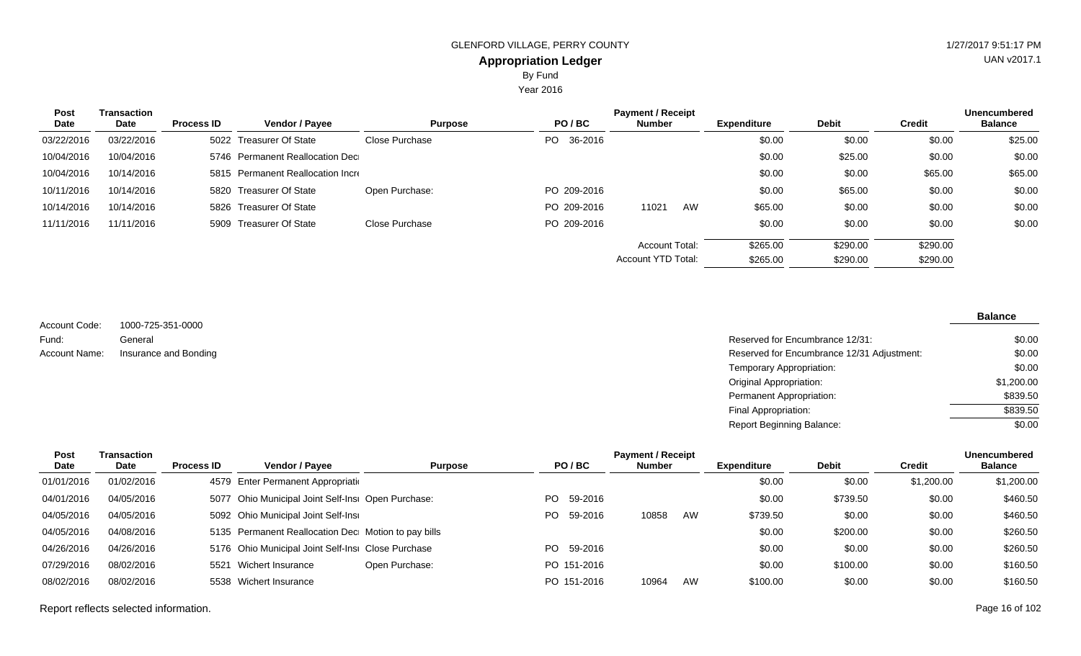Year 2016

| <b>Post</b> | Transaction |                   |                                   |                |                | <b>Payment / Receipt</b> |    |                    |              |          | <b>Unencumbered</b> |
|-------------|-------------|-------------------|-----------------------------------|----------------|----------------|--------------------------|----|--------------------|--------------|----------|---------------------|
| Date        | Date        | <b>Process ID</b> | Vendor / Payee                    | <b>Purpose</b> | PO/BC          | <b>Number</b>            |    | <b>Expenditure</b> | <b>Debit</b> | Credit   | <b>Balance</b>      |
| 03/22/2016  | 03/22/2016  |                   | 5022 Treasurer Of State           | Close Purchase | 36-2016<br>PO. |                          |    | \$0.00             | \$0.00       | \$0.00   | \$25.00             |
| 10/04/2016  | 10/04/2016  |                   | 5746 Permanent Reallocation Dec   |                |                |                          |    | \$0.00             | \$25.00      | \$0.00   | \$0.00              |
| 10/04/2016  | 10/14/2016  |                   | 5815 Permanent Reallocation Incre |                |                |                          |    | \$0.00             | \$0.00       | \$65.00  | \$65.00             |
| 10/11/2016  | 10/14/2016  |                   | 5820 Treasurer Of State           | Open Purchase: | PO 209-2016    |                          |    | \$0.00             | \$65.00      | \$0.00   | \$0.00              |
| 10/14/2016  | 10/14/2016  |                   | 5826 Treasurer Of State           |                | PO 209-2016    | 11021                    | AW | \$65.00            | \$0.00       | \$0.00   | \$0.00              |
| 11/11/2016  | 11/11/2016  |                   | 5909 Treasurer Of State           | Close Purchase | PO 209-2016    |                          |    | \$0.00             | \$0.00       | \$0.00   | \$0.00              |
|             |             |                   |                                   |                |                | Account Total:           |    | \$265.00           | \$290.00     | \$290.00 |                     |
|             |             |                   |                                   |                |                | Account YTD Total:       |    | \$265.00           | \$290.00     | \$290.00 |                     |

1000-725-351-0000 General Insurance and Bonding Account Code: Fund: Account Name:

#### **Balance**

| Reserved for Encumbrance 12/31:            | \$0.00     |
|--------------------------------------------|------------|
| Reserved for Encumbrance 12/31 Adjustment: | \$0.00     |
| Temporary Appropriation:                   | \$0.00     |
| Original Appropriation:                    | \$1,200.00 |
| Permanent Appropriation:                   | \$839.50   |
| Final Appropriation:                       | \$839.50   |
| <b>Report Beginning Balance:</b>           | \$0.00     |

| Post       | Transaction |                   |                                                     |                |     |             | <b>Payment / Receipt</b> |    |                    |              |            | <b>Unencumbered</b> |
|------------|-------------|-------------------|-----------------------------------------------------|----------------|-----|-------------|--------------------------|----|--------------------|--------------|------------|---------------------|
| Date       | <b>Date</b> | <b>Process ID</b> | Vendor / Payee                                      | <b>Purpose</b> |     | PO/BC       | <b>Number</b>            |    | <b>Expenditure</b> | <b>Debit</b> | Credit     | <b>Balance</b>      |
| 01/01/2016 | 01/02/2016  |                   | 4579 Enter Permanent Appropriation                  |                |     |             |                          |    | \$0.00             | \$0.00       | \$1,200.00 | \$1,200.00          |
| 04/01/2016 | 04/05/2016  |                   | 5077 Ohio Municipal Joint Self-Insi Open Purchase:  |                | PO. | 59-2016     |                          |    | \$0.00             | \$739.50     | \$0.00     | \$460.50            |
| 04/05/2016 | 04/05/2016  |                   | 5092 Ohio Municipal Joint Self-Insi                 |                | PO. | 59-2016     | 10858                    | AW | \$739.50           | \$0.00       | \$0.00     | \$460.50            |
| 04/05/2016 | 04/08/2016  |                   | 5135 Permanent Reallocation Dec Motion to pay bills |                |     |             |                          |    | \$0.00             | \$200.00     | \$0.00     | \$260.50            |
| 04/26/2016 | 04/26/2016  |                   | 5176 Ohio Municipal Joint Self-Insi Close Purchase  |                | PO. | 59-2016     |                          |    | \$0.00             | \$0.00       | \$0.00     | \$260.50            |
| 07/29/2016 | 08/02/2016  |                   | 5521 Wichert Insurance                              | Open Purchase: |     | PO 151-2016 |                          |    | \$0.00             | \$100.00     | \$0.00     | \$160.50            |
| 08/02/2016 | 08/02/2016  |                   | 5538 Wichert Insurance                              |                |     | PO 151-2016 | 10964                    | AW | \$100.00           | \$0.00       | \$0.00     | \$160.50            |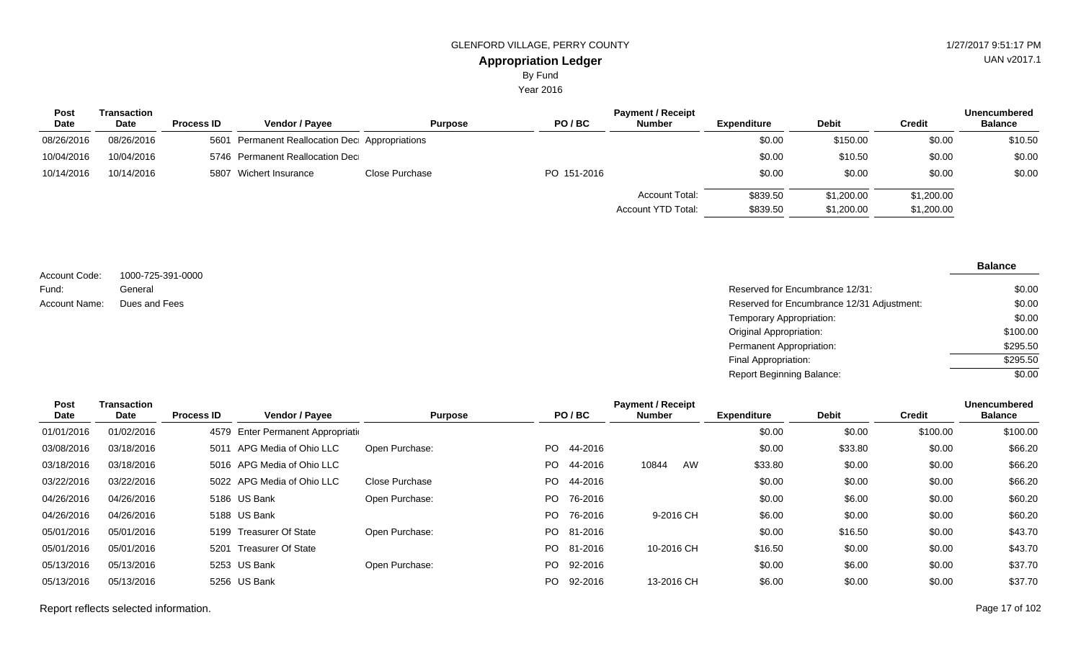By Fund

Year 2016

| <b>Post</b> | Transaction |                   |                                                |                |             | <b>Payment / Receipt</b>             |                      |                          |                          | <b>Unencumbered</b> |
|-------------|-------------|-------------------|------------------------------------------------|----------------|-------------|--------------------------------------|----------------------|--------------------------|--------------------------|---------------------|
| Date        | Date        | <b>Process ID</b> | <b>Vendor / Payee</b>                          | <b>Purpose</b> | PO/BC       | <b>Number</b>                        | <b>Expenditure</b>   | <b>Debit</b>             | <b>Credit</b>            | <b>Balance</b>      |
| 08/26/2016  | 08/26/2016  |                   | 5601 Permanent Reallocation Dec Appropriations |                |             |                                      | \$0.00               | \$150.00                 | \$0.00                   | \$10.50             |
| 10/04/2016  | 10/04/2016  |                   | 5746 Permanent Reallocation Dec                |                |             |                                      | \$0.00               | \$10.50                  | \$0.00                   | \$0.00              |
| 10/14/2016  | 10/14/2016  |                   | 5807 Wichert Insurance                         | Close Purchase | PO 151-2016 |                                      | \$0.00               | \$0.00                   | \$0.00                   | \$0.00              |
|             |             |                   |                                                |                |             | Account Total:<br>Account YTD Total: | \$839.50<br>\$839.50 | \$1,200.00<br>\$1,200.00 | \$1,200.00<br>\$1,200.00 |                     |

| Account Code: | 1000-725-391-0000 |
|---------------|-------------------|
| Fund:         | General           |
| Account Name: | Dues and Fees     |

Reserved for Encumbrance 12/31: Reserved for Encumbrance 12/31 Adjustment: Temporary Appropriation: Original Appropriation: Permanent Appropriation: Final Appropriation: Report Beginning Balance: \$0.00 \$0.00 \$0.00 \$100.00 \$295.50 \$295.50  $\frac{1}{0.00}$ 

| Post       | <b>Transaction</b> |                   |                                    |                |      |            | <b>Payment / Receipt</b> |    |                    |              |               | <b>Unencumbered</b> |
|------------|--------------------|-------------------|------------------------------------|----------------|------|------------|--------------------------|----|--------------------|--------------|---------------|---------------------|
| Date       | Date               | <b>Process ID</b> | Vendor / Payee                     | <b>Purpose</b> |      | PO/BC      | <b>Number</b>            |    | <b>Expenditure</b> | <b>Debit</b> | <b>Credit</b> | <b>Balance</b>      |
| 01/01/2016 | 01/02/2016         |                   | 4579 Enter Permanent Appropriation |                |      |            |                          |    | \$0.00             | \$0.00       | \$100.00      | \$100.00            |
| 03/08/2016 | 03/18/2016         | 5011              | APG Media of Ohio LLC              | Open Purchase: | PO.  | 44-2016    |                          |    | \$0.00             | \$33.80      | \$0.00        | \$66.20             |
| 03/18/2016 | 03/18/2016         |                   | 5016 APG Media of Ohio LLC         |                | PO.  | 44-2016    | 10844                    | AW | \$33.80            | \$0.00       | \$0.00        | \$66.20             |
| 03/22/2016 | 03/22/2016         |                   | 5022 APG Media of Ohio LLC         | Close Purchase | PO - | 44-2016    |                          |    | \$0.00             | \$0.00       | \$0.00        | \$66.20             |
| 04/26/2016 | 04/26/2016         |                   | 5186 US Bank                       | Open Purchase: | PO.  | 76-2016    |                          |    | \$0.00             | \$6.00       | \$0.00        | \$60.20             |
| 04/26/2016 | 04/26/2016         |                   | 5188 US Bank                       |                | PO.  | 76-2016    | 9-2016 CH                |    | \$6.00             | \$0.00       | \$0.00        | \$60.20             |
| 05/01/2016 | 05/01/2016         |                   | 5199 Treasurer Of State            | Open Purchase: |      | PO 81-2016 |                          |    | \$0.00             | \$16.50      | \$0.00        | \$43.70             |
| 05/01/2016 | 05/01/2016         | 5201              | Treasurer Of State                 |                |      | PO 81-2016 | 10-2016 CH               |    | \$16.50            | \$0.00       | \$0.00        | \$43.70             |
| 05/13/2016 | 05/13/2016         |                   | 5253 US Bank                       | Open Purchase: | PO.  | 92-2016    |                          |    | \$0.00             | \$6.00       | \$0.00        | \$37.70             |
| 05/13/2016 | 05/13/2016         |                   | 5256 US Bank                       |                | PO.  | 92-2016    | 13-2016 CH               |    | \$6.00             | \$0.00       | \$0.00        | \$37.70             |

**Balance**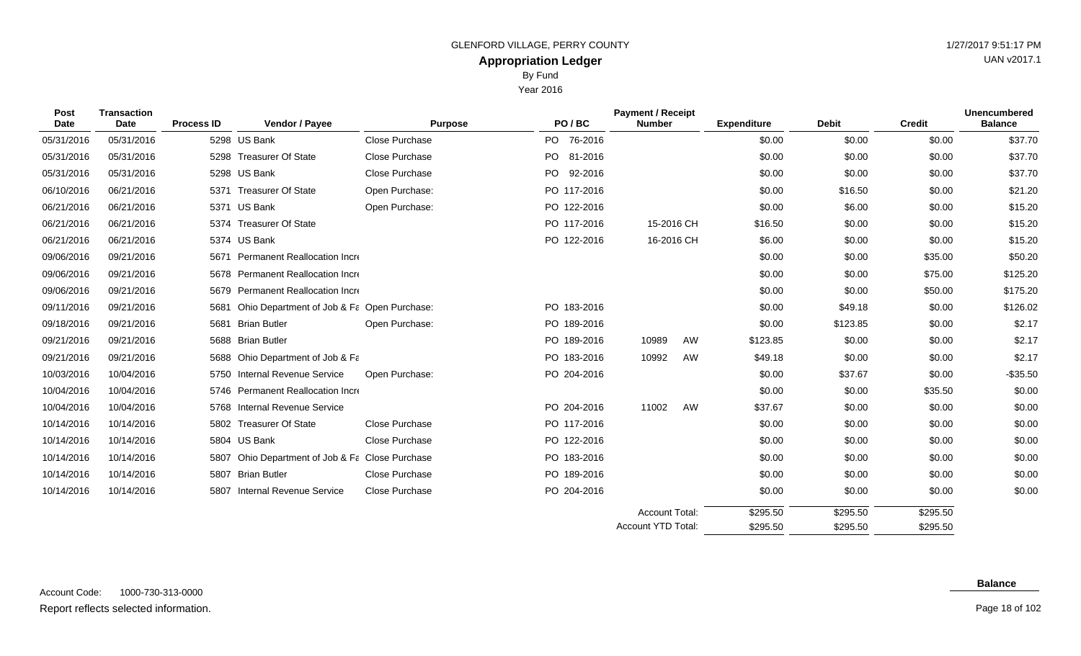By Fund

|              |                     |                   |                           |                | Year 2016      |                                           |                    |              |               |                                       |
|--------------|---------------------|-------------------|---------------------------|----------------|----------------|-------------------------------------------|--------------------|--------------|---------------|---------------------------------------|
| Post<br>Date | Transaction<br>Date | <b>Process ID</b> | Vendor / Payee            | <b>Purpose</b> | PO/BC          | <b>Payment / Receipt</b><br><b>Number</b> | <b>Expenditure</b> | <b>Debit</b> | <b>Credit</b> | <b>Unencumbered</b><br><b>Balance</b> |
| 05/31/2016   | 05/31/2016          |                   | 5298 US Bank              | Close Purchase | PO.<br>76-2016 |                                           | \$0.00             | \$0.00       | \$0.00        | \$37.70                               |
| 05/31/2016   | 05/31/2016          |                   | 5298 Treasurer Of State   | Close Purchase | PO 81-2016     |                                           | \$0.00             | \$0.00       | \$0.00        | \$37.70                               |
| 05/31/2016   | 05/31/2016          |                   | 5298 US Bank              | Close Purchase | 92-2016<br>PO. |                                           | \$0.00             | \$0.00       | \$0.00        | \$37.70                               |
| 06/10/2016   | 06/21/2016          | 5371              | <b>Treasurer Of State</b> | Open Purchase: | PO 117-2016    |                                           | \$0.00             | \$16.50      | \$0.00        | \$21.20                               |
| 06/21/2016   | 06/21/2016          |                   | 5371 US Bank              | Open Purchase: | PO 122-2016    |                                           | \$0.00             | \$6.00       | \$0.00        | \$15.20                               |
| 06/21/2016   | 06/21/2016          | 5374              | <b>Treasurer Of State</b> |                | PO 117-2016    | 15-2016 CH                                | \$16.50            | \$0.00       | \$0.00        | \$15.20                               |

Account YTD Total:

| 00000000   |            |                                                    | טשווטווי ו שנטוש | 522010      |                | ψυ.υυ    | ψ∪.∪U    | vv.vv    | 90 I .I U |
|------------|------------|----------------------------------------------------|------------------|-------------|----------------|----------|----------|----------|-----------|
| 06/10/2016 | 06/21/2016 | 5371 Treasurer Of State                            | Open Purchase:   | PO 117-2016 |                | \$0.00   | \$16.50  | \$0.00   | \$21.20   |
| 06/21/2016 | 06/21/2016 | 5371 US Bank                                       | Open Purchase:   | PO 122-2016 |                | \$0.00   | \$6.00   | \$0.00   | \$15.20   |
| 06/21/2016 | 06/21/2016 | <b>Treasurer Of State</b><br>5374                  |                  | PO 117-2016 | 15-2016 CH     | \$16.50  | \$0.00   | \$0.00   | \$15.20   |
| 06/21/2016 | 06/21/2016 | 5374 US Bank                                       |                  | PO 122-2016 | 16-2016 CH     | \$6.00   | \$0.00   | \$0.00   | \$15.20   |
| 09/06/2016 | 09/21/2016 | <b>Permanent Reallocation Incre</b><br>5671        |                  |             |                | \$0.00   | \$0.00   | \$35.00  | \$50.20   |
| 09/06/2016 | 09/21/2016 | 5678 Permanent Reallocation Incre                  |                  |             |                | \$0.00   | \$0.00   | \$75.00  | \$125.20  |
| 09/06/2016 | 09/21/2016 | 5679 Permanent Reallocation Incre                  |                  |             |                | \$0.00   | \$0.00   | \$50.00  | \$175.20  |
| 09/11/2016 | 09/21/2016 | Ohio Department of Job & Fa Open Purchase:<br>5681 |                  | PO 183-2016 |                | \$0.00   | \$49.18  | \$0.00   | \$126.02  |
| 09/18/2016 | 09/21/2016 | <b>Brian Butler</b><br>5681                        | Open Purchase:   | PO 189-2016 |                | \$0.00   | \$123.85 | \$0.00   | \$2.17    |
| 09/21/2016 | 09/21/2016 | 5688 Brian Butler                                  |                  | PO 189-2016 | 10989<br>AW    | \$123.85 | \$0.00   | \$0.00   | \$2.17    |
| 09/21/2016 | 09/21/2016 | 5688 Ohio Department of Job & Fa                   |                  | PO 183-2016 | 10992<br>AW    | \$49.18  | \$0.00   | \$0.00   | \$2.17    |
| 10/03/2016 | 10/04/2016 | 5750 Internal Revenue Service                      | Open Purchase:   | PO 204-2016 |                | \$0.00   | \$37.67  | \$0.00   | $-$35.50$ |
| 10/04/2016 | 10/04/2016 | 5746 Permanent Reallocation Incre                  |                  |             |                | \$0.00   | \$0.00   | \$35.50  | \$0.00    |
| 10/04/2016 | 10/04/2016 | 5768 Internal Revenue Service                      |                  | PO 204-2016 | AW<br>11002    | \$37.67  | \$0.00   | \$0.00   | \$0.00    |
| 10/14/2016 | 10/14/2016 | 5802 Treasurer Of State                            | Close Purchase   | PO 117-2016 |                | \$0.00   | \$0.00   | \$0.00   | \$0.00    |
| 10/14/2016 | 10/14/2016 | 5804 US Bank                                       | Close Purchase   | PO 122-2016 |                | \$0.00   | \$0.00   | \$0.00   | \$0.00    |
| 10/14/2016 | 10/14/2016 | Ohio Department of Job & Fa Close Purchase<br>5807 |                  | PO 183-2016 |                | \$0.00   | \$0.00   | \$0.00   | \$0.00    |
| 10/14/2016 | 10/14/2016 | 5807 Brian Butler                                  | Close Purchase   | PO 189-2016 |                | \$0.00   | \$0.00   | \$0.00   | \$0.00    |
| 10/14/2016 | 10/14/2016 | 5807 Internal Revenue Service                      | Close Purchase   | PO 204-2016 |                | \$0.00   | \$0.00   | \$0.00   | \$0.00    |
|            |            |                                                    |                  |             | Account Total: | \$295.50 | \$295.50 | \$295.50 |           |

\$295.50

\$295.50

\$295.50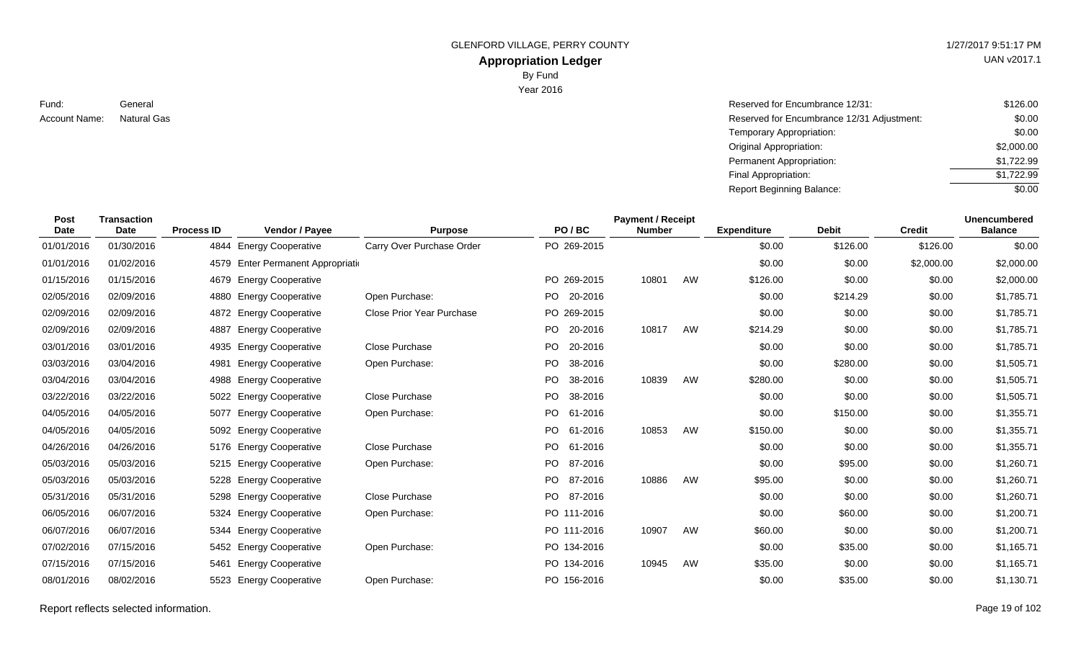# **Appropriation Ledger**

By Fund

Year 2016

Fund: Account Name: Natural Gas

General Reserved for Encumbrance 12/31: Reserved for Encumbrance 12/31 Adjustment: Temporary Appropriation: Original Appropriation: Permanent Appropriation: Final Appropriation: Report Beginning Balance: \$126.00 \$0.00 \$0.00 \$2,000.00 \$1,722.99 \$1,722.99 \$0.00

| <b>Post</b> | <b>Transaction</b> |                   |                               |                                  |           |             | <b>Payment / Receipt</b> |    |                    |              |               | <b>Unencumbered</b> |
|-------------|--------------------|-------------------|-------------------------------|----------------------------------|-----------|-------------|--------------------------|----|--------------------|--------------|---------------|---------------------|
| <b>Date</b> | Date               | <b>Process ID</b> | Vendor / Payee                | <b>Purpose</b>                   |           | PO/BC       | <b>Number</b>            |    | <b>Expenditure</b> | <b>Debit</b> | <b>Credit</b> | <b>Balance</b>      |
| 01/01/2016  | 01/30/2016         |                   | 4844 Energy Cooperative       | Carry Over Purchase Order        |           | PO 269-2015 |                          |    | \$0.00             | \$126.00     | \$126.00      | \$0.00              |
| 01/01/2016  | 01/02/2016         | 4579              | Enter Permanent Appropriation |                                  |           |             |                          |    | \$0.00             | \$0.00       | \$2,000.00    | \$2,000.00          |
| 01/15/2016  | 01/15/2016         | 4679              | <b>Energy Cooperative</b>     |                                  |           | PO 269-2015 | 10801                    | AW | \$126.00           | \$0.00       | \$0.00        | \$2,000.00          |
| 02/05/2016  | 02/09/2016         | 4880              | <b>Energy Cooperative</b>     | Open Purchase:                   | PO.       | 20-2016     |                          |    | \$0.00             | \$214.29     | \$0.00        | \$1,785.71          |
| 02/09/2016  | 02/09/2016         | 4872              | <b>Energy Cooperative</b>     | <b>Close Prior Year Purchase</b> |           | PO 269-2015 |                          |    | \$0.00             | \$0.00       | \$0.00        | \$1,785.71          |
| 02/09/2016  | 02/09/2016         | 4887              | <b>Energy Cooperative</b>     |                                  |           | PO 20-2016  | 10817                    | AW | \$214.29           | \$0.00       | \$0.00        | \$1,785.71          |
| 03/01/2016  | 03/01/2016         | 4935              | <b>Energy Cooperative</b>     | <b>Close Purchase</b>            | PO.       | 20-2016     |                          |    | \$0.00             | \$0.00       | \$0.00        | \$1,785.71          |
| 03/03/2016  | 03/04/2016         | 4981              | <b>Energy Cooperative</b>     | Open Purchase:                   | <b>PO</b> | 38-2016     |                          |    | \$0.00             | \$280.00     | \$0.00        | \$1,505.71          |
| 03/04/2016  | 03/04/2016         | 4988              | <b>Energy Cooperative</b>     |                                  | PO.       | 38-2016     | 10839                    | AW | \$280.00           | \$0.00       | \$0.00        | \$1,505.71          |
| 03/22/2016  | 03/22/2016         | 5022              | <b>Energy Cooperative</b>     | Close Purchase                   | PO        | 38-2016     |                          |    | \$0.00             | \$0.00       | \$0.00        | \$1,505.71          |
| 04/05/2016  | 04/05/2016         | 5077              | <b>Energy Cooperative</b>     | Open Purchase:                   | PO.       | 61-2016     |                          |    | \$0.00             | \$150.00     | \$0.00        | \$1,355.71          |
| 04/05/2016  | 04/05/2016         | 5092              | <b>Energy Cooperative</b>     |                                  | PO.       | 61-2016     | 10853                    | AW | \$150.00           | \$0.00       | \$0.00        | \$1,355.71          |
| 04/26/2016  | 04/26/2016         | 5176              | <b>Energy Cooperative</b>     | Close Purchase                   | PO.       | 61-2016     |                          |    | \$0.00             | \$0.00       | \$0.00        | \$1,355.71          |
| 05/03/2016  | 05/03/2016         |                   | 5215 Energy Cooperative       | Open Purchase:                   | PO.       | 87-2016     |                          |    | \$0.00             | \$95.00      | \$0.00        | \$1,260.71          |
| 05/03/2016  | 05/03/2016         | 5228              | <b>Energy Cooperative</b>     |                                  | PO.       | 87-2016     | 10886                    | AW | \$95.00            | \$0.00       | \$0.00        | \$1,260.71          |
| 05/31/2016  | 05/31/2016         | 5298              | <b>Energy Cooperative</b>     | Close Purchase                   | PO.       | 87-2016     |                          |    | \$0.00             | \$0.00       | \$0.00        | \$1,260.71          |
| 06/05/2016  | 06/07/2016         | 5324              | <b>Energy Cooperative</b>     | Open Purchase:                   |           | PO 111-2016 |                          |    | \$0.00             | \$60.00      | \$0.00        | \$1,200.71          |
| 06/07/2016  | 06/07/2016         | 5344              | <b>Energy Cooperative</b>     |                                  |           | PO 111-2016 | 10907                    | AW | \$60.00            | \$0.00       | \$0.00        | \$1,200.71          |
| 07/02/2016  | 07/15/2016         |                   | 5452 Energy Cooperative       | Open Purchase:                   |           | PO 134-2016 |                          |    | \$0.00             | \$35.00      | \$0.00        | \$1,165.71          |
| 07/15/2016  | 07/15/2016         | 5461              | <b>Energy Cooperative</b>     |                                  |           | PO 134-2016 | 10945                    | AW | \$35.00            | \$0.00       | \$0.00        | \$1,165.71          |
| 08/01/2016  | 08/02/2016         | 5523              | <b>Energy Cooperative</b>     | Open Purchase:                   |           | PO 156-2016 |                          |    | \$0.00             | \$35.00      | \$0.00        | \$1,130.71          |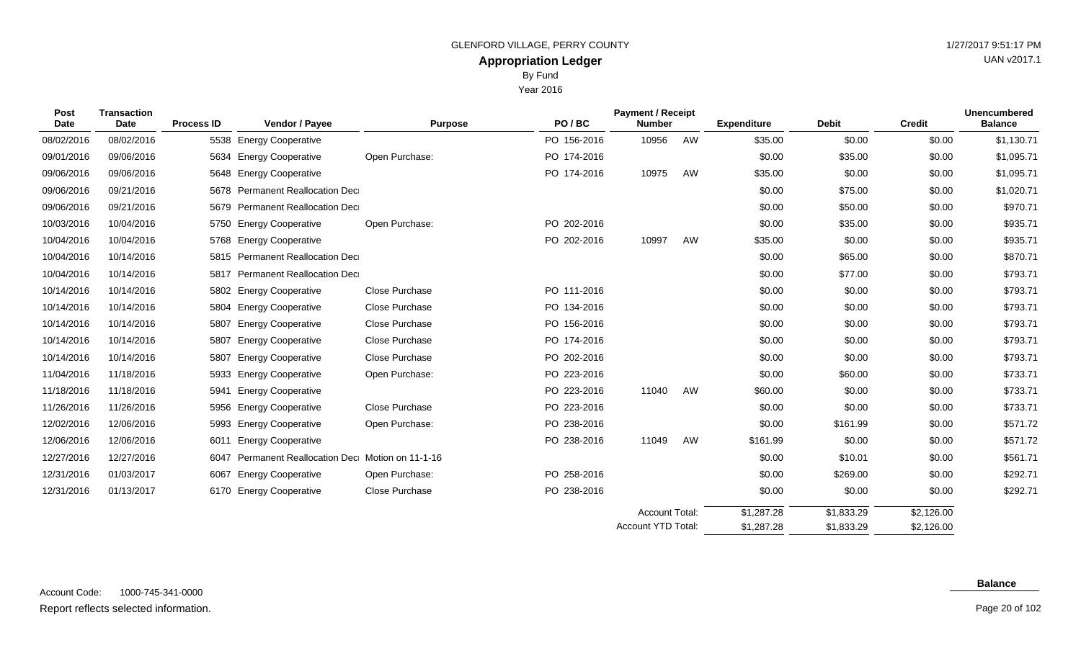Year 2016

|  |  | $1/2$ $1/2$ $0$ $1$ $1$ $0.0$ $1.1$ $1$ $1$ $1$ |
|--|--|-------------------------------------------------|
|  |  | UAN v2017.1                                     |
|  |  |                                                 |
|  |  |                                                 |

| <b>Post</b><br>Date | <b>Transaction</b><br><b>Date</b> | <b>Process ID</b> | Vendor / Payee                               | <b>Purpose</b> | PO/BC       | <b>Payment / Receipt</b><br><b>Number</b> |    | <b>Expenditure</b> | <b>Debit</b> | <b>Credit</b> | <b>Unencumbered</b><br><b>Balance</b> |
|---------------------|-----------------------------------|-------------------|----------------------------------------------|----------------|-------------|-------------------------------------------|----|--------------------|--------------|---------------|---------------------------------------|
| 08/02/2016          | 08/02/2016                        |                   | 5538 Energy Cooperative                      |                | PO 156-2016 | 10956                                     | AW | \$35.00            | \$0.00       | \$0.00        | \$1,130.71                            |
| 09/01/2016          | 09/06/2016                        |                   | 5634 Energy Cooperative                      | Open Purchase: | PO 174-2016 |                                           |    | \$0.00             | \$35.00      | \$0.00        | \$1,095.71                            |
| 09/06/2016          | 09/06/2016                        |                   | 5648 Energy Cooperative                      |                | PO 174-2016 | 10975                                     | AW | \$35.00            | \$0.00       | \$0.00        | \$1,095.71                            |
| 09/06/2016          | 09/21/2016                        |                   | 5678 Permanent Reallocation Dec              |                |             |                                           |    | \$0.00             | \$75.00      | \$0.00        | \$1,020.71                            |
| 09/06/2016          | 09/21/2016                        |                   | 5679 Permanent Reallocation Dec              |                |             |                                           |    | \$0.00             | \$50.00      | \$0.00        | \$970.71                              |
| 10/03/2016          | 10/04/2016                        |                   | 5750 Energy Cooperative                      | Open Purchase: | PO 202-2016 |                                           |    | \$0.00             | \$35.00      | \$0.00        | \$935.71                              |
| 10/04/2016          | 10/04/2016                        |                   | 5768 Energy Cooperative                      |                | PO 202-2016 | 10997                                     | AW | \$35.00            | \$0.00       | \$0.00        | \$935.71                              |
| 10/04/2016          | 10/14/2016                        |                   | 5815 Permanent Reallocation Dec              |                |             |                                           |    | \$0.00             | \$65.00      | \$0.00        | \$870.71                              |
| 10/04/2016          | 10/14/2016                        | 5817              | Permanent Reallocation Dec                   |                |             |                                           |    | \$0.00             | \$77.00      | \$0.00        | \$793.71                              |
| 10/14/2016          | 10/14/2016                        |                   | 5802 Energy Cooperative                      | Close Purchase | PO 111-2016 |                                           |    | \$0.00             | \$0.00       | \$0.00        | \$793.71                              |
| 10/14/2016          | 10/14/2016                        | 5804              | <b>Energy Cooperative</b>                    | Close Purchase | PO 134-2016 |                                           |    | \$0.00             | \$0.00       | \$0.00        | \$793.71                              |
| 10/14/2016          | 10/14/2016                        | 5807              | <b>Energy Cooperative</b>                    | Close Purchase | PO 156-2016 |                                           |    | \$0.00             | \$0.00       | \$0.00        | \$793.71                              |
| 10/14/2016          | 10/14/2016                        | 5807              | <b>Energy Cooperative</b>                    | Close Purchase | PO 174-2016 |                                           |    | \$0.00             | \$0.00       | \$0.00        | \$793.71                              |
| 10/14/2016          | 10/14/2016                        | 5807              | <b>Energy Cooperative</b>                    | Close Purchase | PO 202-2016 |                                           |    | \$0.00             | \$0.00       | \$0.00        | \$793.71                              |
| 11/04/2016          | 11/18/2016                        | 5933              | <b>Energy Cooperative</b>                    | Open Purchase: | PO 223-2016 |                                           |    | \$0.00             | \$60.00      | \$0.00        | \$733.71                              |
| 11/18/2016          | 11/18/2016                        | 5941              | <b>Energy Cooperative</b>                    |                | PO 223-2016 | 11040                                     | AW | \$60.00            | \$0.00       | \$0.00        | \$733.71                              |
| 11/26/2016          | 11/26/2016                        |                   | 5956 Energy Cooperative                      | Close Purchase | PO 223-2016 |                                           |    | \$0.00             | \$0.00       | \$0.00        | \$733.71                              |
| 12/02/2016          | 12/06/2016                        | 5993              | <b>Energy Cooperative</b>                    | Open Purchase: | PO 238-2016 |                                           |    | \$0.00             | \$161.99     | \$0.00        | \$571.72                              |
| 12/06/2016          | 12/06/2016                        | 6011              | <b>Energy Cooperative</b>                    |                | PO 238-2016 | 11049                                     | AW | \$161.99           | \$0.00       | \$0.00        | \$571.72                              |
| 12/27/2016          | 12/27/2016                        | 6047              | Permanent Reallocation Dec Motion on 11-1-16 |                |             |                                           |    | \$0.00             | \$10.01      | \$0.00        | \$561.71                              |
| 12/31/2016          | 01/03/2017                        | 6067              | <b>Energy Cooperative</b>                    | Open Purchase: | PO 258-2016 |                                           |    | \$0.00             | \$269.00     | \$0.00        | \$292.71                              |
| 12/31/2016          | 01/13/2017                        | 6170              | <b>Energy Cooperative</b>                    | Close Purchase | PO 238-2016 |                                           |    | \$0.00             | \$0.00       | \$0.00        | \$292.71                              |
|                     |                                   |                   |                                              |                |             | <b>Account Total:</b>                     |    | \$1,287.28         | \$1.833.29   | \$2,126.00    |                                       |

\$2,126.00

\$1,833.29

\$1,287.28

Account YTD Total:

Page 20 of 102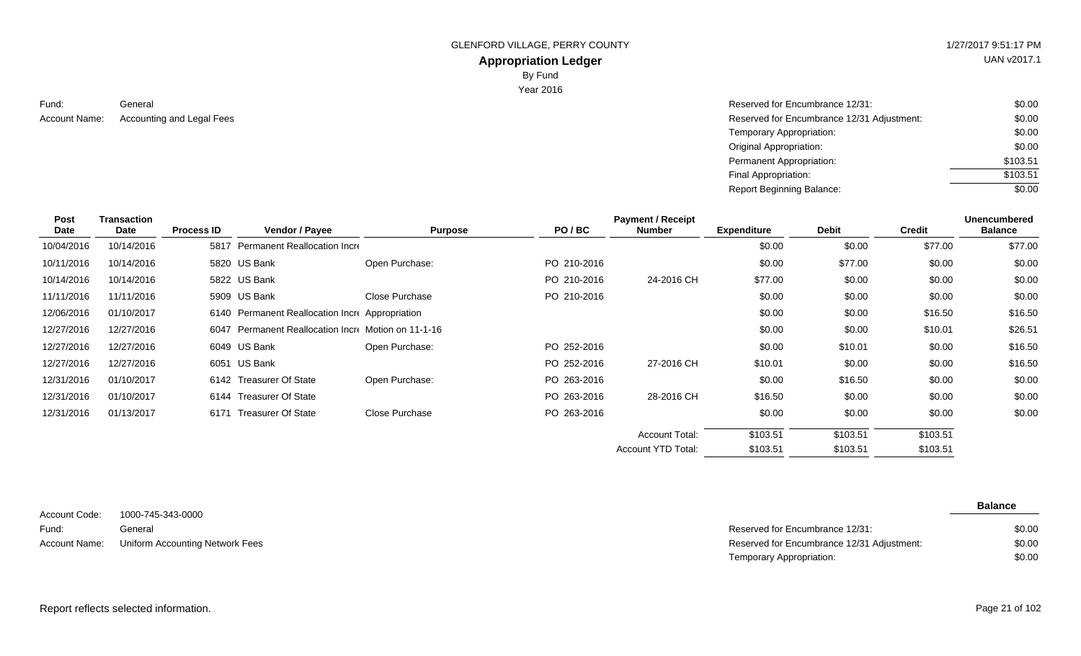# UAN v2017.1

### **Appropriation Ledger** By Fund

Year 2016

Fund:

| Fund:         | General                   | Reserved for Encumbrance 12/31:            | \$0.00   |
|---------------|---------------------------|--------------------------------------------|----------|
| Account Name: | Accounting and Legal Fees | Reserved for Encumbrance 12/31 Adjustment: | \$0.00   |
|               |                           | Temporary Appropriation:                   | \$0.00   |
|               |                           | <b>Original Appropriation:</b>             | \$0.00   |
|               |                           | Permanent Appropriation:                   | \$103.51 |
|               |                           | Final Appropriation:                       | \$103.51 |
|               |                           | <b>Report Beginning Balance:</b>           | \$0.00   |

| Post       | Transaction |                   |                                                     |                |             | <b>Payment / Receipt</b>  |                    |              |               | <b>Unencumbered</b> |
|------------|-------------|-------------------|-----------------------------------------------------|----------------|-------------|---------------------------|--------------------|--------------|---------------|---------------------|
| Date       | Date        | <b>Process ID</b> | Vendor / Payee                                      | <b>Purpose</b> | PO/BC       | <b>Number</b>             | <b>Expenditure</b> | <b>Debit</b> | <b>Credit</b> | <b>Balance</b>      |
| 10/04/2016 | 10/14/2016  | 5817              | Permanent Reallocation Incre                        |                |             |                           | \$0.00             | \$0.00       | \$77.00       | \$77.00             |
| 10/11/2016 | 10/14/2016  |                   | 5820 US Bank                                        | Open Purchase: | PO 210-2016 |                           | \$0.00             | \$77.00      | \$0.00        | \$0.00              |
| 10/14/2016 | 10/14/2016  |                   | 5822 US Bank                                        |                | PO 210-2016 | 24-2016 CH                | \$77.00            | \$0.00       | \$0.00        | \$0.00              |
| 11/11/2016 | 11/11/2016  |                   | 5909 US Bank                                        | Close Purchase | PO 210-2016 |                           | \$0.00             | \$0.00       | \$0.00        | \$0.00              |
| 12/06/2016 | 01/10/2017  |                   | 6140 Permanent Reallocation Incre Appropriation     |                |             |                           | \$0.00             | \$0.00       | \$16.50       | \$16.50             |
| 12/27/2016 | 12/27/2016  |                   | 6047 Permanent Reallocation Incre Motion on 11-1-16 |                |             |                           | \$0.00             | \$0.00       | \$10.01       | \$26.51             |
| 12/27/2016 | 12/27/2016  |                   | 6049 US Bank                                        | Open Purchase: | PO 252-2016 |                           | \$0.00             | \$10.01      | \$0.00        | \$16.50             |
| 12/27/2016 | 12/27/2016  | 6051              | US Bank                                             |                | PO 252-2016 | 27-2016 CH                | \$10.01            | \$0.00       | \$0.00        | \$16.50             |
| 12/31/2016 | 01/10/2017  |                   | 6142 Treasurer Of State                             | Open Purchase: | PO 263-2016 |                           | \$0.00             | \$16.50      | \$0.00        | \$0.00              |
| 12/31/2016 | 01/10/2017  |                   | 6144 Treasurer Of State                             |                | PO 263-2016 | 28-2016 CH                | \$16.50            | \$0.00       | \$0.00        | \$0.00              |
| 12/31/2016 | 01/13/2017  | 6171              | <b>Treasurer Of State</b>                           | Close Purchase | PO 263-2016 |                           | \$0.00             | \$0.00       | \$0.00        | \$0.00              |
|            |             |                   |                                                     |                |             | <b>Account Total:</b>     | \$103.51           | \$103.51     | \$103.51      |                     |
|            |             |                   |                                                     |                |             | <b>Account YTD Total:</b> | \$103.51           | \$103.51     | \$103.51      |                     |

|               |                                 |                                            | <b>Balance</b> |
|---------------|---------------------------------|--------------------------------------------|----------------|
| Account Code: | 1000-745-343-0000               |                                            |                |
| Fund:         | General                         | Reserved for Encumbrance 12/31:            | \$0.00         |
| Account Name: | Uniform Accounting Network Fees | Reserved for Encumbrance 12/31 Adjustment: | \$0.00         |
|               |                                 | Temporary Appropriation:                   | \$0.00         |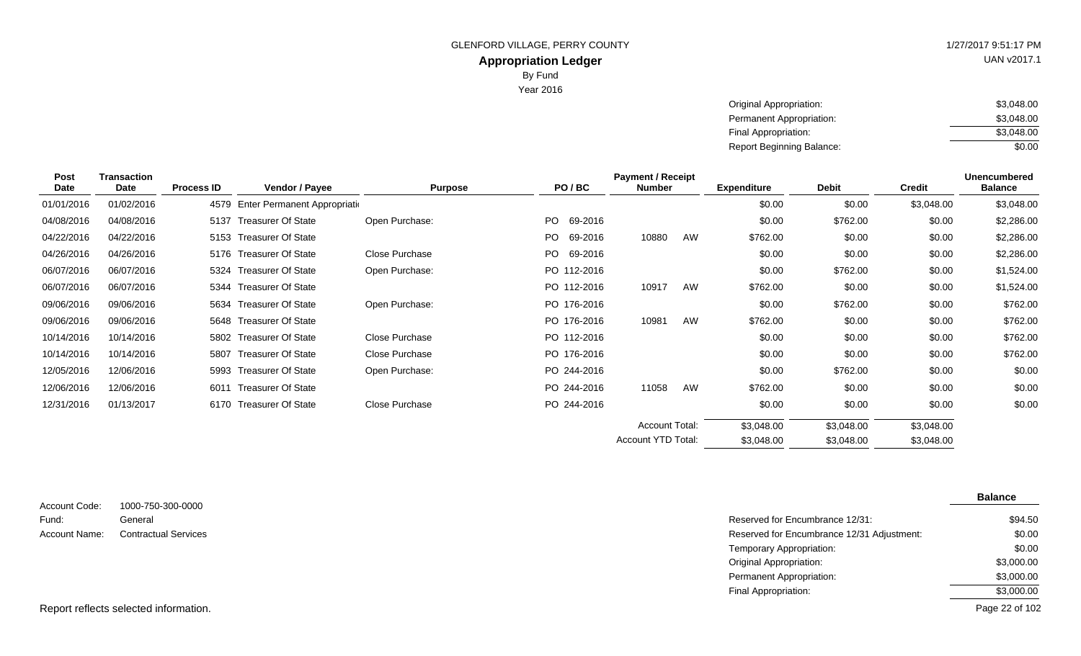UAN v2017.1

| Original Appropriation:          | \$3,048.00 |
|----------------------------------|------------|
| Permanent Appropriation:         | \$3,048.00 |
| Final Appropriation:             | \$3,048.00 |
| <b>Report Beginning Balance:</b> | \$0.00     |

| <b>Post</b> | <b>Transaction</b> |                   |                                    |                |                | <b>Payment / Receipt</b> |    |                    |              |               | <b>Unencumbered</b> |
|-------------|--------------------|-------------------|------------------------------------|----------------|----------------|--------------------------|----|--------------------|--------------|---------------|---------------------|
| Date        | Date               | <b>Process ID</b> | <b>Vendor / Payee</b>              | <b>Purpose</b> | PO/BC          | <b>Number</b>            |    | <b>Expenditure</b> | <b>Debit</b> | <b>Credit</b> | <b>Balance</b>      |
| 01/01/2016  | 01/02/2016         |                   | 4579 Enter Permanent Appropriation |                |                |                          |    | \$0.00             | \$0.00       | \$3,048.00    | \$3,048.00          |
| 04/08/2016  | 04/08/2016         | 5137              | Treasurer Of State                 | Open Purchase: | PO.<br>69-2016 |                          |    | \$0.00             | \$762.00     | \$0.00        | \$2,286.00          |
| 04/22/2016  | 04/22/2016         | 5153              | Treasurer Of State                 |                | PO.<br>69-2016 | 10880                    | AW | \$762.00           | \$0.00       | \$0.00        | \$2,286.00          |
| 04/26/2016  | 04/26/2016         |                   | 5176 Treasurer Of State            | Close Purchase | PO.<br>69-2016 |                          |    | \$0.00             | \$0.00       | \$0.00        | \$2,286.00          |
| 06/07/2016  | 06/07/2016         | 5324              | <b>Treasurer Of State</b>          | Open Purchase: | PO 112-2016    |                          |    | \$0.00             | \$762.00     | \$0.00        | \$1,524.00          |
| 06/07/2016  | 06/07/2016         |                   | 5344 Treasurer Of State            |                | PO 112-2016    | 10917                    | AW | \$762.00           | \$0.00       | \$0.00        | \$1,524.00          |
| 09/06/2016  | 09/06/2016         |                   | 5634 Treasurer Of State            | Open Purchase: | PO 176-2016    |                          |    | \$0.00             | \$762.00     | \$0.00        | \$762.00            |
| 09/06/2016  | 09/06/2016         |                   | 5648 Treasurer Of State            |                | PO 176-2016    | 10981                    | AW | \$762.00           | \$0.00       | \$0.00        | \$762.00            |
| 10/14/2016  | 10/14/2016         |                   | 5802 Treasurer Of State            | Close Purchase | PO 112-2016    |                          |    | \$0.00             | \$0.00       | \$0.00        | \$762.00            |
| 10/14/2016  | 10/14/2016         |                   | 5807 Treasurer Of State            | Close Purchase | PO 176-2016    |                          |    | \$0.00             | \$0.00       | \$0.00        | \$762.00            |
| 12/05/2016  | 12/06/2016         | 5993              | <b>Treasurer Of State</b>          | Open Purchase: | PO 244-2016    |                          |    | \$0.00             | \$762.00     | \$0.00        | \$0.00              |
| 12/06/2016  | 12/06/2016         | 6011              | <b>Treasurer Of State</b>          |                | PO 244-2016    | 11058                    | AW | \$762.00           | \$0.00       | \$0.00        | \$0.00              |
| 12/31/2016  | 01/13/2017         |                   | 6170 Treasurer Of State            | Close Purchase | PO 244-2016    |                          |    | \$0.00             | \$0.00       | \$0.00        | \$0.00              |
|             |                    |                   |                                    |                |                | <b>Account Total:</b>    |    | \$3,048.00         | \$3,048.00   | \$3,048.00    |                     |
|             |                    |                   |                                    |                |                | Account YTD Total:       |    | \$3,048.00         | \$3,048.00   | \$3,048.00    |                     |

|                        |                              |                                            | <b>Balance</b> |
|------------------------|------------------------------|--------------------------------------------|----------------|
| Account Code:<br>Fund: | 1000-750-300-0000<br>General | Reserved for Encumbrance 12/31:            | \$94.50        |
| <b>Account Name:</b>   | <b>Contractual Services</b>  | Reserved for Encumbrance 12/31 Adjustment: | \$0.00         |
|                        |                              | Temporary Appropriation:                   | \$0.00         |
|                        |                              | <b>Original Appropriation:</b>             | \$3,000.00     |
|                        |                              | Permanent Appropriation:                   | \$3,000.00     |
|                        |                              | Final Appropriation:                       | \$3,000.00     |

Report reflects selected information.

Page 22 of 102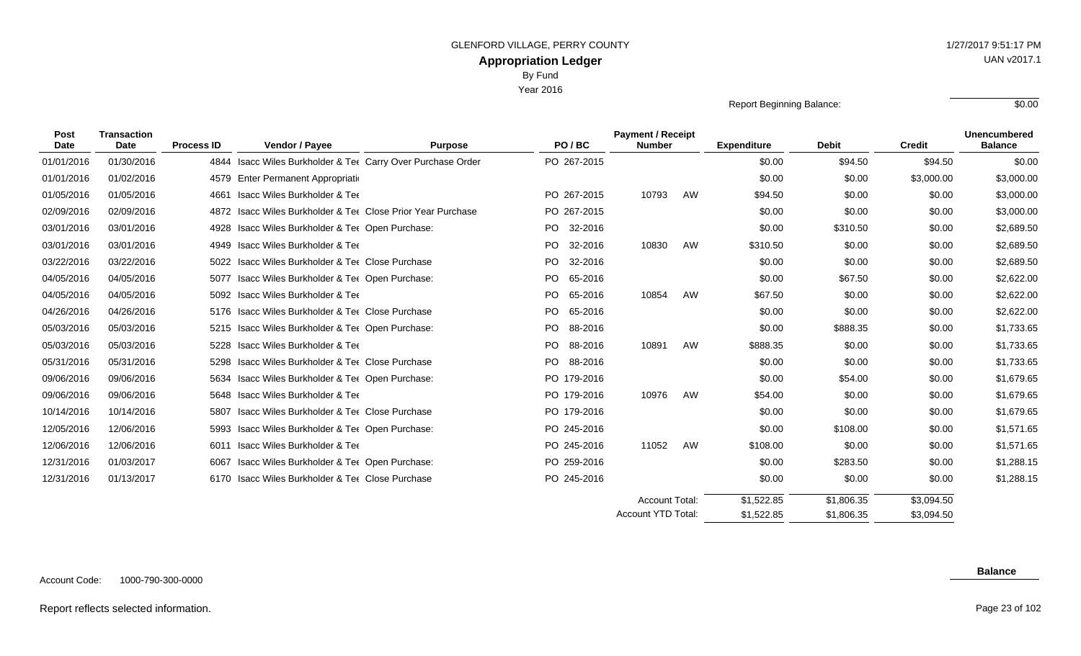Year 2016

Report Beginning Balance:  $\overline{\hspace{1.5cm}80.00}$ 

| <b>Post</b><br>Date | <b>Transaction</b><br><b>Date</b> | <b>Process ID</b> | Vendor / Payee                                              | <b>Purpose</b> | PO/BC          | <b>Payment / Receipt</b><br><b>Number</b> |    | <b>Expenditure</b> | <b>Debit</b> | <b>Credit</b> | <b>Unencumbered</b><br><b>Balance</b> |
|---------------------|-----------------------------------|-------------------|-------------------------------------------------------------|----------------|----------------|-------------------------------------------|----|--------------------|--------------|---------------|---------------------------------------|
| 01/01/2016          | 01/30/2016                        | 4844              | Isacc Wiles Burkholder & Tet Carry Over Purchase Order      |                | PO 267-2015    |                                           |    | \$0.00             | \$94.50      | \$94.50       | \$0.00                                |
| 01/01/2016          | 01/02/2016                        | 4579              | Enter Permanent Appropriation                               |                |                |                                           |    | \$0.00             | \$0.00       | \$3,000.00    | \$3,000.00                            |
| 01/05/2016          | 01/05/2016                        | 4661              | <b>Isacc Wiles Burkholder &amp; Tee</b>                     |                | PO 267-2015    | 10793                                     | AW | \$94.50            | \$0.00       | \$0.00        | \$3,000.00                            |
| 02/09/2016          | 02/09/2016                        |                   | 4872 Isacc Wiles Burkholder & Tee Close Prior Year Purchase |                | PO 267-2015    |                                           |    | \$0.00             | \$0.00       | \$0.00        | \$3,000.00                            |
| 03/01/2016          | 03/01/2016                        | 4928              | Isacc Wiles Burkholder & Ter Open Purchase:                 |                | 32-2016<br>PO. |                                           |    | \$0.00             | \$310.50     | \$0.00        | \$2,689.50                            |
| 03/01/2016          | 03/01/2016                        |                   | 4949 Isacc Wiles Burkholder & Tee                           |                | PO.<br>32-2016 | 10830                                     | AW | \$310.50           | \$0.00       | \$0.00        | \$2,689.50                            |
| 03/22/2016          | 03/22/2016                        | 5022              | <b>Isacc Wiles Burkholder &amp; Tee Close Purchase</b>      |                | PO.<br>32-2016 |                                           |    | \$0.00             | \$0.00       | \$0.00        | \$2,689.50                            |
| 04/05/2016          | 04/05/2016                        | 5077              | Isacc Wiles Burkholder & Ter Open Purchase:                 |                | PO.<br>65-2016 |                                           |    | \$0.00             | \$67.50      | \$0.00        | \$2,622.00                            |
| 04/05/2016          | 04/05/2016                        |                   | 5092 Isacc Wiles Burkholder & Tee                           |                | PO.<br>65-2016 | 10854                                     | AW | \$67.50            | \$0.00       | \$0.00        | \$2,622.00                            |
| 04/26/2016          | 04/26/2016                        |                   | 5176 Isacc Wiles Burkholder & Ter Close Purchase            |                | PO 65-2016     |                                           |    | \$0.00             | \$0.00       | \$0.00        | \$2,622.00                            |
| 05/03/2016          | 05/03/2016                        |                   | 5215 Isacc Wiles Burkholder & Ter Open Purchase:            |                | PO.<br>88-2016 |                                           |    | \$0.00             | \$888.35     | \$0.00        | \$1,733.65                            |
| 05/03/2016          | 05/03/2016                        | 5228              | <b>Isacc Wiles Burkholder &amp; Tee</b>                     |                | PO.<br>88-2016 | 10891                                     | AW | \$888.35           | \$0.00       | \$0.00        | \$1,733.65                            |
| 05/31/2016          | 05/31/2016                        | 5298              | <b>Isacc Wiles Burkholder &amp; Tee Close Purchase</b>      |                | PO 88-2016     |                                           |    | \$0.00             | \$0.00       | \$0.00        | \$1,733.65                            |
| 09/06/2016          | 09/06/2016                        | 5634              | Isacc Wiles Burkholder & Tee Open Purchase:                 |                | PO 179-2016    |                                           |    | \$0.00             | \$54.00      | \$0.00        | \$1,679.65                            |
| 09/06/2016          | 09/06/2016                        |                   | 5648 Isacc Wiles Burkholder & Tee                           |                | PO 179-2016    | 10976                                     | AW | \$54.00            | \$0.00       | \$0.00        | \$1,679.65                            |
| 10/14/2016          | 10/14/2016                        | 5807              | <b>Isacc Wiles Burkholder &amp; Tee Close Purchase</b>      |                | PO 179-2016    |                                           |    | \$0.00             | \$0.00       | \$0.00        | \$1,679.65                            |
| 12/05/2016          | 12/06/2016                        | 5993              | Isacc Wiles Burkholder & Ter Open Purchase:                 |                | PO 245-2016    |                                           |    | \$0.00             | \$108.00     | \$0.00        | \$1,571.65                            |
| 12/06/2016          | 12/06/2016                        | 6011              | Isacc Wiles Burkholder & Tee                                |                | PO 245-2016    | 11052                                     | AW | \$108.00           | \$0.00       | \$0.00        | \$1,571.65                            |
| 12/31/2016          | 01/03/2017                        | 6067              | Isacc Wiles Burkholder & Ter Open Purchase:                 |                | PO 259-2016    |                                           |    | \$0.00             | \$283.50     | \$0.00        | \$1,288.15                            |
| 12/31/2016          | 01/13/2017                        | 6170              | Isacc Wiles Burkholder & Tee Close Purchase                 |                | PO 245-2016    |                                           |    | \$0.00             | \$0.00       | \$0.00        | \$1,288.15                            |
|                     |                                   |                   |                                                             |                |                | Account Total:                            |    | \$1,522.85         | \$1,806.35   | \$3,094.50    |                                       |

\$3,094.50

\$1,806.35

\$1,522.85

Account YTD Total:

#### Report reflects selected information. Page 23 of 102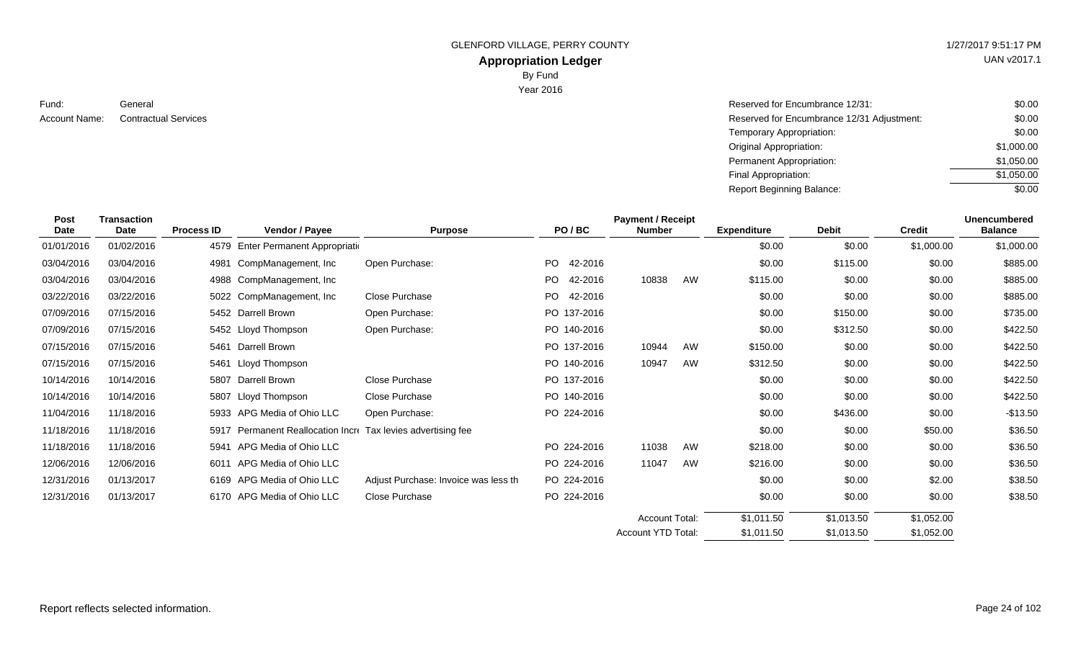UAN v2017.1

**Appropriation Ledger** By Fund

Year 2016

Fund:

| Fund:                | General                     | Reserved for Encumbrance 12/31:            | \$0.00     |
|----------------------|-----------------------------|--------------------------------------------|------------|
| <b>Account Name:</b> | <b>Contractual Services</b> | Reserved for Encumbrance 12/31 Adjustment: | \$0.00     |
|                      |                             | Temporary Appropriation:                   | \$0.00     |
|                      |                             | <b>Original Appropriation:</b>             | \$1,000.00 |
|                      |                             | Permanent Appropriation:                   | \$1,050.00 |
|                      |                             | Final Appropriation:                       | \$1,050.00 |
|                      |                             | <b>Report Beginning Balance:</b>           | \$0.00     |
|                      |                             |                                            |            |

| Post<br><b>Date</b> | <b>Transaction</b><br>Date | <b>Process ID</b> | Vendor / Payee                                          | <b>Purpose</b>                       | PO/BC                | <b>Payment / Receipt</b><br><b>Number</b> |    | <b>Expenditure</b> | <b>Debit</b> | <b>Credit</b> | <b>Unencumbered</b><br><b>Balance</b> |
|---------------------|----------------------------|-------------------|---------------------------------------------------------|--------------------------------------|----------------------|-------------------------------------------|----|--------------------|--------------|---------------|---------------------------------------|
| 01/01/2016          | 01/02/2016                 |                   | 4579 Enter Permanent Appropriation                      |                                      |                      |                                           |    | \$0.00             | \$0.00       | \$1,000.00    | \$1,000.00                            |
| 03/04/2016          | 03/04/2016                 | 4981              | CompManagement, Inc                                     | Open Purchase:                       | <b>PO</b><br>42-2016 |                                           |    | \$0.00             | \$115.00     | \$0.00        | \$885.00                              |
| 03/04/2016          | 03/04/2016                 |                   | 4988 CompManagement, Inc.                               |                                      | PO.<br>42-2016       | 10838                                     | AW | \$115.00           | \$0.00       | \$0.00        | \$885.00                              |
| 03/22/2016          | 03/22/2016                 |                   | 5022 CompManagement, Inc.                               | Close Purchase                       | <b>PO</b><br>42-2016 |                                           |    | \$0.00             | \$0.00       | \$0.00        | \$885.00                              |
| 07/09/2016          | 07/15/2016                 |                   | 5452 Darrell Brown                                      | Open Purchase:                       | PO 137-2016          |                                           |    | \$0.00             | \$150.00     | \$0.00        | \$735.00                              |
| 07/09/2016          | 07/15/2016                 |                   | 5452 Lloyd Thompson                                     | Open Purchase:                       | PO 140-2016          |                                           |    | \$0.00             | \$312.50     | \$0.00        | \$422.50                              |
| 07/15/2016          | 07/15/2016                 | 5461              | Darrell Brown                                           |                                      | PO 137-2016          | 10944                                     | AW | \$150.00           | \$0.00       | \$0.00        | \$422.50                              |
| 07/15/2016          | 07/15/2016                 | 5461              | Lloyd Thompson                                          |                                      | PO 140-2016          | 10947                                     | AW | \$312.50           | \$0.00       | \$0.00        | \$422.50                              |
| 10/14/2016          | 10/14/2016                 | 5807              | Darrell Brown                                           | Close Purchase                       | PO 137-2016          |                                           |    | \$0.00             | \$0.00       | \$0.00        | \$422.50                              |
| 10/14/2016          | 10/14/2016                 | 5807              | Lloyd Thompson                                          | Close Purchase                       | PO 140-2016          |                                           |    | \$0.00             | \$0.00       | \$0.00        | \$422.50                              |
| 11/04/2016          | 11/18/2016                 |                   | 5933 APG Media of Ohio LLC                              | Open Purchase:                       | PO 224-2016          |                                           |    | \$0.00             | \$436.00     | \$0.00        | $-$13.50$                             |
| 11/18/2016          | 11/18/2016                 | 5917              | Permanent Reallocation Incre Tax levies advertising fee |                                      |                      |                                           |    | \$0.00             | \$0.00       | \$50.00       | \$36.50                               |
| 11/18/2016          | 11/18/2016                 | 5941              | APG Media of Ohio LLC                                   |                                      | PO 224-2016          | 11038                                     | AW | \$218.00           | \$0.00       | \$0.00        | \$36.50                               |
| 12/06/2016          | 12/06/2016                 | 6011              | APG Media of Ohio LLC                                   |                                      | PO 224-2016          | 11047                                     | AW | \$216.00           | \$0.00       | \$0.00        | \$36.50                               |
| 12/31/2016          | 01/13/2017                 |                   | 6169 APG Media of Ohio LLC                              | Adjust Purchase: Invoice was less th | PO 224-2016          |                                           |    | \$0.00             | \$0.00       | \$2.00        | \$38.50                               |
| 12/31/2016          | 01/13/2017                 |                   | 6170 APG Media of Ohio LLC                              | Close Purchase                       | PO 224-2016          |                                           |    | \$0.00             | \$0.00       | \$0.00        | \$38.50                               |
|                     |                            |                   |                                                         |                                      |                      | <b>Account Total:</b>                     |    | \$1,011.50         | \$1,013.50   | \$1,052.00    |                                       |
|                     |                            |                   |                                                         |                                      |                      | Account YTD Total:                        |    | \$1,011.50         | \$1,013.50   | \$1,052.00    |                                       |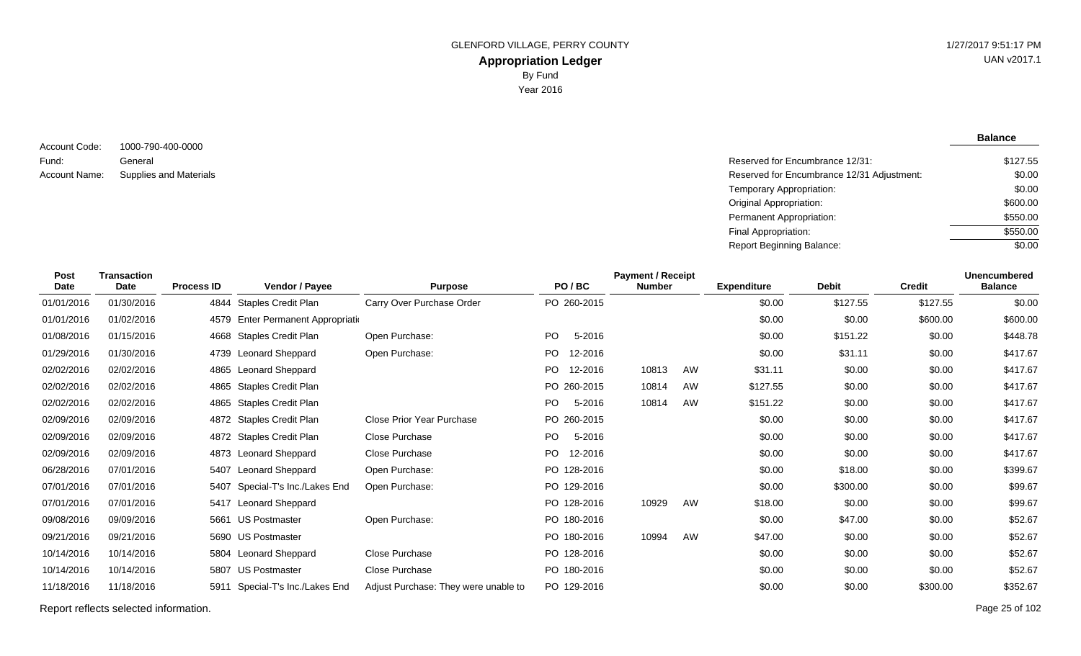**Balance**

1000-790-400-0000 General Account Code: Fund: Account Name:

Reserved for Encumbrance 12/31: Supplies and Materials **Reserved for Encumbrance 12/31 Adjustment:** Temporary Appropriation: Original Appropriation: Permanent Appropriation: Final Appropriation: Report Beginning Balance: \$127.55 \$0.00 \$0.00 \$600.00 \$550.00 \$550.00 \$0.00

| <b>Post</b><br>Date | <b>Transaction</b><br><b>Date</b> | <b>Process ID</b> | Vendor / Payee                     | <b>Purpose</b>                       |           | PO/BC       | <b>Payment / Receipt</b><br><b>Number</b> |    | <b>Expenditure</b> | <b>Debit</b> | <b>Credit</b> | <b>Unencumbered</b><br><b>Balance</b> |
|---------------------|-----------------------------------|-------------------|------------------------------------|--------------------------------------|-----------|-------------|-------------------------------------------|----|--------------------|--------------|---------------|---------------------------------------|
| 01/01/2016          | 01/30/2016                        |                   | 4844 Staples Credit Plan           | Carry Over Purchase Order            |           | PO 260-2015 |                                           |    | \$0.00             | \$127.55     | \$127.55      | \$0.00                                |
| 01/01/2016          | 01/02/2016                        |                   | 4579 Enter Permanent Appropriation |                                      |           |             |                                           |    | \$0.00             | \$0.00       | \$600.00      | \$600.00                              |
| 01/08/2016          | 01/15/2016                        |                   | 4668 Staples Credit Plan           | Open Purchase:                       | PO.       | 5-2016      |                                           |    | \$0.00             | \$151.22     | \$0.00        | \$448.78                              |
| 01/29/2016          | 01/30/2016                        |                   | 4739 Leonard Sheppard              | Open Purchase:                       | PO.       | 12-2016     |                                           |    | \$0.00             | \$31.11      | \$0.00        | \$417.67                              |
| 02/02/2016          | 02/02/2016                        |                   | 4865 Leonard Sheppard              |                                      | PO.       | 12-2016     | 10813                                     | AW | \$31.11            | \$0.00       | \$0.00        | \$417.67                              |
| 02/02/2016          | 02/02/2016                        | 4865              | <b>Staples Credit Plan</b>         |                                      |           | PO 260-2015 | 10814                                     | AW | \$127.55           | \$0.00       | \$0.00        | \$417.67                              |
| 02/02/2016          | 02/02/2016                        | 4865              | <b>Staples Credit Plan</b>         |                                      | <b>PO</b> | 5-2016      | 10814                                     | AW | \$151.22           | \$0.00       | \$0.00        | \$417.67                              |
| 02/09/2016          | 02/09/2016                        |                   | 4872 Staples Credit Plan           | Close Prior Year Purchase            |           | PO 260-2015 |                                           |    | \$0.00             | \$0.00       | \$0.00        | \$417.67                              |
| 02/09/2016          | 02/09/2016                        |                   | 4872 Staples Credit Plan           | <b>Close Purchase</b>                | PO.       | 5-2016      |                                           |    | \$0.00             | \$0.00       | \$0.00        | \$417.67                              |
| 02/09/2016          | 02/09/2016                        |                   | 4873 Leonard Sheppard              | <b>Close Purchase</b>                | <b>PO</b> | 12-2016     |                                           |    | \$0.00             | \$0.00       | \$0.00        | \$417.67                              |
| 06/28/2016          | 07/01/2016                        | 5407              | <b>Leonard Sheppard</b>            | Open Purchase:                       |           | PO 128-2016 |                                           |    | \$0.00             | \$18.00      | \$0.00        | \$399.67                              |
| 07/01/2016          | 07/01/2016                        | 5407              | Special-T's Inc./Lakes End         | Open Purchase:                       |           | PO 129-2016 |                                           |    | \$0.00             | \$300.00     | \$0.00        | \$99.67                               |
| 07/01/2016          | 07/01/2016                        |                   | 5417 Leonard Sheppard              |                                      |           | PO 128-2016 | 10929                                     | AW | \$18.00            | \$0.00       | \$0.00        | \$99.67                               |
| 09/08/2016          | 09/09/2016                        |                   | 5661 US Postmaster                 | Open Purchase:                       |           | PO 180-2016 |                                           |    | \$0.00             | \$47.00      | \$0.00        | \$52.67                               |
| 09/21/2016          | 09/21/2016                        |                   | 5690 US Postmaster                 |                                      |           | PO 180-2016 | 10994                                     | AW | \$47.00            | \$0.00       | \$0.00        | \$52.67                               |
| 10/14/2016          | 10/14/2016                        |                   | 5804 Leonard Sheppard              | Close Purchase                       |           | PO 128-2016 |                                           |    | \$0.00             | \$0.00       | \$0.00        | \$52.67                               |
| 10/14/2016          | 10/14/2016                        | 5807              | <b>US Postmaster</b>               | Close Purchase                       |           | PO 180-2016 |                                           |    | \$0.00             | \$0.00       | \$0.00        | \$52.67                               |
| 11/18/2016          | 11/18/2016                        | 5911              | Special-T's Inc./Lakes End         | Adjust Purchase: They were unable to |           | PO 129-2016 |                                           |    | \$0.00             | \$0.00       | \$300.00      | \$352.67                              |

Report reflects selected information. Page 25 of 102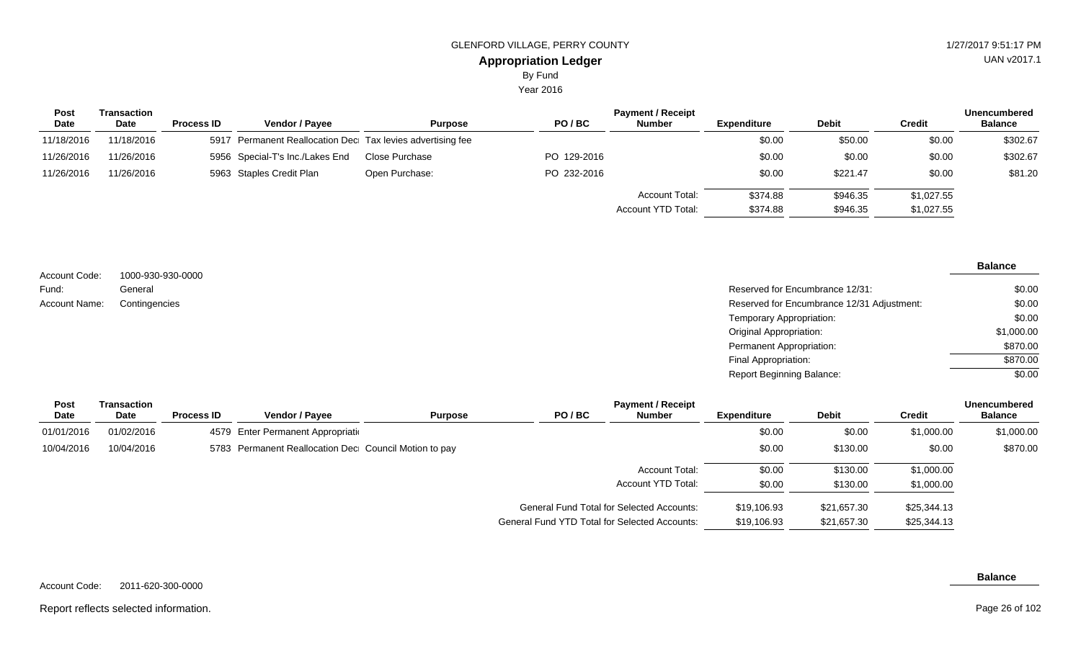Year 2016

| Post<br>Date | Transaction<br><b>Date</b> | <b>Process ID</b> | <b>Vendor / Payee</b>                                      | <b>Purpose</b> | PO/BC       | <b>Payment / Receipt</b><br><b>Number</b> | <b>Expenditure</b>   | <b>Debit</b>         | <b>Credit</b>            | Unencumbered<br><b>Balance</b> |
|--------------|----------------------------|-------------------|------------------------------------------------------------|----------------|-------------|-------------------------------------------|----------------------|----------------------|--------------------------|--------------------------------|
| 11/18/2016   | 11/18/2016                 |                   | 5917 Permanent Reallocation Dec Tax levies advertising fee |                |             |                                           | \$0.00               | \$50.00              | \$0.00                   | \$302.67                       |
| 11/26/2016   | 11/26/2016                 |                   | 5956 Special-T's Inc./Lakes End                            | Close Purchase | PO 129-2016 |                                           | \$0.00               | \$0.00               | \$0.00                   | \$302.67                       |
| 11/26/2016   | 11/26/2016                 |                   | 5963 Staples Credit Plan                                   | Open Purchase: | PO 232-2016 |                                           | \$0.00               | \$221.47             | \$0.00                   | \$81.20                        |
|              |                            |                   |                                                            |                |             | Account Total:<br>Account YTD Total:      | \$374.88<br>\$374.88 | \$946.35<br>\$946.35 | \$1,027.55<br>\$1,027.55 |                                |

| Account Code:        | 1000-930-930-0000 |                                            | <b>Balance</b> |
|----------------------|-------------------|--------------------------------------------|----------------|
| Fund:                | General           | Reserved for Encumbrance 12/31:            | \$0.00         |
| <b>Account Name:</b> | Contingencies     | Reserved for Encumbrance 12/31 Adjustment: | \$0.00         |
|                      |                   | Temporary Appropriation:                   | \$0.00         |
|                      |                   | <b>Original Appropriation:</b>             | \$1,000.00     |
|                      |                   | Permanent Appropriation:                   | \$870.00       |
|                      |                   | Final Appropriation:                       | \$870.00       |
|                      |                   | <b>Report Beginning Balance:</b>           | \$0.00         |

| <b>Post</b><br><b>Date</b> | <b>Transaction</b><br><b>Date</b> | <b>Process ID</b> | <b>Vendor / Payee</b>                                 | <b>Purpose</b> | PO/BC                                                | <b>Payment / Receipt</b><br><b>Number</b> | <b>Expenditure</b> | <b>Debit</b> | Credit      | <b>Unencumbered</b><br><b>Balance</b> |
|----------------------------|-----------------------------------|-------------------|-------------------------------------------------------|----------------|------------------------------------------------------|-------------------------------------------|--------------------|--------------|-------------|---------------------------------------|
| 01/01/2016                 | 01/02/2016                        |                   | 4579 Enter Permanent Appropriation                    |                |                                                      |                                           | \$0.00             | \$0.00       | \$1,000.00  | \$1,000.00                            |
| 10/04/2016                 | 10/04/2016                        |                   | 5783 Permanent Reallocation Dec Council Motion to pay |                |                                                      |                                           | \$0.00             | \$130.00     | \$0.00      | \$870.00                              |
|                            |                                   |                   |                                                       |                |                                                      | <b>Account Total:</b>                     | \$0.00             | \$130.00     | \$1,000.00  |                                       |
|                            |                                   |                   |                                                       |                |                                                      | Account YTD Total:                        | \$0.00             | \$130.00     | \$1,000.00  |                                       |
|                            |                                   |                   |                                                       |                | <b>General Fund Total for Selected Accounts:</b>     |                                           | \$19,106.93        | \$21,657.30  | \$25,344.13 |                                       |
|                            |                                   |                   |                                                       |                | <b>General Fund YTD Total for Selected Accounts:</b> |                                           | \$19,106.93        | \$21,657.30  | \$25,344.13 |                                       |

**Balance**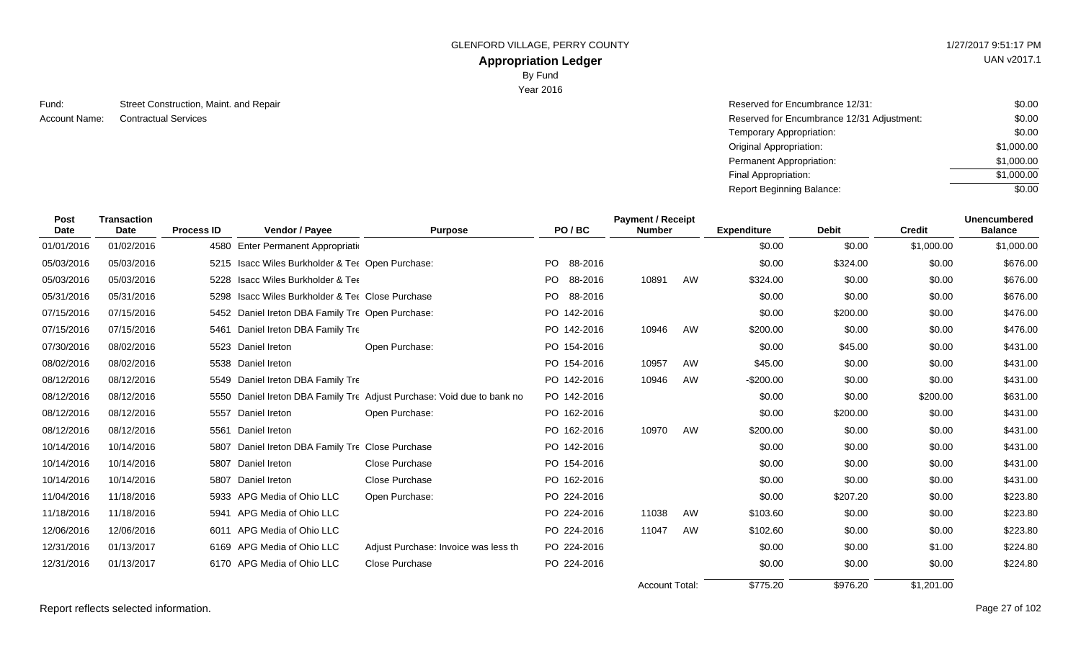# **Appropriation Ledger**

By Fund

Year 2016

Street Construction, Maint. and Repair **Reserved for Encumbrance 12/31: Reserved for Encumbrance 12/31:** Fund: Account Name:

Contractual Services Reserved for Encumbrance 12/31 Adjustment: Temporary Appropriation: Original Appropriation: Permanent Appropriation: Final Appropriation: Report Beginning Balance: \$0.00 \$0.00 \$0.00 \$1,000.00 \$1,000.00 \$1,000.00  $\sqrt{$0.00}$ 

| Post<br><b>Date</b> | <b>Transaction</b><br>Date | <b>Process ID</b> | Vendor / Payee                                   | <b>Purpose</b>                                                         | PO/BC           | <b>Payment / Receipt</b><br><b>Number</b> |    | <b>Expenditure</b> | <b>Debit</b> | <b>Credit</b> | <b>Unencumbered</b><br><b>Balance</b> |
|---------------------|----------------------------|-------------------|--------------------------------------------------|------------------------------------------------------------------------|-----------------|-------------------------------------------|----|--------------------|--------------|---------------|---------------------------------------|
| 01/01/2016          | 01/02/2016                 |                   | 4580 Enter Permanent Appropriation               |                                                                        |                 |                                           |    | \$0.00             | \$0.00       | \$1,000.00    | \$1,000.00                            |
| 05/03/2016          | 05/03/2016                 |                   | 5215 Isacc Wiles Burkholder & Ter Open Purchase: |                                                                        | PO.<br>88-2016  |                                           |    | \$0.00             | \$324.00     | \$0.00        | \$676.00                              |
| 05/03/2016          | 05/03/2016                 |                   | 5228 Isacc Wiles Burkholder & Tee                |                                                                        | PO 88-2016      | 10891                                     | AW | \$324.00           | \$0.00       | \$0.00        | \$676.00                              |
| 05/31/2016          | 05/31/2016                 |                   | 5298 Isacc Wiles Burkholder & Tee Close Purchase |                                                                        | PO -<br>88-2016 |                                           |    | \$0.00             | \$0.00       | \$0.00        | \$676.00                              |
| 07/15/2016          | 07/15/2016                 |                   | 5452 Daniel Ireton DBA Family Tre Open Purchase: |                                                                        | PO 142-2016     |                                           |    | \$0.00             | \$200.00     | \$0.00        | \$476.00                              |
| 07/15/2016          | 07/15/2016                 | 5461              | Daniel Ireton DBA Family Tre                     |                                                                        | PO 142-2016     | 10946                                     | AW | \$200.00           | \$0.00       | \$0.00        | \$476.00                              |
| 07/30/2016          | 08/02/2016                 |                   | 5523 Daniel Ireton                               | Open Purchase:                                                         | PO 154-2016     |                                           |    | \$0.00             | \$45.00      | \$0.00        | \$431.00                              |
| 08/02/2016          | 08/02/2016                 |                   | 5538 Daniel Ireton                               |                                                                        | PO 154-2016     | 10957                                     | AW | \$45.00            | \$0.00       | \$0.00        | \$431.00                              |
| 08/12/2016          | 08/12/2016                 |                   | 5549 Daniel Ireton DBA Family Tre                |                                                                        | PO 142-2016     | 10946                                     | AW | $-$200.00$         | \$0.00       | \$0.00        | \$431.00                              |
| 08/12/2016          | 08/12/2016                 |                   |                                                  | 5550 Daniel Ireton DBA Family Tre Adjust Purchase: Void due to bank no | PO 142-2016     |                                           |    | \$0.00             | \$0.00       | \$200.00      | \$631.00                              |
| 08/12/2016          | 08/12/2016                 | 5557              | Daniel Ireton                                    | Open Purchase:                                                         | PO 162-2016     |                                           |    | \$0.00             | \$200.00     | \$0.00        | \$431.00                              |
| 08/12/2016          | 08/12/2016                 |                   | 5561 Daniel Ireton                               |                                                                        | PO 162-2016     | 10970                                     | AW | \$200.00           | \$0.00       | \$0.00        | \$431.00                              |
| 10/14/2016          | 10/14/2016                 |                   | 5807 Daniel Ireton DBA Family Tre Close Purchase |                                                                        | PO 142-2016     |                                           |    | \$0.00             | \$0.00       | \$0.00        | \$431.00                              |
| 10/14/2016          | 10/14/2016                 | 5807              | Daniel Ireton                                    | <b>Close Purchase</b>                                                  | PO 154-2016     |                                           |    | \$0.00             | \$0.00       | \$0.00        | \$431.00                              |
| 10/14/2016          | 10/14/2016                 |                   | 5807 Daniel Ireton                               | Close Purchase                                                         | PO 162-2016     |                                           |    | \$0.00             | \$0.00       | \$0.00        | \$431.00                              |
| 11/04/2016          | 11/18/2016                 |                   | 5933 APG Media of Ohio LLC                       | Open Purchase:                                                         | PO 224-2016     |                                           |    | \$0.00             | \$207.20     | \$0.00        | \$223.80                              |
| 11/18/2016          | 11/18/2016                 | 5941              | APG Media of Ohio LLC                            |                                                                        | PO 224-2016     | 11038                                     | AW | \$103.60           | \$0.00       | \$0.00        | \$223.80                              |
| 12/06/2016          | 12/06/2016                 | 6011              | APG Media of Ohio LLC                            |                                                                        | PO 224-2016     | 11047                                     | AW | \$102.60           | \$0.00       | \$0.00        | \$223.80                              |
| 12/31/2016          | 01/13/2017                 |                   | 6169 APG Media of Ohio LLC                       | Adjust Purchase: Invoice was less th                                   | PO 224-2016     |                                           |    | \$0.00             | \$0.00       | \$1.00        | \$224.80                              |
| 12/31/2016          | 01/13/2017                 |                   | 6170 APG Media of Ohio LLC                       | Close Purchase                                                         | PO 224-2016     |                                           |    | \$0.00             | \$0.00       | \$0.00        | \$224.80                              |
|                     |                            |                   |                                                  |                                                                        |                 | Account Total:                            |    | \$775.20           | \$976.20     | \$1,201.00    |                                       |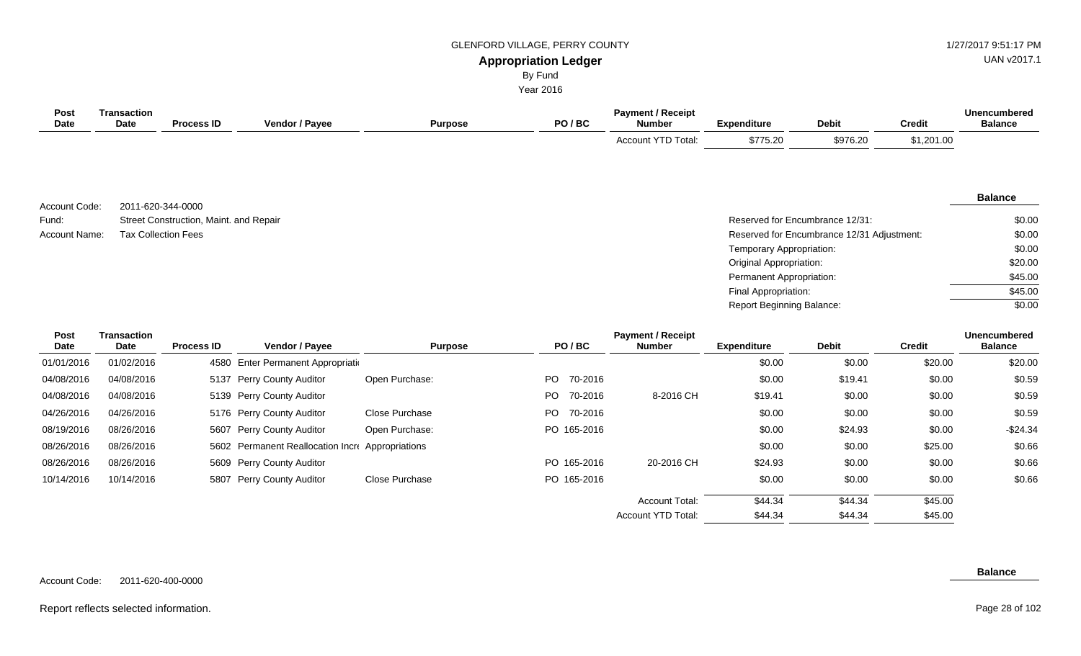# UAN v2017.1

**Balance**

**Appropriation Ledger** By Fund

| Year 2016 |  |
|-----------|--|
|           |  |

| Post        | Transaction |                   |                |         |       | <b>Payment / Receipt</b>  |                    |              |               | Unencumbered   |
|-------------|-------------|-------------------|----------------|---------|-------|---------------------------|--------------------|--------------|---------------|----------------|
| <b>Date</b> | <b>Date</b> | <b>Process ID</b> | Vendor / Payee | Purpose | PO/BC | <b>Number</b>             | <b>Expenditure</b> | <b>Debit</b> | <b>Credit</b> | <b>Balance</b> |
|             |             |                   |                |         |       | <b>Account YTD Total:</b> | \$775.20           | \$976.20     | \$1,201.00    |                |

2011-620-344-0000 Street Construction, Maint. and Repair Account Code: Fund: Account Name:

Reserved for Encumbrance 12/31: Tax Collection Fees **Reserved for Encumbrance 12/31 Adjustment:** Temporary Appropriation: Original Appropriation: Permanent Appropriation: Final Appropriation: Report Beginning Balance: \$0.00 \$0.00 \$0.00 \$20.00 \$45.00 \$45.00 \$0.00

\$44.34

\$44.34

Account YTD Total:

| <b>Post</b> | Transaction |                   |                                                  |                |                | <b>Unencumbered</b>   |                    |         |               |                |
|-------------|-------------|-------------------|--------------------------------------------------|----------------|----------------|-----------------------|--------------------|---------|---------------|----------------|
| <b>Date</b> | Date        | <b>Process ID</b> | <b>Vendor / Payee</b>                            | <b>Purpose</b> | PO/BC          | <b>Number</b>         | <b>Expenditure</b> | Debit   | <b>Credit</b> | <b>Balance</b> |
| 01/01/2016  | 01/02/2016  |                   | 4580 Enter Permanent Appropriation               |                |                |                       | \$0.00             | \$0.00  | \$20.00       | \$20.00        |
| 04/08/2016  | 04/08/2016  |                   | 5137 Perry County Auditor                        | Open Purchase: | PO.<br>70-2016 |                       | \$0.00             | \$19.41 | \$0.00        | \$0.59         |
| 04/08/2016  | 04/08/2016  |                   | 5139 Perry County Auditor                        |                | PO.<br>70-2016 | 8-2016 CH             | \$19.41            | \$0.00  | \$0.00        | \$0.59         |
| 04/26/2016  | 04/26/2016  |                   | 5176 Perry County Auditor                        | Close Purchase | PO.<br>70-2016 |                       | \$0.00             | \$0.00  | \$0.00        | \$0.59         |
| 08/19/2016  | 08/26/2016  |                   | 5607 Perry County Auditor                        | Open Purchase: | PO 165-2016    |                       | \$0.00             | \$24.93 | \$0.00        | $-$24.34$      |
| 08/26/2016  | 08/26/2016  |                   | 5602 Permanent Reallocation Incre Appropriations |                |                |                       | \$0.00             | \$0.00  | \$25.00       | \$0.66         |
| 08/26/2016  | 08/26/2016  |                   | 5609 Perry County Auditor                        |                | PO 165-2016    | 20-2016 CH            | \$24.93            | \$0.00  | \$0.00        | \$0.66         |
| 10/14/2016  | 10/14/2016  |                   | 5807 Perry County Auditor                        | Close Purchase | PO 165-2016    |                       | \$0.00             | \$0.00  | \$0.00        | \$0.66         |
|             |             |                   |                                                  |                |                | <b>Account Total:</b> | \$44.34            | \$44.34 | \$45.00       |                |

| Account Code: | 2011-620-400-0000 |
|---------------|-------------------|
|               |                   |

#### **Balance**

\$45.00

#### Report reflects selected information. Page 28 of 102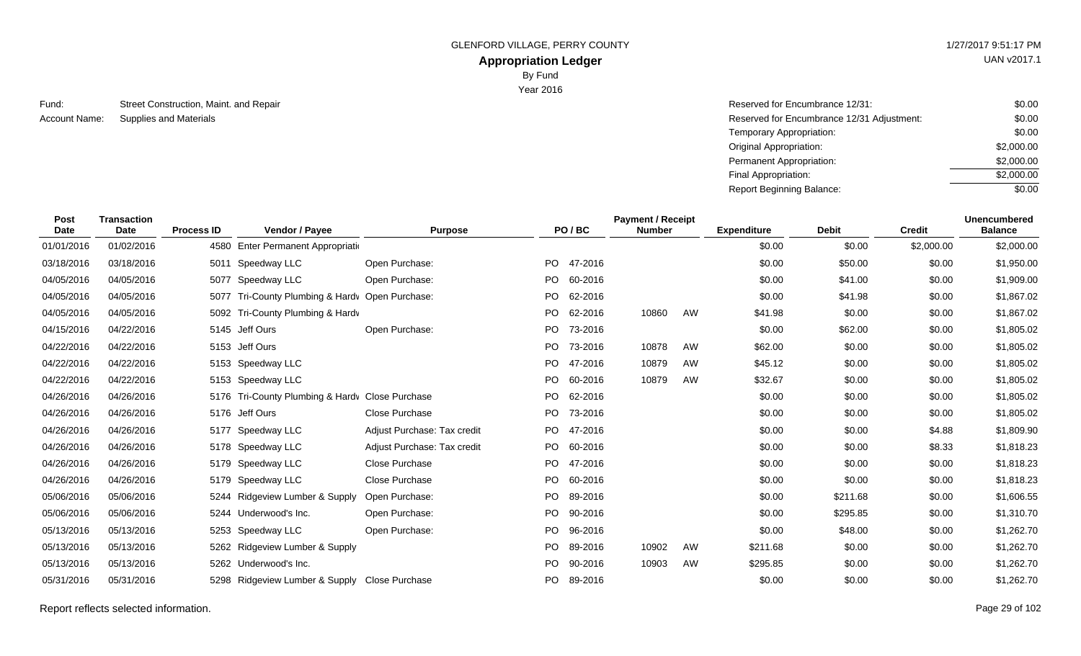# **Appropriation Ledger**

By Fund

Year 2016

Street Construction, Maint. and Repair Supplies and Materials Fund: Account Name:

| Reserved for Encumbrance 12/31:            | \$0.00     |
|--------------------------------------------|------------|
| Reserved for Encumbrance 12/31 Adjustment: | \$0.00     |
| Temporary Appropriation:                   | \$0.00     |
| Original Appropriation:                    | \$2,000.00 |
| Permanent Appropriation:                   | \$2,000.00 |
| Final Appropriation:                       | \$2,000.00 |
| Report Beginning Balance:                  | \$0.00     |

| Post<br><b>Date</b> | <b>Transaction</b><br>Date | <b>Process ID</b> | Vendor / Payee                                  | <b>Purpose</b>              |           | PO/BC      | <b>Payment / Receipt</b><br><b>Number</b> |    | <b>Expenditure</b> | <b>Debit</b> | <b>Credit</b> | <b>Unencumbered</b><br><b>Balance</b> |
|---------------------|----------------------------|-------------------|-------------------------------------------------|-----------------------------|-----------|------------|-------------------------------------------|----|--------------------|--------------|---------------|---------------------------------------|
| 01/01/2016          | 01/02/2016                 |                   | 4580 Enter Permanent Appropriation              |                             |           |            |                                           |    | \$0.00             | \$0.00       | \$2,000.00    | \$2,000.00                            |
| 03/18/2016          | 03/18/2016                 |                   | 5011 Speedway LLC                               | Open Purchase:              | PO.       | 47-2016    |                                           |    | \$0.00             | \$50.00      | \$0.00        | \$1,950.00                            |
| 04/05/2016          | 04/05/2016                 |                   | 5077 Speedway LLC                               | Open Purchase:              |           | PO 60-2016 |                                           |    | \$0.00             | \$41.00      | \$0.00        | \$1,909.00                            |
| 04/05/2016          | 04/05/2016                 | 5077              | Tri-County Plumbing & Hardy Open Purchase:      |                             | <b>PO</b> | 62-2016    |                                           |    | \$0.00             | \$41.98      | \$0.00        | \$1,867.02                            |
| 04/05/2016          | 04/05/2016                 | 5092              | Tri-County Plumbing & Hardv                     |                             | PO.       | 62-2016    | 10860                                     | AW | \$41.98            | \$0.00       | \$0.00        | \$1,867.02                            |
| 04/15/2016          | 04/22/2016                 |                   | 5145 Jeff Ours                                  | Open Purchase:              | PO.       | 73-2016    |                                           |    | \$0.00             | \$62.00      | \$0.00        | \$1,805.02                            |
| 04/22/2016          | 04/22/2016                 |                   | 5153 Jeff Ours                                  |                             | PO.       | 73-2016    | 10878                                     | AW | \$62.00            | \$0.00       | \$0.00        | \$1,805.02                            |
| 04/22/2016          | 04/22/2016                 |                   | 5153 Speedway LLC                               |                             | PO.       | 47-2016    | 10879                                     | AW | \$45.12            | \$0.00       | \$0.00        | \$1,805.02                            |
| 04/22/2016          | 04/22/2016                 |                   | 5153 Speedway LLC                               |                             | PO.       | 60-2016    | 10879                                     | AW | \$32.67            | \$0.00       | \$0.00        | \$1,805.02                            |
| 04/26/2016          | 04/26/2016                 |                   | 5176 Tri-County Plumbing & Hardy Close Purchase |                             | <b>PO</b> | 62-2016    |                                           |    | \$0.00             | \$0.00       | \$0.00        | \$1,805.02                            |
| 04/26/2016          | 04/26/2016                 |                   | 5176 Jeff Ours                                  | Close Purchase              |           | PO 73-2016 |                                           |    | \$0.00             | \$0.00       | \$0.00        | \$1,805.02                            |
| 04/26/2016          | 04/26/2016                 | 5177              | Speedway LLC                                    | Adjust Purchase: Tax credit | PO.       | 47-2016    |                                           |    | \$0.00             | \$0.00       | \$4.88        | \$1,809.90                            |
| 04/26/2016          | 04/26/2016                 |                   | 5178 Speedway LLC                               | Adjust Purchase: Tax credit | PO.       | 60-2016    |                                           |    | \$0.00             | \$0.00       | \$8.33        | \$1,818.23                            |
| 04/26/2016          | 04/26/2016                 |                   | 5179 Speedway LLC                               | Close Purchase              | PO.       | 47-2016    |                                           |    | \$0.00             | \$0.00       | \$0.00        | \$1,818.23                            |
| 04/26/2016          | 04/26/2016                 |                   | 5179 Speedway LLC                               | Close Purchase              | PO.       | 60-2016    |                                           |    | \$0.00             | \$0.00       | \$0.00        | \$1,818.23                            |
| 05/06/2016          | 05/06/2016                 |                   | 5244 Ridgeview Lumber & Supply                  | Open Purchase:              | PO.       | 89-2016    |                                           |    | \$0.00             | \$211.68     | \$0.00        | \$1,606.55                            |
| 05/06/2016          | 05/06/2016                 |                   | 5244 Underwood's Inc.                           | Open Purchase:              | PO.       | 90-2016    |                                           |    | \$0.00             | \$295.85     | \$0.00        | \$1,310.70                            |
| 05/13/2016          | 05/13/2016                 | 5253              | Speedway LLC                                    | Open Purchase:              | PO.       | 96-2016    |                                           |    | \$0.00             | \$48.00      | \$0.00        | \$1,262.70                            |
| 05/13/2016          | 05/13/2016                 |                   | 5262 Ridgeview Lumber & Supply                  |                             | PO.       | 89-2016    | 10902                                     | AW | \$211.68           | \$0.00       | \$0.00        | \$1,262.70                            |
| 05/13/2016          | 05/13/2016                 |                   | 5262 Underwood's Inc.                           |                             | PO.       | 90-2016    | 10903                                     | AW | \$295.85           | \$0.00       | \$0.00        | \$1,262.70                            |
| 05/31/2016          | 05/31/2016                 | 5298              | Ridgeview Lumber & Supply Close Purchase        |                             | PO.       | 89-2016    |                                           |    | \$0.00             | \$0.00       | \$0.00        | \$1,262.70                            |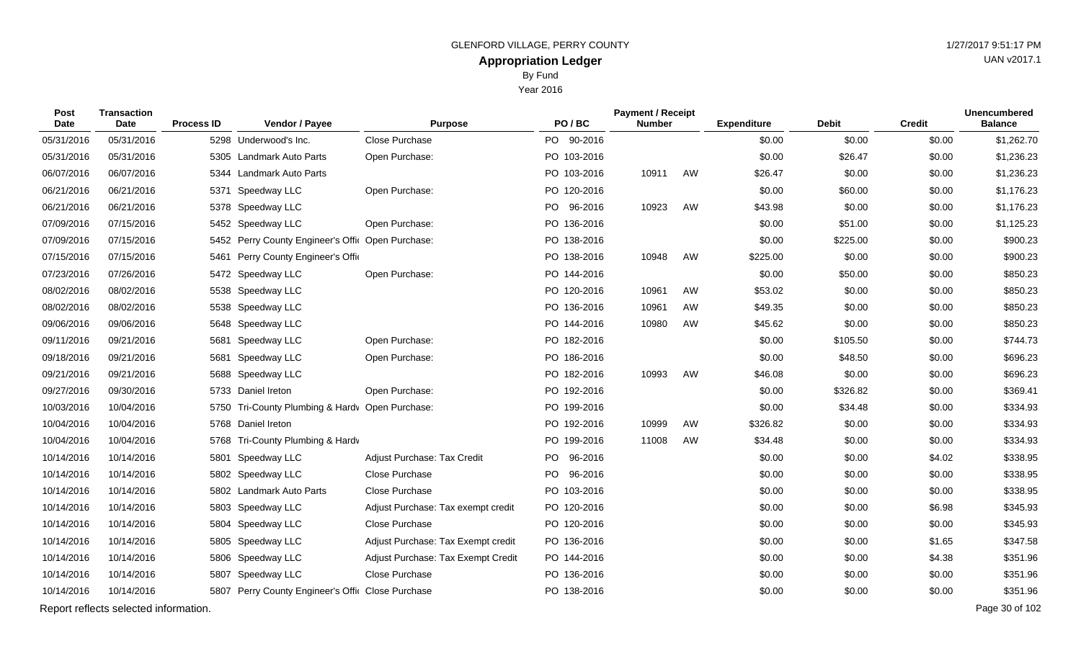Year 2016

| <b>Post</b><br><b>Date</b> | <b>Transaction</b><br><b>Date</b> | <b>Process ID</b> | Vendor / Payee                                    | <b>Purpose</b>                     | PO/BC                | <b>Payment / Receipt</b><br><b>Number</b> |    | <b>Expenditure</b> | <b>Debit</b> | <b>Credit</b> | <b>Unencumbered</b><br><b>Balance</b> |
|----------------------------|-----------------------------------|-------------------|---------------------------------------------------|------------------------------------|----------------------|-------------------------------------------|----|--------------------|--------------|---------------|---------------------------------------|
| 05/31/2016                 | 05/31/2016                        |                   | 5298 Underwood's Inc.                             | Close Purchase                     | 90-2016<br>PO        |                                           |    | \$0.00             | \$0.00       | \$0.00        | \$1,262.70                            |
| 05/31/2016                 | 05/31/2016                        |                   | 5305 Landmark Auto Parts                          | Open Purchase:                     | PO 103-2016          |                                           |    | \$0.00             | \$26.47      | \$0.00        | \$1,236.23                            |
| 06/07/2016                 | 06/07/2016                        | 5344              | Landmark Auto Parts                               |                                    | PO 103-2016          | 10911                                     | AW | \$26.47            | \$0.00       | \$0.00        | \$1,236.23                            |
| 06/21/2016                 | 06/21/2016                        | 5371              | Speedway LLC                                      | Open Purchase:                     | PO 120-2016          |                                           |    | \$0.00             | \$60.00      | \$0.00        | \$1,176.23                            |
| 06/21/2016                 | 06/21/2016                        |                   | 5378 Speedway LLC                                 |                                    | PO  <br>96-2016      | 10923                                     | AW | \$43.98            | \$0.00       | \$0.00        | \$1,176.23                            |
| 07/09/2016                 | 07/15/2016                        |                   | 5452 Speedway LLC                                 | Open Purchase:                     | PO 136-2016          |                                           |    | \$0.00             | \$51.00      | \$0.00        | \$1,125.23                            |
| 07/09/2016                 | 07/15/2016                        |                   | 5452 Perry County Engineer's Offic Open Purchase: |                                    | PO 138-2016          |                                           |    | \$0.00             | \$225.00     | \$0.00        | \$900.23                              |
| 07/15/2016                 | 07/15/2016                        |                   | 5461 Perry County Engineer's Offic                |                                    | PO 138-2016          | 10948                                     | AW | \$225.00           | \$0.00       | \$0.00        | \$900.23                              |
| 07/23/2016                 | 07/26/2016                        |                   | 5472 Speedway LLC                                 | Open Purchase:                     | PO 144-2016          |                                           |    | \$0.00             | \$50.00      | \$0.00        | \$850.23                              |
| 08/02/2016                 | 08/02/2016                        | 5538              | Speedway LLC                                      |                                    | PO 120-2016          | 10961                                     | AW | \$53.02            | \$0.00       | \$0.00        | \$850.23                              |
| 08/02/2016                 | 08/02/2016                        | 5538              | Speedway LLC                                      |                                    | PO 136-2016          | 10961                                     | AW | \$49.35            | \$0.00       | \$0.00        | \$850.23                              |
| 09/06/2016                 | 09/06/2016                        |                   | 5648 Speedway LLC                                 |                                    | PO 144-2016          | 10980                                     | AW | \$45.62            | \$0.00       | \$0.00        | \$850.23                              |
| 09/11/2016                 | 09/21/2016                        | 5681              | Speedway LLC                                      | Open Purchase:                     | PO 182-2016          |                                           |    | \$0.00             | \$105.50     | \$0.00        | \$744.73                              |
| 09/18/2016                 | 09/21/2016                        | 5681              | Speedway LLC                                      | Open Purchase:                     | PO 186-2016          |                                           |    | \$0.00             | \$48.50      | \$0.00        | \$696.23                              |
| 09/21/2016                 | 09/21/2016                        |                   | 5688 Speedway LLC                                 |                                    | PO 182-2016          | 10993                                     | AW | \$46.08            | \$0.00       | \$0.00        | \$696.23                              |
| 09/27/2016                 | 09/30/2016                        |                   | 5733 Daniel Ireton                                | Open Purchase:                     | PO 192-2016          |                                           |    | \$0.00             | \$326.82     | \$0.00        | \$369.41                              |
| 10/03/2016                 | 10/04/2016                        | 5750              | Tri-County Plumbing & Hardy Open Purchase:        |                                    | PO 199-2016          |                                           |    | \$0.00             | \$34.48      | \$0.00        | \$334.93                              |
| 10/04/2016                 | 10/04/2016                        |                   | 5768 Daniel Ireton                                |                                    | PO 192-2016          | 10999                                     | AW | \$326.82           | \$0.00       | \$0.00        | \$334.93                              |
| 10/04/2016                 | 10/04/2016                        |                   | 5768 Tri-County Plumbing & Hardv                  |                                    | PO 199-2016          | 11008                                     | AW | \$34.48            | \$0.00       | \$0.00        | \$334.93                              |
| 10/14/2016                 | 10/14/2016                        | 5801              | Speedway LLC                                      | Adjust Purchase: Tax Credit        | <b>PO</b><br>96-2016 |                                           |    | \$0.00             | \$0.00       | \$4.02        | \$338.95                              |
| 10/14/2016                 | 10/14/2016                        |                   | 5802 Speedway LLC                                 | <b>Close Purchase</b>              | PO.<br>96-2016       |                                           |    | \$0.00             | \$0.00       | \$0.00        | \$338.95                              |
| 10/14/2016                 | 10/14/2016                        |                   | 5802 Landmark Auto Parts                          | Close Purchase                     | PO 103-2016          |                                           |    | \$0.00             | \$0.00       | \$0.00        | \$338.95                              |
| 10/14/2016                 | 10/14/2016                        |                   | 5803 Speedway LLC                                 | Adjust Purchase: Tax exempt credit | PO 120-2016          |                                           |    | \$0.00             | \$0.00       | \$6.98        | \$345.93                              |
| 10/14/2016                 | 10/14/2016                        |                   | 5804 Speedway LLC                                 | Close Purchase                     | PO 120-2016          |                                           |    | \$0.00             | \$0.00       | \$0.00        | \$345.93                              |
| 10/14/2016                 | 10/14/2016                        |                   | 5805 Speedway LLC                                 | Adjust Purchase: Tax Exempt credit | PO 136-2016          |                                           |    | \$0.00             | \$0.00       | \$1.65        | \$347.58                              |
| 10/14/2016                 | 10/14/2016                        |                   | 5806 Speedway LLC                                 | Adjust Purchase: Tax Exempt Credit | PO 144-2016          |                                           |    | \$0.00             | \$0.00       | \$4.38        | \$351.96                              |
| 10/14/2016                 | 10/14/2016                        | 5807              | Speedway LLC                                      | Close Purchase                     | PO 136-2016          |                                           |    | \$0.00             | \$0.00       | \$0.00        | \$351.96                              |
| 10/14/2016                 | 10/14/2016                        |                   | 5807 Perry County Engineer's Offic Close Purchase |                                    | PO 138-2016          |                                           |    | \$0.00             | \$0.00       | \$0.00        | \$351.96                              |

Report reflects selected information. Page 30 of 102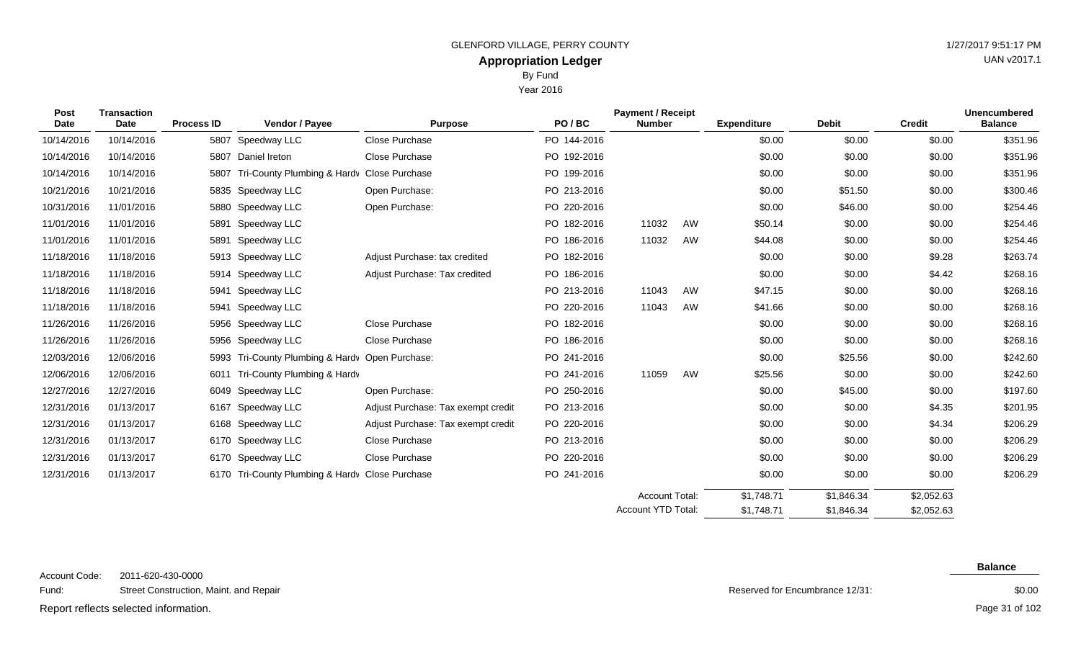Year 2016

| Post        | <b>Transaction</b> |                   |                                            |                                    |             | <b>Payment / Receipt</b> |    |                    |              |               | <b>Unencumbered</b> |
|-------------|--------------------|-------------------|--------------------------------------------|------------------------------------|-------------|--------------------------|----|--------------------|--------------|---------------|---------------------|
| <b>Date</b> | <b>Date</b>        | <b>Process ID</b> | Vendor / Payee                             | <b>Purpose</b>                     | PO/BC       | <b>Number</b>            |    | <b>Expenditure</b> | <b>Debit</b> | <b>Credit</b> | <b>Balance</b>      |
| 10/14/2016  | 10/14/2016         | 5807              | Speedway LLC                               | Close Purchase                     | PO 144-2016 |                          |    | \$0.00             | \$0.00       | \$0.00        | \$351.96            |
| 10/14/2016  | 10/14/2016         |                   | 5807 Daniel Ireton                         | Close Purchase                     | PO 192-2016 |                          |    | \$0.00             | \$0.00       | \$0.00        | \$351.96            |
| 10/14/2016  | 10/14/2016         | 5807              | Tri-County Plumbing & Hardv Close Purchase |                                    | PO 199-2016 |                          |    | \$0.00             | \$0.00       | \$0.00        | \$351.96            |
| 10/21/2016  | 10/21/2016         | 5835              | Speedway LLC                               | Open Purchase:                     | PO 213-2016 |                          |    | \$0.00             | \$51.50      | \$0.00        | \$300.46            |
| 10/31/2016  | 11/01/2016         | 5880              | Speedway LLC                               | Open Purchase:                     | PO 220-2016 |                          |    | \$0.00             | \$46.00      | \$0.00        | \$254.46            |
| 11/01/2016  | 11/01/2016         | 5891              | Speedway LLC                               |                                    | PO 182-2016 | 11032                    | AW | \$50.14            | \$0.00       | \$0.00        | \$254.46            |
| 11/01/2016  | 11/01/2016         | 5891              | Speedway LLC                               |                                    | PO 186-2016 | 11032                    | AW | \$44.08            | \$0.00       | \$0.00        | \$254.46            |
| 11/18/2016  | 11/18/2016         | 5913              | Speedway LLC                               | Adjust Purchase: tax credited      | PO 182-2016 |                          |    | \$0.00             | \$0.00       | \$9.28        | \$263.74            |
| 11/18/2016  | 11/18/2016         | 5914              | Speedway LLC                               | Adjust Purchase: Tax credited      | PO 186-2016 |                          |    | \$0.00             | \$0.00       | \$4.42        | \$268.16            |
| 11/18/2016  | 11/18/2016         | 5941              | Speedway LLC                               |                                    | PO 213-2016 | 11043                    | AW | \$47.15            | \$0.00       | \$0.00        | \$268.16            |
| 11/18/2016  | 11/18/2016         | 5941              | Speedway LLC                               |                                    | PO 220-2016 | 11043                    | AW | \$41.66            | \$0.00       | \$0.00        | \$268.16            |
| 11/26/2016  | 11/26/2016         | 5956              | Speedway LLC                               | Close Purchase                     | PO 182-2016 |                          |    | \$0.00             | \$0.00       | \$0.00        | \$268.16            |
| 11/26/2016  | 11/26/2016         |                   | 5956 Speedway LLC                          | Close Purchase                     | PO 186-2016 |                          |    | \$0.00             | \$0.00       | \$0.00        | \$268.16            |
| 12/03/2016  | 12/06/2016         | 5993              | Tri-County Plumbing & Hardy Open Purchase: |                                    | PO 241-2016 |                          |    | \$0.00             | \$25.56      | \$0.00        | \$242.60            |
| 12/06/2016  | 12/06/2016         | 6011              | Tri-County Plumbing & Hardv                |                                    | PO 241-2016 | 11059                    | AW | \$25.56            | \$0.00       | \$0.00        | \$242.60            |
| 12/27/2016  | 12/27/2016         | 6049              | Speedway LLC                               | Open Purchase:                     | PO 250-2016 |                          |    | \$0.00             | \$45.00      | \$0.00        | \$197.60            |
| 12/31/2016  | 01/13/2017         | 6167              | Speedway LLC                               | Adjust Purchase: Tax exempt credit | PO 213-2016 |                          |    | \$0.00             | \$0.00       | \$4.35        | \$201.95            |
| 12/31/2016  | 01/13/2017         | 6168              | Speedway LLC                               | Adjust Purchase: Tax exempt credit | PO 220-2016 |                          |    | \$0.00             | \$0.00       | \$4.34        | \$206.29            |
| 12/31/2016  | 01/13/2017         |                   | 6170 Speedway LLC                          | Close Purchase                     | PO 213-2016 |                          |    | \$0.00             | \$0.00       | \$0.00        | \$206.29            |
| 12/31/2016  | 01/13/2017         |                   | 6170 Speedway LLC                          | Close Purchase                     | PO 220-2016 |                          |    | \$0.00             | \$0.00       | \$0.00        | \$206.29            |
| 12/31/2016  | 01/13/2017         | 6170              | Tri-County Plumbing & Hardy Close Purchase |                                    | PO 241-2016 |                          |    | \$0.00             | \$0.00       | \$0.00        | \$206.29            |
|             |                    |                   |                                            |                                    |             | Account Total:           |    | \$1,748.71         | \$1,846.34   | \$2,052.63    |                     |
|             |                    |                   |                                            |                                    |             |                          |    |                    |              |               |                     |

 $R_{\text{e}}$ 

Reserved for Encumbrance 12/31:

\$1,748.71

Account YTD Total:

\$1,846.34

#### **Balance**

\$2,052.63

Report reflects selected information. The page 31 of 102 Page 31 of 102

\$0.00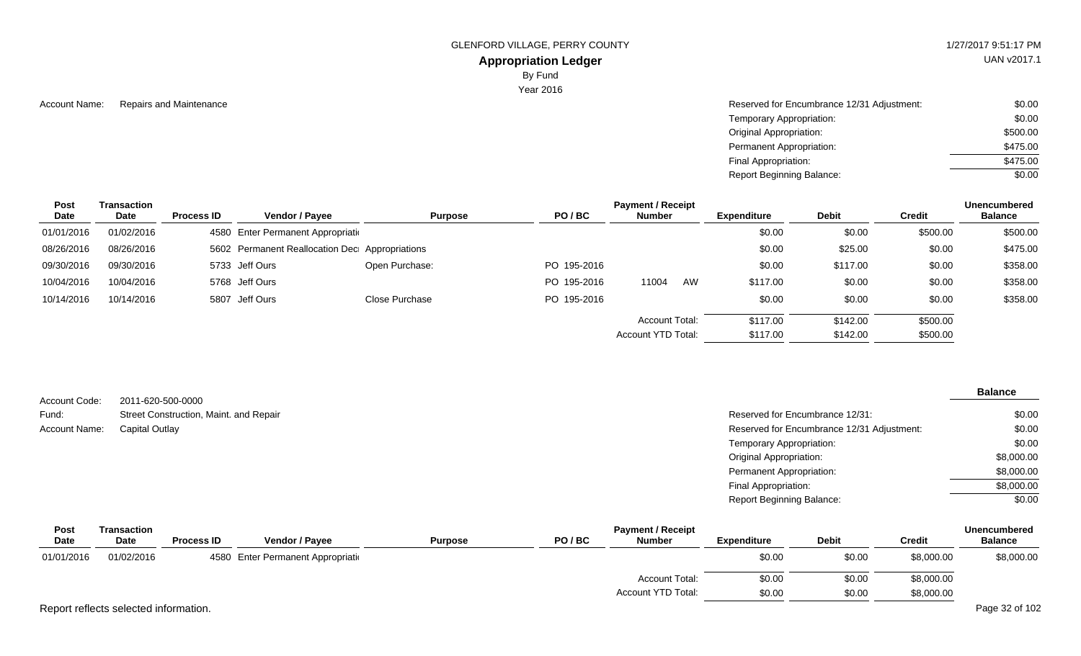UAN v2017.1

### **Appropriation Ledger** By Fund

Year 2016

| \$0.00   |
|----------|
| \$500.00 |
| \$475.00 |
| \$475.00 |
| \$0.00   |
|          |

| <b>Post</b> | Transaction |                   |                                                |                |             | <b>Payment / Receipt</b> |    |                    |              |               | <b>Unencumbered</b> |
|-------------|-------------|-------------------|------------------------------------------------|----------------|-------------|--------------------------|----|--------------------|--------------|---------------|---------------------|
| Date        | <b>Date</b> | <b>Process ID</b> | <b>Vendor / Payee</b>                          | <b>Purpose</b> | PO/BC       | <b>Number</b>            |    | <b>Expenditure</b> | <b>Debit</b> | <b>Credit</b> | <b>Balance</b>      |
| 01/01/2016  | 01/02/2016  |                   | 4580 Enter Permanent Appropriation             |                |             |                          |    | \$0.00             | \$0.00       | \$500.00      | \$500.00            |
| 08/26/2016  | 08/26/2016  |                   | 5602 Permanent Reallocation Dec Appropriations |                |             |                          |    | \$0.00             | \$25.00      | \$0.00        | \$475.00            |
| 09/30/2016  | 09/30/2016  |                   | 5733 Jeff Ours                                 | Open Purchase: | PO 195-2016 |                          |    | \$0.00             | \$117.00     | \$0.00        | \$358.00            |
| 10/04/2016  | 10/04/2016  |                   | 5768 Jeff Ours                                 |                | PO 195-2016 | 11004                    | AW | \$117.00           | \$0.00       | \$0.00        | \$358.00            |
| 10/14/2016  | 10/14/2016  |                   | 5807 Jeff Ours                                 | Close Purchase | PO 195-2016 |                          |    | \$0.00             | \$0.00       | \$0.00        | \$358.00            |
|             |             |                   |                                                |                |             | Account Total:           |    | \$117.00           | \$142.00     | \$500.00      |                     |
|             |             |                   |                                                |                |             | Account YTD Total:       |    | \$117.00           | \$142.00     | \$500.00      |                     |

|               |                                        |                                            | <b>Balance</b> |
|---------------|----------------------------------------|--------------------------------------------|----------------|
| Account Code: | 2011-620-500-0000                      |                                            |                |
| Fund:         | Street Construction, Maint. and Repair | Reserved for Encumbrance 12/31:            | \$0.00         |
| Account Name: | <b>Capital Outlay</b>                  | Reserved for Encumbrance 12/31 Adjustment: | \$0.00         |
|               |                                        | Temporary Appropriation:                   | \$0.00         |
|               |                                        | <b>Original Appropriation:</b>             | \$8,000.00     |
|               |                                        | Permanent Appropriation:                   | \$8,000.00     |
|               |                                        | Final Appropriation:                       | \$8,000.00     |
|               |                                        | <b>Report Beginning Balance:</b>           | \$0.00         |
|               |                                        |                                            |                |

| <b>Post</b> | Transaction                           |                   |                                    |                | <b>Payment / Receipt</b> |                       |             |              |               |                |  |  |  |
|-------------|---------------------------------------|-------------------|------------------------------------|----------------|--------------------------|-----------------------|-------------|--------------|---------------|----------------|--|--|--|
| <b>Date</b> | Date                                  | <b>Process ID</b> | <b>Vendor / Payee</b>              | <b>Purpose</b> | PO/BC                    | <b>Number</b>         | Expenditure | <b>Debit</b> | <b>Credit</b> | <b>Balance</b> |  |  |  |
| 01/01/2016  | 01/02/2016                            |                   | 4580 Enter Permanent Appropriation |                |                          |                       | \$0.00      | \$0.00       | \$8,000.00    | \$8,000.00     |  |  |  |
|             |                                       |                   |                                    |                |                          | <b>Account Total:</b> | \$0.00      | \$0.00       | \$8,000.00    |                |  |  |  |
|             |                                       |                   |                                    |                |                          | Account YTD Total:    | \$0.00      | \$0.00       | \$8,000.00    |                |  |  |  |
|             | Report reflects selected information. |                   |                                    |                |                          |                       |             |              |               | Page 32 of 102 |  |  |  |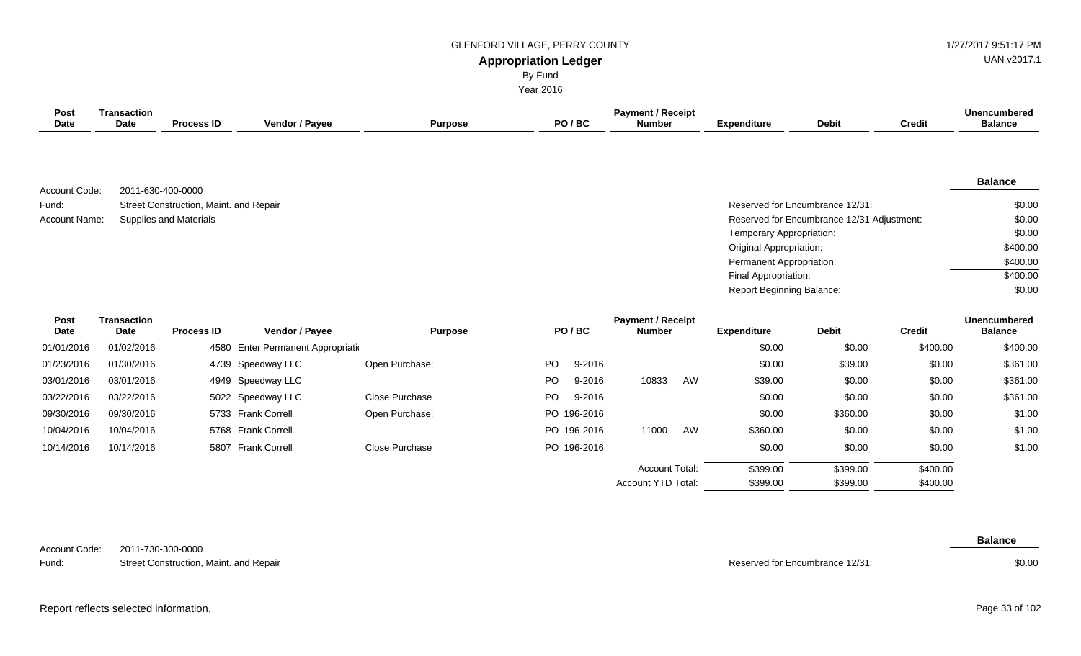UAN v2017.1

| <b>Appropriation Ledger</b> |  |
|-----------------------------|--|
|-----------------------------|--|

By Fund

Year 2016

| <b>Post</b><br><b>Date</b> | <b>Transaction</b><br>Date | <b>Process ID</b>                      | Vendor / Payee                    | <b>Purpose</b> |           | PO/BC       | <b>Payment / Receipt</b><br><b>Number</b> |    | <b>Expenditure</b>               | <b>Debit</b>                               | <b>Credit</b> | <b>Unencumbered</b><br><b>Balance</b> |
|----------------------------|----------------------------|----------------------------------------|-----------------------------------|----------------|-----------|-------------|-------------------------------------------|----|----------------------------------|--------------------------------------------|---------------|---------------------------------------|
| Account Code:              | 2011-630-400-0000          |                                        |                                   |                |           |             |                                           |    |                                  |                                            |               | <b>Balance</b>                        |
| Fund:                      |                            | Street Construction, Maint. and Repair |                                   |                |           |             |                                           |    |                                  | Reserved for Encumbrance 12/31:            |               | \$0.00                                |
| Account Name:              |                            | <b>Supplies and Materials</b>          |                                   |                |           |             |                                           |    |                                  | Reserved for Encumbrance 12/31 Adjustment: |               | \$0.00                                |
|                            |                            |                                        |                                   |                |           |             |                                           |    | Temporary Appropriation:         |                                            |               | \$0.00                                |
|                            |                            |                                        |                                   |                |           |             |                                           |    | Original Appropriation:          |                                            |               | \$400.00                              |
|                            |                            |                                        |                                   |                |           |             |                                           |    | Permanent Appropriation:         |                                            |               | \$400.00                              |
|                            |                            |                                        |                                   |                |           |             |                                           |    | Final Appropriation:             |                                            |               | \$400.00                              |
|                            |                            |                                        |                                   |                |           |             |                                           |    | <b>Report Beginning Balance:</b> |                                            |               | \$0.00                                |
| Post<br><b>Date</b>        | <b>Transaction</b><br>Date | <b>Process ID</b>                      | Vendor / Payee                    | <b>Purpose</b> |           | PO/BC       | <b>Payment / Receipt</b><br><b>Number</b> |    | <b>Expenditure</b>               | <b>Debit</b>                               | <b>Credit</b> | <b>Unencumbered</b><br><b>Balance</b> |
| 01/01/2016                 | 01/02/2016                 |                                        | 4580 Enter Permanent Appropriatio |                |           |             |                                           |    | \$0.00                           | \$0.00                                     | \$400.00      | \$400.00                              |
| 01/23/2016                 | 01/30/2016                 |                                        | 4739 Speedway LLC                 | Open Purchase: | <b>PO</b> | 9-2016      |                                           |    | \$0.00                           | \$39.00                                    | \$0.00        | \$361.00                              |
| 03/01/2016                 | 03/01/2016                 |                                        | 4949 Speedway LLC                 |                | <b>PO</b> | 9-2016      | 10833                                     | AW | \$39.00                          | \$0.00                                     | \$0.00        | \$361.00                              |
| 03/22/2016                 | 03/22/2016                 |                                        | 5022 Speedway LLC                 | Close Purchase | PO        | 9-2016      |                                           |    | \$0.00                           | \$0.00                                     | \$0.00        | \$361.00                              |
| 09/30/2016                 | 09/30/2016                 |                                        | 5733 Frank Correll                | Open Purchase: |           | PO 196-2016 |                                           |    | \$0.00                           | \$360.00                                   | \$0.00        | \$1.00                                |
| 10/04/2016                 | 10/04/2016                 |                                        | 5768 Frank Correll                |                |           | PO 196-2016 | 11000                                     | AW | \$360.00                         | \$0.00                                     | \$0.00        | \$1.00                                |
| 10/14/2016                 | 10/14/2016                 |                                        | 5807 Frank Correll                | Close Purchase |           | PO 196-2016 |                                           |    | \$0.00                           | \$0.00                                     | \$0.00        | \$1.00                                |
|                            |                            |                                        |                                   |                |           |             | <b>Account Total:</b>                     |    | \$399.00                         | \$399.00                                   | \$400.00      |                                       |
|                            |                            |                                        |                                   |                |           |             | Account YTD Total:                        |    | \$399.00                         | \$399.00                                   | \$400.00      |                                       |

2011-730-300-0000 Account Code:

Street Construction, Maint. and Repair Fund:

Reserved for Encumbrance 12/31:

**Balance**

\$0.00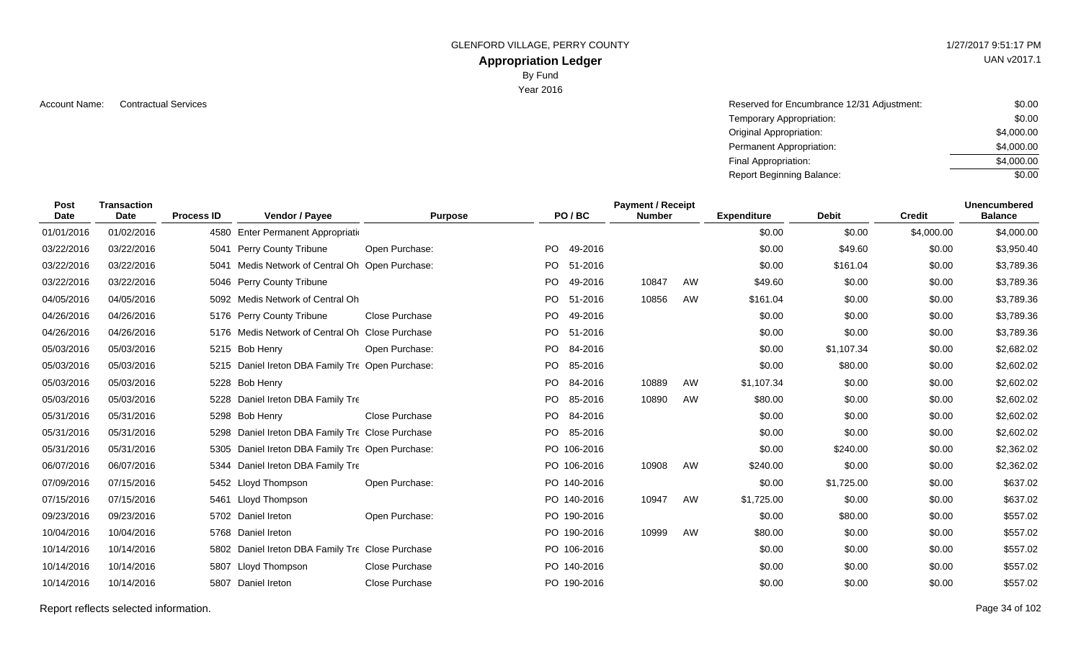# **Appropriation Ledger**

By Fund

Year 2016

Account Name: Contractual Services **Account Name:** Contractual Services **Account Name:** Contractual Services **Account Name:**  $\sim$  \$0.00 Temporary Appropriation: Original Appropriation: Permanent Appropriation: Final Appropriation: Report Beginning Balance: \$0.00 \$4,000.00 \$4,000.00 \$4,000.00 \$0.00

| Post<br><b>Date</b> | <b>Transaction</b><br><b>Date</b> | <b>Process ID</b> | Vendor / Payee                                   | <b>Purpose</b>        |           | PO/BC       | <b>Payment / Receipt</b><br><b>Number</b> |    | <b>Expenditure</b> | <b>Debit</b> | <b>Credit</b> | <b>Unencumbered</b><br><b>Balance</b> |  |
|---------------------|-----------------------------------|-------------------|--------------------------------------------------|-----------------------|-----------|-------------|-------------------------------------------|----|--------------------|--------------|---------------|---------------------------------------|--|
| 01/01/2016          | 01/02/2016                        |                   | 4580 Enter Permanent Appropriation               |                       |           |             |                                           |    | \$0.00             | \$0.00       | \$4,000.00    | \$4,000.00                            |  |
| 03/22/2016          | 03/22/2016                        |                   | 5041 Perry County Tribune                        | Open Purchase:        | PO.       | 49-2016     |                                           |    | \$0.00             | \$49.60      | \$0.00        | \$3,950.40                            |  |
| 03/22/2016          | 03/22/2016                        |                   | 5041 Medis Network of Central Oh Open Purchase:  |                       | PO.       | 51-2016     |                                           |    | \$0.00             | \$161.04     | \$0.00        | \$3,789.36                            |  |
| 03/22/2016          | 03/22/2016                        |                   | 5046 Perry County Tribune                        |                       | PO.       | 49-2016     | 10847                                     | AW | \$49.60            | \$0.00       | \$0.00        | \$3,789.36                            |  |
| 04/05/2016          | 04/05/2016                        |                   | 5092 Medis Network of Central Oh                 |                       | PO.       | 51-2016     | 10856                                     | AW | \$161.04           | \$0.00       | \$0.00        | \$3,789.36                            |  |
| 04/26/2016          | 04/26/2016                        |                   | 5176 Perry County Tribune                        | <b>Close Purchase</b> | <b>PO</b> | 49-2016     |                                           |    | \$0.00             | \$0.00       | \$0.00        | \$3,789.36                            |  |
| 04/26/2016          | 04/26/2016                        |                   | 5176 Medis Network of Central Oh Close Purchase  |                       | PO.       | 51-2016     |                                           |    | \$0.00             | \$0.00       | \$0.00        | \$3,789.36                            |  |
| 05/03/2016          | 05/03/2016                        |                   | 5215 Bob Henry                                   | Open Purchase:        |           | PO 84-2016  |                                           |    | \$0.00             | \$1,107.34   | \$0.00        | \$2,682.02                            |  |
| 05/03/2016          | 05/03/2016                        |                   | 5215 Daniel Ireton DBA Family Tre Open Purchase: |                       |           | PO 85-2016  |                                           |    | \$0.00             | \$80.00      | \$0.00        | \$2,602.02                            |  |
| 05/03/2016          | 05/03/2016                        |                   | 5228 Bob Henry                                   |                       |           | PO 84-2016  | 10889                                     | AW | \$1,107.34         | \$0.00       | \$0.00        | \$2,602.02                            |  |
| 05/03/2016          | 05/03/2016                        |                   | 5228 Daniel Ireton DBA Family Tre                |                       | PO.       | 85-2016     | 10890                                     | AW | \$80.00            | \$0.00       | \$0.00        | \$2,602.02                            |  |
| 05/31/2016          | 05/31/2016                        |                   | 5298 Bob Henry                                   | Close Purchase        | PO.       | 84-2016     |                                           |    | \$0.00             | \$0.00       | \$0.00        | \$2,602.02                            |  |
| 05/31/2016          | 05/31/2016                        |                   | 5298 Daniel Ireton DBA Family Tre Close Purchase |                       | PO.       | 85-2016     |                                           |    | \$0.00             | \$0.00       | \$0.00        | \$2,602.02                            |  |
| 05/31/2016          | 05/31/2016                        |                   | 5305 Daniel Ireton DBA Family Tre Open Purchase: |                       |           | PO 106-2016 |                                           |    | \$0.00             | \$240.00     | \$0.00        | \$2,362.02                            |  |
| 06/07/2016          | 06/07/2016                        |                   | 5344 Daniel Ireton DBA Family Tre                |                       |           | PO 106-2016 | 10908                                     | AW | \$240.00           | \$0.00       | \$0.00        | \$2,362.02                            |  |
| 07/09/2016          | 07/15/2016                        |                   | 5452 Lloyd Thompson                              | Open Purchase:        |           | PO 140-2016 |                                           |    | \$0.00             | \$1,725.00   | \$0.00        | \$637.02                              |  |
| 07/15/2016          | 07/15/2016                        |                   | 5461 Lloyd Thompson                              |                       |           | PO 140-2016 | 10947                                     | AW | \$1,725.00         | \$0.00       | \$0.00        | \$637.02                              |  |
| 09/23/2016          | 09/23/2016                        |                   | 5702 Daniel Ireton                               | Open Purchase:        |           | PO 190-2016 |                                           |    | \$0.00             | \$80.00      | \$0.00        | \$557.02                              |  |
| 10/04/2016          | 10/04/2016                        |                   | 5768 Daniel Ireton                               |                       |           | PO 190-2016 | 10999                                     | AW | \$80.00            | \$0.00       | \$0.00        | \$557.02                              |  |
| 10/14/2016          | 10/14/2016                        |                   | 5802 Daniel Ireton DBA Family Tre Close Purchase |                       |           | PO 106-2016 |                                           |    | \$0.00             | \$0.00       | \$0.00        | \$557.02                              |  |
| 10/14/2016          | 10/14/2016                        |                   | 5807 Lloyd Thompson                              | Close Purchase        |           | PO 140-2016 |                                           |    | \$0.00             | \$0.00       | \$0.00        | \$557.02                              |  |
| 10/14/2016          | 10/14/2016                        |                   | 5807 Daniel Ireton                               | Close Purchase        |           | PO 190-2016 |                                           |    | \$0.00             | \$0.00       | \$0.00        | \$557.02                              |  |

Report reflects selected information. Page 34 of 102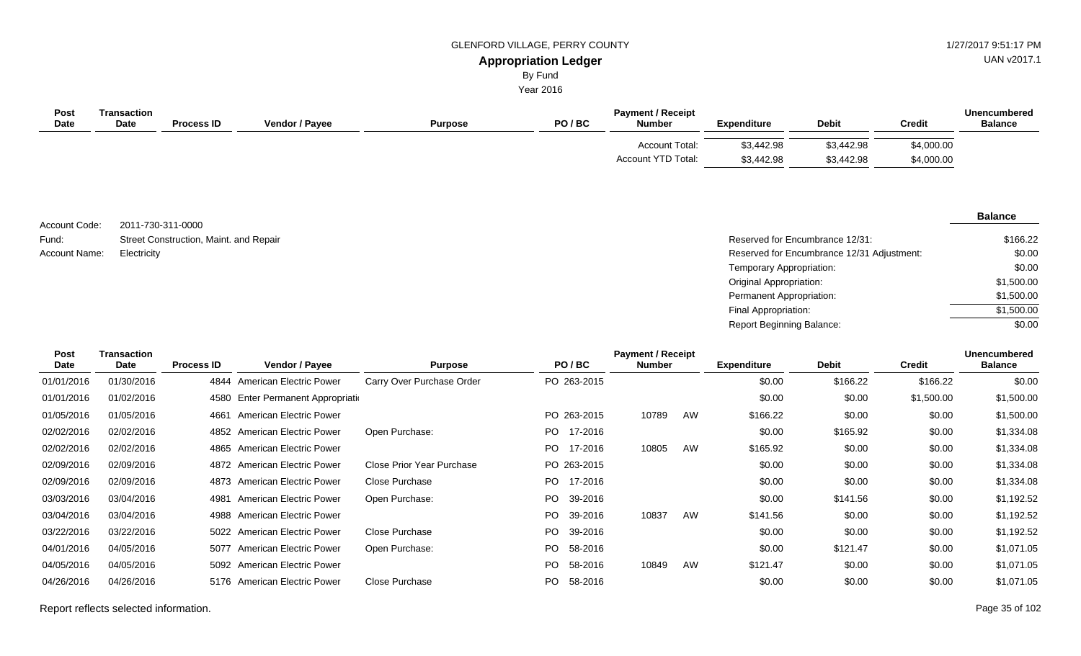UAN v2017.1

# By Fund

Year 2016

| Post<br>Date | Transaction<br><b>Date</b> | <b>Process ID</b> | Vendor / Payee | <b>Purpose</b> | PO/BC | <b>Payment / Receipt</b><br><b>Number</b>   | <b>Expenditure</b>       | <b>Debit</b>             | <b>Credit</b>            | <b>Unencumbered</b><br><b>Balance</b> |
|--------------|----------------------------|-------------------|----------------|----------------|-------|---------------------------------------------|--------------------------|--------------------------|--------------------------|---------------------------------------|
|              |                            |                   |                |                |       | Account Total:<br><b>Account YTD Total:</b> | \$3,442.98<br>\$3,442.98 | \$3,442.98<br>\$3,442.98 | \$4,000.00<br>\$4,000.00 |                                       |

2011-730-311-0000 Street Construction, Maint. and Repair Account Code: Fund: Account Name:

#### **Balance**

| Street Construction, Maint. and Repair | Reserved for Encumbrance 12/31:            | \$166.22   |
|----------------------------------------|--------------------------------------------|------------|
| Electricity                            | Reserved for Encumbrance 12/31 Adjustment: | \$0.00     |
|                                        | Temporary Appropriation:                   | \$0.00     |
|                                        | Original Appropriation:                    | \$1,500.00 |
|                                        | Permanent Appropriation:                   | \$1,500.00 |
|                                        | Final Appropriation:                       | \$1,500.00 |
|                                        | <b>Report Beginning Balance:</b>           | \$0.00     |

| <b>Transaction</b><br><b>Post</b><br><b>Date</b><br>Date |            | <b>Process ID</b> | Vendor / Payee                 | <b>Purpose</b>            | PO/BC          | <b>Payment / Receipt</b><br>Number |    | <b>Expenditure</b> | <b>Debit</b> | <b>Credit</b> | <b>Unencumbered</b><br><b>Balance</b> |
|----------------------------------------------------------|------------|-------------------|--------------------------------|---------------------------|----------------|------------------------------------|----|--------------------|--------------|---------------|---------------------------------------|
| 01/01/2016                                               | 01/30/2016 |                   | 4844 American Electric Power   | Carry Over Purchase Order | PO 263-2015    |                                    |    | \$0.00             | \$166.22     | \$166.22      | \$0.00                                |
| 01/01/2016                                               | 01/02/2016 | 4580              | Enter Permanent Appropriation  |                           |                |                                    |    | \$0.00             | \$0.00       | \$1,500.00    | \$1,500.00                            |
| 01/05/2016                                               | 01/05/2016 | 4661              | <b>American Electric Power</b> |                           | PO 263-2015    | 10789                              | AW | \$166.22           | \$0.00       | \$0.00        | \$1,500.00                            |
| 02/02/2016                                               | 02/02/2016 |                   | 4852 American Electric Power   | Open Purchase:            | PO 17-2016     |                                    |    | \$0.00             | \$165.92     | \$0.00        | \$1,334.08                            |
| 02/02/2016                                               | 02/02/2016 | 4865              | American Electric Power        |                           | 17-2016<br>PO. | 10805                              | AW | \$165.92           | \$0.00       | \$0.00        | \$1,334.08                            |
| 02/09/2016                                               | 02/09/2016 |                   | 4872 American Electric Power   | Close Prior Year Purchase | PO 263-2015    |                                    |    | \$0.00             | \$0.00       | \$0.00        | \$1,334.08                            |
| 02/09/2016                                               | 02/09/2016 |                   | 4873 American Electric Power   | Close Purchase            | PO 17-2016     |                                    |    | \$0.00             | \$0.00       | \$0.00        | \$1,334.08                            |
| 03/03/2016                                               | 03/04/2016 | 4981              | American Electric Power        | Open Purchase:            | 39-2016<br>PO. |                                    |    | \$0.00             | \$141.56     | \$0.00        | \$1,192.52                            |
| 03/04/2016                                               | 03/04/2016 | 4988              | American Electric Power        |                           | PO 39-2016     | 10837                              | AW | \$141.56           | \$0.00       | \$0.00        | \$1,192.52                            |
| 03/22/2016                                               | 03/22/2016 |                   | 5022 American Electric Power   | <b>Close Purchase</b>     | PO 39-2016     |                                    |    | \$0.00             | \$0.00       | \$0.00        | \$1,192.52                            |
| 04/01/2016                                               | 04/05/2016 | 5077              | <b>American Electric Power</b> | Open Purchase:            | PO 58-2016     |                                    |    | \$0.00             | \$121.47     | \$0.00        | \$1,071.05                            |
| 04/05/2016                                               | 04/05/2016 |                   | 5092 American Electric Power   |                           | PO 58-2016     | 10849                              | AW | \$121.47           | \$0.00       | \$0.00        | \$1,071.05                            |
| 04/26/2016                                               | 04/26/2016 | 5176              | <b>American Electric Power</b> | Close Purchase            | PO 58-2016     |                                    |    | \$0.00             | \$0.00       | \$0.00        | \$1,071.05                            |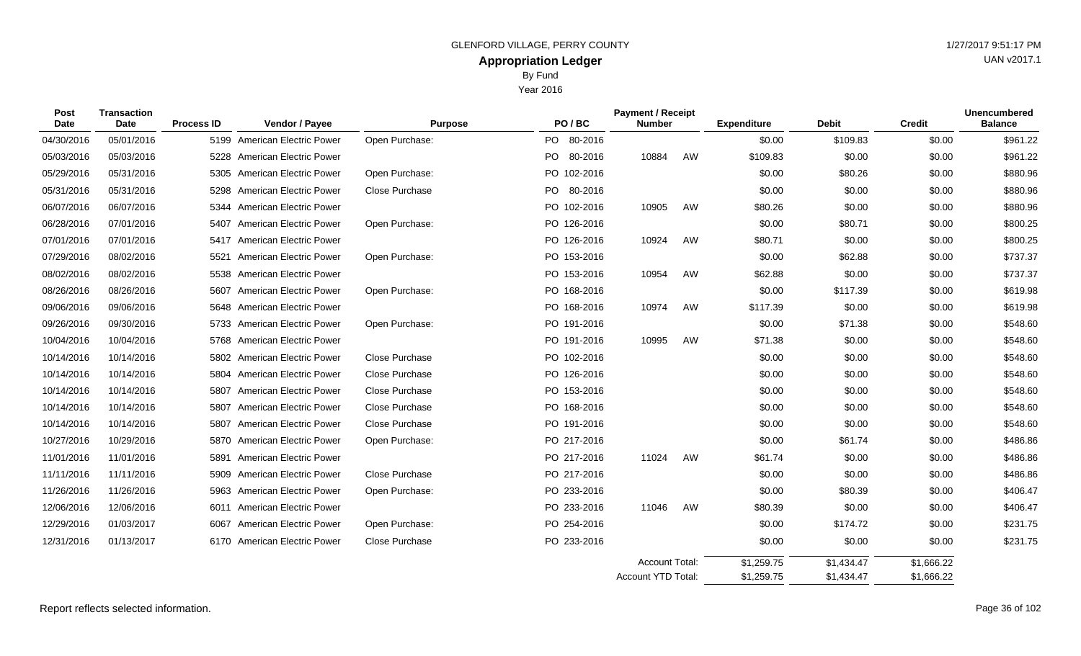Year 2016

| <b>Transaction</b><br>Post<br>Date<br>Date |            | <b>Process ID</b> | Vendor / Payee                 | <b>Purpose</b> | PO/BC       | <b>Payment / Receipt</b><br><b>Number</b>   |    | <b>Expenditure</b>       | <b>Debit</b>             | <b>Credit</b>            | <b>Unencumbered</b><br><b>Balance</b> |
|--------------------------------------------|------------|-------------------|--------------------------------|----------------|-------------|---------------------------------------------|----|--------------------------|--------------------------|--------------------------|---------------------------------------|
| 04/30/2016                                 | 05/01/2016 |                   | 5199 American Electric Power   | Open Purchase: | PO 80-2016  |                                             |    | \$0.00                   | \$109.83                 | \$0.00                   | \$961.22                              |
| 05/03/2016                                 | 05/03/2016 |                   | 5228 American Electric Power   |                | PO 80-2016  | 10884                                       | AW | \$109.83                 | \$0.00                   | \$0.00                   | \$961.22                              |
| 05/29/2016                                 | 05/31/2016 |                   | 5305 American Electric Power   | Open Purchase: | PO 102-2016 |                                             |    | \$0.00                   | \$80.26                  | \$0.00                   | \$880.96                              |
| 05/31/2016                                 | 05/31/2016 |                   | 5298 American Electric Power   | Close Purchase | PO 80-2016  |                                             |    | \$0.00                   | \$0.00                   | \$0.00                   | \$880.96                              |
| 06/07/2016                                 | 06/07/2016 |                   | 5344 American Electric Power   |                | PO 102-2016 | 10905                                       | AW | \$80.26                  | \$0.00                   | \$0.00                   | \$880.96                              |
| 06/28/2016                                 | 07/01/2016 |                   | 5407 American Electric Power   | Open Purchase: | PO 126-2016 |                                             |    | \$0.00                   | \$80.71                  | \$0.00                   | \$800.25                              |
| 07/01/2016                                 | 07/01/2016 |                   | 5417 American Electric Power   |                | PO 126-2016 | 10924                                       | AW | \$80.71                  | \$0.00                   | \$0.00                   | \$800.25                              |
| 07/29/2016                                 | 08/02/2016 | 5521              | <b>American Electric Power</b> | Open Purchase: | PO 153-2016 |                                             |    | \$0.00                   | \$62.88                  | \$0.00                   | \$737.37                              |
| 08/02/2016                                 | 08/02/2016 |                   | 5538 American Electric Power   |                | PO 153-2016 | 10954                                       | AW | \$62.88                  | \$0.00                   | \$0.00                   | \$737.37                              |
| 08/26/2016                                 | 08/26/2016 |                   | 5607 American Electric Power   | Open Purchase: | PO 168-2016 |                                             |    | \$0.00                   | \$117.39                 | \$0.00                   | \$619.98                              |
| 09/06/2016                                 | 09/06/2016 |                   | 5648 American Electric Power   |                | PO 168-2016 | 10974                                       | AW | \$117.39                 | \$0.00                   | \$0.00                   | \$619.98                              |
| 09/26/2016                                 | 09/30/2016 |                   | 5733 American Electric Power   | Open Purchase: | PO 191-2016 |                                             |    | \$0.00                   | \$71.38                  | \$0.00                   | \$548.60                              |
| 10/04/2016                                 | 10/04/2016 |                   | 5768 American Electric Power   |                | PO 191-2016 | 10995                                       | AW | \$71.38                  | \$0.00                   | \$0.00                   | \$548.60                              |
| 10/14/2016                                 | 10/14/2016 |                   | 5802 American Electric Power   | Close Purchase | PO 102-2016 |                                             |    | \$0.00                   | \$0.00                   | \$0.00                   | \$548.60                              |
| 10/14/2016                                 | 10/14/2016 |                   | 5804 American Electric Power   | Close Purchase | PO 126-2016 |                                             |    | \$0.00                   | \$0.00                   | \$0.00                   | \$548.60                              |
| 10/14/2016                                 | 10/14/2016 |                   | 5807 American Electric Power   | Close Purchase | PO 153-2016 |                                             |    | \$0.00                   | \$0.00                   | \$0.00                   | \$548.60                              |
| 10/14/2016                                 | 10/14/2016 |                   | 5807 American Electric Power   | Close Purchase | PO 168-2016 |                                             |    | \$0.00                   | \$0.00                   | \$0.00                   | \$548.60                              |
| 10/14/2016                                 | 10/14/2016 |                   | 5807 American Electric Power   | Close Purchase | PO 191-2016 |                                             |    | \$0.00                   | \$0.00                   | \$0.00                   | \$548.60                              |
| 10/27/2016                                 | 10/29/2016 |                   | 5870 American Electric Power   | Open Purchase: | PO 217-2016 |                                             |    | \$0.00                   | \$61.74                  | \$0.00                   | \$486.86                              |
| 11/01/2016                                 | 11/01/2016 |                   | 5891 American Electric Power   |                | PO 217-2016 | 11024                                       | AW | \$61.74                  | \$0.00                   | \$0.00                   | \$486.86                              |
| 11/11/2016                                 | 11/11/2016 |                   | 5909 American Electric Power   | Close Purchase | PO 217-2016 |                                             |    | \$0.00                   | \$0.00                   | \$0.00                   | \$486.86                              |
| 11/26/2016                                 | 11/26/2016 |                   | 5963 American Electric Power   | Open Purchase: | PO 233-2016 |                                             |    | \$0.00                   | \$80.39                  | \$0.00                   | \$406.47                              |
| 12/06/2016                                 | 12/06/2016 |                   | 6011 American Electric Power   |                | PO 233-2016 | 11046                                       | AW | \$80.39                  | \$0.00                   | \$0.00                   | \$406.47                              |
| 12/29/2016                                 | 01/03/2017 | 6067              | <b>American Electric Power</b> | Open Purchase: | PO 254-2016 |                                             |    | \$0.00                   | \$174.72                 | \$0.00                   | \$231.75                              |
| 12/31/2016                                 | 01/13/2017 |                   | 6170 American Electric Power   | Close Purchase | PO 233-2016 |                                             |    | \$0.00                   | \$0.00                   | \$0.00                   | \$231.75                              |
|                                            |            |                   |                                |                |             | <b>Account Total:</b><br>Account YTD Total: |    | \$1,259.75<br>\$1,259.75 | \$1,434.47<br>\$1,434.47 | \$1,666.22<br>\$1,666.22 |                                       |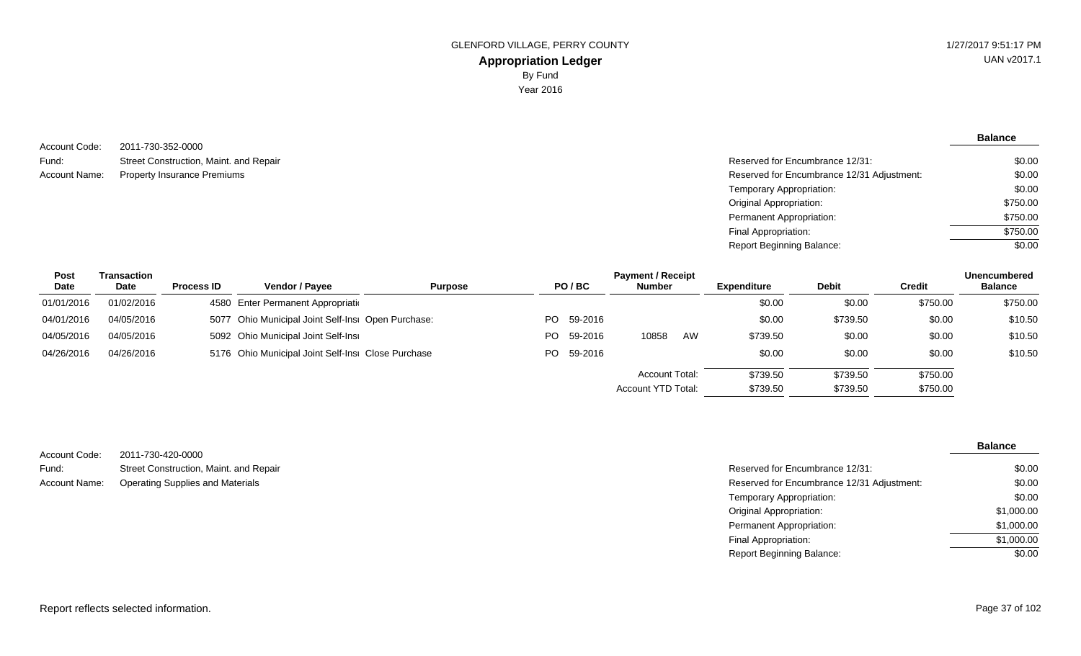**Balance**

2011-730-352-0000 Street Construction, Maint. and Repair Property Insurance Premiums Account Code: Fund: Account Name:

| Reserved for Encumbrance 12/31:            | \$0.00   |
|--------------------------------------------|----------|
| Reserved for Encumbrance 12/31 Adjustment: | \$0.00   |
| Temporary Appropriation:                   | \$0.00   |
| Original Appropriation:                    | \$750.00 |
| Permanent Appropriation:                   | \$750.00 |
| Final Appropriation:                       | \$750.00 |
| Report Beginning Balance:                  | \$0.00   |

| <b>Post</b> | Transaction |                   | <b>Payment / Receipt</b>                           |                |  |            |                    |    |                    |          |          | <b>Unencumbered</b> |
|-------------|-------------|-------------------|----------------------------------------------------|----------------|--|------------|--------------------|----|--------------------|----------|----------|---------------------|
| <b>Date</b> | Date        | <b>Process ID</b> | <b>Vendor / Payee</b>                              | <b>Purpose</b> |  | PO/BC      | <b>Number</b>      |    | <b>Expenditure</b> | Debit    | Credit   | <b>Balance</b>      |
| 01/01/2016  | 01/02/2016  |                   | 4580 Enter Permanent Appropriation                 |                |  |            |                    |    | \$0.00             | \$0.00   | \$750.00 | \$750.00            |
| 04/01/2016  | 04/05/2016  |                   | 5077 Ohio Municipal Joint Self-Insi Open Purchase: |                |  | PO 59-2016 |                    |    | \$0.00             | \$739.50 | \$0.00   | \$10.50             |
| 04/05/2016  | 04/05/2016  |                   | 5092 Ohio Municipal Joint Self-Insi                |                |  | PO 59-2016 | 10858              | AW | \$739.50           | \$0.00   | \$0.00   | \$10.50             |
| 04/26/2016  | 04/26/2016  |                   | 5176 Ohio Municipal Joint Self-Insi Close Purchase |                |  | PO 59-2016 |                    |    | \$0.00             | \$0.00   | \$0.00   | \$10.50             |
|             |             |                   |                                                    |                |  |            | Account Total:     |    | \$739.50           | \$739.50 | \$750.00 |                     |
|             |             |                   |                                                    |                |  |            | Account YTD Total: |    | \$739.50           | \$739.50 | \$750.00 |                     |

|                      |                                         |                                            | <b>Balance</b> |
|----------------------|-----------------------------------------|--------------------------------------------|----------------|
| Account Code:        | 2011-730-420-0000                       |                                            |                |
| Fund:                | Street Construction, Maint. and Repair  | Reserved for Encumbrance 12/31:            | \$0.00         |
| <b>Account Name:</b> | <b>Operating Supplies and Materials</b> | Reserved for Encumbrance 12/31 Adjustment: | \$0.00         |
|                      |                                         | Temporary Appropriation:                   | \$0.00         |
|                      |                                         | Original Appropriation:                    | \$1,000.00     |
|                      |                                         | Permanent Appropriation:                   | \$1,000.00     |
|                      |                                         | Final Appropriation:                       | \$1,000.00     |
|                      |                                         | <b>Report Beginning Balance:</b>           | \$0.00         |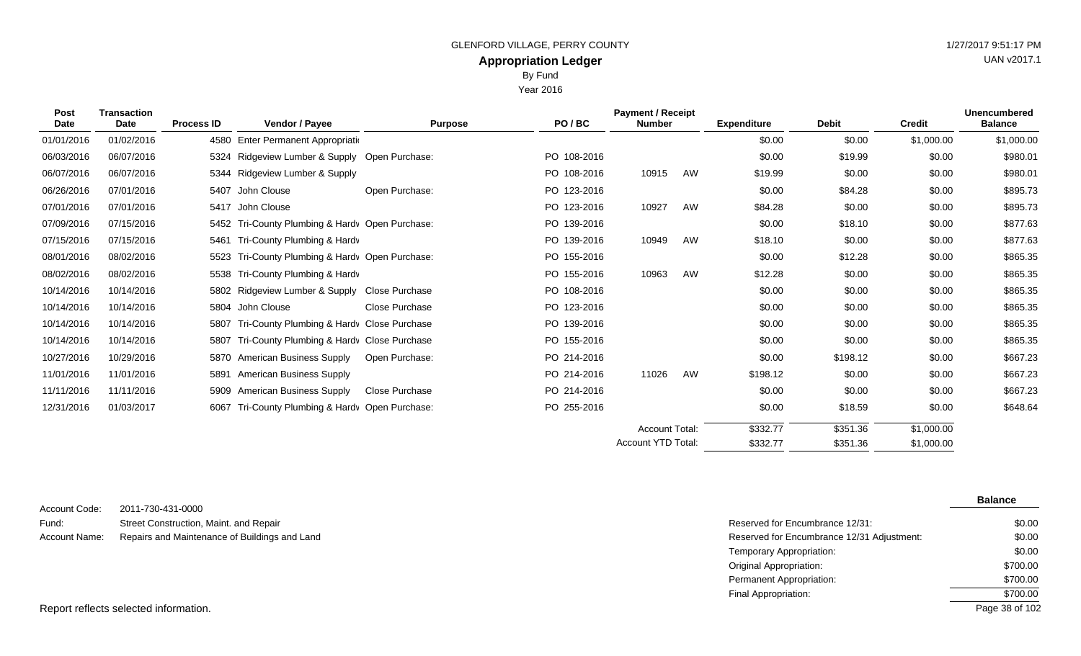By Fund

|              |                     |                   |                                               |                | DY FUIN     |                                           |    |                    |              |               |                                       |
|--------------|---------------------|-------------------|-----------------------------------------------|----------------|-------------|-------------------------------------------|----|--------------------|--------------|---------------|---------------------------------------|
| Year 2016    |                     |                   |                                               |                |             |                                           |    |                    |              |               |                                       |
| Post<br>Date | Transaction<br>Date | <b>Process ID</b> | <b>Vendor / Payee</b>                         | <b>Purpose</b> | PO/BC       | <b>Payment / Receipt</b><br><b>Number</b> |    | <b>Expenditure</b> | <b>Debit</b> | <b>Credit</b> | <b>Unencumbered</b><br><b>Balance</b> |
| 01/01/2016   | 01/02/2016          |                   | 4580 Enter Permanent Appropriation            |                |             |                                           |    | \$0.00             | \$0.00       | \$1,000.00    | \$1,000.00                            |
| 06/03/2016   | 06/07/2016          |                   | 5324 Ridgeview Lumber & Supply Open Purchase: |                | PO 108-2016 |                                           |    | \$0.00             | \$19.99      | \$0.00        | \$980.01                              |
| 06/07/2016   | 06/07/2016          |                   | 5344 Ridgeview Lumber & Supply                |                | PO 108-2016 | 10915                                     | AW | \$19.99            | \$0.00       | \$0.00        | \$980.01                              |
| 06/26/2016   | 07/01/2016          |                   | 5407 John Clouse                              | Open Purchase: | PO 123-2016 |                                           |    | \$0.00             | \$84.28      | \$0.00        | \$895.73                              |
| 07/01/2016   | 07/01/2016          |                   | 5417 John Clouse                              |                | PO 123-2016 | 10927                                     | AW | \$84.28            | \$0.00       | \$0.00        | \$895.73                              |
|              |                     |                   |                                               |                |             |                                           |    |                    |              |               |                                       |

|                    |            |                                                      |                |                                  | <b>Account Total:</b><br>Account YTD Total: |    | \$332.77<br>\$332.77 | \$351.36<br>\$351.36 | \$1,000.00<br>\$1,000.00 |          |
|--------------------|------------|------------------------------------------------------|----------------|----------------------------------|---------------------------------------------|----|----------------------|----------------------|--------------------------|----------|
|                    |            |                                                      |                |                                  |                                             |    |                      |                      |                          |          |
| 12/31/2016         | 01/03/2017 | 6067 Tri-County Plumbing & Hardy Open Purchase:      |                | PO 255-2016                      |                                             |    | \$0.00               | \$18.59              | \$0.00                   | \$648.64 |
| 11/11/2016         | 11/11/2016 | 5909 American Business Supply                        | Close Purchase | PO 214-2016                      |                                             |    | \$0.00               | \$0.00               | \$0.00                   | \$667.23 |
| 11/01/2016         | 11/01/2016 | American Business Supply<br>5891                     |                | PO 214-2016                      | 11026                                       | AW | \$198.12             | \$0.00               | \$0.00                   | \$667.23 |
| 10/27/2016         | 10/29/2016 | 5870 American Business Supply                        | Open Purchase: | PO 214-2016                      |                                             |    | \$0.00               | \$198.12             | \$0.00                   | \$667.23 |
| 10/14/2016         | 10/14/2016 | 5807 Tri-County Plumbing & Hardv Close Purchase      |                | PO 155-2016                      |                                             |    | \$0.00               | \$0.00               | \$0.00                   | \$865.35 |
| 10/14/2016         | 10/14/2016 | 5807 Tri-County Plumbing & Hardy Close Purchase      |                | PO 139-2016                      |                                             |    | \$0.00               | \$0.00               | \$0.00                   | \$865.35 |
| 10/14/2016         | 10/14/2016 | 5804 John Clouse                                     | Close Purchase | PO 123-2016                      |                                             |    | \$0.00               | \$0.00               | \$0.00                   | \$865.35 |
| 10/14/2016         | 10/14/2016 | 5802 Ridgeview Lumber & Supply Close Purchase        |                | PO 108-2016                      |                                             |    | \$0.00               | \$0.00               | \$0.00                   | \$865.35 |
| 08/02/2016         | 08/02/2016 | 5538 Tri-County Plumbing & Hardy                     |                | PO 155-2016                      | 10963                                       | AW | \$12.28              | \$0.00               | \$0.00                   | \$865.35 |
| 08/01/2016         | 08/02/2016 | 5523 Tri-County Plumbing & Hardy Open Purchase:      |                | PO 155-2016                      |                                             |    | \$0.00               | \$12.28              | \$0.00                   | \$865.35 |
| 07/15/2016         | 07/15/2016 | 5461 Tri-County Plumbing & Hardy                     |                | PO 139-2016                      | 10949                                       | AW | \$18.10              | \$0.00               | \$0.00                   | \$877.63 |
| 07/09/2016         | 07/15/2016 | 5452 Tri-County Plumbing & Hardy Open Purchase:      |                | PO 139-2016                      |                                             |    | \$0.00               | \$18.10              | \$0.00                   | \$877.63 |
| 07/01/2016         | 07/01/2016 | 5417 John Clouse                                     |                | PO 123-2016                      | 10927                                       | AW | \$84.28              | \$0.00               | \$0.00                   | \$895.73 |
| 06/26/2016         | 07/01/2016 | 5407 John Clouse                                     | Open Purchase: | PO 123-2016                      |                                             |    | \$0.00               | \$84.28              | \$0.00                   | \$895.73 |
| 06/07/2016         | 06/07/2016 | 5344 Ridgeview Lumber & Supply                       |                | PO 108-2016                      | 10915                                       | AW | \$19.99              | \$0.00               | \$0.00                   | \$980.01 |
| <u>UU/UU/ZU IU</u> | 0000112010 | $332 + 11096$ victor Lating at Oupply Open Turbiase. |                | $1 \cup 100$ <sup>-</sup> $2010$ |                                             |    | vv.vv                | ψι⊍.૭૭               | vv.vv                    | 0.00001  |

2011-730-431-0000 Street Construction, Maint. and Repair Repairs and Maintenance of Buildings and Land Account Code: Fund: Account Name:

**Balance**

UAN v2017.1

| Reserved for Encumbrance 12/31:            | \$0.00         |
|--------------------------------------------|----------------|
| Reserved for Encumbrance 12/31 Adjustment: | \$0.00         |
| Temporary Appropriation:                   | \$0.00         |
| Original Appropriation:                    | \$700.00       |
| Permanent Appropriation:                   | \$700.00       |
| Final Appropriation:                       | \$700.00       |
|                                            | Page 38 of 102 |

Report reflects selected information.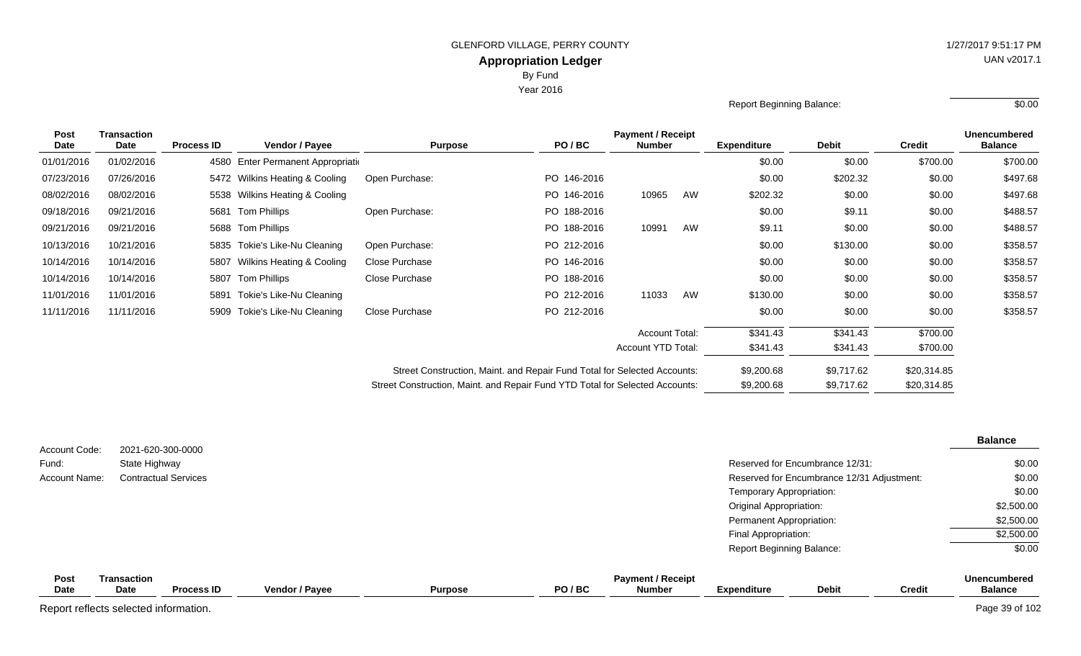Year 2016

| Report Beginning Balance: | \$0.00 |
|---------------------------|--------|
|                           |        |

| Post<br>Date | Transaction<br>Date | <b>Process ID</b> | Vendor / Payee                 | <b>Purpose</b>                                                               | PO/BC                                                                    | <b>Payment / Receipt</b><br><b>Number</b> |    | <b>Expenditure</b> | <b>Debit</b> | <b>Credit</b> | <b>Unencumbered</b><br><b>Balance</b> |
|--------------|---------------------|-------------------|--------------------------------|------------------------------------------------------------------------------|--------------------------------------------------------------------------|-------------------------------------------|----|--------------------|--------------|---------------|---------------------------------------|
| 01/01/2016   | 01/02/2016          | 4580              | Enter Permanent Appropriation  |                                                                              |                                                                          |                                           |    | \$0.00             | \$0.00       | \$700.00      | \$700.00                              |
| 07/23/2016   | 07/26/2016          |                   | 5472 Wilkins Heating & Cooling | Open Purchase:                                                               | PO 146-2016                                                              |                                           |    | \$0.00             | \$202.32     | \$0.00        | \$497.68                              |
| 08/02/2016   | 08/02/2016          |                   | 5538 Wilkins Heating & Cooling |                                                                              | PO 146-2016                                                              | 10965                                     | AW | \$202.32           | \$0.00       | \$0.00        | \$497.68                              |
| 09/18/2016   | 09/21/2016          | 5681              | Tom Phillips                   | Open Purchase:                                                               | PO 188-2016                                                              |                                           |    | \$0.00             | \$9.11       | \$0.00        | \$488.57                              |
| 09/21/2016   | 09/21/2016          |                   | 5688 Tom Phillips              |                                                                              | PO 188-2016                                                              | 10991                                     | AW | \$9.11             | \$0.00       | \$0.00        | \$488.57                              |
| 10/13/2016   | 10/21/2016          |                   | 5835 Tokie's Like-Nu Cleaning  | Open Purchase:                                                               | PO 212-2016                                                              |                                           |    | \$0.00             | \$130.00     | \$0.00        | \$358.57                              |
| 10/14/2016   | 10/14/2016          |                   | 5807 Wilkins Heating & Cooling | Close Purchase                                                               | PO 146-2016                                                              |                                           |    | \$0.00             | \$0.00       | \$0.00        | \$358.57                              |
| 10/14/2016   | 10/14/2016          |                   | 5807 Tom Phillips              | Close Purchase                                                               | PO 188-2016                                                              |                                           |    | \$0.00             | \$0.00       | \$0.00        | \$358.57                              |
| 11/01/2016   | 11/01/2016          | 5891              | Tokie's Like-Nu Cleaning       |                                                                              | PO 212-2016                                                              | 11033                                     | AW | \$130.00           | \$0.00       | \$0.00        | \$358.57                              |
| 11/11/2016   | 11/11/2016          |                   | 5909 Tokie's Like-Nu Cleaning  | Close Purchase                                                               | PO 212-2016                                                              |                                           |    | \$0.00             | \$0.00       | \$0.00        | \$358.57                              |
|              |                     |                   |                                |                                                                              |                                                                          | <b>Account Total:</b>                     |    | \$341.43           | \$341.43     | \$700.00      |                                       |
|              |                     |                   |                                |                                                                              |                                                                          | Account YTD Total:                        |    | \$341.43           | \$341.43     | \$700.00      |                                       |
|              |                     |                   |                                |                                                                              | Street Construction, Maint. and Repair Fund Total for Selected Accounts: |                                           |    | \$9,200.68         | \$9,717.62   | \$20,314.85   |                                       |
|              |                     |                   |                                | Street Construction, Maint. and Repair Fund YTD Total for Selected Accounts: |                                                                          |                                           |    | \$9,200.68         | \$9,717.62   | \$20,314.85   |                                       |

| Account Code:       | 2021-620-300-0000          |                             |                |                |       |                                           |                           |                                            |               | <b>Balance</b>                        |
|---------------------|----------------------------|-----------------------------|----------------|----------------|-------|-------------------------------------------|---------------------------|--------------------------------------------|---------------|---------------------------------------|
| Fund:               | State Highway              |                             |                |                |       |                                           |                           | Reserved for Encumbrance 12/31:            |               | \$0.00                                |
| Account Name:       |                            | <b>Contractual Services</b> |                |                |       |                                           |                           | Reserved for Encumbrance 12/31 Adjustment: |               | \$0.00                                |
|                     |                            |                             |                |                |       |                                           | Temporary Appropriation:  |                                            |               | \$0.00                                |
|                     |                            |                             |                |                |       |                                           | Original Appropriation:   |                                            |               | \$2,500.00                            |
|                     |                            |                             |                |                |       |                                           | Permanent Appropriation:  |                                            |               | \$2,500.00                            |
|                     |                            |                             |                |                |       |                                           | Final Appropriation:      |                                            |               | \$2,500.00                            |
|                     |                            |                             |                |                |       |                                           | Report Beginning Balance: |                                            |               | \$0.00                                |
| Post<br><b>Date</b> | <b>Transaction</b><br>Date | <b>Process ID</b>           | Vendor / Payee | <b>Purpose</b> | PO/BC | <b>Payment / Receipt</b><br><b>Number</b> | <b>Expenditure</b>        | <b>Debit</b>                               | <b>Credit</b> | <b>Unencumbered</b><br><b>Balance</b> |

Report reflects selected information. Page 39 of 102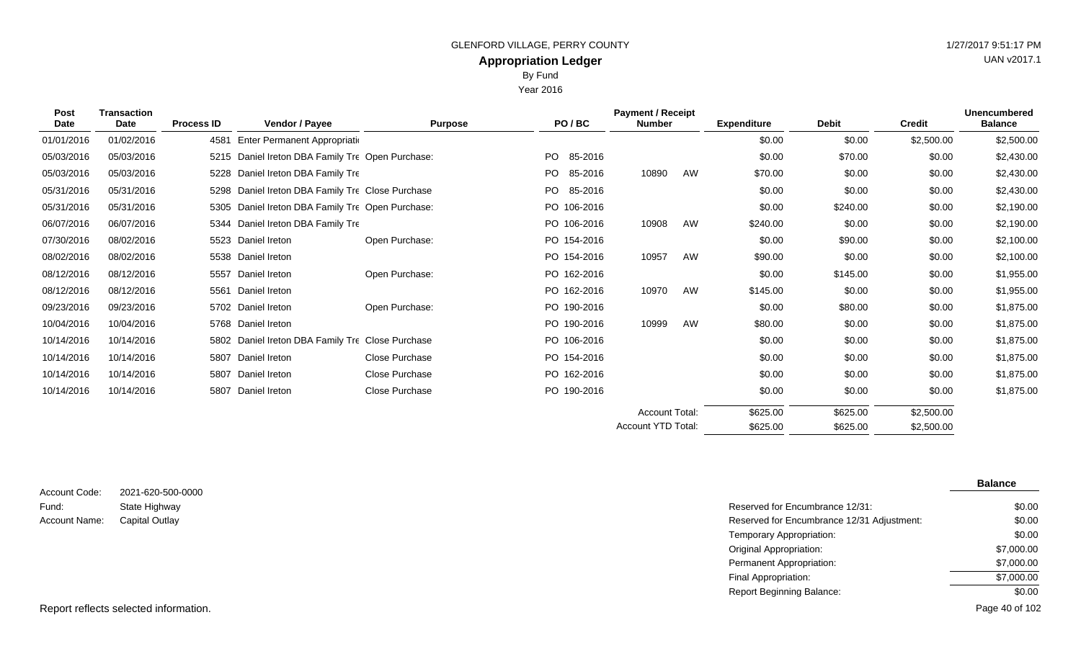By Fund

Year 2016

| Post<br><b>Date</b> | <b>Transaction</b><br>Date | <b>Process ID</b> | <b>Vendor / Payee</b>                       | <b>Purpose</b> | PO/BC          | <b>Payment / Receipt</b><br><b>Number</b> |    | <b>Expenditure</b> | <b>Debit</b> | <b>Credit</b> | <b>Unencumbered</b><br><b>Balance</b> |
|---------------------|----------------------------|-------------------|---------------------------------------------|----------------|----------------|-------------------------------------------|----|--------------------|--------------|---------------|---------------------------------------|
| 01/01/2016          | 01/02/2016                 | 4581              | Enter Permanent Appropriatio                |                |                |                                           |    | \$0.00             | \$0.00       | \$2,500.00    | \$2,500.00                            |
| 05/03/2016          | 05/03/2016                 | 5215              | Daniel Ireton DBA Family Tre Open Purchase: |                | PO.<br>85-2016 |                                           |    | \$0.00             | \$70.00      | \$0.00        | \$2,430.00                            |
| 05/03/2016          | 05/03/2016                 | 5228              | Daniel Ireton DBA Family Tre                |                | PO.<br>85-2016 | 10890                                     | AW | \$70.00            | \$0.00       | \$0.00        | \$2,430.00                            |
| 05/31/2016          | 05/31/2016                 | 5298              | Daniel Ireton DBA Family Tre Close Purchase |                | PO.<br>85-2016 |                                           |    | \$0.00             | \$0.00       | \$0.00        | \$2,430.00                            |
| 05/31/2016          | 05/31/2016                 | 5305              | Daniel Ireton DBA Family Tre Open Purchase: |                | PO 106-2016    |                                           |    | \$0.00             | \$240.00     | \$0.00        | \$2,190.00                            |
| 06/07/2016          | 06/07/2016                 | 5344              | Daniel Ireton DBA Family Tre                |                | PO 106-2016    | 10908                                     | AW | \$240.00           | \$0.00       | \$0.00        | \$2,190.00                            |
| 07/30/2016          | 08/02/2016                 | 5523              | Daniel Ireton                               | Open Purchase: | PO 154-2016    |                                           |    | \$0.00             | \$90.00      | \$0.00        | \$2,100.00                            |
| 08/02/2016          | 08/02/2016                 | 5538              | Daniel Ireton                               |                | PO 154-2016    | 10957                                     | AW | \$90.00            | \$0.00       | \$0.00        | \$2,100.00                            |
| 08/12/2016          | 08/12/2016                 | 5557              | Daniel Ireton                               | Open Purchase: | PO 162-2016    |                                           |    | \$0.00             | \$145.00     | \$0.00        | \$1,955.00                            |
| 08/12/2016          | 08/12/2016                 | 5561              | Daniel Ireton                               |                | PO 162-2016    | 10970                                     | AW | \$145.00           | \$0.00       | \$0.00        | \$1,955.00                            |
| 09/23/2016          | 09/23/2016                 |                   | 5702 Daniel Ireton                          | Open Purchase: | PO 190-2016    |                                           |    | \$0.00             | \$80.00      | \$0.00        | \$1,875.00                            |
| 10/04/2016          | 10/04/2016                 |                   | 5768 Daniel Ireton                          |                | PO 190-2016    | 10999                                     | AW | \$80.00            | \$0.00       | \$0.00        | \$1,875.00                            |
| 10/14/2016          | 10/14/2016                 | 5802              | Daniel Ireton DBA Family Tre Close Purchase |                | PO 106-2016    |                                           |    | \$0.00             | \$0.00       | \$0.00        | \$1,875.00                            |
| 10/14/2016          | 10/14/2016                 | 5807              | Daniel Ireton                               | Close Purchase | PO 154-2016    |                                           |    | \$0.00             | \$0.00       | \$0.00        | \$1,875.00                            |
| 10/14/2016          | 10/14/2016                 | 5807              | Daniel Ireton                               | Close Purchase | PO 162-2016    |                                           |    | \$0.00             | \$0.00       | \$0.00        | \$1,875.00                            |
| 10/14/2016          | 10/14/2016                 | 5807              | Daniel Ireton                               | Close Purchase | PO 190-2016    |                                           |    | \$0.00             | \$0.00       | \$0.00        | \$1,875.00                            |
|                     |                            |                   |                                             |                |                | <b>Account Total:</b>                     |    | \$625.00           | \$625.00     | \$2,500.00    |                                       |
|                     |                            |                   |                                             |                |                | Account YTD Total:                        |    | \$625.00           | \$625.00     | \$2,500.00    |                                       |

| Account Code: | 2021-620-500-0000 |
|---------------|-------------------|
| Fund:         | State Highway     |
| Account Name: | Capital Outlay    |

|                   |                                            | <b>Balance</b> |
|-------------------|--------------------------------------------|----------------|
| 2021-620-500-0000 |                                            |                |
| State Highway     | Reserved for Encumbrance 12/31:            | \$0.00         |
| Capital Outlay    | Reserved for Encumbrance 12/31 Adjustment: | \$0.00         |
|                   | Temporary Appropriation:                   | \$0.00         |
|                   | <b>Original Appropriation:</b>             | \$7,000.00     |
|                   | Permanent Appropriation:                   | \$7,000.00     |
|                   | Final Appropriation:                       | \$7,000.00     |
|                   | <b>Report Beginning Balance:</b>           | \$0.00         |
|                   |                                            |                |

Report reflects selected information. Page 40 of 102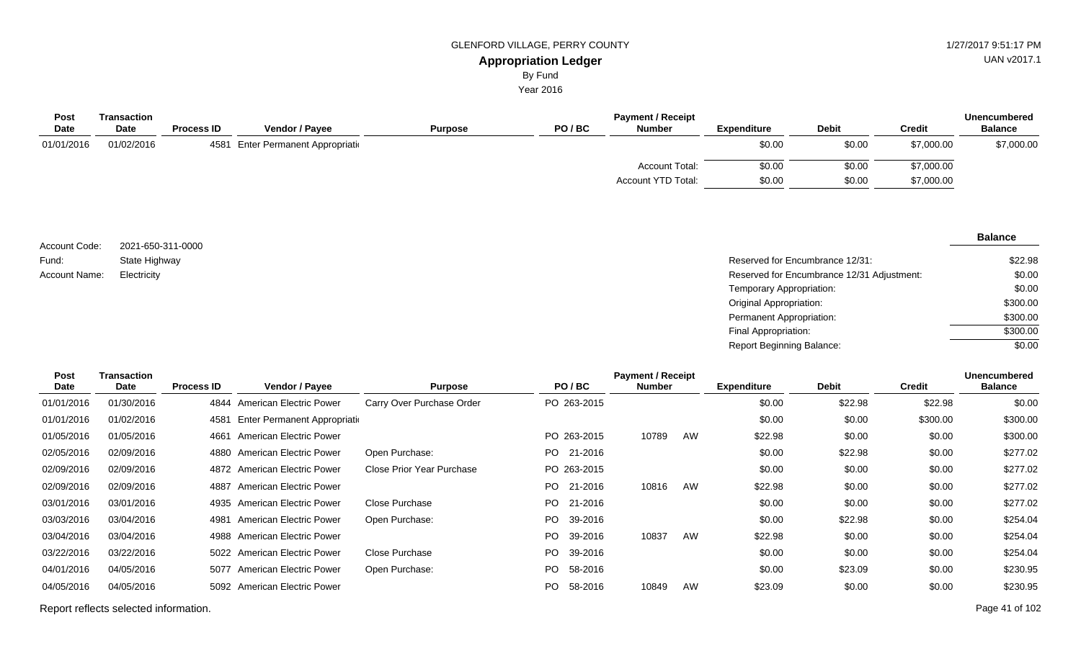Year 2016

| Post        | <b>Transaction</b> | <b>Payment / Receipt</b> |                                 |                |       |                       |             |              |               |                |  |
|-------------|--------------------|--------------------------|---------------------------------|----------------|-------|-----------------------|-------------|--------------|---------------|----------------|--|
| <b>Date</b> | <b>Date</b>        | <b>Process ID</b>        | <b>Vendor / Payee</b>           | <b>Purpose</b> | PO/BC | <b>Number</b>         | Expenditure | <b>Debit</b> | <b>Credit</b> | <b>Balance</b> |  |
| 01/01/2016  | 01/02/2016         | 4581                     | 1 Enter Permanent Appropriation |                |       |                       | \$0.00      | \$0.00       | \$7,000.00    | \$7,000.00     |  |
|             |                    |                          |                                 |                |       | <b>Account Total:</b> | \$0.00      | \$0.00       | \$7,000.00    |                |  |
|             |                    |                          |                                 |                |       | Account YTD Total:    | \$0.00      | \$0.00       | \$7,000.00    |                |  |
|             |                    |                          |                                 |                |       |                       |             |              |               |                |  |

| Account Code: | 2021-650-311-0000 |                                            | -------- |
|---------------|-------------------|--------------------------------------------|----------|
|               |                   |                                            |          |
| Fund:         | State Highway     | Reserved for Encumbrance 12/31:            | \$22.98  |
| Account Name: | Electricity       | Reserved for Encumbrance 12/31 Adjustment: | \$0.00   |
|               |                   | Temporary Appropriation:                   | \$0.00   |
|               |                   | Original Appropriation:                    | \$300.00 |
|               |                   | Permanent Appropriation:                   | \$300.00 |
|               |                   | Final Appropriation:                       | \$300.00 |

| <b>Post</b><br><b>Date</b> | Transaction<br>Date | <b>Process ID</b> | Vendor / Payee                 | <b>Purpose</b>            |      | PO/BC       | <b>Payment / Receipt</b><br><b>Number</b> |    | <b>Expenditure</b> | <b>Debit</b> | <b>Credit</b> | <b>Unencumbered</b><br><b>Balance</b> |
|----------------------------|---------------------|-------------------|--------------------------------|---------------------------|------|-------------|-------------------------------------------|----|--------------------|--------------|---------------|---------------------------------------|
| 01/01/2016                 | 01/30/2016          | 4844              | American Electric Power        | Carry Over Purchase Order |      | PO 263-2015 |                                           |    | \$0.00             | \$22.98      | \$22.98       | \$0.00                                |
| 01/01/2016                 | 01/02/2016          | 4581              | Enter Permanent Appropriation  |                           |      |             |                                           |    | \$0.00             | \$0.00       | \$300.00      | \$300.00                              |
| 01/05/2016                 | 01/05/2016          | 4661              | American Electric Power        |                           |      | PO 263-2015 | 10789                                     | AW | \$22.98            | \$0.00       | \$0.00        | \$300.00                              |
| 02/05/2016                 | 02/09/2016          |                   | 4880 American Electric Power   | Open Purchase:            |      | PO 21-2016  |                                           |    | \$0.00             | \$22.98      | \$0.00        | \$277.02                              |
| 02/09/2016                 | 02/09/2016          |                   | 4872 American Electric Power   | Close Prior Year Purchase |      | PO 263-2015 |                                           |    | \$0.00             | \$0.00       | \$0.00        | \$277.02                              |
| 02/09/2016                 | 02/09/2016          | 4887              | American Electric Power        |                           | PO - | 21-2016     | 10816                                     | AW | \$22.98            | \$0.00       | \$0.00        | \$277.02                              |
| 03/01/2016                 | 03/01/2016          | 4935              | American Electric Power        | Close Purchase            |      | PO 21-2016  |                                           |    | \$0.00             | \$0.00       | \$0.00        | \$277.02                              |
| 03/03/2016                 | 03/04/2016          | 4981              | American Electric Power        | Open Purchase:            | PO.  | 39-2016     |                                           |    | \$0.00             | \$22.98      | \$0.00        | \$254.04                              |
| 03/04/2016                 | 03/04/2016          |                   | 4988 American Electric Power   |                           | PO.  | 39-2016     | 10837                                     | AW | \$22.98            | \$0.00       | \$0.00        | \$254.04                              |
| 03/22/2016                 | 03/22/2016          |                   | 5022 American Electric Power   | Close Purchase            |      | PO 39-2016  |                                           |    | \$0.00             | \$0.00       | \$0.00        | \$254.04                              |
| 04/01/2016                 | 04/05/2016          | 5077              | <b>American Electric Power</b> | Open Purchase:            | PO.  | 58-2016     |                                           |    | \$0.00             | \$23.09      | \$0.00        | \$230.95                              |
| 04/05/2016                 | 04/05/2016          |                   | 5092 American Electric Power   |                           | PO.  | 58-2016     | 10849                                     | AW | \$23.09            | \$0.00       | \$0.00        | \$230.95                              |

Report reflects selected information. Page 41 of 102

UAN v2017.1

#### **Balance**

\$0.00

Report Beginning Balance: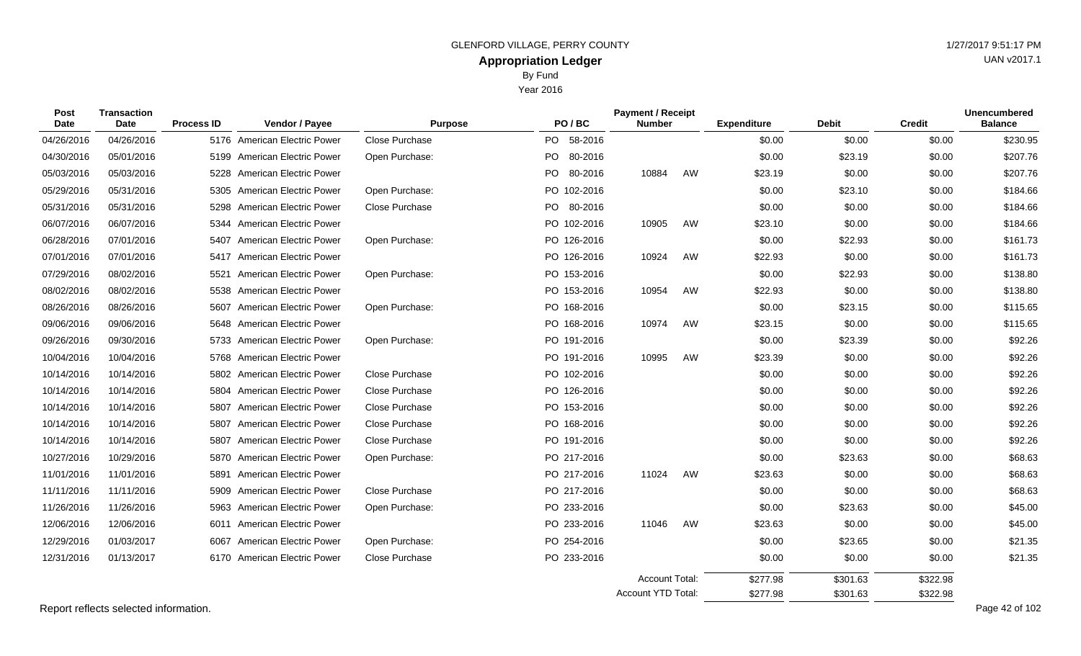Year 2016

| <b>Post</b><br><b>Transaction</b><br><b>Date</b><br><b>Date</b> |            | <b>Process ID</b> | Vendor / Payee                 | <b>Purpose</b> | PO/BC          | <b>Payment / Receipt</b><br><b>Number</b>          |    | <b>Expenditure</b>   | <b>Debit</b>         | <b>Credit</b>        | <b>Unencumbered</b><br><b>Balance</b> |  |
|-----------------------------------------------------------------|------------|-------------------|--------------------------------|----------------|----------------|----------------------------------------------------|----|----------------------|----------------------|----------------------|---------------------------------------|--|
| 04/26/2016                                                      | 04/26/2016 |                   | 5176 American Electric Power   | Close Purchase | PO 58-2016     |                                                    |    | \$0.00               | \$0.00               | \$0.00               | \$230.95                              |  |
| 04/30/2016                                                      | 05/01/2016 |                   | 5199 American Electric Power   | Open Purchase: | 80-2016<br>PO. |                                                    |    | \$0.00               | \$23.19              | \$0.00               | \$207.76                              |  |
| 05/03/2016                                                      | 05/03/2016 | 5228              | <b>American Electric Power</b> |                | PO.<br>80-2016 | 10884                                              | AW | \$23.19              | \$0.00               | \$0.00               | \$207.76                              |  |
| 05/29/2016                                                      | 05/31/2016 |                   | 5305 American Electric Power   | Open Purchase: | PO 102-2016    |                                                    |    | \$0.00               | \$23.10              | \$0.00               | \$184.66                              |  |
| 05/31/2016                                                      | 05/31/2016 |                   | 5298 American Electric Power   | Close Purchase | PO 80-2016     |                                                    |    | \$0.00               | \$0.00               | \$0.00               | \$184.66                              |  |
| 06/07/2016                                                      | 06/07/2016 | 5344              | <b>American Electric Power</b> |                | PO 102-2016    | 10905                                              | AW | \$23.10              | \$0.00               | \$0.00               | \$184.66                              |  |
| 06/28/2016                                                      | 07/01/2016 | 5407              | <b>American Electric Power</b> | Open Purchase: | PO 126-2016    |                                                    |    | \$0.00               | \$22.93              | \$0.00               | \$161.73                              |  |
| 07/01/2016                                                      | 07/01/2016 | 5417              | <b>American Electric Power</b> |                | PO 126-2016    | 10924                                              | AW | \$22.93              | \$0.00               | \$0.00               | \$161.73                              |  |
| 07/29/2016                                                      | 08/02/2016 | 5521              | American Electric Power        | Open Purchase: | PO 153-2016    |                                                    |    | \$0.00               | \$22.93              | \$0.00               | \$138.80                              |  |
| 08/02/2016                                                      | 08/02/2016 | 5538              | <b>American Electric Power</b> |                | PO 153-2016    | 10954                                              | AW | \$22.93              | \$0.00               | \$0.00               | \$138.80                              |  |
| 08/26/2016                                                      | 08/26/2016 | 5607              | <b>American Electric Power</b> | Open Purchase: | PO 168-2016    |                                                    |    | \$0.00               | \$23.15              | \$0.00               | \$115.65                              |  |
| 09/06/2016                                                      | 09/06/2016 | 5648              | <b>American Electric Power</b> |                | PO 168-2016    | 10974                                              | AW | \$23.15              | \$0.00               | \$0.00               | \$115.65                              |  |
| 09/26/2016                                                      | 09/30/2016 | 5733              | <b>American Electric Power</b> | Open Purchase: | PO 191-2016    |                                                    |    | \$0.00               | \$23.39              | \$0.00               | \$92.26                               |  |
| 10/04/2016                                                      | 10/04/2016 | 5768              | <b>American Electric Power</b> |                | PO 191-2016    | 10995                                              | AW | \$23.39              | \$0.00               | \$0.00               | \$92.26                               |  |
| 10/14/2016                                                      | 10/14/2016 |                   | 5802 American Electric Power   | Close Purchase | PO 102-2016    |                                                    |    | \$0.00               | \$0.00               | \$0.00               | \$92.26                               |  |
| 10/14/2016                                                      | 10/14/2016 |                   | 5804 American Electric Power   | Close Purchase | PO 126-2016    |                                                    |    | \$0.00               | \$0.00               | \$0.00               | \$92.26                               |  |
| 10/14/2016                                                      | 10/14/2016 | 5807              | <b>American Electric Power</b> | Close Purchase | PO 153-2016    |                                                    |    | \$0.00               | \$0.00               | \$0.00               | \$92.26                               |  |
| 10/14/2016                                                      | 10/14/2016 | 5807              | <b>American Electric Power</b> | Close Purchase | PO 168-2016    |                                                    |    | \$0.00               | \$0.00               | \$0.00               | \$92.26                               |  |
| 10/14/2016                                                      | 10/14/2016 | 5807              | <b>American Electric Power</b> | Close Purchase | PO 191-2016    |                                                    |    | \$0.00               | \$0.00               | \$0.00               | \$92.26                               |  |
| 10/27/2016                                                      | 10/29/2016 | 5870              | <b>American Electric Power</b> | Open Purchase: | PO 217-2016    |                                                    |    | \$0.00               | \$23.63              | \$0.00               | \$68.63                               |  |
| 11/01/2016                                                      | 11/01/2016 | 5891              | <b>American Electric Power</b> |                | PO 217-2016    | 11024                                              | AW | \$23.63              | \$0.00               | \$0.00               | \$68.63                               |  |
| 11/11/2016                                                      | 11/11/2016 | 5909              | <b>American Electric Power</b> | Close Purchase | PO 217-2016    |                                                    |    | \$0.00               | \$0.00               | \$0.00               | \$68.63                               |  |
| 11/26/2016                                                      | 11/26/2016 |                   | 5963 American Electric Power   | Open Purchase: | PO 233-2016    |                                                    |    | \$0.00               | \$23.63              | \$0.00               | \$45.00                               |  |
| 12/06/2016                                                      | 12/06/2016 | 6011              | <b>American Electric Power</b> |                | PO 233-2016    | 11046                                              | AW | \$23.63              | \$0.00               | \$0.00               | \$45.00                               |  |
| 12/29/2016                                                      | 01/03/2017 | 6067              | <b>American Electric Power</b> | Open Purchase: | PO 254-2016    |                                                    |    | \$0.00               | \$23.65              | \$0.00               | \$21.35                               |  |
| 12/31/2016                                                      | 01/13/2017 |                   | 6170 American Electric Power   | Close Purchase | PO 233-2016    |                                                    |    | \$0.00               | \$0.00               | \$0.00               | \$21.35                               |  |
|                                                                 |            |                   |                                |                |                | <b>Account Total:</b><br><b>Account YTD Total:</b> |    | \$277.98<br>\$277.98 | \$301.63<br>\$301.63 | \$322.98<br>\$322.98 |                                       |  |

Report reflects selected information. Page 42 of 102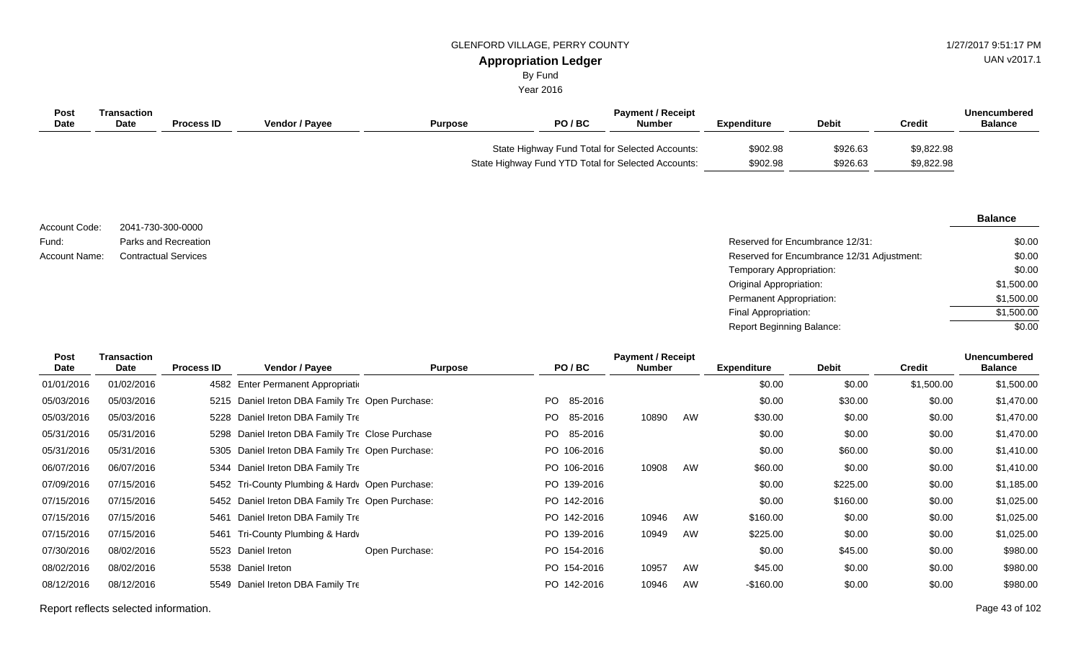## **Appropriation Ledger** GLENFORD VILLAGE, PERRY COUNTY 61 AU AND 127/2017 9:51:17 PM

UAN v2017.1

# By Fund

Year 2016

| Post<br>Date | Transaction<br><b>Date</b> | <b>Process ID</b> | <b>Vendor / Pavee</b> | <b>Purpose</b> | PO/BC                                                                                                  | <b>Payment / Receipt</b><br>Number | <b>Expenditure</b>   | <b>Debit</b>         | Credit                   | Unencumbered<br><b>Balance</b> |
|--------------|----------------------------|-------------------|-----------------------|----------------|--------------------------------------------------------------------------------------------------------|------------------------------------|----------------------|----------------------|--------------------------|--------------------------------|
|              |                            |                   |                       |                | State Highway Fund Total for Selected Accounts:<br>State Highway Fund YTD Total for Selected Accounts: |                                    | \$902.98<br>\$902.98 | \$926.63<br>\$926.63 | \$9,822.98<br>\$9,822.98 |                                |

|                      |                             |                                            | <b>Balance</b> |
|----------------------|-----------------------------|--------------------------------------------|----------------|
| Account Code:        | 2041-730-300-0000           |                                            |                |
| Fund:                | Parks and Recreation        | Reserved for Encumbrance 12/31:            | \$0.00         |
| <b>Account Name:</b> | <b>Contractual Services</b> | Reserved for Encumbrance 12/31 Adjustment: | \$0.00         |
|                      |                             | Temporary Appropriation:                   | \$0.00         |
|                      |                             | <b>Original Appropriation:</b>             | \$1,500.00     |
|                      |                             | <b>Permanent Appropriation:</b>            | \$1,500.00     |
|                      |                             | Final Appropriation:                       | \$1,500.00     |

Report Beginning Balance:

| <b>Post</b><br>Date | Transaction<br>Date | <b>Process ID</b> | Vendor / Payee                                   | <b>Purpose</b> | PO/BC          | <b>Payment / Receipt</b><br><b>Number</b> |    | <b>Expenditure</b> | <b>Debit</b> | <b>Credit</b> | <b>Unencumbered</b><br><b>Balance</b> |
|---------------------|---------------------|-------------------|--------------------------------------------------|----------------|----------------|-------------------------------------------|----|--------------------|--------------|---------------|---------------------------------------|
| 01/01/2016          | 01/02/2016          |                   | 4582 Enter Permanent Appropriation               |                |                |                                           |    | \$0.00             | \$0.00       | \$1,500.00    | \$1,500.00                            |
| 05/03/2016          | 05/03/2016          |                   | 5215 Daniel Ireton DBA Family Tre Open Purchase: |                | PO.<br>85-2016 |                                           |    | \$0.00             | \$30.00      | \$0.00        | \$1,470.00                            |
| 05/03/2016          | 05/03/2016          |                   | 5228 Daniel Ireton DBA Family Tre                |                | PO.<br>85-2016 | 10890                                     | AW | \$30.00            | \$0.00       | \$0.00        | \$1,470.00                            |
| 05/31/2016          | 05/31/2016          |                   | 5298 Daniel Ireton DBA Family Tre Close Purchase |                | PO.<br>85-2016 |                                           |    | \$0.00             | \$0.00       | \$0.00        | \$1,470.00                            |
| 05/31/2016          | 05/31/2016          |                   | 5305 Daniel Ireton DBA Family Tre Open Purchase: |                | PO 106-2016    |                                           |    | \$0.00             | \$60.00      | \$0.00        | \$1,410.00                            |
| 06/07/2016          | 06/07/2016          |                   | 5344 Daniel Ireton DBA Family Tre                |                | PO 106-2016    | 10908                                     | AW | \$60.00            | \$0.00       | \$0.00        | \$1,410.00                            |
| 07/09/2016          | 07/15/2016          |                   | 5452 Tri-County Plumbing & Hardy Open Purchase:  |                | PO 139-2016    |                                           |    | \$0.00             | \$225.00     | \$0.00        | \$1,185.00                            |
| 07/15/2016          | 07/15/2016          |                   | 5452 Daniel Ireton DBA Family Tre Open Purchase: |                | PO 142-2016    |                                           |    | \$0.00             | \$160.00     | \$0.00        | \$1,025.00                            |
| 07/15/2016          | 07/15/2016          | 5461              | Daniel Ireton DBA Family Tre                     |                | PO 142-2016    | 10946                                     | AW | \$160.00           | \$0.00       | \$0.00        | \$1,025.00                            |
| 07/15/2016          | 07/15/2016          | 5461              | Tri-County Plumbing & Hardv                      |                | PO 139-2016    | 10949                                     | AW | \$225.00           | \$0.00       | \$0.00        | \$1,025.00                            |
| 07/30/2016          | 08/02/2016          |                   | 5523 Daniel Ireton                               | Open Purchase: | PO 154-2016    |                                           |    | \$0.00             | \$45.00      | \$0.00        | \$980.00                              |
| 08/02/2016          | 08/02/2016          |                   | 5538 Daniel Ireton                               |                | PO 154-2016    | 10957                                     | AW | \$45.00            | \$0.00       | \$0.00        | \$980.00                              |
| 08/12/2016          | 08/12/2016          |                   | 5549 Daniel Ireton DBA Family Tre                |                | PO 142-2016    | 10946                                     | AW | $-$160.00$         | \$0.00       | \$0.00        | \$980.00                              |

Report reflects selected information. Page 43 of 102

\$0.00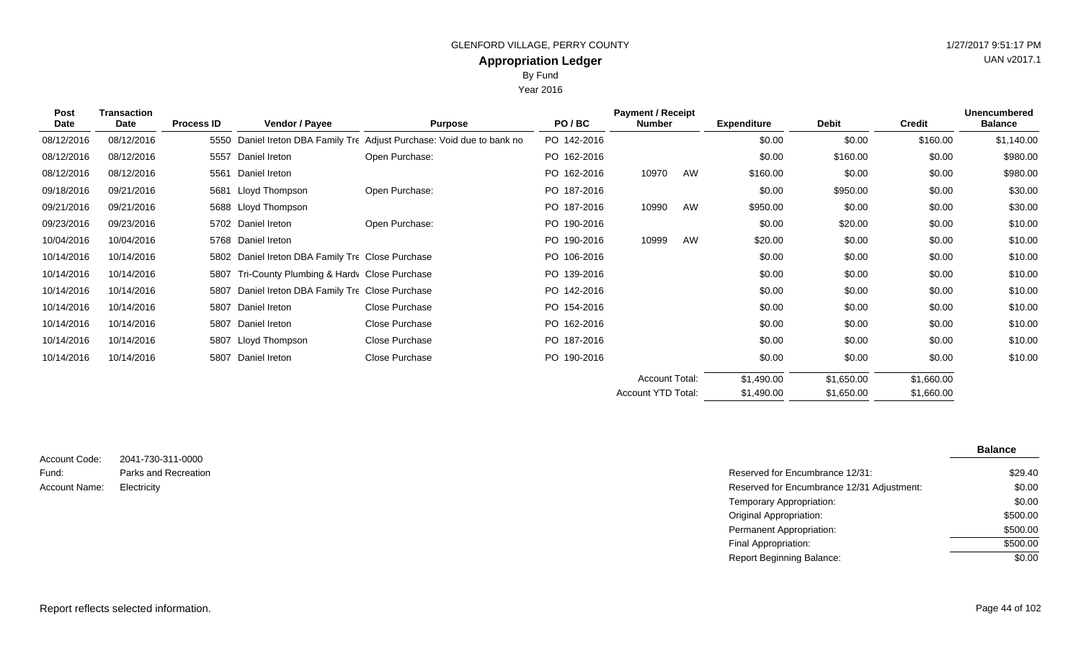Year 2016

| <b>Post</b><br>Date | <b>Transaction</b><br>Date | <b>Process ID</b> | Vendor / Payee                                   | <b>Purpose</b>                                                    | PO/BC       | <b>Payment / Receipt</b><br><b>Number</b> |    | <b>Expenditure</b> | <b>Debit</b> | <b>Credit</b> | <b>Unencumbered</b><br><b>Balance</b> |
|---------------------|----------------------------|-------------------|--------------------------------------------------|-------------------------------------------------------------------|-------------|-------------------------------------------|----|--------------------|--------------|---------------|---------------------------------------|
| 08/12/2016          | 08/12/2016                 | 5550              |                                                  | Daniel Ireton DBA Family Tre Adjust Purchase: Void due to bank no | PO 142-2016 |                                           |    | \$0.00             | \$0.00       | \$160.00      | \$1,140.00                            |
| 08/12/2016          | 08/12/2016                 | 5557              | Daniel Ireton                                    | Open Purchase:                                                    | PO 162-2016 |                                           |    | \$0.00             | \$160.00     | \$0.00        | \$980.00                              |
| 08/12/2016          | 08/12/2016                 | 5561              | Daniel Ireton                                    |                                                                   | PO 162-2016 | 10970                                     | AW | \$160.00           | \$0.00       | \$0.00        | \$980.00                              |
| 09/18/2016          | 09/21/2016                 | 5681              | Lloyd Thompson                                   | Open Purchase:                                                    | PO 187-2016 |                                           |    | \$0.00             | \$950.00     | \$0.00        | \$30.00                               |
| 09/21/2016          | 09/21/2016                 |                   | 5688 Lloyd Thompson                              |                                                                   | PO 187-2016 | 10990                                     | AW | \$950.00           | \$0.00       | \$0.00        | \$30.00                               |
| 09/23/2016          | 09/23/2016                 |                   | 5702 Daniel Ireton                               | Open Purchase:                                                    | PO 190-2016 |                                           |    | \$0.00             | \$20.00      | \$0.00        | \$10.00                               |
| 10/04/2016          | 10/04/2016                 |                   | 5768 Daniel Ireton                               |                                                                   | PO 190-2016 | 10999                                     | AW | \$20.00            | \$0.00       | \$0.00        | \$10.00                               |
| 10/14/2016          | 10/14/2016                 |                   | 5802 Daniel Ireton DBA Family Tre Close Purchase |                                                                   | PO 106-2016 |                                           |    | \$0.00             | \$0.00       | \$0.00        | \$10.00                               |
| 10/14/2016          | 10/14/2016                 | 5807              | Tri-County Plumbing & Hardy Close Purchase       |                                                                   | PO 139-2016 |                                           |    | \$0.00             | \$0.00       | \$0.00        | \$10.00                               |
| 10/14/2016          | 10/14/2016                 | 5807              | Daniel Ireton DBA Family Tre Close Purchase      |                                                                   | PO 142-2016 |                                           |    | \$0.00             | \$0.00       | \$0.00        | \$10.00                               |
| 10/14/2016          | 10/14/2016                 |                   | 5807 Daniel Ireton                               | Close Purchase                                                    | PO 154-2016 |                                           |    | \$0.00             | \$0.00       | \$0.00        | \$10.00                               |
| 10/14/2016          | 10/14/2016                 |                   | 5807 Daniel Ireton                               | Close Purchase                                                    | PO 162-2016 |                                           |    | \$0.00             | \$0.00       | \$0.00        | \$10.00                               |
| 10/14/2016          | 10/14/2016                 |                   | 5807 Lloyd Thompson                              | Close Purchase                                                    | PO 187-2016 |                                           |    | \$0.00             | \$0.00       | \$0.00        | \$10.00                               |
| 10/14/2016          | 10/14/2016                 |                   | 5807 Daniel Ireton                               | Close Purchase                                                    | PO 190-2016 |                                           |    | \$0.00             | \$0.00       | \$0.00        | \$10.00                               |
|                     |                            |                   |                                                  |                                                                   |             | <b>Account Total:</b>                     |    | \$1,490.00         | \$1,650.00   | \$1,660.00    |                                       |
|                     |                            |                   |                                                  |                                                                   |             | Account YTD Total:                        |    | \$1,490.00         | \$1,650.00   | \$1,660.00    |                                       |

| Account Code: | 2041-730-311-0000    |
|---------------|----------------------|
| Fund:         | Parks and Recreation |
| Account Name: | Electricity          |

|                      |                                            | <b>Balance</b> |
|----------------------|--------------------------------------------|----------------|
| 2041-730-311-0000    |                                            |                |
| Parks and Recreation | Reserved for Encumbrance 12/31:            | \$29.40        |
| Electricity          | Reserved for Encumbrance 12/31 Adjustment: | \$0.00         |
|                      | Temporary Appropriation:                   | \$0.00         |
|                      | Original Appropriation:                    | \$500.00       |
|                      | Permanent Appropriation:                   | \$500.00       |
|                      | Final Appropriation:                       | \$500.00       |
|                      | <b>Report Beginning Balance:</b>           | \$0.00         |

Report reflects selected information. Page 44 of 102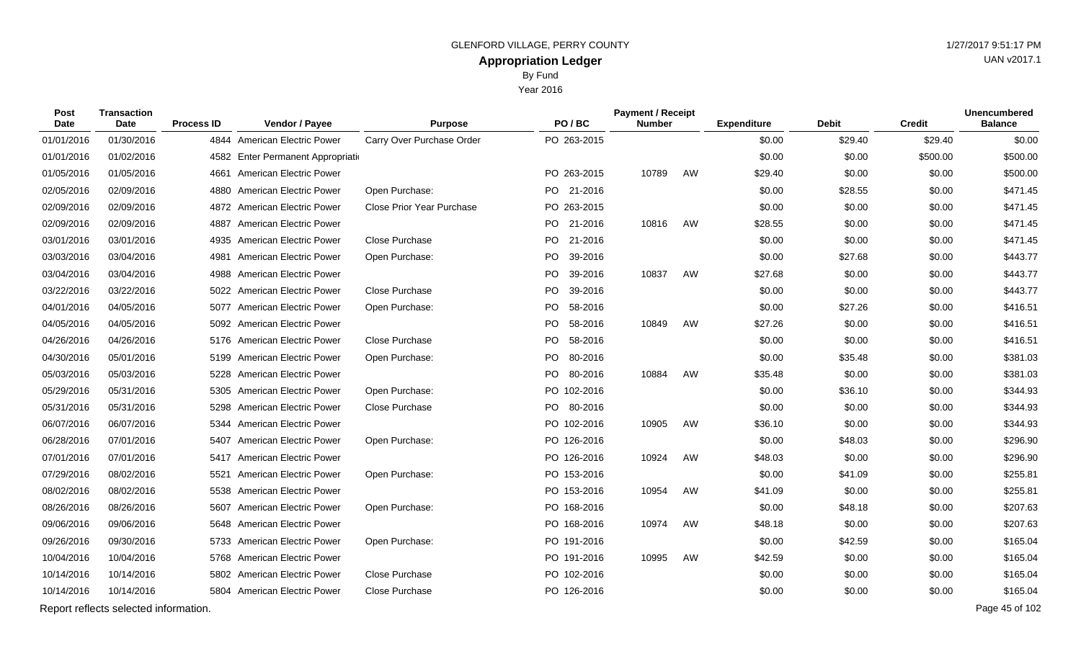Year 2016

| Post<br>Date | <b>Transaction</b><br><b>Date</b>     | <b>Process ID</b> | Vendor / Payee                     | <b>Purpose</b>                   | PO/BC           | <b>Payment / Receipt</b><br><b>Number</b> |    | <b>Expenditure</b> | <b>Debit</b> | <b>Credit</b> | <b>Unencumbered</b><br><b>Balance</b> |
|--------------|---------------------------------------|-------------------|------------------------------------|----------------------------------|-----------------|-------------------------------------------|----|--------------------|--------------|---------------|---------------------------------------|
| 01/01/2016   | 01/30/2016                            |                   | 4844 American Electric Power       | Carry Over Purchase Order        | PO 263-2015     |                                           |    | \$0.00             | \$29.40      | \$29.40       | \$0.00                                |
| 01/01/2016   | 01/02/2016                            |                   | 4582 Enter Permanent Appropriation |                                  |                 |                                           |    | \$0.00             | \$0.00       | \$500.00      | \$500.00                              |
| 01/05/2016   | 01/05/2016                            |                   | 4661 American Electric Power       |                                  | PO 263-2015     | 10789                                     | AW | \$29.40            | \$0.00       | \$0.00        | \$500.00                              |
| 02/05/2016   | 02/09/2016                            | 4880              | American Electric Power            | Open Purchase:                   | PO 21-2016      |                                           |    | \$0.00             | \$28.55      | \$0.00        | \$471.45                              |
| 02/09/2016   | 02/09/2016                            |                   | 4872 American Electric Power       | <b>Close Prior Year Purchase</b> | PO 263-2015     |                                           |    | \$0.00             | \$0.00       | \$0.00        | \$471.45                              |
| 02/09/2016   | 02/09/2016                            | 4887              | <b>American Electric Power</b>     |                                  | PO 21-2016      | 10816                                     | AW | \$28.55            | \$0.00       | \$0.00        | \$471.45                              |
| 03/01/2016   | 03/01/2016                            | 4935              | <b>American Electric Power</b>     | Close Purchase                   | PO 21-2016      |                                           |    | \$0.00             | \$0.00       | \$0.00        | \$471.45                              |
| 03/03/2016   | 03/04/2016                            | 4981              | <b>American Electric Power</b>     | Open Purchase:                   | PO<br>39-2016   |                                           |    | \$0.00             | \$27.68      | \$0.00        | \$443.77                              |
| 03/04/2016   | 03/04/2016                            |                   | 4988 American Electric Power       |                                  | PO  <br>39-2016 | 10837                                     | AW | \$27.68            | \$0.00       | \$0.00        | \$443.77                              |
| 03/22/2016   | 03/22/2016                            |                   | 5022 American Electric Power       | Close Purchase                   | PO<br>39-2016   |                                           |    | \$0.00             | \$0.00       | \$0.00        | \$443.77                              |
| 04/01/2016   | 04/05/2016                            |                   | 5077 American Electric Power       | Open Purchase:                   | PO 58-2016      |                                           |    | \$0.00             | \$27.26      | \$0.00        | \$416.51                              |
| 04/05/2016   | 04/05/2016                            |                   | 5092 American Electric Power       |                                  | PO.<br>58-2016  | 10849                                     | AW | \$27.26            | \$0.00       | \$0.00        | \$416.51                              |
| 04/26/2016   | 04/26/2016                            |                   | 5176 American Electric Power       | Close Purchase                   | PO.<br>58-2016  |                                           |    | \$0.00             | \$0.00       | \$0.00        | \$416.51                              |
| 04/30/2016   | 05/01/2016                            | 5199              | American Electric Power            | Open Purchase:                   | PO.<br>80-2016  |                                           |    | \$0.00             | \$35.48      | \$0.00        | \$381.03                              |
| 05/03/2016   | 05/03/2016                            |                   | 5228 American Electric Power       |                                  | PO 80-2016      | 10884                                     | AW | \$35.48            | \$0.00       | \$0.00        | \$381.03                              |
| 05/29/2016   | 05/31/2016                            | 5305              | <b>American Electric Power</b>     | Open Purchase:                   | PO 102-2016     |                                           |    | \$0.00             | \$36.10      | \$0.00        | \$344.93                              |
| 05/31/2016   | 05/31/2016                            |                   | 5298 American Electric Power       | Close Purchase                   | PO 80-2016      |                                           |    | \$0.00             | \$0.00       | \$0.00        | \$344.93                              |
| 06/07/2016   | 06/07/2016                            |                   | 5344 American Electric Power       |                                  | PO 102-2016     | 10905                                     | AW | \$36.10            | \$0.00       | \$0.00        | \$344.93                              |
| 06/28/2016   | 07/01/2016                            |                   | 5407 American Electric Power       | Open Purchase:                   | PO 126-2016     |                                           |    | \$0.00             | \$48.03      | \$0.00        | \$296.90                              |
| 07/01/2016   | 07/01/2016                            |                   | 5417 American Electric Power       |                                  | PO 126-2016     | 10924                                     | AW | \$48.03            | \$0.00       | \$0.00        | \$296.90                              |
| 07/29/2016   | 08/02/2016                            | 5521              | American Electric Power            | Open Purchase:                   | PO 153-2016     |                                           |    | \$0.00             | \$41.09      | \$0.00        | \$255.81                              |
| 08/02/2016   | 08/02/2016                            | 5538              | American Electric Power            |                                  | PO 153-2016     | 10954                                     | AW | \$41.09            | \$0.00       | \$0.00        | \$255.81                              |
| 08/26/2016   | 08/26/2016                            | 5607              | <b>American Electric Power</b>     | Open Purchase:                   | PO 168-2016     |                                           |    | \$0.00             | \$48.18      | \$0.00        | \$207.63                              |
| 09/06/2016   | 09/06/2016                            |                   | 5648 American Electric Power       |                                  | PO 168-2016     | 10974                                     | AW | \$48.18            | \$0.00       | \$0.00        | \$207.63                              |
| 09/26/2016   | 09/30/2016                            |                   | 5733 American Electric Power       | Open Purchase:                   | PO 191-2016     |                                           |    | \$0.00             | \$42.59      | \$0.00        | \$165.04                              |
| 10/04/2016   | 10/04/2016                            |                   | 5768 American Electric Power       |                                  | PO 191-2016     | 10995                                     | AW | \$42.59            | \$0.00       | \$0.00        | \$165.04                              |
| 10/14/2016   | 10/14/2016                            |                   | 5802 American Electric Power       | <b>Close Purchase</b>            | PO 102-2016     |                                           |    | \$0.00             | \$0.00       | \$0.00        | \$165.04                              |
| 10/14/2016   | 10/14/2016                            |                   | 5804 American Electric Power       | Close Purchase                   | PO 126-2016     |                                           |    | \$0.00             | \$0.00       | \$0.00        | \$165.04                              |
|              | Report reflects selected information. |                   |                                    |                                  |                 |                                           |    |                    |              |               | Page 45 of 102                        |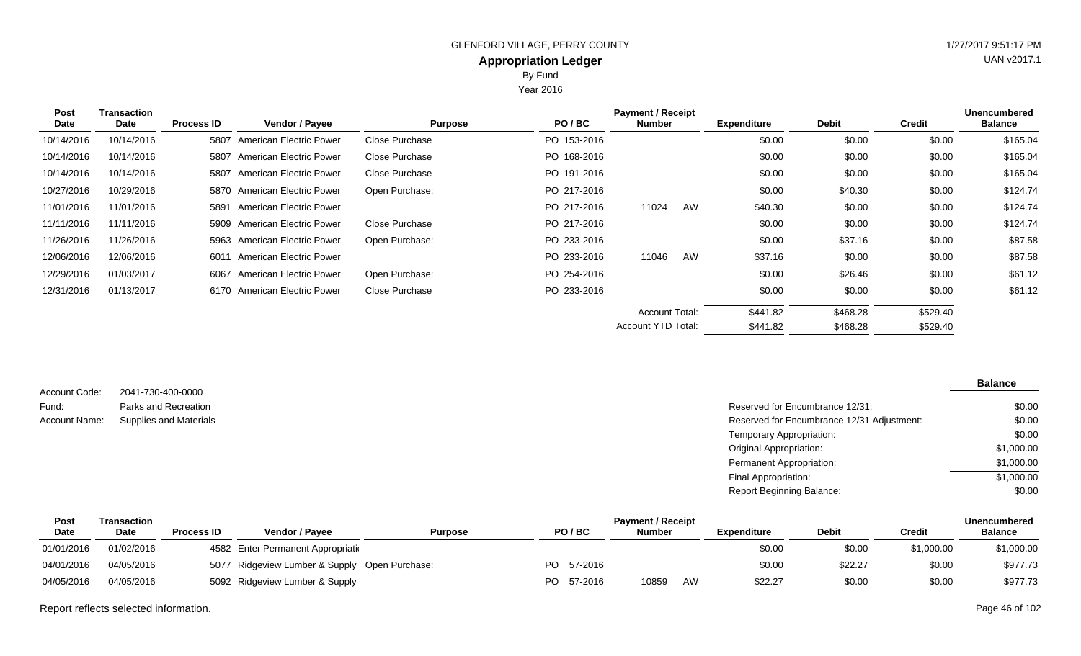Year 2016

| <b>Post</b> | <b>Transaction</b> | <b>Payment / Receipt</b> |                                |                |             |                    |    |                    |              |               | <b>Unencumbered</b> |
|-------------|--------------------|--------------------------|--------------------------------|----------------|-------------|--------------------|----|--------------------|--------------|---------------|---------------------|
| Date        | Date               | <b>Process ID</b>        | Vendor / Payee                 | <b>Purpose</b> | PO/BC       | <b>Number</b>      |    | <b>Expenditure</b> | <b>Debit</b> | <b>Credit</b> | <b>Balance</b>      |
| 10/14/2016  | 10/14/2016         | 5807                     | <b>American Electric Power</b> | Close Purchase | PO 153-2016 |                    |    | \$0.00             | \$0.00       | \$0.00        | \$165.04            |
| 10/14/2016  | 10/14/2016         | 5807                     | American Electric Power        | Close Purchase | PO 168-2016 |                    |    | \$0.00             | \$0.00       | \$0.00        | \$165.04            |
| 10/14/2016  | 10/14/2016         | 5807                     | American Electric Power        | Close Purchase | PO 191-2016 |                    |    | \$0.00             | \$0.00       | \$0.00        | \$165.04            |
| 10/27/2016  | 10/29/2016         |                          | 5870 American Electric Power   | Open Purchase: | PO 217-2016 |                    |    | \$0.00             | \$40.30      | \$0.00        | \$124.74            |
| 11/01/2016  | 11/01/2016         | 5891                     | American Electric Power        |                | PO 217-2016 | 11024              | AW | \$40.30            | \$0.00       | \$0.00        | \$124.74            |
| 11/11/2016  | 11/11/2016         |                          | 5909 American Electric Power   | Close Purchase | PO 217-2016 |                    |    | \$0.00             | \$0.00       | \$0.00        | \$124.74            |
| 11/26/2016  | 11/26/2016         |                          | 5963 American Electric Power   | Open Purchase: | PO 233-2016 |                    |    | \$0.00             | \$37.16      | \$0.00        | \$87.58             |
| 12/06/2016  | 12/06/2016         | 6011                     | American Electric Power        |                | PO 233-2016 | 11046              | AW | \$37.16            | \$0.00       | \$0.00        | \$87.58             |
| 12/29/2016  | 01/03/2017         | 6067                     | <b>American Electric Power</b> | Open Purchase: | PO 254-2016 |                    |    | \$0.00             | \$26.46      | \$0.00        | \$61.12             |
| 12/31/2016  | 01/13/2017         |                          | 6170 American Electric Power   | Close Purchase | PO 233-2016 |                    |    | \$0.00             | \$0.00       | \$0.00        | \$61.12             |
|             |                    |                          |                                |                |             | Account Total:     |    | \$441.82           | \$468.28     | \$529.40      |                     |
|             |                    |                          |                                |                |             | Account YTD Total: |    | \$441.82           | \$468.28     | \$529.40      |                     |

2041-730-400-0000 Parks and Recreation Account Code: Fund:

#### **Balance**

| Fund:         | Parks and Recreation   | Reserved for Encumbrance 12/31:            | \$0.00     |
|---------------|------------------------|--------------------------------------------|------------|
| Account Name: | Supplies and Materials | Reserved for Encumbrance 12/31 Adjustment: | \$0.00     |
|               |                        | Temporary Appropriation:                   | \$0.00     |
|               |                        | Original Appropriation:                    | \$1,000.00 |
|               |                        | Permanent Appropriation:                   | \$1,000.00 |
|               |                        | Final Appropriation:                       | \$1,000.00 |
|               |                        | <b>Report Beginning Balance:</b>           | \$0.00     |

| Post        | Transaction |                   |                                               |                |     |            |               | <b>Unencumbered</b> |             |              |            |                |
|-------------|-------------|-------------------|-----------------------------------------------|----------------|-----|------------|---------------|---------------------|-------------|--------------|------------|----------------|
| <b>Date</b> | <b>Date</b> | <b>Process ID</b> | Vendor / Pavee                                | <b>Purpose</b> |     | PO/BC      | <b>Number</b> |                     | Expenditure | <b>Debit</b> | Credit     | <b>Balance</b> |
| 01/01/2016  | 01/02/2016  |                   | 4582 Enter Permanent Appropriation            |                |     |            |               |                     | \$0.00      | \$0.00       | \$1,000.00 | \$1,000.00     |
| 04/01/2016  | 04/05/2016  |                   | 5077 Ridgeview Lumber & Supply Open Purchase: |                |     | PO 57-2016 |               |                     | \$0.00      | \$22.27      | \$0.00     | \$977.73       |
| 04/05/2016  | 04/05/2016  |                   | 5092 Ridgeview Lumber & Supply                |                | PO. | 57-2016    | 10859         | AW                  | \$22.27     | \$0.00       | \$0.00     | \$977.73       |

Report reflects selected information. Page 46 of 102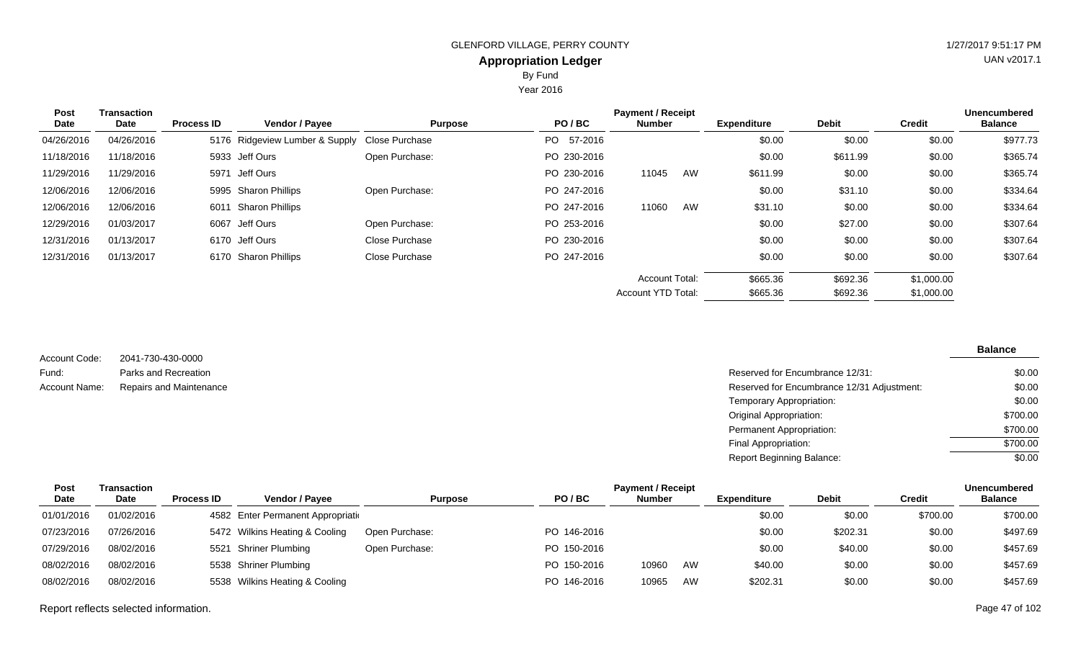Year 2016

| Post<br>Date | Transaction<br>Date | <b>Process ID</b> | <b>Vendor / Payee</b>                         | <b>Purpose</b> | PO/BC       | <b>Payment / Receipt</b><br><b>Number</b> | <b>Expenditure</b> | <b>Debit</b> | <b>Credit</b> | <b>Unencumbered</b><br><b>Balance</b> |
|--------------|---------------------|-------------------|-----------------------------------------------|----------------|-------------|-------------------------------------------|--------------------|--------------|---------------|---------------------------------------|
| 04/26/2016   | 04/26/2016          |                   | 5176 Ridgeview Lumber & Supply Close Purchase |                | PO 57-2016  |                                           | \$0.00             | \$0.00       | \$0.00        | \$977.73                              |
| 11/18/2016   | 11/18/2016          |                   | 5933 Jeff Ours                                | Open Purchase: | PO 230-2016 |                                           | \$0.00             | \$611.99     | \$0.00        | \$365.74                              |
| 11/29/2016   | 11/29/2016          |                   | 5971 Jeff Ours                                |                | PO 230-2016 | AW<br>11045                               | \$611.99           | \$0.00       | \$0.00        | \$365.74                              |
| 12/06/2016   | 12/06/2016          |                   | 5995 Sharon Phillips                          | Open Purchase: | PO 247-2016 |                                           | \$0.00             | \$31.10      | \$0.00        | \$334.64                              |
| 12/06/2016   | 12/06/2016          |                   | 6011 Sharon Phillips                          |                | PO 247-2016 | AW<br>11060                               | \$31.10            | \$0.00       | \$0.00        | \$334.64                              |
| 12/29/2016   | 01/03/2017          |                   | 6067 Jeff Ours                                | Open Purchase: | PO 253-2016 |                                           | \$0.00             | \$27.00      | \$0.00        | \$307.64                              |
| 12/31/2016   | 01/13/2017          |                   | 6170 Jeff Ours                                | Close Purchase | PO 230-2016 |                                           | \$0.00             | \$0.00       | \$0.00        | \$307.64                              |
| 12/31/2016   | 01/13/2017          |                   | 6170 Sharon Phillips                          | Close Purchase | PO 247-2016 |                                           | \$0.00             | \$0.00       | \$0.00        | \$307.64                              |
|              |                     |                   |                                               |                |             | <b>Account Total:</b>                     | \$665.36           | \$692.36     | \$1,000.00    |                                       |
|              |                     |                   |                                               |                |             | <b>Account YTD Total:</b>                 | \$665.36           | \$692.36     | \$1,000.00    |                                       |

| Account Code: | 2041-730-430-0000       |
|---------------|-------------------------|
| Fund:         | Parks and Recreation    |
| Account Name: | Repairs and Maintenance |

| Parks and Recreation    | Reserved for Encumbrance 12/31:            | \$0.00   |
|-------------------------|--------------------------------------------|----------|
| Repairs and Maintenance | Reserved for Encumbrance 12/31 Adjustment: | \$0.00   |
|                         | Temporary Appropriation:                   | \$0.00   |
|                         | Original Appropriation:                    | \$700.00 |
|                         | Permanent Appropriation:                   | \$700.00 |
|                         | Final Appropriation:                       | \$700.00 |
|                         | <b>Report Beginning Balance:</b>           | \$0.00   |
|                         |                                            |          |

| Post        | Transaction |                   |                                    |                |             | <b>Payment / Receipt</b> |    |             |              |               | <b>Unencumbered</b> |
|-------------|-------------|-------------------|------------------------------------|----------------|-------------|--------------------------|----|-------------|--------------|---------------|---------------------|
| <b>Date</b> | <b>Date</b> | <b>Process ID</b> | <b>Vendor / Pavee</b>              | <b>Purpose</b> | PO/BC       | <b>Number</b>            |    | Expenditure | <b>Debit</b> | <b>Credit</b> | <b>Balance</b>      |
| 01/01/2016  | 01/02/2016  |                   | 4582 Enter Permanent Appropriation |                |             |                          |    | \$0.00      | \$0.00       | \$700.00      | \$700.00            |
| 07/23/2016  | 07/26/2016  |                   | 5472 Wilkins Heating & Cooling     | Open Purchase: | PO 146-2016 |                          |    | \$0.00      | \$202.31     | \$0.00        | \$497.69            |
| 07/29/2016  | 08/02/2016  |                   | 5521 Shriner Plumbing              | Open Purchase: | PO 150-2016 |                          |    | \$0.00      | \$40.00      | \$0.00        | \$457.69            |
| 08/02/2016  | 08/02/2016  |                   | 5538 Shriner Plumbing              |                | PO 150-2016 | 10960                    | AW | \$40.00     | \$0.00       | \$0.00        | \$457.69            |
| 08/02/2016  | 08/02/2016  |                   | 5538 Wilkins Heating & Cooling     |                | PO 146-2016 | 10965                    | AW | \$202.31    | \$0.00       | \$0.00        | \$457.69            |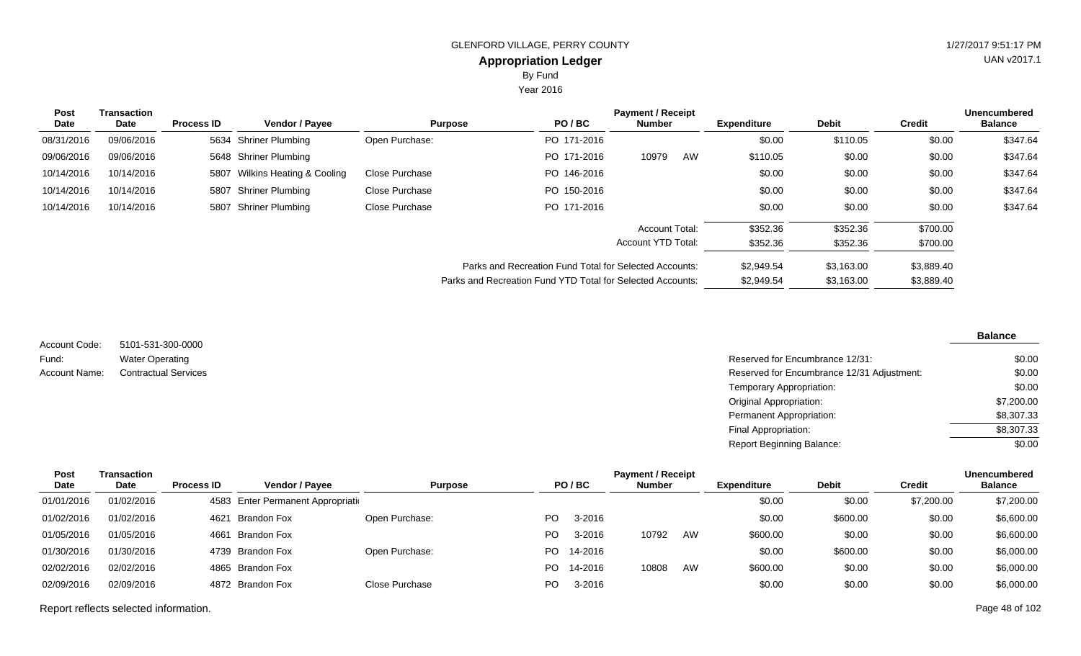By Fund

Year 2016

| Post<br>Date | <b>Transaction</b><br>Date | <b>Process ID</b> | <b>Vendor / Payee</b>          |                | PO/BC<br><b>Purpose</b>                                    | <b>Payment / Receipt</b><br>Number |    | <b>Expenditure</b> | <b>Debit</b> | <b>Credit</b> | <b>Unencumbered</b><br><b>Balance</b> |
|--------------|----------------------------|-------------------|--------------------------------|----------------|------------------------------------------------------------|------------------------------------|----|--------------------|--------------|---------------|---------------------------------------|
| 08/31/2016   | 09/06/2016                 |                   | 5634 Shriner Plumbing          | Open Purchase: | PO 171-2016                                                |                                    |    | \$0.00             | \$110.05     | \$0.00        | \$347.64                              |
| 09/06/2016   | 09/06/2016                 |                   | 5648 Shriner Plumbing          |                | PO 171-2016                                                | 10979                              | AW | \$110.05           | \$0.00       | \$0.00        | \$347.64                              |
| 10/14/2016   | 10/14/2016                 |                   | 5807 Wilkins Heating & Cooling | Close Purchase | PO 146-2016                                                |                                    |    | \$0.00             | \$0.00       | \$0.00        | \$347.64                              |
| 10/14/2016   | 10/14/2016                 |                   | 5807 Shriner Plumbing          | Close Purchase | PO 150-2016                                                |                                    |    | \$0.00             | \$0.00       | \$0.00        | \$347.64                              |
| 10/14/2016   | 10/14/2016                 |                   | 5807 Shriner Plumbing          | Close Purchase | PO 171-2016                                                |                                    |    | \$0.00             | \$0.00       | \$0.00        | \$347.64                              |
|              |                            |                   |                                |                |                                                            | Account Total:                     |    | \$352.36           | \$352.36     | \$700.00      |                                       |
|              |                            |                   |                                |                |                                                            | Account YTD Total:                 |    | \$352.36           | \$352.36     | \$700.00      |                                       |
|              |                            |                   |                                |                | Parks and Recreation Fund Total for Selected Accounts:     |                                    |    | \$2,949.54         | \$3.163.00   | \$3,889.40    |                                       |
|              |                            |                   |                                |                | Parks and Recreation Fund YTD Total for Selected Accounts: |                                    |    | \$2,949.54         | \$3,163.00   | \$3,889.40    |                                       |

5101-531-300-0000 Water Operating Account Code: Fund:

#### **Balance**

| Fund:         | <b>Water Operating</b>      | Reserved for Encumbrance 12/31:            | \$0.00     |
|---------------|-----------------------------|--------------------------------------------|------------|
| Account Name: | <b>Contractual Services</b> | Reserved for Encumbrance 12/31 Adjustment: | \$0.00     |
|               |                             | Temporary Appropriation:                   | \$0.00     |
|               |                             | Original Appropriation:                    | \$7,200.00 |
|               |                             | Permanent Appropriation:                   | \$8,307.33 |
|               |                             | Final Appropriation:                       | \$8,307.33 |
|               |                             | <b>Report Beginning Balance:</b>           | \$0.00     |

| <b>Balance</b> |
|----------------|
|                |
| \$7,200.00     |
| \$6,600.00     |
| \$6,600.00     |
| \$6,000.00     |
| \$6,000.00     |
| \$6,000.00     |
|                |

Report reflects selected information. Page 48 of 102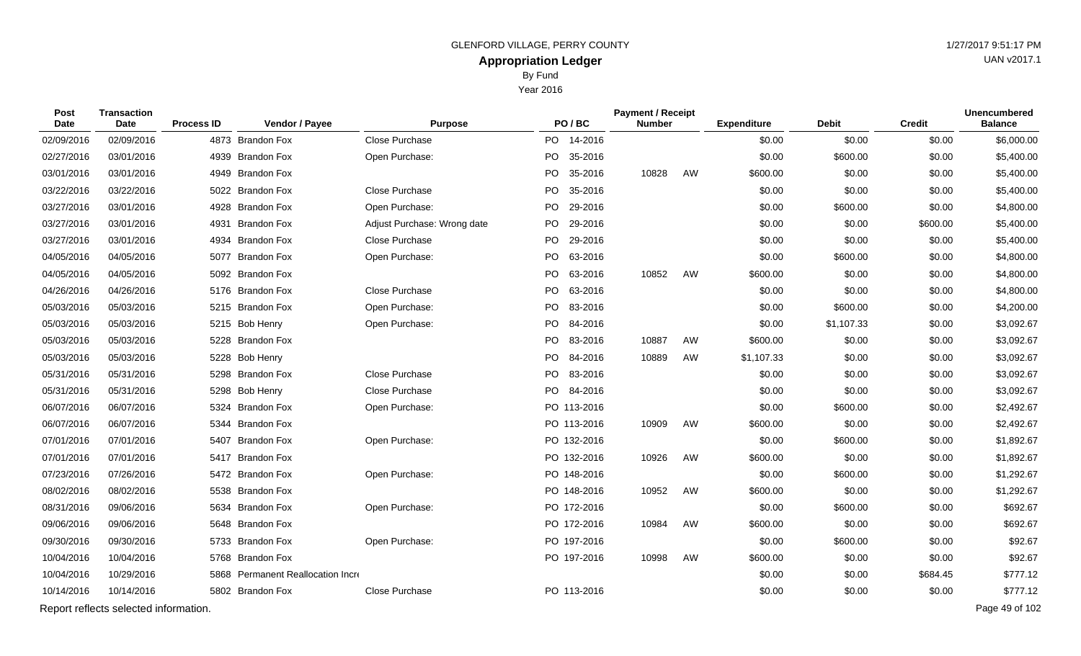Year 2016

| <b>Post</b><br>Date | Transaction<br>Date | <b>Process ID</b> | Vendor / Payee   | <b>Purpose</b>              |     | PO/BC   | <b>Payment / Receipt</b><br>Number |    | <b>Expenditure</b> | <b>Debit</b> | <b>Credit</b> | <b>Unencumbered</b><br><b>Balance</b> |
|---------------------|---------------------|-------------------|------------------|-----------------------------|-----|---------|------------------------------------|----|--------------------|--------------|---------------|---------------------------------------|
| 02/09/2016          | 02/09/2016          |                   | 4873 Brandon Fox | Close Purchase              | PO. | 14-2016 |                                    |    | \$0.00             | \$0.00       | \$0.00        | \$6,000.00                            |
| 02/27/2016          | 03/01/2016          |                   | 4939 Brandon Fox | Open Purchase:              | PO. | 35-2016 |                                    |    | \$0.00             | \$600.00     | \$0.00        | \$5,400.00                            |
| 03/01/2016          | 03/01/2016          |                   | 4949 Brandon Fox |                             | PO. | 35-2016 | 10828                              | AW | \$600.00           | \$0.00       | \$0.00        | \$5,400.00                            |
| 03/22/2016          | 03/22/2016          |                   | 5022 Brandon Fox | Close Purchase              | PO. | 35-2016 |                                    |    | \$0.00             | \$0.00       | \$0.00        | \$5,400.00                            |
| 03/27/2016          | 03/01/2016          |                   | 4928 Brandon Fox | Open Purchase:              | PO. | 29-2016 |                                    |    | \$0.00             | \$600.00     | \$0.00        | \$4,800.00                            |
| 03/27/2016          | 03/01/2016          | 4931              | Brandon Fox      | Adjust Purchase: Wrong date | PO. | 29-2016 |                                    |    | \$0.00             | \$0.00       | \$600.00      | \$5,400.00                            |
| 03/27/2016          | 03/01/2016          | 4934              | Brandon Fox      | Close Purchase              | PO. | 29-2016 |                                    |    | \$0.00             | \$0.00       | \$0.00        | \$5,400.00                            |
| 04/05/2016          | 04/05/2016          |                   | 5077 Brandon Fox | Open Purchase:              | PO. | 63-2016 |                                    |    | \$0.00             | \$600.00     | \$0.00        | \$4,800.00                            |
| 04/05/2016          | 04/05/2016          |                   | 5092 Brandon Fox |                             | PO. | 63-2016 | 10852                              | AW | \$600.00           | \$0.00       | \$0.00        | \$4,800.00                            |
| 04/26/2016          | 04/26/2016          |                   | 5176 Brandon Fox | Close Purchase              | PO. | 63-2016 |                                    |    | \$0.00             | \$0.00       | \$0.00        | \$4,800.00                            |
| 05/03/2016          | 05/03/2016          |                   | 5215 Brandon Fox | Open Purchase:              | PO. | 83-2016 |                                    |    | \$0.00             | \$600.00     | \$0.00        | \$4,200.00                            |
| 05/03/2016          | 05/03/2016          |                   | 5215 Bob Henry   | Open Purchase:              | PO. | 84-2016 |                                    |    | \$0.00             | \$1,107.33   | \$0.00        | \$3,092.67                            |
| 05/03/2016          | 05/03/2016          |                   | 5228 Brandon Fox |                             | PO. | 83-2016 | 10887                              | AW | \$600.00           | \$0.00       | \$0.00        | \$3,092.67                            |
| 05/03/2016          | 05/03/2016          |                   | 5228 Bob Henry   |                             | PO. | 84-2016 | 10889                              | AW | \$1,107.33         | \$0.00       | \$0.00        | \$3,092.67                            |

| 03/27/2016 | 03/01/2016                            | 4931<br>Brandon Fox               | Adjust Purchase: Wrong date | PO.<br>29-2016  |       |    | \$0.00     | \$0.00     | \$600.00 | \$5,400.00     |
|------------|---------------------------------------|-----------------------------------|-----------------------------|-----------------|-------|----|------------|------------|----------|----------------|
| 03/27/2016 | 03/01/2016                            | 4934 Brandon Fox                  | Close Purchase              | 29-2016<br>PO.  |       |    | \$0.00     | \$0.00     | \$0.00   | \$5,400.00     |
| 04/05/2016 | 04/05/2016                            | 5077 Brandon Fox                  | Open Purchase:              | PO<br>63-2016   |       |    | \$0.00     | \$600.00   | \$0.00   | \$4,800.00     |
| 04/05/2016 | 04/05/2016                            | 5092 Brandon Fox                  |                             | PO.<br>63-2016  | 10852 | AW | \$600.00   | \$0.00     | \$0.00   | \$4,800.00     |
| 04/26/2016 | 04/26/2016                            | 5176 Brandon Fox                  | Close Purchase              | PO.<br>63-2016  |       |    | \$0.00     | \$0.00     | \$0.00   | \$4,800.00     |
| 05/03/2016 | 05/03/2016                            | 5215 Brandon Fox                  | Open Purchase:              | PO 83-2016      |       |    | \$0.00     | \$600.00   | \$0.00   | \$4,200.00     |
| 05/03/2016 | 05/03/2016                            | 5215 Bob Henry                    | Open Purchase:              | PO  <br>84-2016 |       |    | \$0.00     | \$1,107.33 | \$0.00   | \$3,092.67     |
| 05/03/2016 | 05/03/2016                            | 5228 Brandon Fox                  |                             | PO.<br>83-2016  | 10887 | AW | \$600.00   | \$0.00     | \$0.00   | \$3,092.67     |
| 05/03/2016 | 05/03/2016                            | 5228 Bob Henry                    |                             | PO<br>84-2016   | 10889 | AW | \$1,107.33 | \$0.00     | \$0.00   | \$3,092.67     |
| 05/31/2016 | 05/31/2016                            | 5298 Brandon Fox                  | Close Purchase              | PO.<br>83-2016  |       |    | \$0.00     | \$0.00     | \$0.00   | \$3,092.67     |
| 05/31/2016 | 05/31/2016                            | 5298 Bob Henry                    | Close Purchase              | PO 84-2016      |       |    | \$0.00     | \$0.00     | \$0.00   | \$3,092.67     |
| 06/07/2016 | 06/07/2016                            | 5324 Brandon Fox                  | Open Purchase:              | PO 113-2016     |       |    | \$0.00     | \$600.00   | \$0.00   | \$2,492.67     |
| 06/07/2016 | 06/07/2016                            | <b>Brandon Fox</b><br>5344        |                             | PO 113-2016     | 10909 | AW | \$600.00   | \$0.00     | \$0.00   | \$2,492.67     |
| 07/01/2016 | 07/01/2016                            | <b>Brandon Fox</b><br>5407        | Open Purchase:              | PO 132-2016     |       |    | \$0.00     | \$600.00   | \$0.00   | \$1,892.67     |
| 07/01/2016 | 07/01/2016                            | 5417 Brandon Fox                  |                             | PO 132-2016     | 10926 | AW | \$600.00   | \$0.00     | \$0.00   | \$1,892.67     |
| 07/23/2016 | 07/26/2016                            | 5472 Brandon Fox                  | Open Purchase:              | PO 148-2016     |       |    | \$0.00     | \$600.00   | \$0.00   | \$1,292.67     |
| 08/02/2016 | 08/02/2016                            | 5538 Brandon Fox                  |                             | PO 148-2016     | 10952 | AW | \$600.00   | \$0.00     | \$0.00   | \$1,292.67     |
| 08/31/2016 | 09/06/2016                            | 5634 Brandon Fox                  | Open Purchase:              | PO 172-2016     |       |    | \$0.00     | \$600.00   | \$0.00   | \$692.67       |
| 09/06/2016 | 09/06/2016                            | 5648 Brandon Fox                  |                             | PO 172-2016     | 10984 | AW | \$600.00   | \$0.00     | \$0.00   | \$692.67       |
| 09/30/2016 | 09/30/2016                            | 5733 Brandon Fox                  | Open Purchase:              | PO 197-2016     |       |    | \$0.00     | \$600.00   | \$0.00   | \$92.67        |
| 10/04/2016 | 10/04/2016                            | 5768 Brandon Fox                  |                             | PO 197-2016     | 10998 | AW | \$600.00   | \$0.00     | \$0.00   | \$92.67        |
| 10/04/2016 | 10/29/2016                            | 5868 Permanent Reallocation Incre |                             |                 |       |    | \$0.00     | \$0.00     | \$684.45 | \$777.12       |
| 10/14/2016 | 10/14/2016                            | 5802 Brandon Fox                  | Close Purchase              | PO 113-2016     |       |    | \$0.00     | \$0.00     | \$0.00   | \$777.12       |
|            | Report reflects selected information. |                                   |                             |                 |       |    |            |            |          | Page 49 of 102 |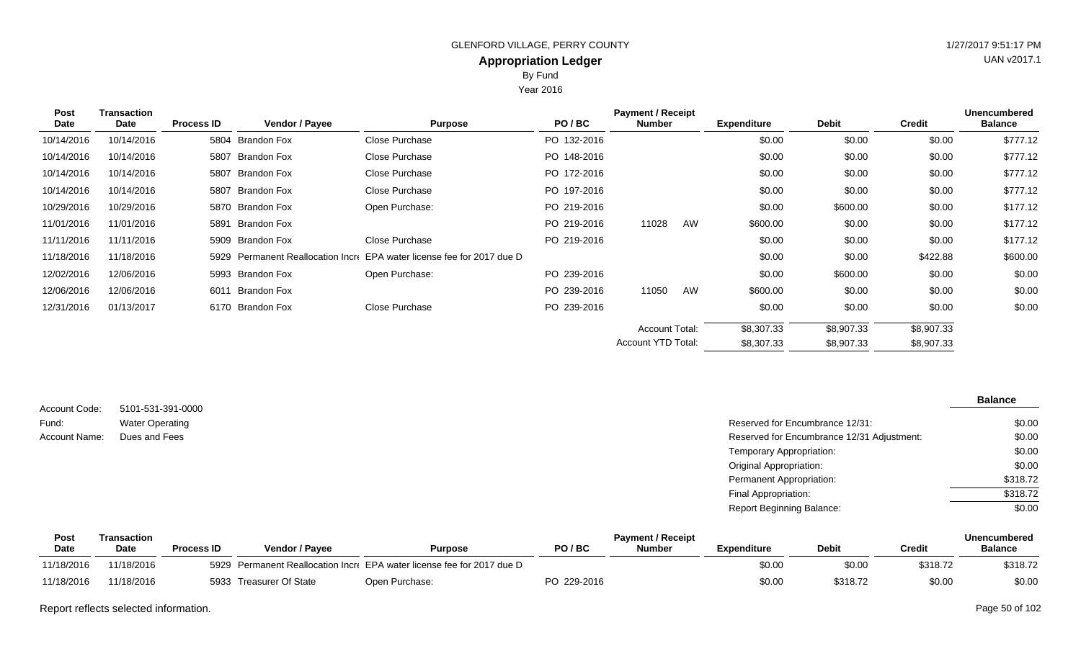By Fund

Year 2016

| Post       | <b>Transaction</b> |                   |                       |                                                                   |             | <b>Payment / Receipt</b> |    |                    |              |               | <b>Unencumbered</b> |
|------------|--------------------|-------------------|-----------------------|-------------------------------------------------------------------|-------------|--------------------------|----|--------------------|--------------|---------------|---------------------|
| Date       | Date               | <b>Process ID</b> | <b>Vendor / Payee</b> | <b>Purpose</b>                                                    | PO/BC       | <b>Number</b>            |    | <b>Expenditure</b> | <b>Debit</b> | <b>Credit</b> | <b>Balance</b>      |
| 10/14/2016 | 10/14/2016         |                   | 5804 Brandon Fox      | Close Purchase                                                    | PO 132-2016 |                          |    | \$0.00             | \$0.00       | \$0.00        | \$777.12            |
| 10/14/2016 | 10/14/2016         |                   | 5807 Brandon Fox      | Close Purchase                                                    | PO 148-2016 |                          |    | \$0.00             | \$0.00       | \$0.00        | \$777.12            |
| 10/14/2016 | 10/14/2016         |                   | 5807 Brandon Fox      | Close Purchase                                                    | PO 172-2016 |                          |    | \$0.00             | \$0.00       | \$0.00        | \$777.12            |
| 10/14/2016 | 10/14/2016         |                   | 5807 Brandon Fox      | Close Purchase                                                    | PO 197-2016 |                          |    | \$0.00             | \$0.00       | \$0.00        | \$777.12            |
| 10/29/2016 | 10/29/2016         |                   | 5870 Brandon Fox      | Open Purchase:                                                    | PO 219-2016 |                          |    | \$0.00             | \$600.00     | \$0.00        | \$177.12            |
| 11/01/2016 | 11/01/2016         |                   | 5891 Brandon Fox      |                                                                   | PO 219-2016 | 11028                    | AW | \$600.00           | \$0.00       | \$0.00        | \$177.12            |
| 11/11/2016 | 11/11/2016         |                   | 5909 Brandon Fox      | Close Purchase                                                    | PO 219-2016 |                          |    | \$0.00             | \$0.00       | \$0.00        | \$177.12            |
| 11/18/2016 | 11/18/2016         | 5929              |                       | Permanent Reallocation Incre EPA water license fee for 2017 due D |             |                          |    | \$0.00             | \$0.00       | \$422.88      | \$600.00            |
| 12/02/2016 | 12/06/2016         |                   | 5993 Brandon Fox      | Open Purchase:                                                    | PO 239-2016 |                          |    | \$0.00             | \$600.00     | \$0.00        | \$0.00              |
| 12/06/2016 | 12/06/2016         | 6011              | Brandon Fox           |                                                                   | PO 239-2016 | 11050                    | AW | \$600.00           | \$0.00       | \$0.00        | \$0.00              |
| 12/31/2016 | 01/13/2017         |                   | 6170 Brandon Fox      | Close Purchase                                                    | PO 239-2016 |                          |    | \$0.00             | \$0.00       | \$0.00        | \$0.00              |
|            |                    |                   |                       |                                                                   |             | <b>Account Total:</b>    |    | \$8,307.33         | \$8,907.33   | \$8,907.33    |                     |
|            |                    |                   |                       |                                                                   |             | Account YTD Total:       |    | \$8,307.33         | \$8,907.33   | \$8,907.33    |                     |
|            |                    |                   |                       |                                                                   |             |                          |    |                    |              |               |                     |

|                      |                        |                                            | <b>Balance</b> |
|----------------------|------------------------|--------------------------------------------|----------------|
| Account Code:        | 5101-531-391-0000      |                                            |                |
| Fund:                | <b>Water Operating</b> | Reserved for Encumbrance 12/31:            | \$0.00         |
| <b>Account Name:</b> | Dues and Fees          | Reserved for Encumbrance 12/31 Adjustment: | \$0.00         |
|                      |                        | Temporary Appropriation:                   | \$0.00         |
|                      |                        | <b>Original Appropriation:</b>             | \$0.00         |
|                      |                        | Permanent Appropriation:                   | \$318.72       |
|                      |                        | Final Appropriation:                       | \$318.72       |
|                      |                        | <b>Report Beginning Balance:</b>           | \$0.00         |
|                      |                        |                                            |                |

| Pos.       | Transaction |            |                         |                                                                        |             | <b>Payment / Receipt</b> |             |          |          | <b>Unencumbered</b> |
|------------|-------------|------------|-------------------------|------------------------------------------------------------------------|-------------|--------------------------|-------------|----------|----------|---------------------|
| Date       | Date        | Process ID | <b>Vendor / Pavee</b>   | Purpose                                                                | PO/BC       | Number                   | Expenditure | Debit    | Credit   | <b>Balance</b>      |
| 11/18/2016 | 11/18/2016  |            |                         | 5929 Permanent Reallocation Incre EPA water license fee for 2017 due D |             |                          | \$0.00      | \$0.00   | \$318.72 | \$318.72            |
| 11/18/2016 | 11/18/2016  |            | 5933 Treasurer Of State | Open Purchase:                                                         | PO 229-2016 |                          | \$0.00      | \$318.72 | \$0.00   | \$0.00              |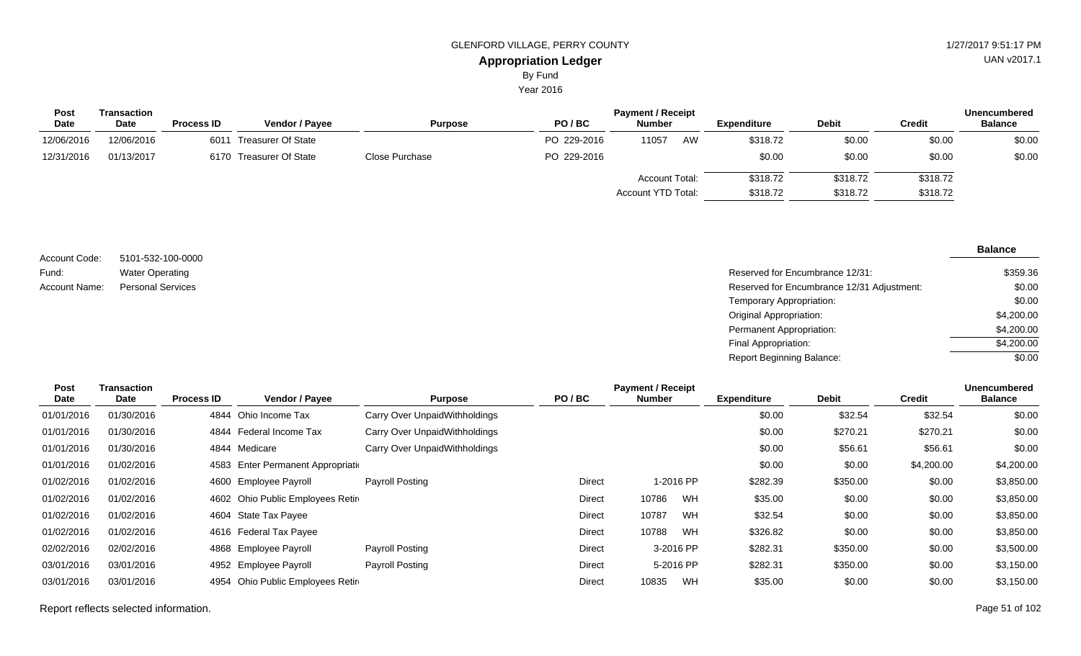Year 2016

| Post        | Transaction |                   |                         | <b>Payment / Receipt</b> |             |                       |    |             |              |          | <b>Unencumbered</b> |
|-------------|-------------|-------------------|-------------------------|--------------------------|-------------|-----------------------|----|-------------|--------------|----------|---------------------|
| <b>Date</b> | <b>Date</b> | <b>Process ID</b> | <b>Vendor / Pavee</b>   | <b>Purpose</b>           | PO/BC       | <b>Number</b>         |    | Expenditure | <b>Debit</b> | Credit   | <b>Balance</b>      |
| 12/06/2016  | 12/06/2016  | 6011              | Treasurer Of State      |                          | PO 229-2016 | 11057                 | AW | \$318.72    | \$0.00       | \$0.00   | \$0.00              |
| 12/31/2016  | 01/13/2017  |                   | 6170 Treasurer Of State | Close Purchase           | PO 229-2016 |                       |    | \$0.00      | \$0.00       | \$0.00   | \$0.00              |
|             |             |                   |                         |                          |             | <b>Account Total:</b> |    | \$318.72    | \$318.72     | \$318.72 |                     |
|             |             |                   |                         |                          |             | Account YTD Total:    |    | \$318.72    | \$318.72     | \$318.72 |                     |

| Account Code: | 5101-532-100-0000        |
|---------------|--------------------------|
| Fund:         | <b>Water Operating</b>   |
| Account Name: | <b>Personal Services</b> |

| 5101-532-100-0000 |                                            |            |
|-------------------|--------------------------------------------|------------|
| Water Operating   | Reserved for Encumbrance 12/31:            | \$359.36   |
| Personal Services | Reserved for Encumbrance 12/31 Adjustment: | \$0.00     |
|                   | Temporary Appropriation:                   | \$0.00     |
|                   | Original Appropriation:                    | \$4,200.00 |
|                   | Permanent Appropriation:                   | \$4,200.00 |
|                   | Final Appropriation:                       | \$4,200.00 |
|                   | Report Beginning Balance:                  | \$0.00     |

| Post       | Transaction |                   |                                    |                               |               | <b>Payment / Receipt</b> |           |                    |              |               | <b>Unencumbered</b> |
|------------|-------------|-------------------|------------------------------------|-------------------------------|---------------|--------------------------|-----------|--------------------|--------------|---------------|---------------------|
| Date       | <b>Date</b> | <b>Process ID</b> | <b>Vendor / Payee</b>              | <b>Purpose</b>                | PO/BC         | <b>Number</b>            |           | <b>Expenditure</b> | <b>Debit</b> | <b>Credit</b> | <b>Balance</b>      |
| 01/01/2016 | 01/30/2016  | 4844              | Ohio Income Tax                    | Carry Over UnpaidWithholdings |               |                          |           | \$0.00             | \$32.54      | \$32.54       | \$0.00              |
| 01/01/2016 | 01/30/2016  | 4844              | Federal Income Tax                 | Carry Over UnpaidWithholdings |               |                          |           | \$0.00             | \$270.21     | \$270.21      | \$0.00              |
| 01/01/2016 | 01/30/2016  |                   | 4844 Medicare                      | Carry Over UnpaidWithholdings |               |                          |           | \$0.00             | \$56.61      | \$56.61       | \$0.00              |
| 01/01/2016 | 01/02/2016  |                   | 4583 Enter Permanent Appropriation |                               |               |                          |           | \$0.00             | \$0.00       | \$4,200.00    | \$4,200.00          |
| 01/02/2016 | 01/02/2016  | 4600              | Employee Payroll                   | <b>Payroll Posting</b>        | Direct        |                          | 1-2016 PP | \$282.39           | \$350.00     | \$0.00        | \$3,850.00          |
| 01/02/2016 | 01/02/2016  |                   | 4602 Ohio Public Employees Retire  |                               | Direct        | 10786                    | WH        | \$35.00            | \$0.00       | \$0.00        | \$3,850.00          |
| 01/02/2016 | 01/02/2016  |                   | 4604 State Tax Payee               |                               | Direct        | 10787                    | WH        | \$32.54            | \$0.00       | \$0.00        | \$3,850.00          |
| 01/02/2016 | 01/02/2016  |                   | 4616 Federal Tax Payee             |                               | Direct        | 10788                    | WH        | \$326.82           | \$0.00       | \$0.00        | \$3,850.00          |
| 02/02/2016 | 02/02/2016  |                   | 4868 Employee Payroll              | <b>Payroll Posting</b>        | <b>Direct</b> |                          | 3-2016 PP | \$282.31           | \$350.00     | \$0.00        | \$3,500.00          |
| 03/01/2016 | 03/01/2016  |                   | 4952 Employee Payroll              | Payroll Posting               | Direct        |                          | 5-2016 PP | \$282.31           | \$350.00     | \$0.00        | \$3,150.00          |
| 03/01/2016 | 03/01/2016  | 4954              | Ohio Public Employees Retir        |                               | Direct        | 10835                    | WH        | \$35.00            | \$0.00       | \$0.00        | \$3,150.00          |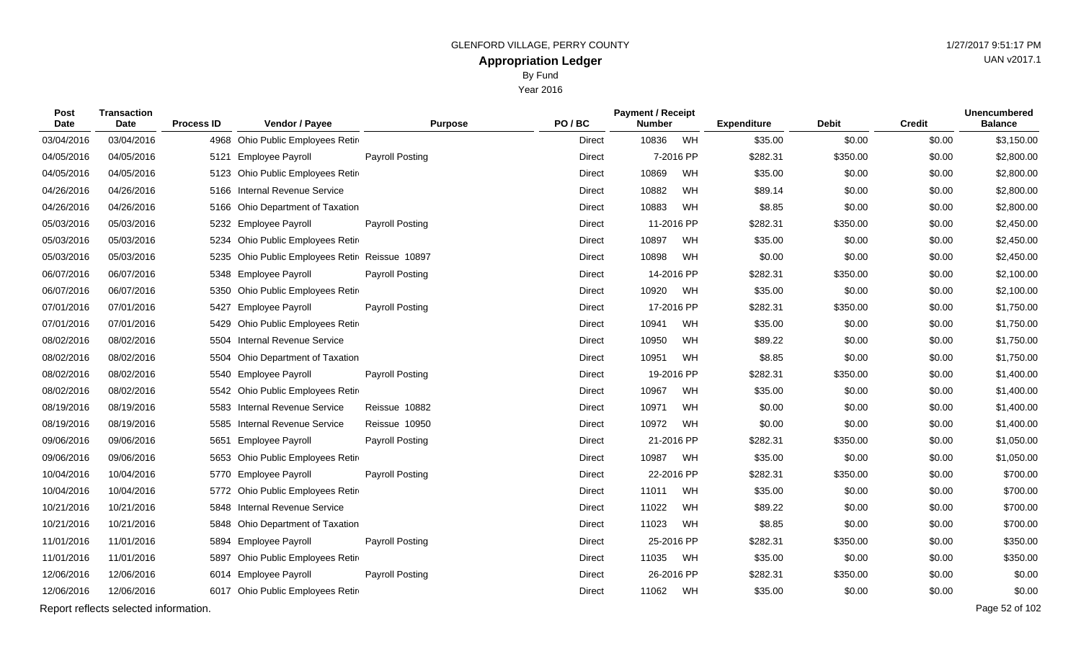Year 2016

| Post<br><b>Date</b> | <b>Transaction</b><br>Date            | <b>Process ID</b> | Vendor / Payee                            | <b>Purpose</b>         | PO/BC         | <b>Payment / Receipt</b><br><b>Number</b> |           | <b>Expenditure</b> | <b>Debit</b> | <b>Credit</b> | <b>Unencumbered</b><br><b>Balance</b> |
|---------------------|---------------------------------------|-------------------|-------------------------------------------|------------------------|---------------|-------------------------------------------|-----------|--------------------|--------------|---------------|---------------------------------------|
| 03/04/2016          | 03/04/2016                            | 4968              | Ohio Public Employees Retir               |                        | Direct        | 10836                                     | WH        | \$35.00            | \$0.00       | \$0.00        | \$3,150.00                            |
| 04/05/2016          | 04/05/2016                            |                   | 5121 Employee Payroll                     | Payroll Posting        | Direct        |                                           | 7-2016 PP | \$282.31           | \$350.00     | \$0.00        | \$2,800.00                            |
| 04/05/2016          | 04/05/2016                            | 5123              | Ohio Public Employees Retir               |                        | Direct        | 10869                                     | WH        | \$35.00            | \$0.00       | \$0.00        | \$2,800.00                            |
| 04/26/2016          | 04/26/2016                            |                   | 5166 Internal Revenue Service             |                        | Direct        | 10882                                     | WH        | \$89.14            | \$0.00       | \$0.00        | \$2,800.00                            |
| 04/26/2016          | 04/26/2016                            | 5166              | Ohio Department of Taxation               |                        | Direct        | 10883                                     | WH        | \$8.85             | \$0.00       | \$0.00        | \$2,800.00                            |
| 05/03/2016          | 05/03/2016                            |                   | 5232 Employee Payroll                     | <b>Payroll Posting</b> | Direct        | 11-2016 PP                                |           | \$282.31           | \$350.00     | \$0.00        | \$2,450.00                            |
| 05/03/2016          | 05/03/2016                            |                   | 5234 Ohio Public Employees Retir          |                        | Direct        | 10897                                     | WH        | \$35.00            | \$0.00       | \$0.00        | \$2,450.00                            |
| 05/03/2016          | 05/03/2016                            | 5235              | Ohio Public Employees Retir Reissue 10897 |                        | <b>Direct</b> | 10898                                     | WH        | \$0.00             | \$0.00       | \$0.00        | \$2,450.00                            |
| 06/07/2016          | 06/07/2016                            |                   | 5348 Employee Payroll                     | <b>Payroll Posting</b> | <b>Direct</b> | 14-2016 PP                                |           | \$282.31           | \$350.00     | \$0.00        | \$2,100.00                            |
| 06/07/2016          | 06/07/2016                            | 5350              | Ohio Public Employees Retir               |                        | Direct        | 10920                                     | WH        | \$35.00            | \$0.00       | \$0.00        | \$2,100.00                            |
| 07/01/2016          | 07/01/2016                            |                   | 5427 Employee Payroll                     | Payroll Posting        | Direct        | 17-2016 PP                                |           | \$282.31           | \$350.00     | \$0.00        | \$1,750.00                            |
| 07/01/2016          | 07/01/2016                            | 5429              | Ohio Public Employees Retir               |                        | Direct        | 10941                                     | WH        | \$35.00            | \$0.00       | \$0.00        | \$1,750.00                            |
| 08/02/2016          | 08/02/2016                            |                   | 5504 Internal Revenue Service             |                        | Direct        | 10950                                     | WH        | \$89.22            | \$0.00       | \$0.00        | \$1,750.00                            |
| 08/02/2016          | 08/02/2016                            | 5504              | Ohio Department of Taxation               |                        | Direct        | 10951                                     | WH        | \$8.85             | \$0.00       | \$0.00        | \$1,750.00                            |
| 08/02/2016          | 08/02/2016                            |                   | 5540 Employee Payroll                     | <b>Payroll Posting</b> | Direct        | 19-2016 PP                                |           | \$282.31           | \$350.00     | \$0.00        | \$1,400.00                            |
| 08/02/2016          | 08/02/2016                            |                   | 5542 Ohio Public Employees Retir          |                        | Direct        | 10967                                     | WH        | \$35.00            | \$0.00       | \$0.00        | \$1,400.00                            |
| 08/19/2016          | 08/19/2016                            |                   | 5583 Internal Revenue Service             | Reissue 10882          | Direct        | 10971                                     | WH        | \$0.00             | \$0.00       | \$0.00        | \$1,400.00                            |
| 08/19/2016          | 08/19/2016                            |                   | 5585 Internal Revenue Service             | Reissue 10950          | Direct        | 10972                                     | WH        | \$0.00             | \$0.00       | \$0.00        | \$1,400.00                            |
| 09/06/2016          | 09/06/2016                            |                   | 5651 Employee Payroll                     | <b>Payroll Posting</b> | Direct        | 21-2016 PP                                |           | \$282.31           | \$350.00     | \$0.00        | \$1,050.00                            |
| 09/06/2016          | 09/06/2016                            |                   | 5653 Ohio Public Employees Retir          |                        | Direct        | 10987                                     | WH        | \$35.00            | \$0.00       | \$0.00        | \$1,050.00                            |
| 10/04/2016          | 10/04/2016                            |                   | 5770 Employee Payroll                     | Payroll Posting        | Direct        | 22-2016 PP                                |           | \$282.31           | \$350.00     | \$0.00        | \$700.00                              |
| 10/04/2016          | 10/04/2016                            |                   | 5772 Ohio Public Employees Retir          |                        | Direct        | 11011                                     | WH        | \$35.00            | \$0.00       | \$0.00        | \$700.00                              |
| 10/21/2016          | 10/21/2016                            |                   | 5848 Internal Revenue Service             |                        | Direct        | 11022                                     | WH        | \$89.22            | \$0.00       | \$0.00        | \$700.00                              |
| 10/21/2016          | 10/21/2016                            |                   | 5848 Ohio Department of Taxation          |                        | Direct        | 11023                                     | WH        | \$8.85             | \$0.00       | \$0.00        | \$700.00                              |
| 11/01/2016          | 11/01/2016                            | 5894              | <b>Employee Payroll</b>                   | <b>Payroll Posting</b> | Direct        | 25-2016 PP                                |           | \$282.31           | \$350.00     | \$0.00        | \$350.00                              |
| 11/01/2016          | 11/01/2016                            | 5897              | Ohio Public Employees Retir               |                        | Direct        | 11035                                     | WH        | \$35.00            | \$0.00       | \$0.00        | \$350.00                              |
| 12/06/2016          | 12/06/2016                            |                   | 6014 Employee Payroll                     | Payroll Posting        | Direct        | 26-2016 PP                                |           | \$282.31           | \$350.00     | \$0.00        | \$0.00                                |
| 12/06/2016          | 12/06/2016                            |                   | 6017 Ohio Public Employees Retir          |                        | Direct        | 11062                                     | WH        | \$35.00            | \$0.00       | \$0.00        | \$0.00                                |
|                     | Report reflects selected information. |                   |                                           |                        |               |                                           |           |                    |              |               | Page 52 of 102                        |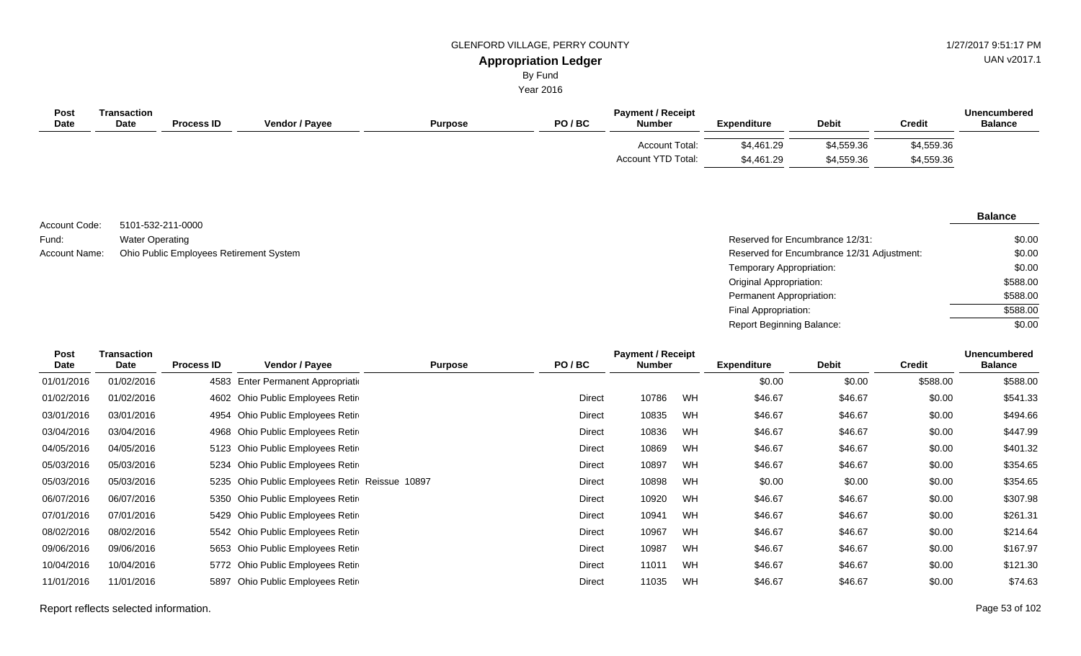UAN v2017.1

# By Fund

Year 2016

| Post<br><b>Date</b> | <b>Transaction</b><br><b>Date</b> | <b>Process ID</b> | Vendor / Payee | <b>Purpose</b> | PO/BC | <b>Payment / Receipt</b><br><b>Number</b>          | <b>Expenditure</b>       | <b>Debit</b>             | Credit                   | Unencumbered<br><b>Balance</b> |
|---------------------|-----------------------------------|-------------------|----------------|----------------|-------|----------------------------------------------------|--------------------------|--------------------------|--------------------------|--------------------------------|
|                     |                                   |                   |                |                |       | <b>Account Total:</b><br><b>Account YTD Total:</b> | \$4,461.29<br>\$4,461.29 | \$4,559.36<br>\$4,559.36 | \$4,559.36<br>\$4,559.36 |                                |

5101-532-211-0000 Water Operating Account Name: Ohio Public Employees Retirement System **Reserved for Encumbrance 12/31 Adjustment:** Account Name: Compared for Encumbrance 12/31 Adjustment: Account Code: Fund:

#### **Balance**

| Reserved for Encumbrance 12/31:            | \$0.00   |
|--------------------------------------------|----------|
| Reserved for Encumbrance 12/31 Adjustment: | \$0.00   |
| Temporary Appropriation:                   | \$0.00   |
| Original Appropriation:                    | \$588.00 |
| Permanent Appropriation:                   | \$588.00 |
| Final Appropriation:                       | \$588.00 |
| <b>Report Beginning Balance:</b>           | \$0.00   |

| Post<br><b>Date</b> | <b>Transaction</b><br>Date | <b>Process ID</b> | Vendor / Payee                                 | PO/BC<br><b>Purpose</b> |        | <b>Payment / Receipt</b><br><b>Number</b> |           | <b>Expenditure</b> | <b>Debit</b> | <b>Credit</b> | <b>Unencumbered</b><br><b>Balance</b> |
|---------------------|----------------------------|-------------------|------------------------------------------------|-------------------------|--------|-------------------------------------------|-----------|--------------------|--------------|---------------|---------------------------------------|
| 01/01/2016          | 01/02/2016                 |                   | 4583 Enter Permanent Appropriation             |                         |        |                                           |           | \$0.00             | \$0.00       | \$588.00      | \$588.00                              |
| 01/02/2016          | 01/02/2016                 |                   | 4602 Ohio Public Employees Retire              |                         | Direct | 10786                                     | <b>WH</b> | \$46.67            | \$46.67      | \$0.00        | \$541.33                              |
| 03/01/2016          | 03/01/2016                 |                   | 4954 Ohio Public Employees Retire              |                         | Direct | 10835                                     | <b>WH</b> | \$46.67            | \$46.67      | \$0.00        | \$494.66                              |
| 03/04/2016          | 03/04/2016                 |                   | 4968 Ohio Public Employees Retire              |                         | Direct | 10836                                     | <b>WH</b> | \$46.67            | \$46.67      | \$0.00        | \$447.99                              |
| 04/05/2016          | 04/05/2016                 |                   | 5123 Ohio Public Employees Retire              |                         | Direct | 10869                                     | WH        | \$46.67            | \$46.67      | \$0.00        | \$401.32                              |
| 05/03/2016          | 05/03/2016                 |                   | 5234 Ohio Public Employees Retire              |                         | Direct | 10897                                     | <b>WH</b> | \$46.67            | \$46.67      | \$0.00        | \$354.65                              |
| 05/03/2016          | 05/03/2016                 |                   | 5235 Ohio Public Employees Retir Reissue 10897 |                         | Direct | 10898                                     | <b>WH</b> | \$0.00             | \$0.00       | \$0.00        | \$354.65                              |
| 06/07/2016          | 06/07/2016                 |                   | 5350 Ohio Public Employees Retire              |                         | Direct | 10920                                     | WH        | \$46.67            | \$46.67      | \$0.00        | \$307.98                              |
| 07/01/2016          | 07/01/2016                 |                   | 5429 Ohio Public Employees Retire              |                         | Direct | 10941                                     | WH        | \$46.67            | \$46.67      | \$0.00        | \$261.31                              |
| 08/02/2016          | 08/02/2016                 |                   | 5542 Ohio Public Employees Retire              |                         | Direct | 10967                                     | WH        | \$46.67            | \$46.67      | \$0.00        | \$214.64                              |
| 09/06/2016          | 09/06/2016                 |                   | 5653 Ohio Public Employees Retire              |                         | Direct | 10987                                     | WH        | \$46.67            | \$46.67      | \$0.00        | \$167.97                              |
| 10/04/2016          | 10/04/2016                 |                   | 5772 Ohio Public Employees Retire              |                         | Direct | 11011                                     | WH        | \$46.67            | \$46.67      | \$0.00        | \$121.30                              |
| 11/01/2016          | 11/01/2016                 | 5897              | Ohio Public Employees Retire                   |                         | Direct | 11035                                     | WH        | \$46.67            | \$46.67      | \$0.00        | \$74.63                               |

Report reflects selected information. Page 53 of 102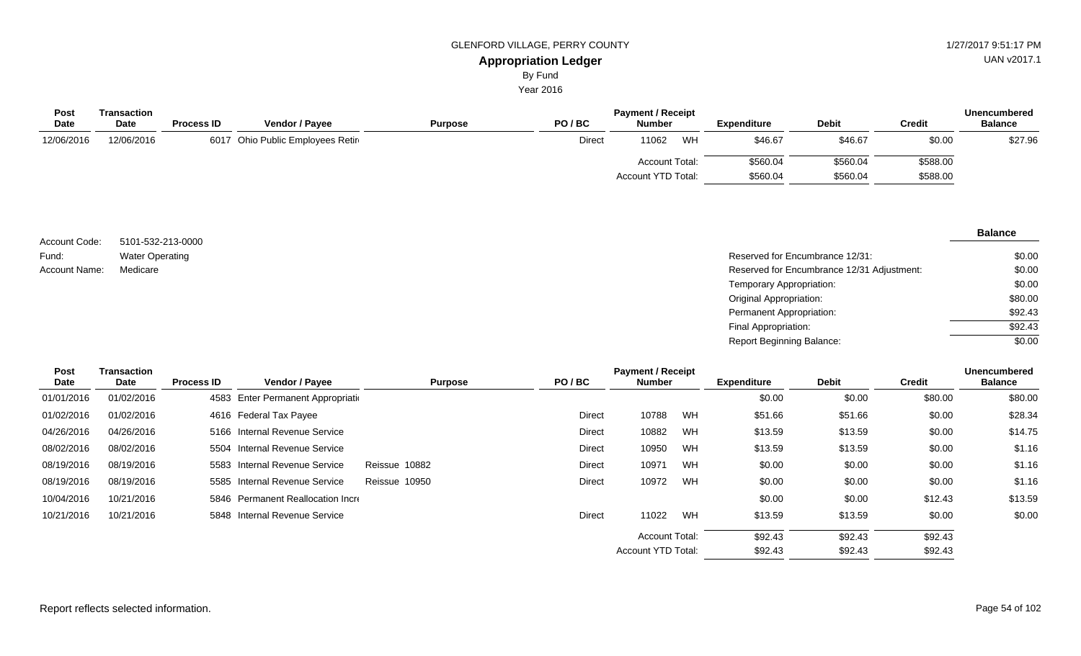Year 2016

| <b>Post</b><br>Date | Transaction<br><b>Date</b> | <b>Process ID</b> | <b>Vendor / Payee</b>            | <b>Purpose</b> | PO/BC  | <b>Payment / Receipt</b><br><b>Number</b>   |    | <b>Expenditure</b>   | <b>Debit</b>         | <b>Credit</b>        | <b>Unencumbered</b><br><b>Balance</b> |
|---------------------|----------------------------|-------------------|----------------------------------|----------------|--------|---------------------------------------------|----|----------------------|----------------------|----------------------|---------------------------------------|
| 12/06/2016          | 12/06/2016                 |                   | 6017 Ohio Public Employees Retir |                | Direct | 11062                                       | WH | \$46.67              | \$46.67              | \$0.00               | \$27.96                               |
|                     |                            |                   |                                  |                |        | <b>Account Total:</b><br>Account YTD Total: |    | \$560.04<br>\$560.04 | \$560.04<br>\$560.04 | \$588.00<br>\$588.00 |                                       |

| Account Code: | 5101-532-213-0000      |                                            | $- - - -$                                    |
|---------------|------------------------|--------------------------------------------|----------------------------------------------|
| Fund:         | <b>Water Operating</b> | Reserved for Encumbrance 12/31:            |                                              |
| Account Name: | Medicare               | Reserved for Encumbrance 12/31 Adjustment: |                                              |
|               |                        | Temporary Appropriation:                   |                                              |
|               |                        | <b>Original Appropriation:</b>             |                                              |
|               |                        | Permanent Appropriation:                   | the control of the control of the control of |
|               |                        | Final Appropriation:                       |                                              |

| <b>Post</b><br><b>Date</b> | <b>Transaction</b><br>Date | <b>Process ID</b> | <b>Vendor / Payee</b>         | <b>Purpose</b> | PO/BC         | <b>Payment / Receipt</b><br><b>Number</b> |    | <b>Expenditure</b> | <b>Debit</b> | <b>Credit</b> | Unencumbered<br><b>Balance</b> |
|----------------------------|----------------------------|-------------------|-------------------------------|----------------|---------------|-------------------------------------------|----|--------------------|--------------|---------------|--------------------------------|
| 01/01/2016                 | 01/02/2016                 | 4583              | Enter Permanent Appropriation |                |               |                                           |    | \$0.00             | \$0.00       | \$80.00       | \$80.00                        |
| 01/02/2016                 | 01/02/2016                 |                   | 4616 Federal Tax Payee        |                | <b>Direct</b> | 10788                                     | WH | \$51.66            | \$51.66      | \$0.00        | \$28.34                        |
| 04/26/2016                 | 04/26/2016                 |                   | 5166 Internal Revenue Service |                | Direct        | 10882                                     | WH | \$13.59            | \$13.59      | \$0.00        | \$14.75                        |
| 08/02/2016                 | 08/02/2016                 |                   | 5504 Internal Revenue Service |                | Direct        | 10950                                     | WH | \$13.59            | \$13.59      | \$0.00        | \$1.16                         |
| 08/19/2016                 | 08/19/2016                 |                   | 5583 Internal Revenue Service | Reissue 10882  | Direct        | 10971                                     | WH | \$0.00             | \$0.00       | \$0.00        | \$1.16                         |
| 08/19/2016                 | 08/19/2016                 | 5585              | Internal Revenue Service      | Reissue 10950  | Direct        | 10972                                     | WH | \$0.00             | \$0.00       | \$0.00        | \$1.16                         |
| 10/04/2016                 | 10/21/2016                 | 5846              | Permanent Reallocation Incre  |                |               |                                           |    | \$0.00             | \$0.00       | \$12.43       | \$13.59                        |
| 10/21/2016                 | 10/21/2016                 |                   | 5848 Internal Revenue Service |                | <b>Direct</b> | 11022                                     | WH | \$13.59            | \$13.59      | \$0.00        | \$0.00                         |
|                            |                            |                   |                               |                |               | <b>Account Total:</b>                     |    | \$92.43            | \$92.43      | \$92.43       |                                |
|                            |                            |                   |                               |                |               | Account YTD Total:                        |    | \$92.43            | \$92.43      | \$92.43       |                                |

UAN v2017.1

\$0.00 \$0.00 \$0.00 \$80.00 \$92.43 \$92.43 \$0.00

# **Balance**

Report Beginning Balance: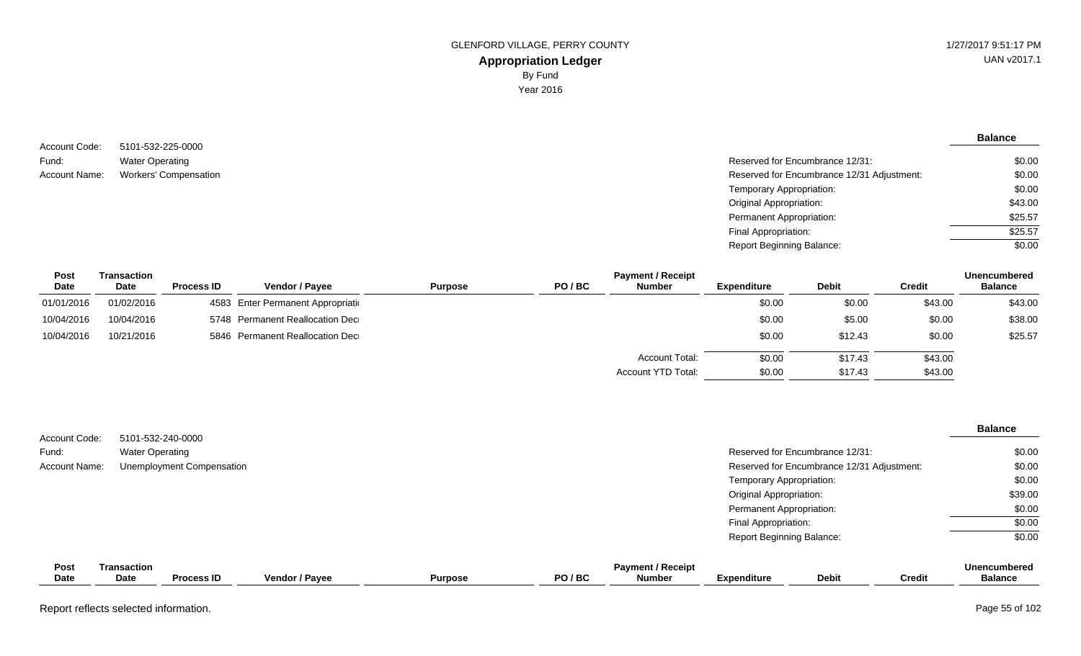**Balance**

5101-532-225-0000 Water Operating Account Name: Workers' Compensation  $\blacksquare$  Reserved for Encumbrance 12/31 Adjustment: Account Code: Fund:

| Reserved for Encumbrance 12/31:            | \$0.00  |
|--------------------------------------------|---------|
| Reserved for Encumbrance 12/31 Adjustment: | \$0.00  |
| Temporary Appropriation:                   | \$0.00  |
| Original Appropriation:                    | \$43.00 |
| Permanent Appropriation:                   | \$25.57 |
| Final Appropriation:                       | \$25.57 |
| <b>Report Beginning Balance:</b>           | \$0.00  |

| Post        | Transaction |                   |                                    |                |       | <b>Payment / Receipt</b> |             |              |               | <b>Unencumbered</b> |
|-------------|-------------|-------------------|------------------------------------|----------------|-------|--------------------------|-------------|--------------|---------------|---------------------|
| <b>Date</b> | Date        | <b>Process ID</b> | <b>Vendor / Pavee</b>              | <b>Purpose</b> | PO/BC | <b>Number</b>            | Expenditure | <b>Debit</b> | <b>Credit</b> | <b>Balance</b>      |
| 01/01/2016  | 01/02/2016  |                   | 4583 Enter Permanent Appropriation |                |       |                          | \$0.00      | \$0.00       | \$43.00       | \$43.00             |
| 10/04/2016  | 10/04/2016  |                   | 5748 Permanent Reallocation Dec    |                |       |                          | \$0.00      | \$5.00       | \$0.00        | \$38.00             |
| 10/04/2016  | 10/21/2016  |                   | 5846 Permanent Reallocation Dec    |                |       |                          | \$0.00      | \$12.43      | \$0.00        | \$25.57             |
|             |             |                   |                                    |                |       | <b>Account Total:</b>    | \$0.00      | \$17.43      | \$43.00       |                     |
|             |             |                   |                                    |                |       | Account YTD Total:       | \$0.00      | \$17.43      | \$43.00       |                     |

| Account Code:        |                            | 5101-532-240-0000                |                |                |       |                                           |                                  |                                            |               | <b>Balance</b>                 |
|----------------------|----------------------------|----------------------------------|----------------|----------------|-------|-------------------------------------------|----------------------------------|--------------------------------------------|---------------|--------------------------------|
| Fund:                | <b>Water Operating</b>     |                                  |                |                |       |                                           |                                  | Reserved for Encumbrance 12/31:            |               | \$0.00                         |
| <b>Account Name:</b> |                            | <b>Unemployment Compensation</b> |                |                |       |                                           |                                  | Reserved for Encumbrance 12/31 Adjustment: |               | \$0.00                         |
|                      |                            |                                  |                |                |       |                                           | Temporary Appropriation:         |                                            |               | \$0.00                         |
|                      |                            |                                  |                |                |       |                                           | <b>Original Appropriation:</b>   |                                            |               | \$39.00                        |
|                      |                            |                                  |                |                |       |                                           | Permanent Appropriation:         |                                            |               | \$0.00                         |
|                      |                            |                                  |                |                |       |                                           | Final Appropriation:             |                                            |               | \$0.00                         |
|                      |                            |                                  |                |                |       |                                           | <b>Report Beginning Balance:</b> |                                            |               | \$0.00                         |
| Post<br>Date         | <b>Transaction</b><br>Date | <b>Process ID</b>                | Vendor / Payee | <b>Purpose</b> | PO/BC | <b>Payment / Receipt</b><br><b>Number</b> | <b>Expenditure</b>               | <b>Debit</b>                               | <b>Credit</b> | Unencumbered<br><b>Balance</b> |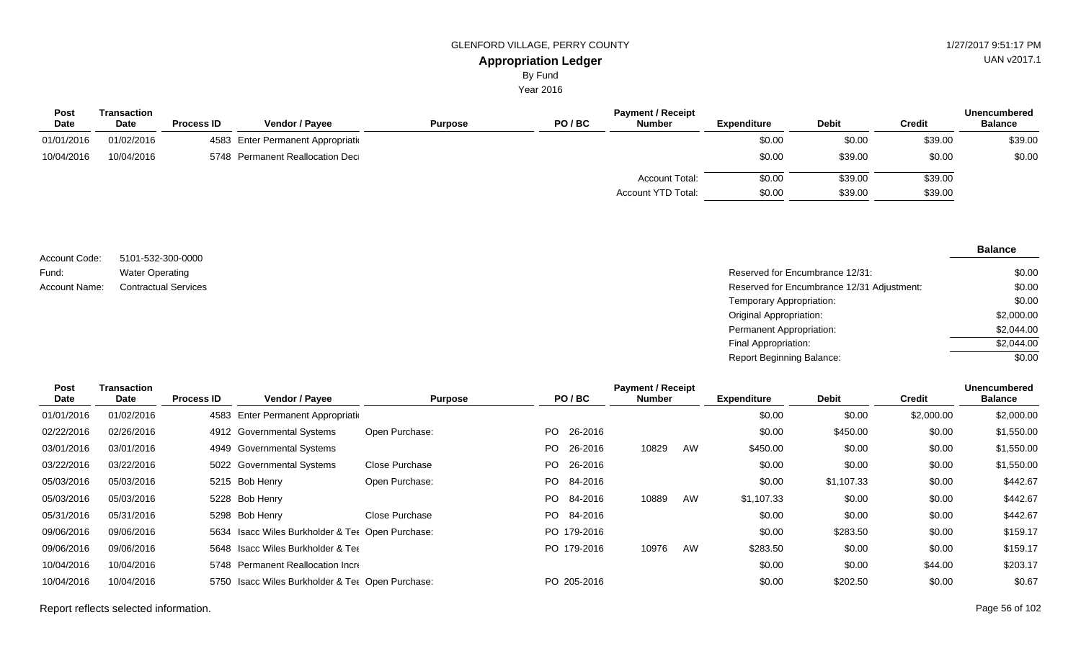# **Appropriation Ledger** GLENFORD VILLAGE, PERRY COUNTY 61 AU AND 127/2017 9:51:17 PM

By Fund

Year 2016

| <b>Post</b> | Transaction | <b>Process ID</b> | <b>Vendor / Payee</b>              | PO/BC<br><b>Purpose</b> | <b>Payment / Receipt</b><br><b>Number</b> |                    | <b>Debit</b> |               | Unencumbered<br><b>Balance</b> |
|-------------|-------------|-------------------|------------------------------------|-------------------------|-------------------------------------------|--------------------|--------------|---------------|--------------------------------|
| <b>Date</b> | <b>Date</b> |                   |                                    |                         |                                           | <b>Expenditure</b> |              | <b>Credit</b> |                                |
| 01/01/2016  | 01/02/2016  |                   | 4583 Enter Permanent Appropriation |                         |                                           | \$0.00             | \$0.00       | \$39.00       | \$39.00                        |
| 10/04/2016  | 10/04/2016  |                   | 5748 Permanent Reallocation Dec    |                         |                                           | \$0.00             | \$39.00      | \$0.00        | \$0.00                         |
|             |             |                   |                                    |                         | <b>Account Total:</b>                     | \$0.00             | \$39.00      | \$39.00       |                                |
|             |             |                   |                                    |                         | Account YTD Total:                        | \$0.00             | \$39.00      | \$39.00       |                                |

| Account Code: | 5101-532-300-0000           |
|---------------|-----------------------------|
| Fund:         | <b>Water Operating</b>      |
| Account Name: | <b>Contractual Services</b> |

Reserved for Encumbrance 12/31: Reserved for Encumbrance 12/31 Adjustment: Temporary Appropriation: Original Appropriation: Permanent Appropriation: Final Appropriation: Report Beginning Balance: \$0.00 \$0.00 \$0.00 \$2,000.00 \$2,044.00  $$2,044.00$ \$0.00

| Post       | Transaction |                   |                                                  |                |      |             | <b>Payment / Receipt</b> |    |                    |              |               | Unencumbered   |
|------------|-------------|-------------------|--------------------------------------------------|----------------|------|-------------|--------------------------|----|--------------------|--------------|---------------|----------------|
| Date       | Date        | <b>Process ID</b> | Vendor / Payee                                   | <b>Purpose</b> |      | PO/BC       | <b>Number</b>            |    | <b>Expenditure</b> | <b>Debit</b> | <b>Credit</b> | <b>Balance</b> |
| 01/01/2016 | 01/02/2016  | 4583              | Enter Permanent Appropriation                    |                |      |             |                          |    | \$0.00             | \$0.00       | \$2,000.00    | \$2,000.00     |
| 02/22/2016 | 02/26/2016  |                   | 4912 Governmental Systems                        | Open Purchase: | PO.  | 26-2016     |                          |    | \$0.00             | \$450.00     | \$0.00        | \$1,550.00     |
| 03/01/2016 | 03/01/2016  |                   | 4949 Governmental Systems                        |                | PO.  | 26-2016     | 10829                    | AW | \$450.00           | \$0.00       | \$0.00        | \$1,550.00     |
| 03/22/2016 | 03/22/2016  |                   | 5022 Governmental Systems                        | Close Purchase | PO - | 26-2016     |                          |    | \$0.00             | \$0.00       | \$0.00        | \$1,550.00     |
| 05/03/2016 | 05/03/2016  |                   | 5215 Bob Henry                                   | Open Purchase: |      | PO 84-2016  |                          |    | \$0.00             | \$1,107.33   | \$0.00        | \$442.67       |
| 05/03/2016 | 05/03/2016  |                   | 5228 Bob Henry                                   |                |      | PO 84-2016  | 10889                    | AW | \$1,107.33         | \$0.00       | \$0.00        | \$442.67       |
| 05/31/2016 | 05/31/2016  |                   | 5298 Bob Henry                                   | Close Purchase |      | PO 84-2016  |                          |    | \$0.00             | \$0.00       | \$0.00        | \$442.67       |
| 09/06/2016 | 09/06/2016  |                   | 5634 Isacc Wiles Burkholder & Ter Open Purchase: |                |      | PO 179-2016 |                          |    | \$0.00             | \$283.50     | \$0.00        | \$159.17       |
| 09/06/2016 | 09/06/2016  |                   | 5648 Isacc Wiles Burkholder & Tee                |                |      | PO 179-2016 | 10976                    | AW | \$283.50           | \$0.00       | \$0.00        | \$159.17       |
| 10/04/2016 | 10/04/2016  |                   | 5748 Permanent Reallocation Incre                |                |      |             |                          |    | \$0.00             | \$0.00       | \$44.00       | \$203.17       |
| 10/04/2016 | 10/04/2016  |                   | 5750 Isacc Wiles Burkholder & Ter Open Purchase: |                |      | PO 205-2016 |                          |    | \$0.00             | \$202.50     | \$0.00        | \$0.67         |
|            |             |                   |                                                  |                |      |             |                          |    |                    |              |               |                |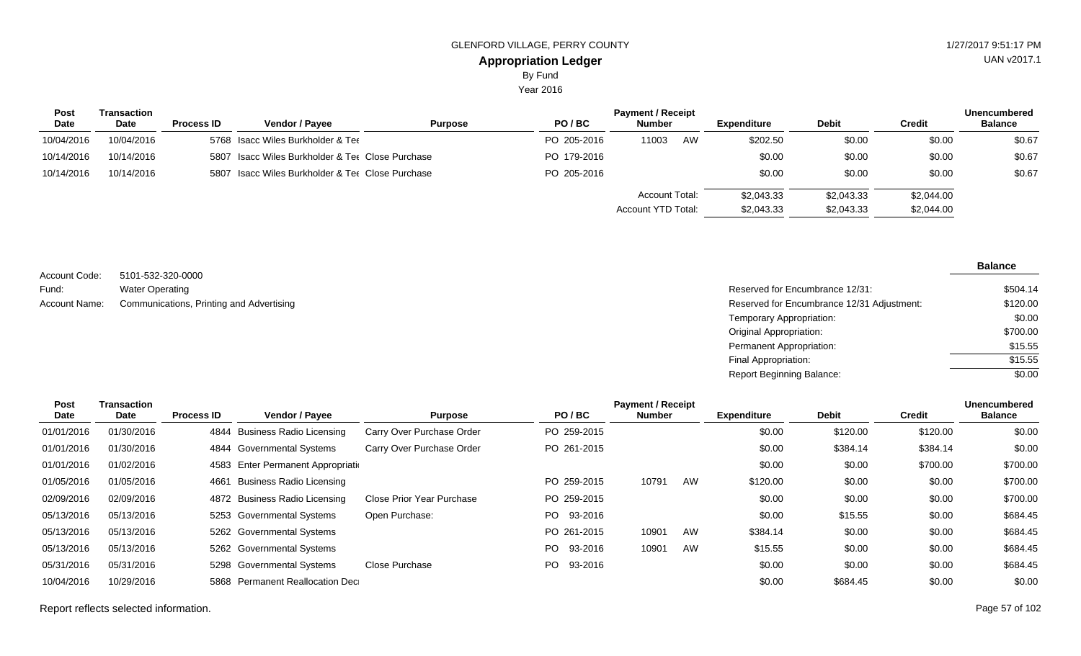Year 2016

| <b>Post</b> | Transaction |                   |                                                  |                |             | <b>Payment / Receipt</b> |    |             |              |            | <b>Unencumbered</b> |
|-------------|-------------|-------------------|--------------------------------------------------|----------------|-------------|--------------------------|----|-------------|--------------|------------|---------------------|
| Date        | <b>Date</b> | <b>Process ID</b> | Vendor / Pavee                                   | <b>Purpose</b> | PO/BC       | <b>Number</b>            |    | Expenditure | <b>Debit</b> | Credit     | <b>Balance</b>      |
| 10/04/2016  | 10/04/2016  |                   | 5768 Isacc Wiles Burkholder & Tee                |                | PO 205-2016 | 11003                    | AW | \$202.50    | \$0.00       | \$0.00     | \$0.67              |
| 10/14/2016  | 10/14/2016  |                   | 5807 Isacc Wiles Burkholder & Tee Close Purchase |                | PO 179-2016 |                          |    | \$0.00      | \$0.00       | \$0.00     | \$0.67              |
| 10/14/2016  | 10/14/2016  |                   | 5807 Isacc Wiles Burkholder & Ter Close Purchase |                | PO 205-2016 |                          |    | \$0.00      | \$0.00       | \$0.00     | \$0.67              |
|             |             |                   |                                                  |                |             | <b>Account Total:</b>    |    | \$2,043.33  | \$2,043.33   | \$2,044.00 |                     |
|             |             |                   |                                                  |                |             | Account YTD Total:       |    | \$2,043.33  | \$2,043.33   | \$2,044.00 |                     |

| Account Code: | 5101-532-320-0000                        |
|---------------|------------------------------------------|
| Fund:         | <b>Water Operating</b>                   |
| Account Name: | Communications, Printing and Advertising |

| Reserved for Encumbrance 12/31:            | \$504.14 |
|--------------------------------------------|----------|
| Reserved for Encumbrance 12/31 Adjustment: | \$120.00 |
| Temporary Appropriation:                   | \$0.00   |
| Original Appropriation:                    | \$700.00 |
| Permanent Appropriation:                   | \$15.55  |
| Final Appropriation:                       | \$15.55  |
| <b>Report Beginning Balance:</b>           | \$0.00   |

| Post       | Transaction |                   |                                    |                           |                | <b>Payment / Receipt</b> |    |                    |              |               | <b>Unencumbered</b> |
|------------|-------------|-------------------|------------------------------------|---------------------------|----------------|--------------------------|----|--------------------|--------------|---------------|---------------------|
| Date       | Date        | <b>Process ID</b> | Vendor / Payee                     | <b>Purpose</b>            | PO/BC          | <b>Number</b>            |    | <b>Expenditure</b> | <b>Debit</b> | <b>Credit</b> | <b>Balance</b>      |
| 01/01/2016 | 01/30/2016  | 4844              | <b>Business Radio Licensing</b>    | Carry Over Purchase Order | PO 259-2015    |                          |    | \$0.00             | \$120.00     | \$120.00      | \$0.00              |
| 01/01/2016 | 01/30/2016  |                   | 4844 Governmental Systems          | Carry Over Purchase Order | PO 261-2015    |                          |    | \$0.00             | \$384.14     | \$384.14      | \$0.00              |
| 01/01/2016 | 01/02/2016  |                   | 4583 Enter Permanent Appropriation |                           |                |                          |    | \$0.00             | \$0.00       | \$700.00      | \$700.00            |
| 01/05/2016 | 01/05/2016  |                   | 4661 Business Radio Licensing      |                           | PO 259-2015    | 10791                    | AW | \$120.00           | \$0.00       | \$0.00        | \$700.00            |
| 02/09/2016 | 02/09/2016  |                   | 4872 Business Radio Licensing      | Close Prior Year Purchase | PO 259-2015    |                          |    | \$0.00             | \$0.00       | \$0.00        | \$700.00            |
| 05/13/2016 | 05/13/2016  |                   | 5253 Governmental Systems          | Open Purchase:            | 93-2016<br>PO. |                          |    | \$0.00             | \$15.55      | \$0.00        | \$684.45            |
| 05/13/2016 | 05/13/2016  |                   | 5262 Governmental Systems          |                           | PO 261-2015    | 10901                    | AW | \$384.14           | \$0.00       | \$0.00        | \$684.45            |
| 05/13/2016 | 05/13/2016  |                   | 5262 Governmental Systems          |                           | 93-2016<br>PO. | 10901                    | AW | \$15.55            | \$0.00       | \$0.00        | \$684.45            |
| 05/31/2016 | 05/31/2016  |                   | 5298 Governmental Systems          | Close Purchase            | 93-2016<br>PO. |                          |    | \$0.00             | \$0.00       | \$0.00        | \$684.45            |
| 10/04/2016 | 10/29/2016  |                   | 5868 Permanent Reallocation Dec    |                           |                |                          |    | \$0.00             | \$684.45     | \$0.00        | \$0.00              |

#### Report reflects selected information. Page 57 of 102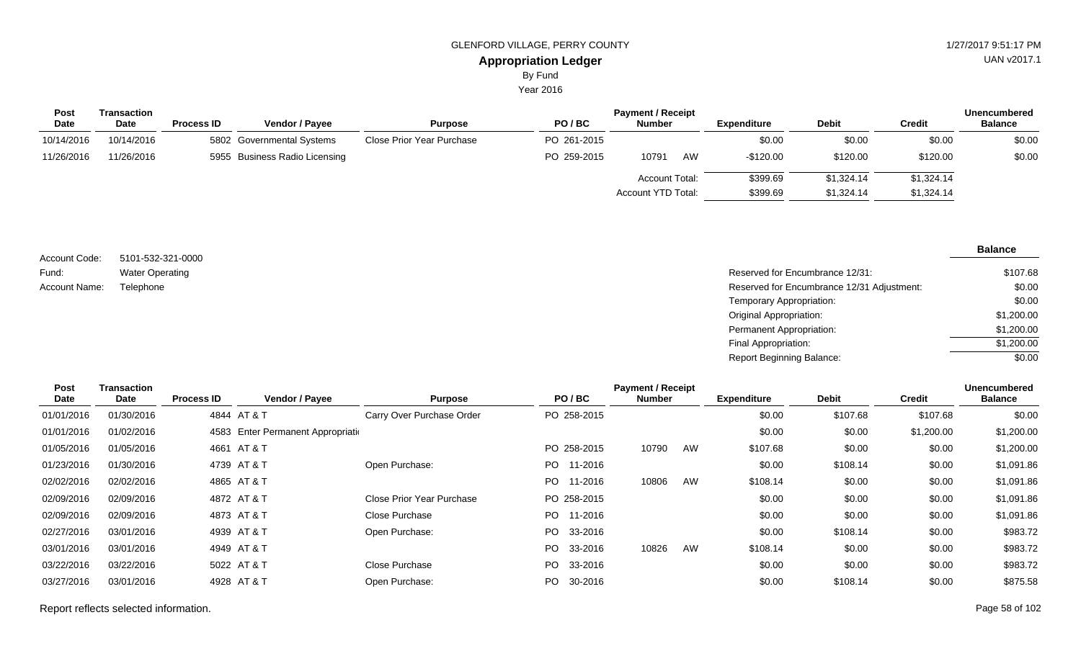Year 2016

| <b>Post</b> | Transaction |                   | <b>Payment / Receipt</b>      |                           |             |                       |    |             |              |            |                |
|-------------|-------------|-------------------|-------------------------------|---------------------------|-------------|-----------------------|----|-------------|--------------|------------|----------------|
| <b>Date</b> | <b>Date</b> | <b>Process ID</b> | <b>Vendor / Payee</b>         | <b>Purpose</b>            | PO/BC       | <b>Number</b>         |    | Expenditure | <b>Debit</b> | Credit     | <b>Balance</b> |
| 10/14/2016  | 10/14/2016  |                   | 5802 Governmental Systems     | Close Prior Year Purchase | PO 261-2015 |                       |    | \$0.00      | \$0.00       | \$0.00     | \$0.00         |
| 11/26/2016  | 11/26/2016  |                   | 5955 Business Radio Licensing |                           | PO 259-2015 | 10791                 | AW | $-$120.00$  | \$120.00     | \$120.00   | \$0.00         |
|             |             |                   |                               |                           |             | <b>Account Total:</b> |    | \$399.69    | \$1,324.14   | \$1,324.14 |                |
|             |             |                   |                               |                           |             | Account YTD Total:    |    | \$399.69    | \$1,324.14   | \$1,324.14 |                |
|             |             |                   |                               |                           |             |                       |    |             |              |            |                |

| Account Code: | 5101-532-321-0000      |
|---------------|------------------------|
| Fund:         | <b>Water Operating</b> |
| Account Name: | Telephone              |

Reserved for Encumbrance 12/31: Reserved for Encumbrance 12/31 Adjustment: Temporary Appropriation: Original Appropriation: Permanent Appropriation: Final Appropriation: Report Beginning Balance: \$107.68 \$0.00 \$0.00 \$1,200.00 \$1,200.00  $$1,200.00$ \$0.00

| <b>Post</b> | Transaction |                   |                                    |                           |                 | <b>Payment / Receipt</b> |    |                    |              |               | <b>Unencumbered</b> |
|-------------|-------------|-------------------|------------------------------------|---------------------------|-----------------|--------------------------|----|--------------------|--------------|---------------|---------------------|
| Date        | Date        | <b>Process ID</b> | Vendor / Payee                     | <b>Purpose</b>            | PO/BC           | <b>Number</b>            |    | <b>Expenditure</b> | <b>Debit</b> | <b>Credit</b> | <b>Balance</b>      |
| 01/01/2016  | 01/30/2016  |                   | 4844 AT & T                        | Carry Over Purchase Order | PO 258-2015     |                          |    | \$0.00             | \$107.68     | \$107.68      | \$0.00              |
| 01/01/2016  | 01/02/2016  |                   | 4583 Enter Permanent Appropriation |                           |                 |                          |    | \$0.00             | \$0.00       | \$1,200.00    | \$1,200.00          |
| 01/05/2016  | 01/05/2016  |                   | 4661 AT & T                        |                           | PO 258-2015     | 10790                    | AW | \$107.68           | \$0.00       | \$0.00        | \$1,200.00          |
| 01/23/2016  | 01/30/2016  |                   | 4739 AT & T                        | Open Purchase:            | PO 11-2016      |                          |    | \$0.00             | \$108.14     | \$0.00        | \$1,091.86          |
| 02/02/2016  | 02/02/2016  |                   | 4865 AT & T                        |                           | PO -<br>11-2016 | 10806                    | AW | \$108.14           | \$0.00       | \$0.00        | \$1,091.86          |
| 02/09/2016  | 02/09/2016  |                   | 4872 AT & T                        | Close Prior Year Purchase | PO 258-2015     |                          |    | \$0.00             | \$0.00       | \$0.00        | \$1,091.86          |
| 02/09/2016  | 02/09/2016  |                   | 4873 AT & T                        | Close Purchase            | PO 11-2016      |                          |    | \$0.00             | \$0.00       | \$0.00        | \$1,091.86          |
| 02/27/2016  | 03/01/2016  |                   | 4939 AT & T                        | Open Purchase:            | PO 33-2016      |                          |    | \$0.00             | \$108.14     | \$0.00        | \$983.72            |
| 03/01/2016  | 03/01/2016  |                   | 4949 AT & T                        |                           | PO 33-2016      | 10826                    | AW | \$108.14           | \$0.00       | \$0.00        | \$983.72            |
| 03/22/2016  | 03/22/2016  |                   | 5022 AT & T                        | <b>Close Purchase</b>     | PO 33-2016      |                          |    | \$0.00             | \$0.00       | \$0.00        | \$983.72            |
| 03/27/2016  | 03/01/2016  |                   | 4928 AT & T                        | Open Purchase:            | PO 30-2016      |                          |    | \$0.00             | \$108.14     | \$0.00        | \$875.58            |
|             |             |                   |                                    |                           |                 |                          |    |                    |              |               |                     |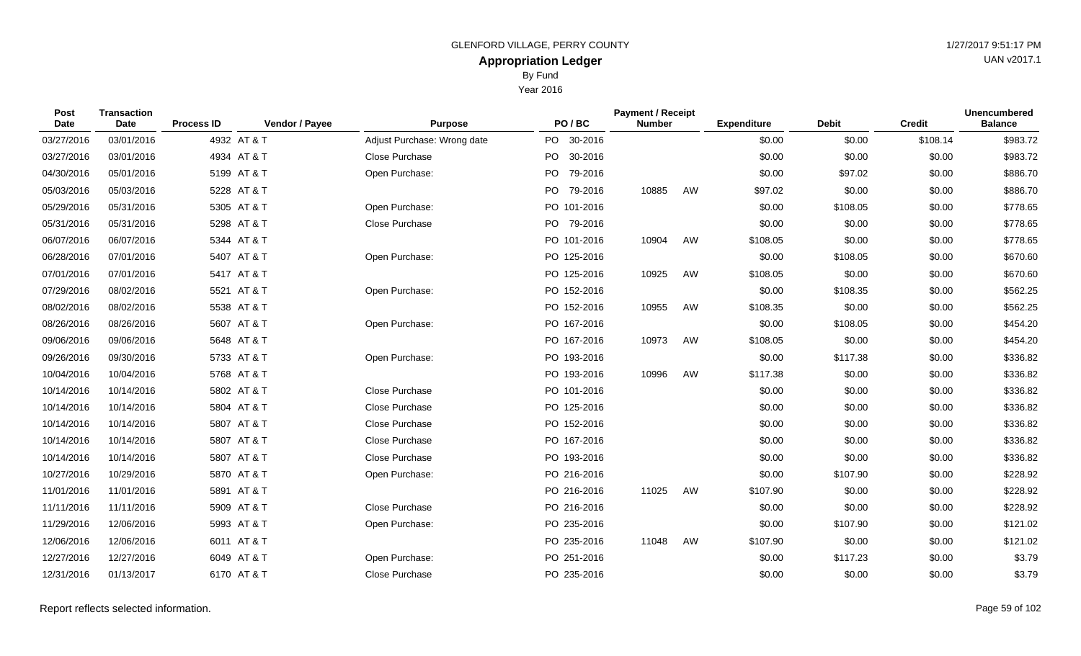By Fund

| <b>Post</b><br><b>Date</b> | <b>Transaction</b><br><b>Date</b> | <b>Process ID</b> | Vendor / Payee | <b>Purpose</b>              | PO/BC           | <b>Payment / Receipt</b><br><b>Number</b> |    | <b>Expenditure</b> | <b>Debit</b> | <b>Credit</b> | <b>Unencumbered</b><br><b>Balance</b> |
|----------------------------|-----------------------------------|-------------------|----------------|-----------------------------|-----------------|-------------------------------------------|----|--------------------|--------------|---------------|---------------------------------------|
| 03/27/2016                 | 03/01/2016                        |                   | 4932 AT & T    | Adjust Purchase: Wrong date | PO 30-2016      |                                           |    | \$0.00             | \$0.00       | \$108.14      | \$983.72                              |
| 03/27/2016                 | 03/01/2016                        |                   | 4934 AT & T    | Close Purchase              | PO 30-2016      |                                           |    | \$0.00             | \$0.00       | \$0.00        | \$983.72                              |
| 04/30/2016                 | 05/01/2016                        |                   | 5199 AT & T    | Open Purchase:              | PO  <br>79-2016 |                                           |    | \$0.00             | \$97.02      | \$0.00        | \$886.70                              |
| 05/03/2016                 | 05/03/2016                        |                   | 5228 AT & T    |                             | PO -<br>79-2016 | 10885                                     | AW | \$97.02            | \$0.00       | \$0.00        | \$886.70                              |
| 05/29/2016                 | 05/31/2016                        |                   | 5305 AT & T    | Open Purchase:              | PO 101-2016     |                                           |    | \$0.00             | \$108.05     | \$0.00        | \$778.65                              |
| 05/31/2016                 | 05/31/2016                        |                   | 5298 AT & T    | Close Purchase              | PO 79-2016      |                                           |    | \$0.00             | \$0.00       | \$0.00        | \$778.65                              |
| 06/07/2016                 | 06/07/2016                        |                   | 5344 AT & T    |                             | PO 101-2016     | 10904                                     | AW | \$108.05           | \$0.00       | \$0.00        | \$778.65                              |
| 06/28/2016                 | 07/01/2016                        |                   | 5407 AT & T    | Open Purchase:              | PO 125-2016     |                                           |    | \$0.00             | \$108.05     | \$0.00        | \$670.60                              |
| 07/01/2016                 | 07/01/2016                        |                   | 5417 AT & T    |                             | PO 125-2016     | 10925                                     | AW | \$108.05           | \$0.00       | \$0.00        | \$670.60                              |
| 07/29/2016                 | 08/02/2016                        |                   | 5521 AT & T    | Open Purchase:              | PO 152-2016     |                                           |    | \$0.00             | \$108.35     | \$0.00        | \$562.25                              |
| 08/02/2016                 | 08/02/2016                        |                   | 5538 AT & T    |                             | PO 152-2016     | 10955                                     | AW | \$108.35           | \$0.00       | \$0.00        | \$562.25                              |
| 08/26/2016                 | 08/26/2016                        |                   | 5607 AT & T    | Open Purchase:              | PO 167-2016     |                                           |    | \$0.00             | \$108.05     | \$0.00        | \$454.20                              |
| 09/06/2016                 | 09/06/2016                        |                   | 5648 AT & T    |                             | PO 167-2016     | 10973                                     | AW | \$108.05           | \$0.00       | \$0.00        | \$454.20                              |
| 09/26/2016                 | 09/30/2016                        |                   | 5733 AT & T    | Open Purchase:              | PO 193-2016     |                                           |    | \$0.00             | \$117.38     | \$0.00        | \$336.82                              |
| 10/04/2016                 | 10/04/2016                        |                   | 5768 AT & T    |                             | PO 193-2016     | 10996                                     | AW | \$117.38           | \$0.00       | \$0.00        | \$336.82                              |
| 10/14/2016                 | 10/14/2016                        |                   | 5802 AT & T    | Close Purchase              | PO 101-2016     |                                           |    | \$0.00             | \$0.00       | \$0.00        | \$336.82                              |
| 10/14/2016                 | 10/14/2016                        |                   | 5804 AT & T    | Close Purchase              | PO 125-2016     |                                           |    | \$0.00             | \$0.00       | \$0.00        | \$336.82                              |
| 10/14/2016                 | 10/14/2016                        |                   | 5807 AT & T    | Close Purchase              | PO 152-2016     |                                           |    | \$0.00             | \$0.00       | \$0.00        | \$336.82                              |
| 10/14/2016                 | 10/14/2016                        |                   | 5807 AT & T    | Close Purchase              | PO 167-2016     |                                           |    | \$0.00             | \$0.00       | \$0.00        | \$336.82                              |
| 10/14/2016                 | 10/14/2016                        |                   | 5807 AT & T    | Close Purchase              | PO 193-2016     |                                           |    | \$0.00             | \$0.00       | \$0.00        | \$336.82                              |
| 10/27/2016                 | 10/29/2016                        |                   | 5870 AT & T    | Open Purchase:              | PO 216-2016     |                                           |    | \$0.00             | \$107.90     | \$0.00        | \$228.92                              |
| 11/01/2016                 | 11/01/2016                        |                   | 5891 AT & T    |                             | PO 216-2016     | 11025                                     | AW | \$107.90           | \$0.00       | \$0.00        | \$228.92                              |
| 11/11/2016                 | 11/11/2016                        |                   | 5909 AT & T    | Close Purchase              | PO 216-2016     |                                           |    | \$0.00             | \$0.00       | \$0.00        | \$228.92                              |
| 11/29/2016                 | 12/06/2016                        |                   | 5993 AT & T    | Open Purchase:              | PO 235-2016     |                                           |    | \$0.00             | \$107.90     | \$0.00        | \$121.02                              |
| 12/06/2016                 | 12/06/2016                        |                   | 6011 AT & T    |                             | PO 235-2016     | 11048                                     | AW | \$107.90           | \$0.00       | \$0.00        | \$121.02                              |
| 12/27/2016                 | 12/27/2016                        |                   | 6049 AT & T    | Open Purchase:              | PO 251-2016     |                                           |    | \$0.00             | \$117.23     | \$0.00        | \$3.79                                |
| 12/31/2016                 | 01/13/2017                        |                   | 6170 AT & T    | Close Purchase              | PO 235-2016     |                                           |    | \$0.00             | \$0.00       | \$0.00        | \$3.79                                |
|                            |                                   |                   |                |                             |                 |                                           |    |                    |              |               |                                       |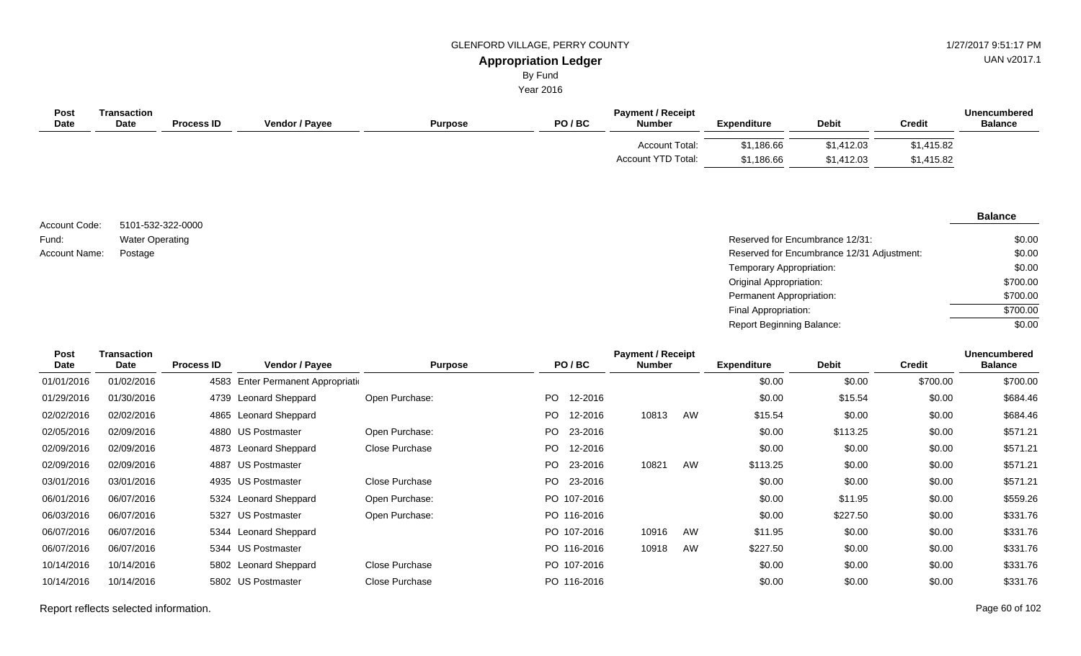# GLENFORD VILLAGE, PERRY COUNTY 61 AU 127/2017 9:51:17 PM

UAN v2017.1

#### **Appropriation Ledger** By Fund

Year 2016

| Post<br><b>Date</b> | Transaction<br><b>Date</b> | <b>Process ID</b> | <b>Vendor / Payee</b> | <b>Purpose</b> | PO/BC | <b>Payment / Receipt</b><br><b>Number</b>          | Expenditure              | <b>Debit</b>             | Credit                   | Unencumbered<br><b>Balance</b> |
|---------------------|----------------------------|-------------------|-----------------------|----------------|-------|----------------------------------------------------|--------------------------|--------------------------|--------------------------|--------------------------------|
|                     |                            |                   |                       |                |       | <b>Account Total:</b><br><b>Account YTD Total:</b> | \$1,186.66<br>\$1,186.66 | \$1,412.03<br>\$1,412.03 | \$1,415.82<br>\$1,415.82 |                                |
|                     |                            |                   |                       |                |       |                                                    |                          |                          |                          |                                |

5101-532-322-0000 Water Operating Account Code: Fund: Account Name:

#### **Balance**

| Water Operating | Reserved for Encumbrance 12/31:            | \$0.00   |
|-----------------|--------------------------------------------|----------|
| Postage         | Reserved for Encumbrance 12/31 Adjustment: | \$0.00   |
|                 | Temporary Appropriation:                   | \$0.00   |
|                 | Original Appropriation:                    | \$700.00 |
|                 | Permanent Appropriation:                   | \$700.00 |
|                 | Final Appropriation:                       | \$700.00 |
|                 | <b>Report Beginning Balance:</b>           | \$0.00   |

| Post        | <b>Transaction</b> |                   |                                    |                |     |             | <b>Payment / Receipt</b> |    |                    |              |               | <b>Unencumbered</b> |
|-------------|--------------------|-------------------|------------------------------------|----------------|-----|-------------|--------------------------|----|--------------------|--------------|---------------|---------------------|
| <b>Date</b> | Date               | <b>Process ID</b> | <b>Vendor / Payee</b>              | <b>Purpose</b> |     | PO/BC       | <b>Number</b>            |    | <b>Expenditure</b> | <b>Debit</b> | <b>Credit</b> | <b>Balance</b>      |
| 01/01/2016  | 01/02/2016         |                   | 4583 Enter Permanent Appropriation |                |     |             |                          |    | \$0.00             | \$0.00       | \$700.00      | \$700.00            |
| 01/29/2016  | 01/30/2016         |                   | 4739 Leonard Sheppard              | Open Purchase: | PO. | 12-2016     |                          |    | \$0.00             | \$15.54      | \$0.00        | \$684.46            |
| 02/02/2016  | 02/02/2016         |                   | 4865 Leonard Sheppard              |                | PO. | 12-2016     | 10813                    | AW | \$15.54            | \$0.00       | \$0.00        | \$684.46            |
| 02/05/2016  | 02/09/2016         |                   | 4880 US Postmaster                 | Open Purchase: | PO. | 23-2016     |                          |    | \$0.00             | \$113.25     | \$0.00        | \$571.21            |
| 02/09/2016  | 02/09/2016         |                   | 4873 Leonard Sheppard              | Close Purchase | PO. | 12-2016     |                          |    | \$0.00             | \$0.00       | \$0.00        | \$571.21            |
| 02/09/2016  | 02/09/2016         |                   | 4887 US Postmaster                 |                | PO. | 23-2016     | 10821                    | AW | \$113.25           | \$0.00       | \$0.00        | \$571.21            |
| 03/01/2016  | 03/01/2016         |                   | 4935 US Postmaster                 | Close Purchase | PO. | 23-2016     |                          |    | \$0.00             | \$0.00       | \$0.00        | \$571.21            |
| 06/01/2016  | 06/07/2016         |                   | 5324 Leonard Sheppard              | Open Purchase: |     | PO 107-2016 |                          |    | \$0.00             | \$11.95      | \$0.00        | \$559.26            |
| 06/03/2016  | 06/07/2016         |                   | 5327 US Postmaster                 | Open Purchase: |     | PO 116-2016 |                          |    | \$0.00             | \$227.50     | \$0.00        | \$331.76            |
| 06/07/2016  | 06/07/2016         |                   | 5344 Leonard Sheppard              |                |     | PO 107-2016 | 10916                    | AW | \$11.95            | \$0.00       | \$0.00        | \$331.76            |
| 06/07/2016  | 06/07/2016         |                   | 5344 US Postmaster                 |                |     | PO 116-2016 | 10918                    | AW | \$227.50           | \$0.00       | \$0.00        | \$331.76            |
| 10/14/2016  | 10/14/2016         |                   | 5802 Leonard Sheppard              | Close Purchase |     | PO 107-2016 |                          |    | \$0.00             | \$0.00       | \$0.00        | \$331.76            |
| 10/14/2016  | 10/14/2016         |                   | 5802 US Postmaster                 | Close Purchase |     | PO 116-2016 |                          |    | \$0.00             | \$0.00       | \$0.00        | \$331.76            |
|             |                    |                   |                                    |                |     |             |                          |    |                    |              |               |                     |

Report reflects selected information. Page 60 of 102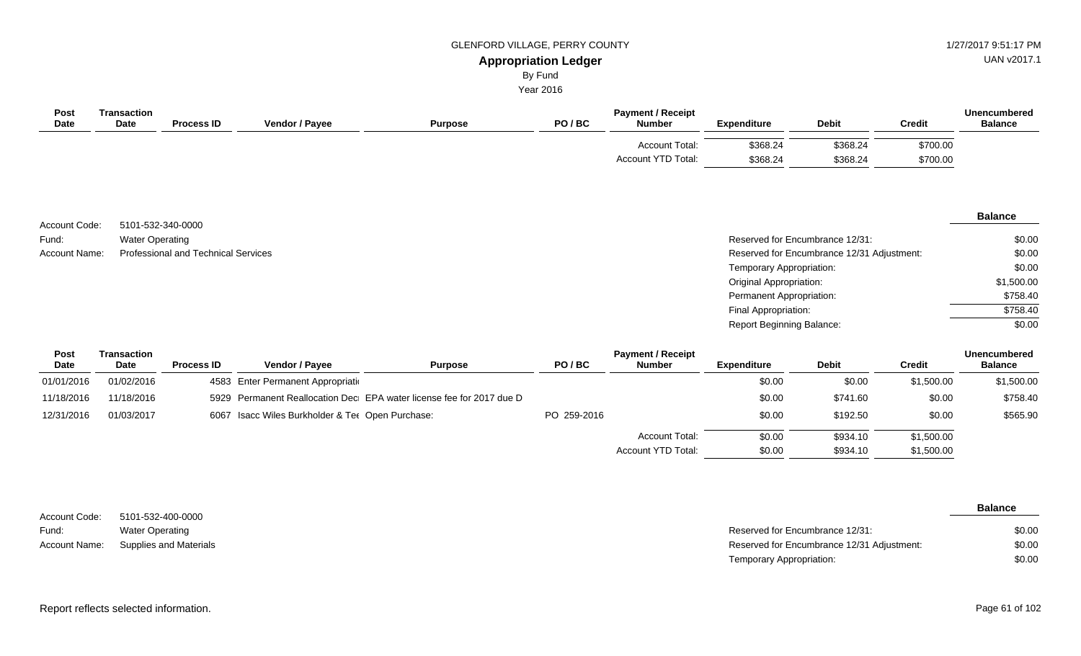UAN v2017.1

# By Fund

| Post<br>Date  | <b>Transaction</b><br>Date | <b>Process ID</b>                   | Vendor / Payee | <b>Purpose</b> | PO/BC | <b>Payment / Receipt</b><br><b>Number</b> | <b>Expenditure</b>               | <b>Debit</b>                               | <b>Credit</b> | <b>Unencumbered</b><br><b>Balance</b> |
|---------------|----------------------------|-------------------------------------|----------------|----------------|-------|-------------------------------------------|----------------------------------|--------------------------------------------|---------------|---------------------------------------|
|               |                            |                                     |                |                |       | Account Total:                            | \$368.24                         | \$368.24                                   | \$700.00      |                                       |
|               |                            |                                     |                |                |       | Account YTD Total:                        | \$368.24                         | \$368.24                                   | \$700.00      |                                       |
|               |                            |                                     |                |                |       |                                           |                                  |                                            |               | <b>Balance</b>                        |
| Account Code: |                            | 5101-532-340-0000                   |                |                |       |                                           |                                  |                                            |               |                                       |
| Fund:         | <b>Water Operating</b>     |                                     |                |                |       |                                           |                                  | Reserved for Encumbrance 12/31:            |               | \$0.00                                |
| Account Name: |                            | Professional and Technical Services |                |                |       |                                           |                                  | Reserved for Encumbrance 12/31 Adjustment: |               | \$0.00                                |
|               |                            |                                     |                |                |       |                                           | Temporary Appropriation:         |                                            |               | \$0.00                                |
|               |                            |                                     |                |                |       |                                           | <b>Original Appropriation:</b>   |                                            |               | \$1,500.00                            |
|               |                            |                                     |                |                |       |                                           | Permanent Appropriation:         |                                            |               | \$758.40                              |
|               |                            |                                     |                |                |       |                                           | Final Appropriation:             |                                            |               | \$758.40                              |
|               |                            |                                     |                |                |       |                                           | <b>Report Beginning Balance:</b> |                                            |               | \$0.00                                |
|               |                            |                                     |                |                |       |                                           |                                  |                                            |               |                                       |

| Post       | Transaction |                   |                                                  |                                                                      |             | <b>Payment / Receipt</b> |             |              |            | Unencumbered   |
|------------|-------------|-------------------|--------------------------------------------------|----------------------------------------------------------------------|-------------|--------------------------|-------------|--------------|------------|----------------|
| Date       | <b>Date</b> | <b>Process ID</b> | <b>Vendor / Pavee</b>                            | <b>Purpose</b>                                                       | PO/BC       | <b>Number</b>            | Expenditure | <b>Debit</b> | Credit     | <b>Balance</b> |
| 01/01/2016 | 01/02/2016  |                   | 4583 Enter Permanent Appropriation               |                                                                      |             |                          | \$0.00      | \$0.00       | \$1,500.00 | \$1,500.00     |
| 11/18/2016 | 11/18/2016  |                   |                                                  | 5929 Permanent Reallocation Dec EPA water license fee for 2017 due D |             |                          | \$0.00      | \$741.60     | \$0.00     | \$758.40       |
| 12/31/2016 | 01/03/2017  |                   | 6067 Isacc Wiles Burkholder & Ter Open Purchase: |                                                                      | PO 259-2016 |                          | \$0.00      | \$192.50     | \$0.00     | \$565.90       |
|            |             |                   |                                                  |                                                                      |             | Account Total:           | \$0.00      | \$934.10     | \$1,500.00 |                |
|            |             |                   |                                                  |                                                                      |             | Account YTD Total:       | \$0.00      | \$934.10     | \$1,500.00 |                |

|               |                        |                                            | <b>Balance</b> |
|---------------|------------------------|--------------------------------------------|----------------|
| Account Code: | 5101-532-400-0000      |                                            |                |
| Fund:         | Water Operating        | Reserved for Encumbrance 12/31:            | \$0.00         |
| Account Name: | Supplies and Materials | Reserved for Encumbrance 12/31 Adjustment: | \$0.00         |
|               |                        | Temporary Appropriation:                   | \$0.00         |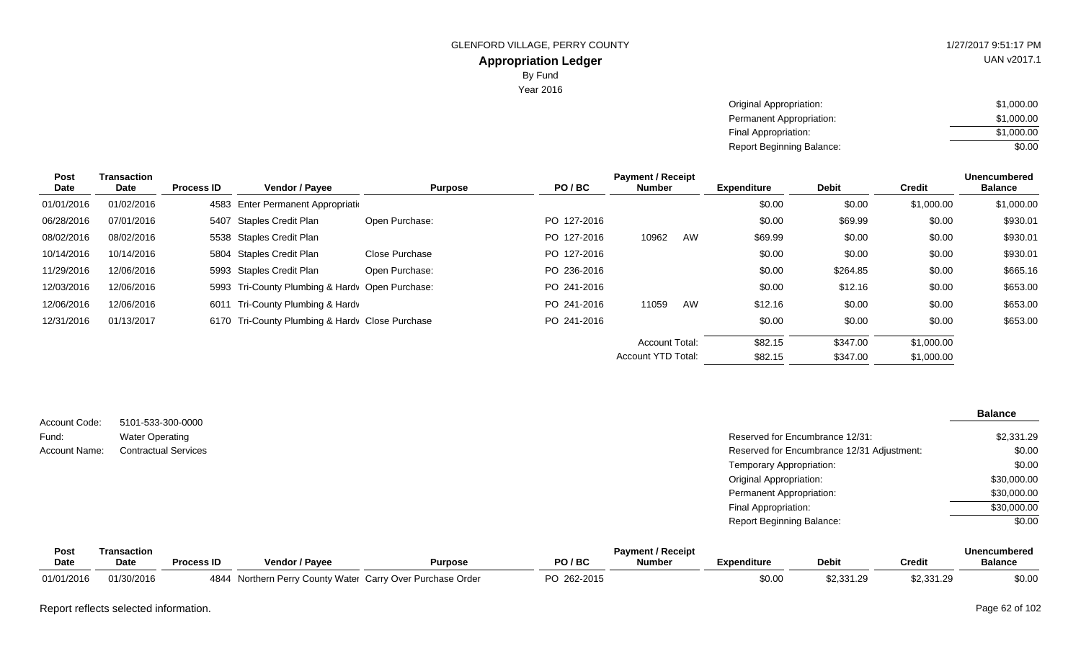UAN v2017.1

| Original Appropriation:   | \$1,000.00 |
|---------------------------|------------|
| Permanent Appropriation:  | \$1,000.00 |
| Final Appropriation:      | \$1,000.00 |
| Report Beginning Balance: | \$0.00     |

| Post       | Transaction |                   |                                                 |                |             | <b>Payment / Receipt</b>  |    |                    |              |               | <b>Unencumbered</b> |
|------------|-------------|-------------------|-------------------------------------------------|----------------|-------------|---------------------------|----|--------------------|--------------|---------------|---------------------|
| Date       | Date        | <b>Process ID</b> | Vendor / Payee                                  | <b>Purpose</b> | PO/BC       | <b>Number</b>             |    | <b>Expenditure</b> | <b>Debit</b> | <b>Credit</b> | <b>Balance</b>      |
| 01/01/2016 | 01/02/2016  |                   | 4583 Enter Permanent Appropriation              |                |             |                           |    | \$0.00             | \$0.00       | \$1,000.00    | \$1,000.00          |
| 06/28/2016 | 07/01/2016  |                   | 5407 Staples Credit Plan                        | Open Purchase: | PO 127-2016 |                           |    | \$0.00             | \$69.99      | \$0.00        | \$930.01            |
| 08/02/2016 | 08/02/2016  |                   | 5538 Staples Credit Plan                        |                | PO 127-2016 | 10962                     | AW | \$69.99            | \$0.00       | \$0.00        | \$930.01            |
| 10/14/2016 | 10/14/2016  |                   | 5804 Staples Credit Plan                        | Close Purchase | PO 127-2016 |                           |    | \$0.00             | \$0.00       | \$0.00        | \$930.01            |
| 11/29/2016 | 12/06/2016  |                   | 5993 Staples Credit Plan                        | Open Purchase: | PO 236-2016 |                           |    | \$0.00             | \$264.85     | \$0.00        | \$665.16            |
| 12/03/2016 | 12/06/2016  |                   | 5993 Tri-County Plumbing & Hardy Open Purchase: |                | PO 241-2016 |                           |    | \$0.00             | \$12.16      | \$0.00        | \$653.00            |
| 12/06/2016 | 12/06/2016  | 6011              | Tri-County Plumbing & Hardy                     |                | PO 241-2016 | 11059                     | AW | \$12.16            | \$0.00       | \$0.00        | \$653.00            |
| 12/31/2016 | 01/13/2017  |                   | 6170 Tri-County Plumbing & Hardy Close Purchase |                | PO 241-2016 |                           |    | \$0.00             | \$0.00       | \$0.00        | \$653.00            |
|            |             |                   |                                                 |                |             | <b>Account Total:</b>     |    | \$82.15            | \$347.00     | \$1,000.00    |                     |
|            |             |                   |                                                 |                |             | <b>Account YTD Total:</b> |    | \$82.15            | \$347.00     | \$1,000.00    |                     |
|            |             |                   |                                                 |                |             |                           |    |                    |              |               |                     |

| Account Code: | 5101-533-300-0000           |                                            | <b>Balance</b> |
|---------------|-----------------------------|--------------------------------------------|----------------|
| Fund:         | <b>Water Operating</b>      | Reserved for Encumbrance 12/31:            | \$2,331.29     |
| Account Name: | <b>Contractual Services</b> | Reserved for Encumbrance 12/31 Adjustment: | \$0.00         |
|               |                             | Temporary Appropriation:                   | \$0.00         |
|               |                             | <b>Original Appropriation:</b>             | \$30,000.00    |
|               |                             | Permanent Appropriation:                   | \$30,000.00    |
|               |                             | Final Appropriation:                       | \$30,000.00    |
|               |                             | <b>Report Beginning Balance:</b>           | \$0.00         |

| Post       | ransaction |                   |                       |                                                       |          | <b>Payment / Receipt</b> |             |                |            | <b>Unencumbered</b> |
|------------|------------|-------------------|-----------------------|-------------------------------------------------------|----------|--------------------------|-------------|----------------|------------|---------------------|
| Date       | Date       | <b>Process ID</b> | <b>Vendor / Pavee</b> | Purpose                                               | PO / BC  | <b>Number</b>            | Expenditure | <b>Debit</b>   | Credit     | <b>Balance</b>      |
| 01/01/2016 | 01/30/2016 | 4844              |                       | Northern Perry County Water Carry Over Purchase Order | 262-2015 |                          | \$0.00      | $\pm 2.331.29$ | \$2,331.29 | \$0.00              |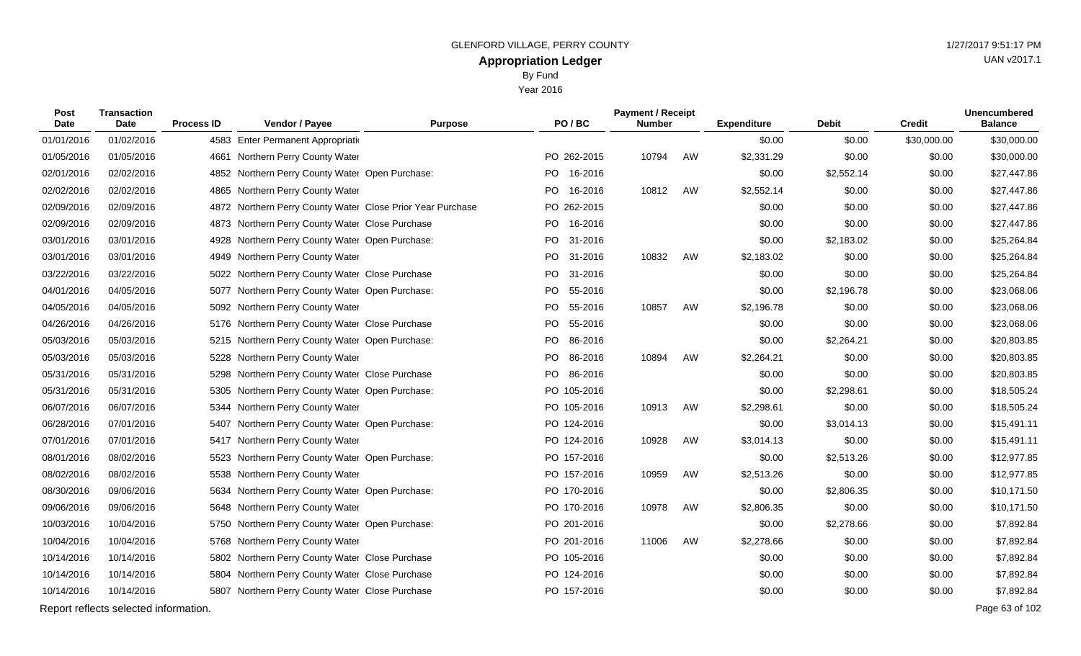| Post<br>Date | <b>Transaction</b><br><b>Date</b>     | <b>Process ID</b> | Vendor / Payee                                             | <b>Purpose</b> |     | PO/BC       | <b>Payment / Receipt</b><br><b>Number</b> |    | <b>Expenditure</b> | <b>Debit</b> | <b>Credit</b> | <b>Unencumbered</b><br><b>Balance</b> |
|--------------|---------------------------------------|-------------------|------------------------------------------------------------|----------------|-----|-------------|-------------------------------------------|----|--------------------|--------------|---------------|---------------------------------------|
| 01/01/2016   | 01/02/2016                            |                   | 4583 Enter Permanent Appropriation                         |                |     |             |                                           |    | \$0.00             | \$0.00       | \$30,000.00   | \$30,000.00                           |
| 01/05/2016   | 01/05/2016                            |                   | 4661 Northern Perry County Water                           |                |     | PO 262-2015 | 10794                                     | AW | \$2,331.29         | \$0.00       | \$0.00        | \$30,000.00                           |
| 02/01/2016   | 02/02/2016                            |                   | 4852 Northern Perry County Water Open Purchase:            |                | PO. | 16-2016     |                                           |    | \$0.00             | \$2,552.14   | \$0.00        | \$27,447.86                           |
| 02/02/2016   | 02/02/2016                            |                   | 4865 Northern Perry County Water                           |                |     | PO 16-2016  | 10812                                     | AW | \$2,552.14         | \$0.00       | \$0.00        | \$27,447.86                           |
| 02/09/2016   | 02/09/2016                            |                   | 4872 Northern Perry County Water Close Prior Year Purchase |                |     | PO 262-2015 |                                           |    | \$0.00             | \$0.00       | \$0.00        | \$27,447.86                           |
| 02/09/2016   | 02/09/2016                            |                   | 4873 Northern Perry County Water Close Purchase            |                |     | PO 16-2016  |                                           |    | \$0.00             | \$0.00       | \$0.00        | \$27,447.86                           |
| 03/01/2016   | 03/01/2016                            |                   | 4928 Northern Perry County Water Open Purchase:            |                | PO. | 31-2016     |                                           |    | \$0.00             | \$2,183.02   | \$0.00        | \$25,264.84                           |
| 03/01/2016   | 03/01/2016                            |                   | 4949 Northern Perry County Water                           |                | PO. | 31-2016     | 10832                                     | AW | \$2,183.02         | \$0.00       | \$0.00        | \$25,264.84                           |
| 03/22/2016   | 03/22/2016                            |                   | 5022 Northern Perry County Water Close Purchase            |                | PO. | 31-2016     |                                           |    | \$0.00             | \$0.00       | \$0.00        | \$25,264.84                           |
| 04/01/2016   | 04/05/2016                            |                   | 5077 Northern Perry County Water Open Purchase:            |                | PO. | 55-2016     |                                           |    | \$0.00             | \$2,196.78   | \$0.00        | \$23,068.06                           |
| 04/05/2016   | 04/05/2016                            |                   | 5092 Northern Perry County Water                           |                |     | PO 55-2016  | 10857                                     | AW | \$2,196.78         | \$0.00       | \$0.00        | \$23,068.06                           |
| 04/26/2016   | 04/26/2016                            |                   | 5176 Northern Perry County Water Close Purchase            |                | PO  | 55-2016     |                                           |    | \$0.00             | \$0.00       | \$0.00        | \$23,068.06                           |
| 05/03/2016   | 05/03/2016                            |                   | 5215 Northern Perry County Water Open Purchase:            |                |     | PO 86-2016  |                                           |    | \$0.00             | \$2,264.21   | \$0.00        | \$20,803.85                           |
| 05/03/2016   | 05/03/2016                            |                   | 5228 Northern Perry County Water                           |                | PO  | 86-2016     | 10894                                     | AW | \$2,264.21         | \$0.00       | \$0.00        | \$20,803.85                           |
| 05/31/2016   | 05/31/2016                            |                   | 5298 Northern Perry County Water Close Purchase            |                |     | PO 86-2016  |                                           |    | \$0.00             | \$0.00       | \$0.00        | \$20,803.85                           |
| 05/31/2016   | 05/31/2016                            | 5305              | Northern Perry County Water Open Purchase:                 |                |     | PO 105-2016 |                                           |    | \$0.00             | \$2,298.61   | \$0.00        | \$18,505.24                           |
| 06/07/2016   | 06/07/2016                            |                   | 5344 Northern Perry County Water                           |                |     | PO 105-2016 | 10913                                     | AW | \$2,298.61         | \$0.00       | \$0.00        | \$18,505.24                           |
| 06/28/2016   | 07/01/2016                            | 5407              | Northern Perry County Water Open Purchase:                 |                |     | PO 124-2016 |                                           |    | \$0.00             | \$3,014.13   | \$0.00        | \$15,491.11                           |
| 07/01/2016   | 07/01/2016                            |                   | 5417 Northern Perry County Water                           |                |     | PO 124-2016 | 10928                                     | AW | \$3,014.13         | \$0.00       | \$0.00        | \$15,491.11                           |
| 08/01/2016   | 08/02/2016                            | 5523              | Northern Perry County Water Open Purchase:                 |                |     | PO 157-2016 |                                           |    | \$0.00             | \$2,513.26   | \$0.00        | \$12,977.85                           |
| 08/02/2016   | 08/02/2016                            |                   | 5538 Northern Perry County Water                           |                |     | PO 157-2016 | 10959                                     | AW | \$2,513.26         | \$0.00       | \$0.00        | \$12,977.85                           |
| 08/30/2016   | 09/06/2016                            |                   | 5634 Northern Perry County Water Open Purchase:            |                |     | PO 170-2016 |                                           |    | \$0.00             | \$2,806.35   | \$0.00        | \$10,171.50                           |
| 09/06/2016   | 09/06/2016                            |                   | 5648 Northern Perry County Water                           |                |     | PO 170-2016 | 10978                                     | AW | \$2,806.35         | \$0.00       | \$0.00        | \$10,171.50                           |
| 10/03/2016   | 10/04/2016                            |                   | 5750 Northern Perry County Water Open Purchase:            |                |     | PO 201-2016 |                                           |    | \$0.00             | \$2,278.66   | \$0.00        | \$7,892.84                            |
| 10/04/2016   | 10/04/2016                            |                   | 5768 Northern Perry County Water                           |                |     | PO 201-2016 | 11006                                     | AW | \$2,278.66         | \$0.00       | \$0.00        | \$7,892.84                            |
| 10/14/2016   | 10/14/2016                            |                   | 5802 Northern Perry County Water Close Purchase            |                |     | PO 105-2016 |                                           |    | \$0.00             | \$0.00       | \$0.00        | \$7,892.84                            |
| 10/14/2016   | 10/14/2016                            |                   | 5804 Northern Perry County Water Close Purchase            |                |     | PO 124-2016 |                                           |    | \$0.00             | \$0.00       | \$0.00        | \$7,892.84                            |
| 10/14/2016   | 10/14/2016                            |                   | 5807 Northern Perry County Water Close Purchase            |                |     | PO 157-2016 |                                           |    | \$0.00             | \$0.00       | \$0.00        | \$7,892.84                            |
|              | Report reflects selected information. |                   |                                                            |                |     |             |                                           |    |                    |              |               | Page 63 of 102                        |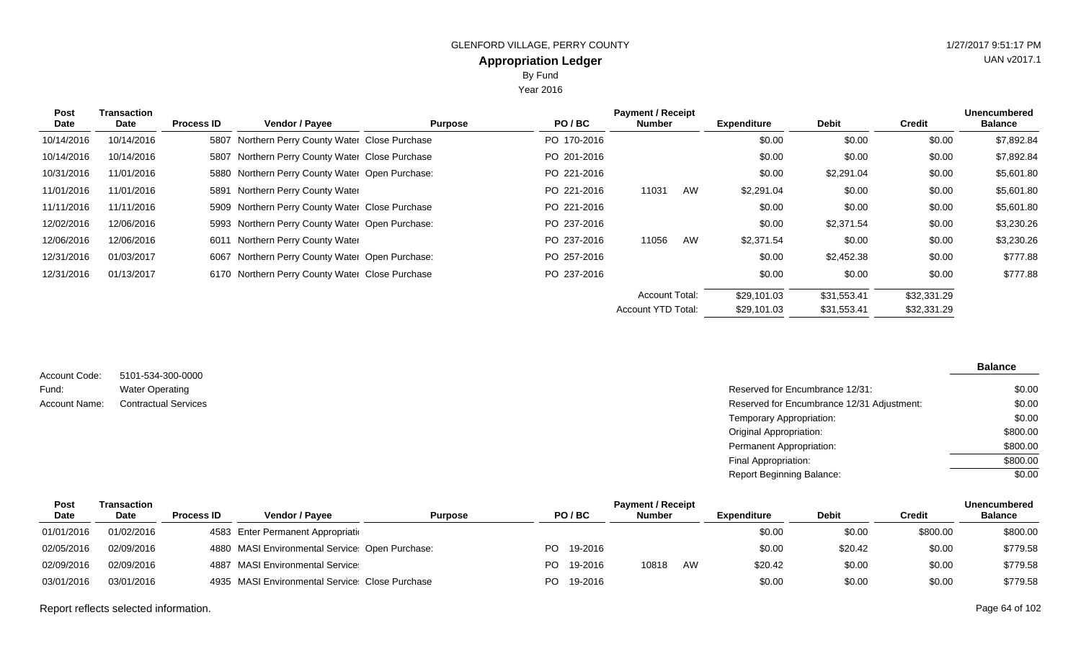Year 2016

| <b>Post</b><br><b>Date</b> | Transaction<br><b>Date</b> | <b>Process ID</b> | Vendor / Payee                                  | <b>Purpose</b> | PO/BC       | <b>Payment / Receipt</b><br><b>Number</b> |    | <b>Expenditure</b> | <b>Debit</b> | Credit      | <b>Unencumbered</b><br><b>Balance</b> |
|----------------------------|----------------------------|-------------------|-------------------------------------------------|----------------|-------------|-------------------------------------------|----|--------------------|--------------|-------------|---------------------------------------|
| 10/14/2016                 | 10/14/2016                 |                   | 5807 Northern Perry County Water Close Purchase |                | PO 170-2016 |                                           |    | \$0.00             | \$0.00       | \$0.00      | \$7,892.84                            |
| 10/14/2016                 | 10/14/2016                 |                   | 5807 Northern Perry County Water Close Purchase |                | PO 201-2016 |                                           |    | \$0.00             | \$0.00       | \$0.00      | \$7,892.84                            |
| 10/31/2016                 | 11/01/2016                 |                   | 5880 Northern Perry County Water Open Purchase: |                | PO 221-2016 |                                           |    | \$0.00             | \$2,291.04   | \$0.00      | \$5,601.80                            |
| 11/01/2016                 | 11/01/2016                 |                   | 5891 Northern Perry County Water                |                | PO 221-2016 | 11031                                     | AW | \$2,291.04         | \$0.00       | \$0.00      | \$5,601.80                            |
| 11/11/2016                 | 11/11/2016                 |                   | 5909 Northern Perry County Water Close Purchase |                | PO 221-2016 |                                           |    | \$0.00             | \$0.00       | \$0.00      | \$5,601.80                            |
| 12/02/2016                 | 12/06/2016                 |                   | 5993 Northern Perry County Water Open Purchase: |                | PO 237-2016 |                                           |    | \$0.00             | \$2,371.54   | \$0.00      | \$3,230.26                            |
| 12/06/2016                 | 12/06/2016                 |                   | 6011 Northern Perry County Water                |                | PO 237-2016 | 11056                                     | AW | \$2,371.54         | \$0.00       | \$0.00      | \$3,230.26                            |
| 12/31/2016                 | 01/03/2017                 |                   | 6067 Northern Perry County Water Open Purchase: |                | PO 257-2016 |                                           |    | \$0.00             | \$2,452.38   | \$0.00      | \$777.88                              |
| 12/31/2016                 | 01/13/2017                 |                   | 6170 Northern Perry County Water Close Purchase |                | PO 237-2016 |                                           |    | \$0.00             | \$0.00       | \$0.00      | \$777.88                              |
|                            |                            |                   |                                                 |                |             | <b>Account Total:</b>                     |    | \$29,101.03        | \$31,553.41  | \$32,331.29 |                                       |
|                            |                            |                   |                                                 |                |             | Account YTD Total:                        |    | \$29,101.03        | \$31,553.41  | \$32,331.29 |                                       |

| Account Code: | 5101-534-300-0000           |
|---------------|-----------------------------|
| Fund:         | <b>Water Operating</b>      |
| Account Name: | <b>Contractual Services</b> |

#### Reserved for Encumbrance 12/31: Reserved for Encumbrance 12/31 Adjustment: Temporary Appropriation: Original Appropriation: Permanent Appropriation: Final Appropriation: Report Beginning Balance: **Balance** \$0.00 \$0.00 \$0.00 \$800.00 \$800.00 \$800.00 \$0.00

| Post        | Transaction | <b>Payment / Receipt</b> |                                                 |                |      |         |               |    |                    |              | <b>Unencumbered</b> |                |
|-------------|-------------|--------------------------|-------------------------------------------------|----------------|------|---------|---------------|----|--------------------|--------------|---------------------|----------------|
| <b>Date</b> | Date        | <b>Process ID</b>        | <b>Vendor / Pavee</b>                           | <b>Purpose</b> |      | PO/BC   | <b>Number</b> |    | <b>Expenditure</b> | <b>Debit</b> | Credit              | <b>Balance</b> |
| 01/01/2016  | 01/02/2016  |                          | 4583 Enter Permanent Appropriation              |                |      |         |               |    | \$0.00             | \$0.00       | \$800.00            | \$800.00       |
| 02/05/2016  | 02/09/2016  |                          | 4880 MASI Environmental Service: Open Purchase: |                | PO l | 19-2016 |               |    | \$0.00             | \$20.42      | \$0.00              | \$779.58       |
| 02/09/2016  | 02/09/2016  |                          | 4887 MASI Environmental Service                 |                | PO.  | 19-2016 | 10818         | AW | \$20.42            | \$0.00       | \$0.00              | \$779.58       |
| 03/01/2016  | 03/01/2016  |                          | 4935 MASI Environmental Service: Close Purchase |                | PO.  | 19-2016 |               |    | \$0.00             | \$0.00       | \$0.00              | \$779.58       |

Report reflects selected information. Page 64 of 102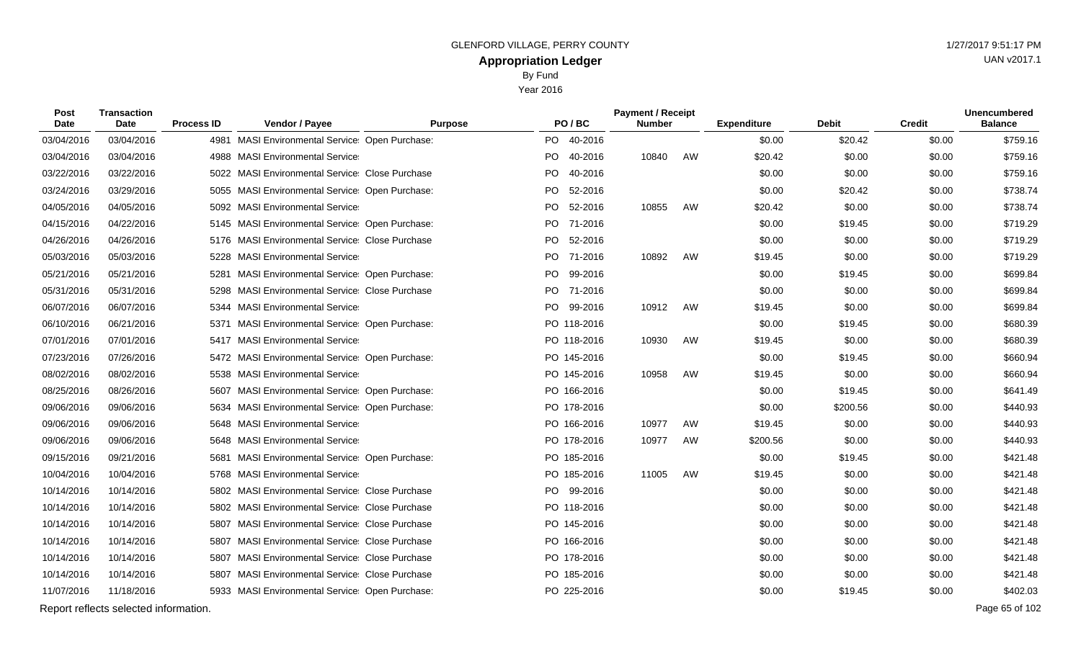Year 2016

| Post<br>Date | <b>Transaction</b><br><b>Date</b>     | <b>Process ID</b> | <b>Vendor / Payee</b>                             | <b>Purpose</b> |           | PO/BC       | <b>Payment / Receipt</b><br><b>Number</b> |    | <b>Expenditure</b> | <b>Debit</b> | <b>Credit</b> | <b>Unencumbered</b><br><b>Balance</b> |
|--------------|---------------------------------------|-------------------|---------------------------------------------------|----------------|-----------|-------------|-------------------------------------------|----|--------------------|--------------|---------------|---------------------------------------|
| 03/04/2016   | 03/04/2016                            |                   | 4981 MASI Environmental Service: Open Purchase:   |                | <b>PO</b> | 40-2016     |                                           |    | \$0.00             | \$20.42      | \$0.00        | \$759.16                              |
| 03/04/2016   | 03/04/2016                            |                   | 4988 MASI Environmental Service                   |                | PO -      | 40-2016     | 10840                                     | AW | \$20.42            | \$0.00       | \$0.00        | \$759.16                              |
| 03/22/2016   | 03/22/2016                            |                   | 5022 MASI Environmental Service Close Purchase    |                | PO        | 40-2016     |                                           |    | \$0.00             | \$0.00       | \$0.00        | \$759.16                              |
| 03/24/2016   | 03/29/2016                            |                   | 5055 MASI Environmental Service: Open Purchase:   |                | PO        | 52-2016     |                                           |    | \$0.00             | \$20.42      | \$0.00        | \$738.74                              |
| 04/05/2016   | 04/05/2016                            |                   | 5092 MASI Environmental Service                   |                | <b>PO</b> | 52-2016     | 10855                                     | AW | \$20.42            | \$0.00       | \$0.00        | \$738.74                              |
| 04/15/2016   | 04/22/2016                            |                   | 5145 MASI Environmental Service: Open Purchase:   |                |           | PO 71-2016  |                                           |    | \$0.00             | \$19.45      | \$0.00        | \$719.29                              |
| 04/26/2016   | 04/26/2016                            | 5176              | <b>MASI Environmental Service: Close Purchase</b> |                | PO        | 52-2016     |                                           |    | \$0.00             | \$0.00       | \$0.00        | \$719.29                              |
| 05/03/2016   | 05/03/2016                            | 5228              | <b>MASI Environmental Service</b>                 |                | PO -      | 71-2016     | 10892                                     | AW | \$19.45            | \$0.00       | \$0.00        | \$719.29                              |
| 05/21/2016   | 05/21/2016                            | 5281              | MASI Environmental Service Open Purchase:         |                | PO.       | 99-2016     |                                           |    | \$0.00             | \$19.45      | \$0.00        | \$699.84                              |
| 05/31/2016   | 05/31/2016                            |                   | 5298 MASI Environmental Service Close Purchase    |                | PO        | 71-2016     |                                           |    | \$0.00             | \$0.00       | \$0.00        | \$699.84                              |
| 06/07/2016   | 06/07/2016                            |                   | 5344 MASI Environmental Service                   |                | PO        | 99-2016     | 10912                                     | AW | \$19.45            | \$0.00       | \$0.00        | \$699.84                              |
| 06/10/2016   | 06/21/2016                            | 5371              | MASI Environmental Service Open Purchase:         |                |           | PO 118-2016 |                                           |    | \$0.00             | \$19.45      | \$0.00        | \$680.39                              |
| 07/01/2016   | 07/01/2016                            |                   | 5417 MASI Environmental Service                   |                |           | PO 118-2016 | 10930                                     | AW | \$19.45            | \$0.00       | \$0.00        | \$680.39                              |
| 07/23/2016   | 07/26/2016                            |                   | 5472 MASI Environmental Service: Open Purchase:   |                |           | PO 145-2016 |                                           |    | \$0.00             | \$19.45      | \$0.00        | \$660.94                              |
| 08/02/2016   | 08/02/2016                            |                   | 5538 MASI Environmental Service                   |                |           | PO 145-2016 | 10958                                     | AW | \$19.45            | \$0.00       | \$0.00        | \$660.94                              |
| 08/25/2016   | 08/26/2016                            | 5607              | MASI Environmental Service Open Purchase:         |                |           | PO 166-2016 |                                           |    | \$0.00             | \$19.45      | \$0.00        | \$641.49                              |
| 09/06/2016   | 09/06/2016                            |                   | 5634 MASI Environmental Service: Open Purchase:   |                |           | PO 178-2016 |                                           |    | \$0.00             | \$200.56     | \$0.00        | \$440.93                              |
| 09/06/2016   | 09/06/2016                            |                   | 5648 MASI Environmental Service                   |                |           | PO 166-2016 | 10977                                     | AW | \$19.45            | \$0.00       | \$0.00        | \$440.93                              |
| 09/06/2016   | 09/06/2016                            |                   | 5648 MASI Environmental Service                   |                |           | PO 178-2016 | 10977                                     | AW | \$200.56           | \$0.00       | \$0.00        | \$440.93                              |
| 09/15/2016   | 09/21/2016                            | 5681              | <b>MASI Environmental Service Open Purchase:</b>  |                |           | PO 185-2016 |                                           |    | \$0.00             | \$19.45      | \$0.00        | \$421.48                              |
| 10/04/2016   | 10/04/2016                            |                   | 5768 MASI Environmental Service                   |                |           | PO 185-2016 | 11005                                     | AW | \$19.45            | \$0.00       | \$0.00        | \$421.48                              |
| 10/14/2016   | 10/14/2016                            |                   | 5802 MASI Environmental Service Close Purchase    |                | PO l      | 99-2016     |                                           |    | \$0.00             | \$0.00       | \$0.00        | \$421.48                              |
| 10/14/2016   | 10/14/2016                            |                   | 5802 MASI Environmental Service Close Purchase    |                |           | PO 118-2016 |                                           |    | \$0.00             | \$0.00       | \$0.00        | \$421.48                              |
| 10/14/2016   | 10/14/2016                            |                   | 5807 MASI Environmental Service Close Purchase    |                |           | PO 145-2016 |                                           |    | \$0.00             | \$0.00       | \$0.00        | \$421.48                              |
| 10/14/2016   | 10/14/2016                            | 5807              | <b>MASI Environmental Service: Close Purchase</b> |                |           | PO 166-2016 |                                           |    | \$0.00             | \$0.00       | \$0.00        | \$421.48                              |
| 10/14/2016   | 10/14/2016                            |                   | 5807 MASI Environmental Service Close Purchase    |                |           | PO 178-2016 |                                           |    | \$0.00             | \$0.00       | \$0.00        | \$421.48                              |
| 10/14/2016   | 10/14/2016                            |                   | 5807 MASI Environmental Service Close Purchase    |                |           | PO 185-2016 |                                           |    | \$0.00             | \$0.00       | \$0.00        | \$421.48                              |
| 11/07/2016   | 11/18/2016                            |                   | 5933 MASI Environmental Service Open Purchase:    |                |           | PO 225-2016 |                                           |    | \$0.00             | \$19.45      | \$0.00        | \$402.03                              |
|              | Report reflects selected information. |                   |                                                   |                |           |             |                                           |    |                    |              |               | Page 65 of 102                        |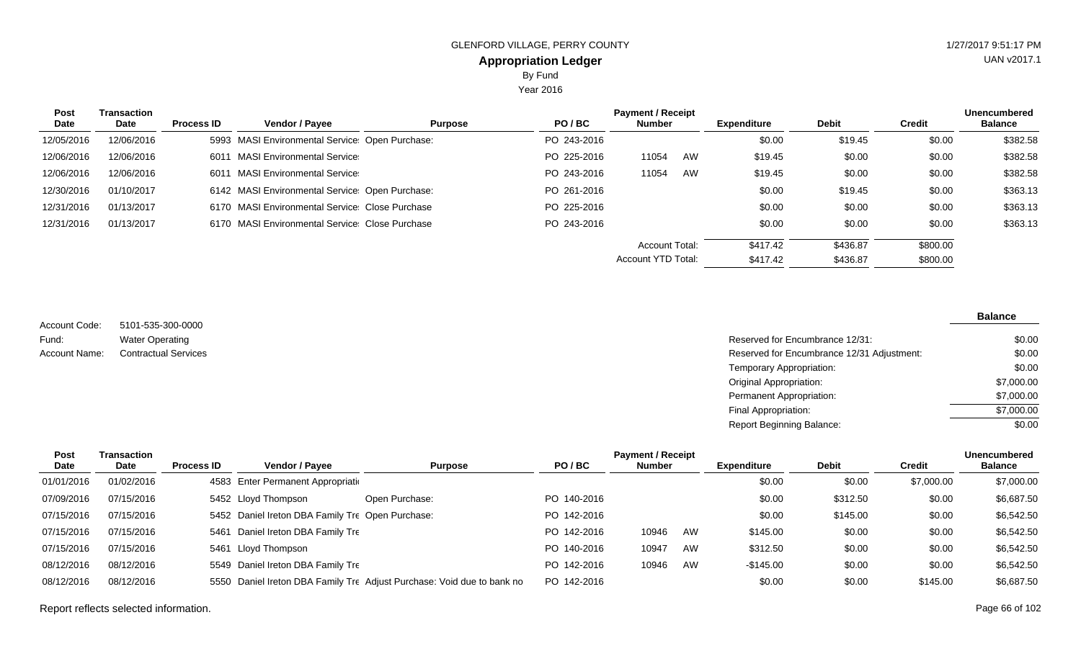Year 2016

| <b>Post</b><br>Date | <b>Transaction</b><br>Date | <b>Process ID</b> | <b>Vendor / Payee</b>                           | <b>Purpose</b> | PO/BC       | <b>Payment / Receipt</b><br><b>Number</b> |    | <b>Expenditure</b> | <b>Debit</b> | <b>Credit</b> | <b>Unencumbered</b><br><b>Balance</b> |
|---------------------|----------------------------|-------------------|-------------------------------------------------|----------------|-------------|-------------------------------------------|----|--------------------|--------------|---------------|---------------------------------------|
| 12/05/2016          | 12/06/2016                 |                   | 5993 MASI Environmental Service: Open Purchase: |                | PO 243-2016 |                                           |    | \$0.00             | \$19.45      | \$0.00        | \$382.58                              |
| 12/06/2016          | 12/06/2016                 | 6011              | <b>MASI Environmental Service:</b>              |                | PO 225-2016 | 11054                                     | AW | \$19.45            | \$0.00       | \$0.00        | \$382.58                              |
| 12/06/2016          | 12/06/2016                 | 6011              | <b>MASI Environmental Service:</b>              |                | PO 243-2016 | 11054                                     | AW | \$19.45            | \$0.00       | \$0.00        | \$382.58                              |
| 12/30/2016          | 01/10/2017                 |                   | 6142 MASI Environmental Service Open Purchase:  |                | PO 261-2016 |                                           |    | \$0.00             | \$19.45      | \$0.00        | \$363.13                              |
| 12/31/2016          | 01/13/2017                 |                   | 6170 MASI Environmental Service: Close Purchase |                | PO 225-2016 |                                           |    | \$0.00             | \$0.00       | \$0.00        | \$363.13                              |
| 12/31/2016          | 01/13/2017                 |                   | 6170 MASI Environmental Service Close Purchase  |                | PO 243-2016 |                                           |    | \$0.00             | \$0.00       | \$0.00        | \$363.13                              |
|                     |                            |                   |                                                 |                |             | <b>Account Total:</b>                     |    | \$417.42           | \$436.87     | \$800.00      |                                       |
|                     |                            |                   |                                                 |                |             | Account YTD Total:                        |    | \$417.42           | \$436.87     | \$800.00      |                                       |

5101-535-300-0000 Water Operating Account Code: Fund:

| Fund:         | <b>Water Operating</b>      | Reserved for Encumbrance 12/31:            | \$0.00     |
|---------------|-----------------------------|--------------------------------------------|------------|
| Account Name: | <b>Contractual Services</b> | Reserved for Encumbrance 12/31 Adjustment: | \$0.00     |
|               |                             | Temporary Appropriation:                   | \$0.00     |
|               |                             | Original Appropriation:                    | \$7,000.00 |
|               |                             | Permanent Appropriation:                   | \$7,000.00 |
|               |                             | Final Appropriation:                       | \$7,000.00 |
|               |                             | Report Beginning Balance:                  | \$0.00     |

| Post       | Transaction |                   |                                                  |                                                                        |             | <b>Payment / Receipt</b> |    |                    |              |               | <b>Unencumbered</b> |
|------------|-------------|-------------------|--------------------------------------------------|------------------------------------------------------------------------|-------------|--------------------------|----|--------------------|--------------|---------------|---------------------|
| Date       | Date        | <b>Process ID</b> | Vendor / Payee                                   | <b>Purpose</b>                                                         | PO/BC       | <b>Number</b>            |    | <b>Expenditure</b> | <b>Debit</b> | <b>Credit</b> | <b>Balance</b>      |
| 01/01/2016 | 01/02/2016  |                   | 4583 Enter Permanent Appropriation               |                                                                        |             |                          |    | \$0.00             | \$0.00       | \$7,000.00    | \$7,000.00          |
| 07/09/2016 | 07/15/2016  |                   | 5452 Lloyd Thompson                              | Open Purchase:                                                         | PO 140-2016 |                          |    | \$0.00             | \$312.50     | \$0.00        | \$6,687.50          |
| 07/15/2016 | 07/15/2016  |                   | 5452 Daniel Ireton DBA Family Tre Open Purchase: |                                                                        | PO 142-2016 |                          |    | \$0.00             | \$145.00     | \$0.00        | \$6,542.50          |
| 07/15/2016 | 07/15/2016  |                   | 5461 Daniel Ireton DBA Family Tre                |                                                                        | PO 142-2016 | 10946                    | AW | \$145.00           | \$0.00       | \$0.00        | \$6,542.50          |
| 07/15/2016 | 07/15/2016  |                   | 5461 Lloyd Thompson                              |                                                                        | PO 140-2016 | 10947                    | AW | \$312.50           | \$0.00       | \$0.00        | \$6,542.50          |
| 08/12/2016 | 08/12/2016  |                   | 5549 Daniel Ireton DBA Family Tre                |                                                                        | PO 142-2016 | 10946                    | AW | $-$145.00$         | \$0.00       | \$0.00        | \$6,542.50          |
| 08/12/2016 | 08/12/2016  |                   |                                                  | 5550 Daniel Ireton DBA Family Tre Adjust Purchase: Void due to bank no | PO 142-2016 |                          |    | \$0.00             | \$0.00       | \$145.00      | \$6,687.50          |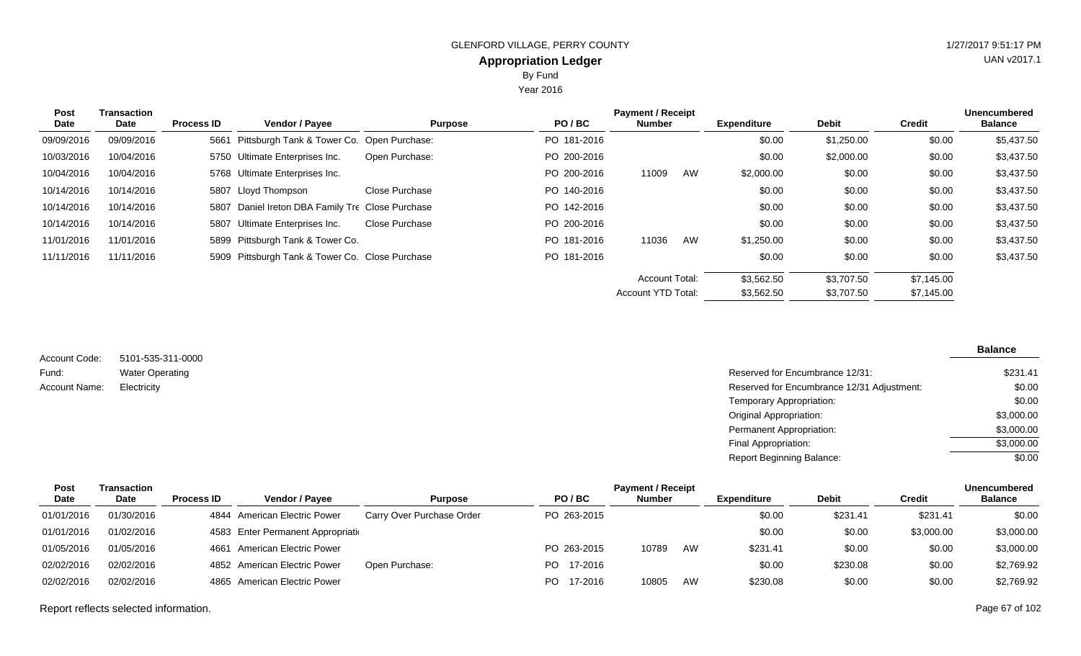Year 2016

| <b>Post</b><br>Date | Transaction<br>Date | <b>Process ID</b> | Vendor / Payee                                   | <b>Purpose</b> | PO/BC       | <b>Payment / Receipt</b><br>Number |    | <b>Expenditure</b> | <b>Debit</b> | <b>Credit</b> | <b>Unencumbered</b><br><b>Balance</b> |
|---------------------|---------------------|-------------------|--------------------------------------------------|----------------|-------------|------------------------------------|----|--------------------|--------------|---------------|---------------------------------------|
| 09/09/2016          | 09/09/2016          |                   | 5661 Pittsburgh Tank & Tower Co. Open Purchase:  |                | PO 181-2016 |                                    |    | \$0.00             | \$1,250.00   | \$0.00        | \$5,437.50                            |
| 10/03/2016          | 10/04/2016          |                   | 5750 Ultimate Enterprises Inc.                   | Open Purchase: | PO 200-2016 |                                    |    | \$0.00             | \$2,000.00   | \$0.00        | \$3,437.50                            |
| 10/04/2016          | 10/04/2016          |                   | 5768 Ultimate Enterprises Inc.                   |                | PO 200-2016 | 11009                              | AW | \$2,000.00         | \$0.00       | \$0.00        | \$3,437.50                            |
| 10/14/2016          | 10/14/2016          |                   | 5807 Lloyd Thompson                              | Close Purchase | PO 140-2016 |                                    |    | \$0.00             | \$0.00       | \$0.00        | \$3,437.50                            |
| 10/14/2016          | 10/14/2016          |                   | 5807 Daniel Ireton DBA Family Tre Close Purchase |                | PO 142-2016 |                                    |    | \$0.00             | \$0.00       | \$0.00        | \$3,437.50                            |
| 10/14/2016          | 10/14/2016          |                   | 5807 Ultimate Enterprises Inc.                   | Close Purchase | PO 200-2016 |                                    |    | \$0.00             | \$0.00       | \$0.00        | \$3,437.50                            |
| 11/01/2016          | 11/01/2016          |                   | 5899 Pittsburgh Tank & Tower Co.                 |                | PO 181-2016 | 11036                              | AW | \$1,250.00         | \$0.00       | \$0.00        | \$3,437.50                            |
| 11/11/2016          | 11/11/2016          |                   | 5909 Pittsburgh Tank & Tower Co. Close Purchase  |                | PO 181-2016 |                                    |    | \$0.00             | \$0.00       | \$0.00        | \$3,437.50                            |
|                     |                     |                   |                                                  |                |             | Account Total:                     |    | \$3,562.50         | \$3,707.50   | \$7,145.00    |                                       |
|                     |                     |                   |                                                  |                |             | <b>Account YTD Total:</b>          |    | \$3,562.50         | \$3,707.50   | \$7,145.00    |                                       |

| Account Code: | 5101-535-311-0000      |
|---------------|------------------------|
| Fund:         | <b>Water Operating</b> |
| Account Name: | Electricity            |

| Water Operating | Reserved for Encumbrance 12/31:            | \$231.41   |
|-----------------|--------------------------------------------|------------|
| Electricity     | Reserved for Encumbrance 12/31 Adjustment: | \$0.00     |
|                 | Temporary Appropriation:                   | \$0.00     |
|                 | Original Appropriation:                    | \$3,000.00 |
|                 | Permanent Appropriation:                   | \$3,000.00 |
|                 | Final Appropriation:                       | \$3,000.00 |
|                 | <b>Report Beginning Balance:</b>           | \$0.00     |
|                 |                                            |            |

| Post        | Transaction |                   |                                    |                           |                | <b>Payment / Receipt</b> |    |             |              |            | <b>Unencumbered</b> |
|-------------|-------------|-------------------|------------------------------------|---------------------------|----------------|--------------------------|----|-------------|--------------|------------|---------------------|
| <b>Date</b> | <b>Date</b> | <b>Process ID</b> | <b>Vendor / Pavee</b>              | <b>Purpose</b>            | PO/BC          | <b>Number</b>            |    | Expenditure | <b>Debit</b> | Credit     | <b>Balance</b>      |
| 01/01/2016  | 01/30/2016  |                   | 4844 American Electric Power       | Carry Over Purchase Order | PO 263-2015    |                          |    | \$0.00      | \$231.41     | \$231.41   | \$0.00              |
| 01/01/2016  | 01/02/2016  |                   | 4583 Enter Permanent Appropriation |                           |                |                          |    | \$0.00      | \$0.00       | \$3,000.00 | \$3,000.00          |
| 01/05/2016  | 01/05/2016  |                   | 4661 American Electric Power       |                           | PO 263-2015    | 10789                    | AW | \$231.41    | \$0.00       | \$0.00     | \$3,000.00          |
| 02/02/2016  | 02/02/2016  |                   | 4852 American Electric Power       | Open Purchase:            | 17-2016<br>PO. |                          |    | \$0.00      | \$230.08     | \$0.00     | \$2,769.92          |
| 02/02/2016  | 02/02/2016  |                   | 4865 American Electric Power       |                           | PO.<br>17-2016 | 10805                    | AW | \$230.08    | \$0.00       | \$0.00     | \$2,769.92          |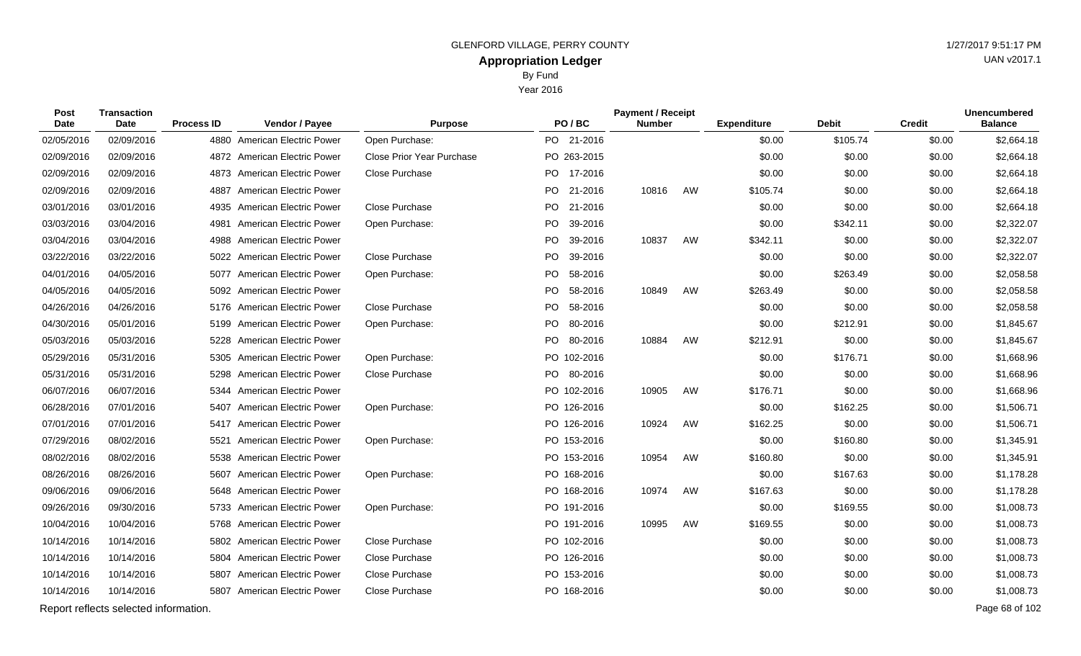Year 2016

| Post<br>Date | <b>Transaction</b><br><b>Date</b>     | <b>Process ID</b> | Vendor / Payee                 | <b>Purpose</b>            |     | PO/BC       | <b>Payment / Receipt</b><br><b>Number</b> |    | <b>Expenditure</b> | <b>Debit</b> | <b>Credit</b> | <b>Unencumbered</b><br><b>Balance</b> |
|--------------|---------------------------------------|-------------------|--------------------------------|---------------------------|-----|-------------|-------------------------------------------|----|--------------------|--------------|---------------|---------------------------------------|
| 02/05/2016   | 02/09/2016                            |                   | 4880 American Electric Power   | Open Purchase:            |     | PO 21-2016  |                                           |    | \$0.00             | \$105.74     | \$0.00        | \$2,664.18                            |
| 02/09/2016   | 02/09/2016                            |                   | 4872 American Electric Power   | Close Prior Year Purchase |     | PO 263-2015 |                                           |    | \$0.00             | \$0.00       | \$0.00        | \$2,664.18                            |
| 02/09/2016   | 02/09/2016                            |                   | 4873 American Electric Power   | <b>Close Purchase</b>     |     | PO 17-2016  |                                           |    | \$0.00             | \$0.00       | \$0.00        | \$2,664.18                            |
| 02/09/2016   | 02/09/2016                            | 4887              | <b>American Electric Power</b> |                           |     | PO 21-2016  | 10816                                     | AW | \$105.74           | \$0.00       | \$0.00        | \$2,664.18                            |
| 03/01/2016   | 03/01/2016                            |                   | 4935 American Electric Power   | Close Purchase            |     | PO 21-2016  |                                           |    | \$0.00             | \$0.00       | \$0.00        | \$2,664.18                            |
| 03/03/2016   | 03/04/2016                            | 4981              | <b>American Electric Power</b> | Open Purchase:            | PO. | 39-2016     |                                           |    | \$0.00             | \$342.11     | \$0.00        | \$2,322.07                            |
| 03/04/2016   | 03/04/2016                            |                   | 4988 American Electric Power   |                           |     | PO 39-2016  | 10837                                     | AW | \$342.11           | \$0.00       | \$0.00        | \$2,322.07                            |
| 03/22/2016   | 03/22/2016                            |                   | 5022 American Electric Power   | Close Purchase            | PO  | 39-2016     |                                           |    | \$0.00             | \$0.00       | \$0.00        | \$2,322.07                            |
| 04/01/2016   | 04/05/2016                            |                   | 5077 American Electric Power   | Open Purchase:            |     | PO 58-2016  |                                           |    | \$0.00             | \$263.49     | \$0.00        | \$2,058.58                            |
| 04/05/2016   | 04/05/2016                            |                   | 5092 American Electric Power   |                           | PO. | 58-2016     | 10849                                     | AW | \$263.49           | \$0.00       | \$0.00        | \$2,058.58                            |
| 04/26/2016   | 04/26/2016                            |                   | 5176 American Electric Power   | Close Purchase            |     | PO 58-2016  |                                           |    | \$0.00             | \$0.00       | \$0.00        | \$2,058.58                            |
| 04/30/2016   | 05/01/2016                            | 5199              | <b>American Electric Power</b> | Open Purchase:            | PO  | 80-2016     |                                           |    | \$0.00             | \$212.91     | \$0.00        | \$1,845.67                            |
| 05/03/2016   | 05/03/2016                            |                   | 5228 American Electric Power   |                           |     | PO 80-2016  | 10884                                     | AW | \$212.91           | \$0.00       | \$0.00        | \$1,845.67                            |
| 05/29/2016   | 05/31/2016                            |                   | 5305 American Electric Power   | Open Purchase:            |     | PO 102-2016 |                                           |    | \$0.00             | \$176.71     | \$0.00        | \$1,668.96                            |
| 05/31/2016   | 05/31/2016                            |                   | 5298 American Electric Power   | Close Purchase            |     | PO 80-2016  |                                           |    | \$0.00             | \$0.00       | \$0.00        | \$1,668.96                            |
| 06/07/2016   | 06/07/2016                            |                   | 5344 American Electric Power   |                           |     | PO 102-2016 | 10905                                     | AW | \$176.71           | \$0.00       | \$0.00        | \$1,668.96                            |
| 06/28/2016   | 07/01/2016                            | 5407              | American Electric Power        | Open Purchase:            |     | PO 126-2016 |                                           |    | \$0.00             | \$162.25     | \$0.00        | \$1,506.71                            |
| 07/01/2016   | 07/01/2016                            |                   | 5417 American Electric Power   |                           |     | PO 126-2016 | 10924                                     | AW | \$162.25           | \$0.00       | \$0.00        | \$1,506.71                            |
| 07/29/2016   | 08/02/2016                            |                   | 5521 American Electric Power   | Open Purchase:            |     | PO 153-2016 |                                           |    | \$0.00             | \$160.80     | \$0.00        | \$1,345.91                            |
| 08/02/2016   | 08/02/2016                            |                   | 5538 American Electric Power   |                           |     | PO 153-2016 | 10954                                     | AW | \$160.80           | \$0.00       | \$0.00        | \$1,345.91                            |
| 08/26/2016   | 08/26/2016                            | 5607              | American Electric Power        | Open Purchase:            |     | PO 168-2016 |                                           |    | \$0.00             | \$167.63     | \$0.00        | \$1,178.28                            |
| 09/06/2016   | 09/06/2016                            | 5648              | American Electric Power        |                           |     | PO 168-2016 | 10974                                     | AW | \$167.63           | \$0.00       | \$0.00        | \$1,178.28                            |
| 09/26/2016   | 09/30/2016                            |                   | 5733 American Electric Power   | Open Purchase:            |     | PO 191-2016 |                                           |    | \$0.00             | \$169.55     | \$0.00        | \$1,008.73                            |
| 10/04/2016   | 10/04/2016                            |                   | 5768 American Electric Power   |                           |     | PO 191-2016 | 10995                                     | AW | \$169.55           | \$0.00       | \$0.00        | \$1,008.73                            |
| 10/14/2016   | 10/14/2016                            |                   | 5802 American Electric Power   | Close Purchase            |     | PO 102-2016 |                                           |    | \$0.00             | \$0.00       | \$0.00        | \$1,008.73                            |
| 10/14/2016   | 10/14/2016                            |                   | 5804 American Electric Power   | Close Purchase            |     | PO 126-2016 |                                           |    | \$0.00             | \$0.00       | \$0.00        | \$1,008.73                            |
| 10/14/2016   | 10/14/2016                            |                   | 5807 American Electric Power   | Close Purchase            |     | PO 153-2016 |                                           |    | \$0.00             | \$0.00       | \$0.00        | \$1,008.73                            |
| 10/14/2016   | 10/14/2016                            |                   | 5807 American Electric Power   | Close Purchase            |     | PO 168-2016 |                                           |    | \$0.00             | \$0.00       | \$0.00        | \$1,008.73                            |
|              | Report reflects selected information. |                   |                                |                           |     |             |                                           |    |                    |              |               | Page 68 of 102                        |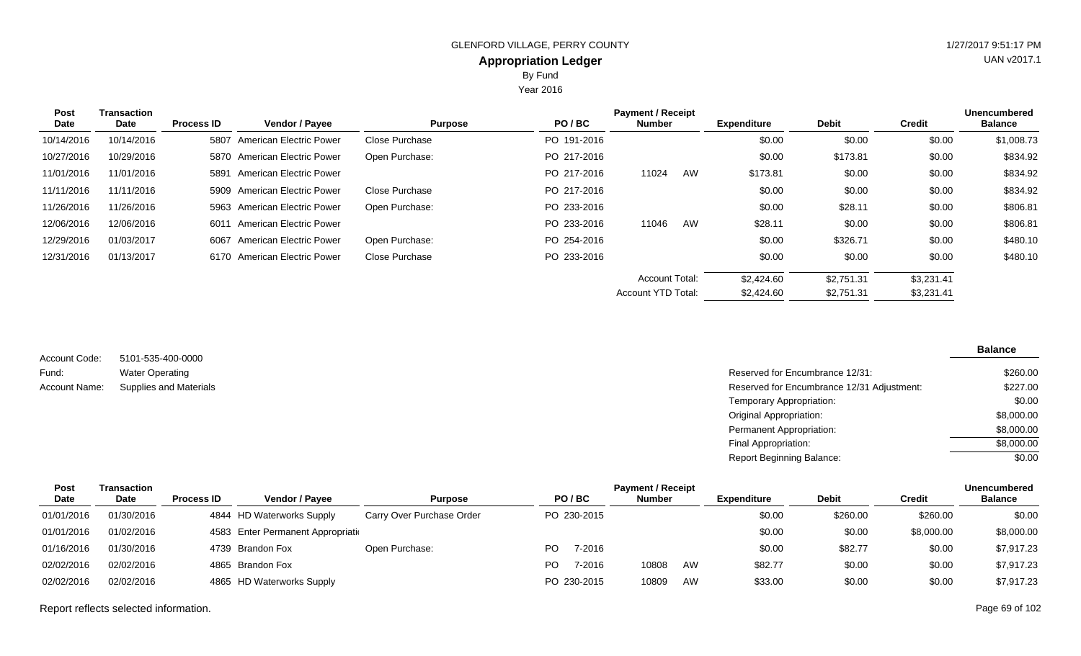Year 2016

| <b>Post</b><br>Date | Transaction<br><b>Date</b> | <b>Process ID</b> | Vendor / Payee                 | <b>Purpose</b> | PO/BC       | <b>Payment / Receipt</b><br><b>Number</b> |    | <b>Expenditure</b> | <b>Debit</b> | <b>Credit</b> | <b>Unencumbered</b><br><b>Balance</b> |
|---------------------|----------------------------|-------------------|--------------------------------|----------------|-------------|-------------------------------------------|----|--------------------|--------------|---------------|---------------------------------------|
| 10/14/2016          | 10/14/2016                 | 5807              | <b>American Electric Power</b> | Close Purchase | PO 191-2016 |                                           |    | \$0.00             | \$0.00       | \$0.00        | \$1,008.73                            |
| 10/27/2016          | 10/29/2016                 | 5870              | American Electric Power        | Open Purchase: | PO 217-2016 |                                           |    | \$0.00             | \$173.81     | \$0.00        | \$834.92                              |
| 11/01/2016          | 11/01/2016                 |                   | 5891 American Electric Power   |                | PO 217-2016 | 11024                                     | AW | \$173.81           | \$0.00       | \$0.00        | \$834.92                              |
| 11/11/2016          | 11/11/2016                 |                   | 5909 American Electric Power   | Close Purchase | PO 217-2016 |                                           |    | \$0.00             | \$0.00       | \$0.00        | \$834.92                              |
| 11/26/2016          | 11/26/2016                 |                   | 5963 American Electric Power   | Open Purchase: | PO 233-2016 |                                           |    | \$0.00             | \$28.11      | \$0.00        | \$806.81                              |
| 12/06/2016          | 12/06/2016                 |                   | 6011 American Electric Power   |                | PO 233-2016 | 11046                                     | AW | \$28.11            | \$0.00       | \$0.00        | \$806.81                              |
| 12/29/2016          | 01/03/2017                 | 6067              | <b>American Electric Power</b> | Open Purchase: | PO 254-2016 |                                           |    | \$0.00             | \$326.71     | \$0.00        | \$480.10                              |
| 12/31/2016          | 01/13/2017                 | 6170              | American Electric Power        | Close Purchase | PO 233-2016 |                                           |    | \$0.00             | \$0.00       | \$0.00        | \$480.10                              |
|                     |                            |                   |                                |                |             | <b>Account Total:</b>                     |    | \$2,424.60         | \$2.751.31   | \$3,231.41    |                                       |
|                     |                            |                   |                                |                |             | <b>Account YTD Total:</b>                 |    | \$2,424.60         | \$2,751.31   | \$3,231.41    |                                       |

| Account Code: | 5101-535-400-0000             |
|---------------|-------------------------------|
| Fund:         | <b>Water Operating</b>        |
| Account Name: | <b>Supplies and Materials</b> |

| Water Operating               | Reserved for Encumbrance 12/31:            | \$260.00   |
|-------------------------------|--------------------------------------------|------------|
| <b>Supplies and Materials</b> | Reserved for Encumbrance 12/31 Adjustment: | \$227.00   |
|                               | Temporary Appropriation:                   | \$0.00     |
|                               | Original Appropriation:                    | \$8,000.00 |
|                               | Permanent Appropriation:                   | \$8,000.00 |
|                               | Final Appropriation:                       | \$8,000.00 |
|                               | <b>Report Beginning Balance:</b>           | \$0.00     |
|                               |                                            |            |

| Post       | Transaction |                   |                                    |                           |     |             | <b>Payment / Receipt</b> |           |                    |              |            | <b>Unencumbered</b> |
|------------|-------------|-------------------|------------------------------------|---------------------------|-----|-------------|--------------------------|-----------|--------------------|--------------|------------|---------------------|
| Date       | <b>Date</b> | <b>Process ID</b> | Vendor / Payee                     | <b>Purpose</b>            |     | PO/BC       | <b>Number</b>            |           | <b>Expenditure</b> | <b>Debit</b> | Credit     | <b>Balance</b>      |
| 01/01/2016 | 01/30/2016  |                   | 4844 HD Waterworks Supply          | Carry Over Purchase Order |     | PO 230-2015 |                          |           | \$0.00             | \$260.00     | \$260.00   | \$0.00              |
| 01/01/2016 | 01/02/2016  |                   | 4583 Enter Permanent Appropriation |                           |     |             |                          |           | \$0.00             | \$0.00       | \$8,000.00 | \$8,000.00          |
| 01/16/2016 | 01/30/2016  |                   | 4739 Brandon Fox                   | Open Purchase:            | PO. | 7-2016      |                          |           | \$0.00             | \$82.77      | \$0.00     | \$7,917.23          |
| 02/02/2016 | 02/02/2016  |                   | 4865 Brandon Fox                   |                           | PO. | 7-2016      | 10808                    | <b>AW</b> | \$82.77            | \$0.00       | \$0.00     | \$7,917.23          |
| 02/02/2016 | 02/02/2016  |                   | 4865 HD Waterworks Supply          |                           |     | PO 230-2015 | 10809                    | AW        | \$33.00            | \$0.00       | \$0.00     | \$7,917.23          |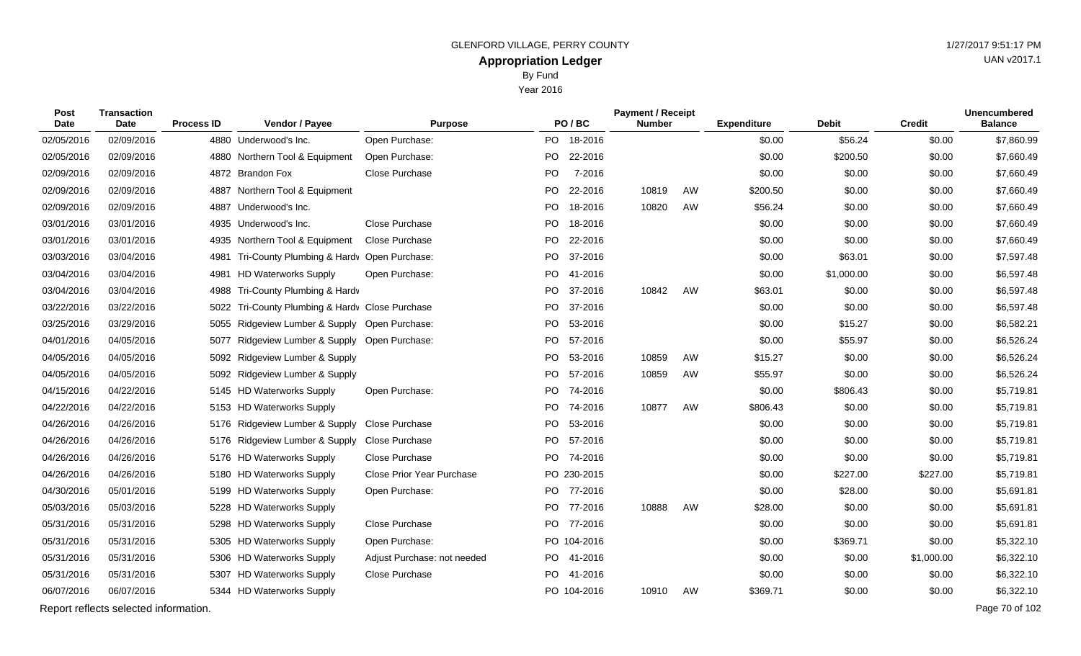| <b>Post</b><br><b>Date</b> | <b>Transaction</b><br>Date            | <b>Process ID</b> | Vendor / Payee                                  | <b>Purpose</b>              |           | PO/BC       | <b>Payment / Receipt</b><br><b>Number</b> |    | <b>Expenditure</b> | Debit      | <b>Credit</b> | <b>Unencumbered</b><br><b>Balance</b> |
|----------------------------|---------------------------------------|-------------------|-------------------------------------------------|-----------------------------|-----------|-------------|-------------------------------------------|----|--------------------|------------|---------------|---------------------------------------|
| 02/05/2016                 | 02/09/2016                            |                   | 4880 Underwood's Inc.                           | Open Purchase:              |           | PO 18-2016  |                                           |    | \$0.00             | \$56.24    | \$0.00        | \$7,860.99                            |
| 02/05/2016                 | 02/09/2016                            |                   | 4880 Northern Tool & Equipment                  | Open Purchase:              | PO.       | 22-2016     |                                           |    | \$0.00             | \$200.50   | \$0.00        | \$7,660.49                            |
| 02/09/2016                 | 02/09/2016                            |                   | 4872 Brandon Fox                                | Close Purchase              | PO        | 7-2016      |                                           |    | \$0.00             | \$0.00     | \$0.00        | \$7,660.49                            |
| 02/09/2016                 | 02/09/2016                            | 4887              | Northern Tool & Equipment                       |                             | <b>PO</b> | 22-2016     | 10819                                     | AW | \$200.50           | \$0.00     | \$0.00        | \$7,660.49                            |
| 02/09/2016                 | 02/09/2016                            | 4887              | Underwood's Inc.                                |                             | PO -      | 18-2016     | 10820                                     | AW | \$56.24            | \$0.00     | \$0.00        | \$7,660.49                            |
| 03/01/2016                 | 03/01/2016                            |                   | 4935 Underwood's Inc.                           | Close Purchase              | PO        | 18-2016     |                                           |    | \$0.00             | \$0.00     | \$0.00        | \$7,660.49                            |
| 03/01/2016                 | 03/01/2016                            | 4935              | Northern Tool & Equipment                       | Close Purchase              |           | PO 22-2016  |                                           |    | \$0.00             | \$0.00     | \$0.00        | \$7,660.49                            |
| 03/03/2016                 | 03/04/2016                            | 4981              | Tri-County Plumbing & Hardv Open Purchase:      |                             | PO        | 37-2016     |                                           |    | \$0.00             | \$63.01    | \$0.00        | \$7,597.48                            |
| 03/04/2016                 | 03/04/2016                            | 4981              | <b>HD Waterworks Supply</b>                     | Open Purchase:              |           | PO 41-2016  |                                           |    | \$0.00             | \$1,000.00 | \$0.00        | \$6,597.48                            |
| 03/04/2016                 | 03/04/2016                            | 4988              | Tri-County Plumbing & Hardv                     |                             | PO.       | 37-2016     | 10842                                     | AW | \$63.01            | \$0.00     | \$0.00        | \$6,597.48                            |
| 03/22/2016                 | 03/22/2016                            |                   | 5022 Tri-County Plumbing & Hardv Close Purchase |                             |           | PO 37-2016  |                                           |    | \$0.00             | \$0.00     | \$0.00        | \$6,597.48                            |
| 03/25/2016                 | 03/29/2016                            | 5055              | Ridgeview Lumber & Supply Open Purchase:        |                             | PO.       | 53-2016     |                                           |    | \$0.00             | \$15.27    | \$0.00        | \$6,582.21                            |
| 04/01/2016                 | 04/05/2016                            | 5077              | Ridgeview Lumber & Supply Open Purchase:        |                             |           | PO 57-2016  |                                           |    | \$0.00             | \$55.97    | \$0.00        | \$6,526.24                            |
| 04/05/2016                 | 04/05/2016                            | 5092              | Ridgeview Lumber & Supply                       |                             | PO.       | 53-2016     | 10859                                     | AW | \$15.27            | \$0.00     | \$0.00        | \$6,526.24                            |
| 04/05/2016                 | 04/05/2016                            |                   | 5092 Ridgeview Lumber & Supply                  |                             |           | PO 57-2016  | 10859                                     | AW | \$55.97            | \$0.00     | \$0.00        | \$6,526.24                            |
| 04/15/2016                 | 04/22/2016                            | 5145              | <b>HD Waterworks Supply</b>                     | Open Purchase:              | PO        | 74-2016     |                                           |    | \$0.00             | \$806.43   | \$0.00        | \$5,719.81                            |
| 04/22/2016                 | 04/22/2016                            |                   | 5153 HD Waterworks Supply                       |                             | <b>PO</b> | 74-2016     | 10877                                     | AW | \$806.43           | \$0.00     | \$0.00        | \$5,719.81                            |
| 04/26/2016                 | 04/26/2016                            | 5176              | Ridgeview Lumber & Supply                       | Close Purchase              | <b>PO</b> | 53-2016     |                                           |    | \$0.00             | \$0.00     | \$0.00        | \$5,719.81                            |
| 04/26/2016                 | 04/26/2016                            | 5176              | Ridgeview Lumber & Supply                       | Close Purchase              |           | PO 57-2016  |                                           |    | \$0.00             | \$0.00     | \$0.00        | \$5,719.81                            |
| 04/26/2016                 | 04/26/2016                            | 5176              | <b>HD Waterworks Supply</b>                     | Close Purchase              |           | PO 74-2016  |                                           |    | \$0.00             | \$0.00     | \$0.00        | \$5,719.81                            |
| 04/26/2016                 | 04/26/2016                            | 5180              | <b>HD Waterworks Supply</b>                     | Close Prior Year Purchase   |           | PO 230-2015 |                                           |    | \$0.00             | \$227.00   | \$227.00      | \$5,719.81                            |
| 04/30/2016                 | 05/01/2016                            | 5199              | <b>HD Waterworks Supply</b>                     | Open Purchase:              |           | PO 77-2016  |                                           |    | \$0.00             | \$28.00    | \$0.00        | \$5,691.81                            |
| 05/03/2016                 | 05/03/2016                            |                   | 5228 HD Waterworks Supply                       |                             |           | PO 77-2016  | 10888                                     | AW | \$28.00            | \$0.00     | \$0.00        | \$5,691.81                            |
| 05/31/2016                 | 05/31/2016                            |                   | 5298 HD Waterworks Supply                       | Close Purchase              |           | PO 77-2016  |                                           |    | \$0.00             | \$0.00     | \$0.00        | \$5,691.81                            |
| 05/31/2016                 | 05/31/2016                            |                   | 5305 HD Waterworks Supply                       | Open Purchase:              |           | PO 104-2016 |                                           |    | \$0.00             | \$369.71   | \$0.00        | \$5,322.10                            |
| 05/31/2016                 | 05/31/2016                            |                   | 5306 HD Waterworks Supply                       | Adjust Purchase: not needed |           | PO 41-2016  |                                           |    | \$0.00             | \$0.00     | \$1,000.00    | \$6,322.10                            |
| 05/31/2016                 | 05/31/2016                            |                   | 5307 HD Waterworks Supply                       | Close Purchase              |           | PO 41-2016  |                                           |    | \$0.00             | \$0.00     | \$0.00        | \$6,322.10                            |
| 06/07/2016                 | 06/07/2016                            |                   | 5344 HD Waterworks Supply                       |                             |           | PO 104-2016 | 10910                                     | AW | \$369.71           | \$0.00     | \$0.00        | \$6,322.10                            |
|                            | Report reflects selected information. |                   |                                                 |                             |           |             |                                           |    |                    |            |               | Page 70 of 102                        |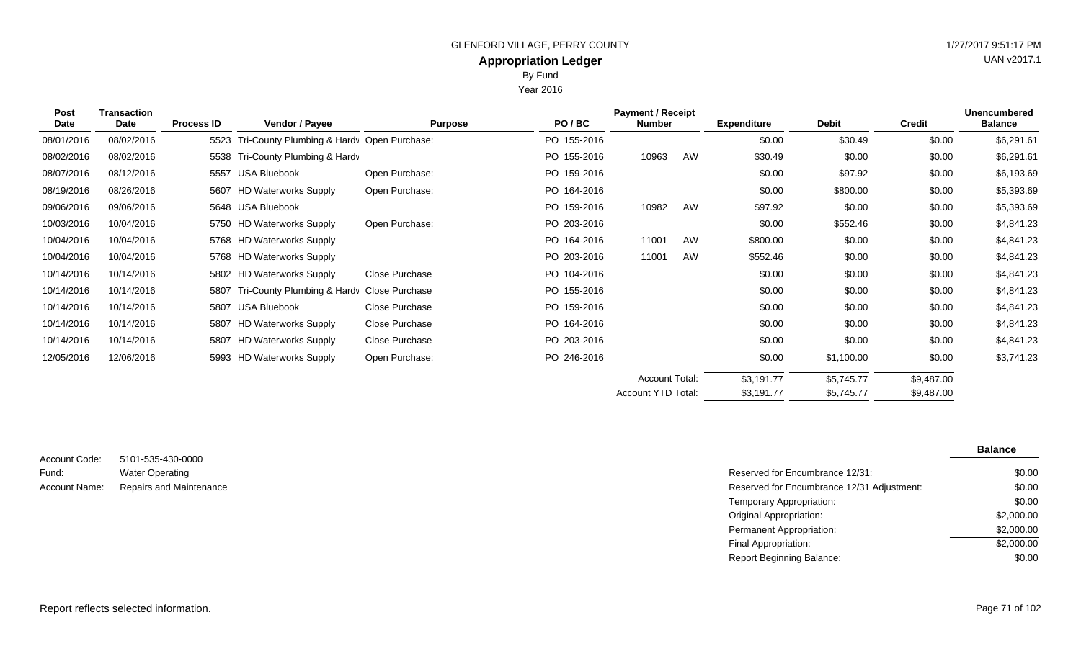Year 2016

| <b>Post</b><br>Date | <b>Transaction</b><br>Date | <b>Process ID</b> | Vendor / Payee                             | <b>Purpose</b> | PO/BC       | <b>Payment / Receipt</b><br><b>Number</b> |    | <b>Expenditure</b> | <b>Debit</b> | <b>Credit</b> | <b>Unencumbered</b><br><b>Balance</b> |
|---------------------|----------------------------|-------------------|--------------------------------------------|----------------|-------------|-------------------------------------------|----|--------------------|--------------|---------------|---------------------------------------|
| 08/01/2016          | 08/02/2016                 | 5523              | Tri-County Plumbing & Hardv Open Purchase: |                | PO 155-2016 |                                           |    | \$0.00             | \$30.49      | \$0.00        | \$6,291.61                            |
| 08/02/2016          | 08/02/2016                 | 5538              | Tri-County Plumbing & Hardv                |                | PO 155-2016 | 10963                                     | AW | \$30.49            | \$0.00       | \$0.00        | \$6,291.61                            |
| 08/07/2016          | 08/12/2016                 | 5557              | <b>USA Bluebook</b>                        | Open Purchase: | PO 159-2016 |                                           |    | \$0.00             | \$97.92      | \$0.00        | \$6,193.69                            |
| 08/19/2016          | 08/26/2016                 |                   | 5607 HD Waterworks Supply                  | Open Purchase: | PO 164-2016 |                                           |    | \$0.00             | \$800.00     | \$0.00        | \$5,393.69                            |
| 09/06/2016          | 09/06/2016                 |                   | 5648 USA Bluebook                          |                | PO 159-2016 | 10982                                     | AW | \$97.92            | \$0.00       | \$0.00        | \$5,393.69                            |
| 10/03/2016          | 10/04/2016                 |                   | 5750 HD Waterworks Supply                  | Open Purchase: | PO 203-2016 |                                           |    | \$0.00             | \$552.46     | \$0.00        | \$4,841.23                            |
| 10/04/2016          | 10/04/2016                 |                   | 5768 HD Waterworks Supply                  |                | PO 164-2016 | 11001                                     | AW | \$800.00           | \$0.00       | \$0.00        | \$4,841.23                            |
| 10/04/2016          | 10/04/2016                 |                   | 5768 HD Waterworks Supply                  |                | PO 203-2016 | 11001                                     | AW | \$552.46           | \$0.00       | \$0.00        | \$4,841.23                            |
| 10/14/2016          | 10/14/2016                 |                   | 5802 HD Waterworks Supply                  | Close Purchase | PO 104-2016 |                                           |    | \$0.00             | \$0.00       | \$0.00        | \$4,841.23                            |
| 10/14/2016          | 10/14/2016                 | 5807              | Tri-County Plumbing & Hardy Close Purchase |                | PO 155-2016 |                                           |    | \$0.00             | \$0.00       | \$0.00        | \$4,841.23                            |
| 10/14/2016          | 10/14/2016                 |                   | 5807 USA Bluebook                          | Close Purchase | PO 159-2016 |                                           |    | \$0.00             | \$0.00       | \$0.00        | \$4,841.23                            |
| 10/14/2016          | 10/14/2016                 |                   | 5807 HD Waterworks Supply                  | Close Purchase | PO 164-2016 |                                           |    | \$0.00             | \$0.00       | \$0.00        | \$4,841.23                            |
| 10/14/2016          | 10/14/2016                 |                   | 5807 HD Waterworks Supply                  | Close Purchase | PO 203-2016 |                                           |    | \$0.00             | \$0.00       | \$0.00        | \$4,841.23                            |
| 12/05/2016          | 12/06/2016                 |                   | 5993 HD Waterworks Supply                  | Open Purchase: | PO 246-2016 |                                           |    | \$0.00             | \$1,100.00   | \$0.00        | \$3,741.23                            |
|                     |                            |                   |                                            |                |             | <b>Account Total:</b>                     |    | \$3,191.77         | \$5,745.77   | \$9,487.00    |                                       |
|                     |                            |                   |                                            |                |             | Account YTD Total:                        |    | \$3,191.77         | \$5,745.77   | \$9,487.00    |                                       |

| Account Code: | 5101-535-430-0000       |
|---------------|-------------------------|
| Fund:         | <b>Water Operating</b>  |
| Account Name: | Repairs and Maintenance |

|                         |                                            | <b>Balance</b> |
|-------------------------|--------------------------------------------|----------------|
| 5101-535-430-0000       |                                            |                |
| Water Operating         | Reserved for Encumbrance 12/31:            | \$0.00         |
| Repairs and Maintenance | Reserved for Encumbrance 12/31 Adjustment: | \$0.00         |
|                         | Temporary Appropriation:                   | \$0.00         |
|                         | <b>Original Appropriation:</b>             | \$2,000.00     |
|                         | Permanent Appropriation:                   | \$2,000.00     |
|                         | Final Appropriation:                       | \$2,000.00     |
|                         | <b>Report Beginning Balance:</b>           | \$0.00         |

Report reflects selected information. Page 71 of 102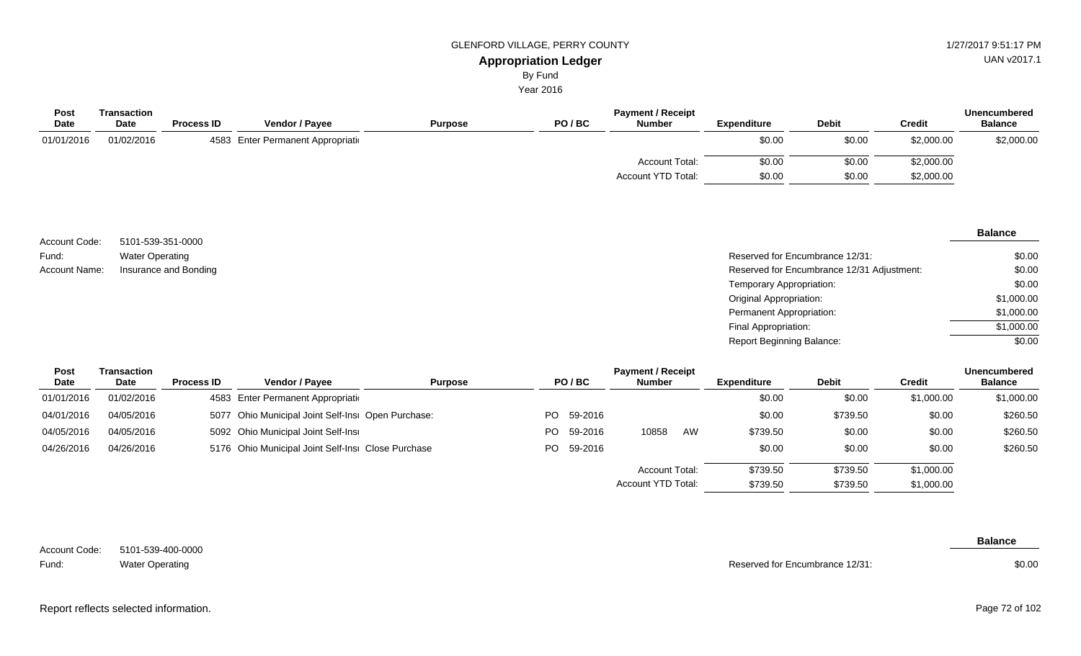By Fund

Year 2016

| <b>Post</b> | Transaction |                   |                                    |                |       | <b>Payment / Receipt</b> |                    |              |               | <b>Unencumbered</b> |
|-------------|-------------|-------------------|------------------------------------|----------------|-------|--------------------------|--------------------|--------------|---------------|---------------------|
| <b>Date</b> | <b>Date</b> | <b>Process ID</b> | <b>Vendor / Pavee</b>              | <b>Purpose</b> | PO/BC | <b>Number</b>            | <b>Expenditure</b> | <b>Debit</b> | <b>Credit</b> | <b>Balance</b>      |
| 01/01/2016  | 01/02/2016  |                   | 4583 Enter Permanent Appropriation |                |       |                          | \$0.00             | \$0.00       | \$2,000.00    | \$2,000.00          |
|             |             |                   |                                    |                |       | <b>Account Total:</b>    | \$0.00             | \$0.00       | \$2,000.00    |                     |
|             |             |                   |                                    |                |       | Account YTD Total:       | \$0.00             | \$0.00       | \$2,000.00    |                     |

|               |                        |                                            | <b>Balance</b> |
|---------------|------------------------|--------------------------------------------|----------------|
| Account Code: | 5101-539-351-0000      |                                            |                |
| Fund:         | <b>Water Operating</b> | Reserved for Encumbrance 12/31:            | \$0.00         |
| Account Name: | Insurance and Bonding  | Reserved for Encumbrance 12/31 Adjustment: | \$0.00         |
|               |                        | Temporary Appropriation:                   | \$0.00         |
|               |                        | <b>Original Appropriation:</b>             | \$1,000.00     |
|               |                        | Permanent Appropriation:                   | \$1,000.00     |
|               |                        | Final Appropriation:                       | \$1,000.00     |
|               |                        | <b>Report Beginning Balance:</b>           | \$0.00         |

| <b>Post</b> | Transaction<br><b>Date</b> |                   |                                                    |                | <b>Payment / Receipt</b> |            |               |          |                    |              |               |                |
|-------------|----------------------------|-------------------|----------------------------------------------------|----------------|--------------------------|------------|---------------|----------|--------------------|--------------|---------------|----------------|
| Date        |                            | <b>Process ID</b> | <b>Vendor / Payee</b>                              | <b>Purpose</b> |                          | PO/BC      | <b>Number</b> |          | <b>Expenditure</b> | <b>Debit</b> | <b>Credit</b> | <b>Balance</b> |
| 01/01/2016  | 01/02/2016                 |                   | 4583 Enter Permanent Appropriation                 |                |                          |            |               |          | \$0.00             | \$0.00       | \$1,000.00    | \$1,000.00     |
| 04/01/2016  | 04/05/2016                 |                   | 5077 Ohio Municipal Joint Self-Insi Open Purchase: |                |                          | PO 59-2016 |               |          | \$0.00             | \$739.50     | \$0.00        | \$260.50       |
| 04/05/2016  | 04/05/2016                 |                   | 5092 Ohio Municipal Joint Self-Insi                |                | PO.                      | 59-2016    | 10858         | AW       | \$739.50           | \$0.00       | \$0.00        | \$260.50       |
| 04/26/2016  | 04/26/2016                 |                   | 5176 Ohio Municipal Joint Self-Insi Close Purchase |                |                          | PO 59-2016 |               |          | \$0.00             | \$0.00       | \$0.00        | \$260.50       |
|             |                            |                   |                                                    |                | Account Total:           |            |               | \$739.50 | \$739.50           | \$1,000.00   |               |                |
|             |                            |                   |                                                    |                | Account YTD Total:       |            |               | \$739.50 | \$739.50           | \$1,000.00   |               |                |

5101-539-400-0000 Water Operating Account Code: Fund:

Reserved for Encumbrance 12/31:

**Balance**

\$0.00

Report reflects selected information. Page 72 of 102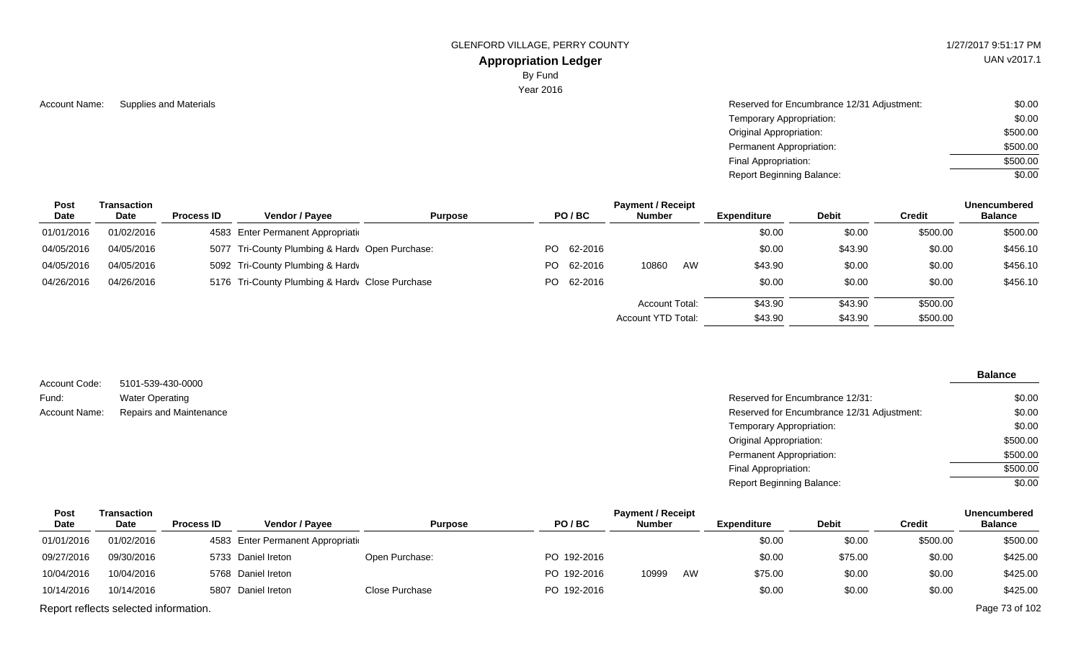## **Appropriation Ledger**

By Fund

Year 2016

| Account Name: | Supplies and Materials | Reserved for Encumbrance 12/31 Adjustment: | \$0.00   |
|---------------|------------------------|--------------------------------------------|----------|
|               |                        | Temporary Appropriation:                   | \$0.00   |
|               |                        | Original Appropriation:                    | \$500.00 |
|               |                        | Permanent Appropriation:                   | \$500.00 |
|               |                        | Final Appropriation:                       | \$500.00 |
|               |                        | <b>Report Beginning Balance:</b>           | \$0.00   |

| Post       | Transaction |                   | <b>Payment / Receipt</b>                        |                |  |            |                       |    |                    |              |          |                |
|------------|-------------|-------------------|-------------------------------------------------|----------------|--|------------|-----------------------|----|--------------------|--------------|----------|----------------|
| Date       | <b>Date</b> | <b>Process ID</b> | Vendor / Payee                                  | <b>Purpose</b> |  | PO/BC      | <b>Number</b>         |    | <b>Expenditure</b> | <b>Debit</b> | Credit   | <b>Balance</b> |
| 01/01/2016 | 01/02/2016  |                   | 4583 Enter Permanent Appropriation              |                |  |            |                       |    | \$0.00             | \$0.00       | \$500.00 | \$500.00       |
| 04/05/2016 | 04/05/2016  |                   | 5077 Tri-County Plumbing & Hardy Open Purchase: |                |  | PO 62-2016 |                       |    | \$0.00             | \$43.90      | \$0.00   | \$456.10       |
| 04/05/2016 | 04/05/2016  |                   | 5092 Tri-County Plumbing & Hardv                |                |  | PO 62-2016 | 10860                 | AW | \$43.90            | \$0.00       | \$0.00   | \$456.10       |
| 04/26/2016 | 04/26/2016  |                   | 5176 Tri-County Plumbing & Hardy Close Purchase |                |  | PO 62-2016 |                       |    | \$0.00             | \$0.00       | \$0.00   | \$456.10       |
|            |             |                   |                                                 |                |  |            | <b>Account Total:</b> |    | \$43.90            | \$43.90      | \$500.00 |                |
|            |             |                   |                                                 |                |  |            | Account YTD Total:    |    | \$43.90            | \$43.90      | \$500.00 |                |

|               |                                                                       |                                  | <b>Balance</b> |
|---------------|-----------------------------------------------------------------------|----------------------------------|----------------|
| Account Code: | 5101-539-430-0000                                                     |                                  |                |
| Fund:         | <b>Water Operating</b>                                                | Reserved for Encumbrance 12/31:  | \$0.00         |
| Account Name: | Reserved for Encumbrance 12/31 Adjustment:<br>Repairs and Maintenance |                                  | \$0.00         |
|               |                                                                       | Temporary Appropriation:         | \$0.00         |
|               |                                                                       | <b>Original Appropriation:</b>   | \$500.00       |
|               |                                                                       | <b>Permanent Appropriation:</b>  | \$500.00       |
|               |                                                                       | Final Appropriation:             | \$500.00       |
|               |                                                                       | <b>Report Beginning Balance:</b> | \$0.00         |

| <b>Post</b> | Transaction                           |                   |                                    | <b>Payment / Receipt</b><br><b>Unencumbered</b> |             |               |    |             |              |          |                |  |
|-------------|---------------------------------------|-------------------|------------------------------------|-------------------------------------------------|-------------|---------------|----|-------------|--------------|----------|----------------|--|
| Date        | <b>Date</b>                           | <b>Process ID</b> | <b>Vendor / Payee</b>              | <b>Purpose</b>                                  | PO/BC       | <b>Number</b> |    | Expenditure | <b>Debit</b> | Credit   | <b>Balance</b> |  |
| 01/01/2016  | 01/02/2016                            |                   | 4583 Enter Permanent Appropriation |                                                 |             |               |    | \$0.00      | \$0.00       | \$500.00 | \$500.00       |  |
| 09/27/2016  | 09/30/2016                            |                   | 5733 Daniel Ireton                 | Open Purchase:                                  | PO 192-2016 |               |    | \$0.00      | \$75.00      | \$0.00   | \$425.00       |  |
| 10/04/2016  | 10/04/2016                            |                   | 5768 Daniel Ireton                 |                                                 | PO 192-2016 | 10999         | AW | \$75.00     | \$0.00       | \$0.00   | \$425.00       |  |
| 10/14/2016  | 10/14/2016                            |                   | 5807 Daniel Ireton                 | Close Purchase                                  | PO 192-2016 |               |    | \$0.00      | \$0.00       | \$0.00   | \$425.00       |  |
|             | Report reflects selected information. |                   |                                    |                                                 |             |               |    |             |              |          | Page 73 of 102 |  |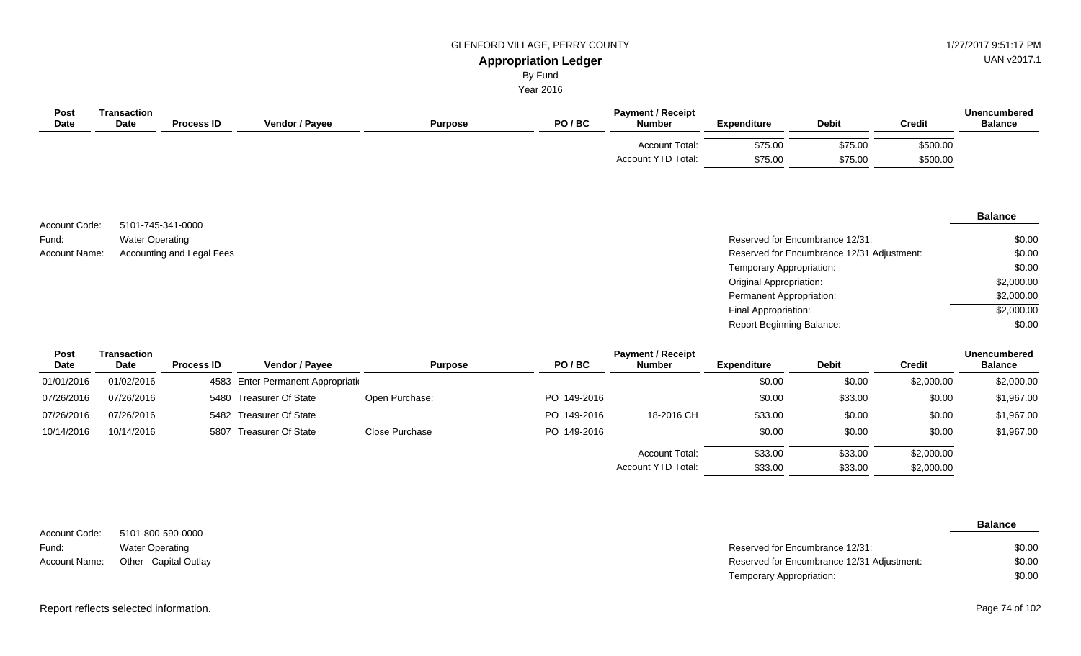UAN v2017.1

\$0.00 \$2,000.00 \$2,000.00 \$2,000.00 \$0.00

#### **Appropriation Ledger** By Fund

Year 2016

| <b>Post</b><br>Date | <b>Transaction</b><br>Date | <b>Process ID</b>         | Vendor / Payee | <b>Purpose</b> | PO/BC | <b>Payment / Receipt</b><br><b>Number</b> | <b>Expenditure</b> | <b>Debit</b>                               | <b>Credit</b> | <b>Unencumbered</b><br><b>Balance</b> |
|---------------------|----------------------------|---------------------------|----------------|----------------|-------|-------------------------------------------|--------------------|--------------------------------------------|---------------|---------------------------------------|
|                     |                            |                           |                |                |       | Account Total:                            | \$75.00            | \$75.00                                    | \$500.00      |                                       |
|                     |                            |                           |                |                |       | <b>Account YTD Total:</b>                 | \$75.00            | \$75.00                                    | \$500.00      |                                       |
|                     |                            |                           |                |                |       |                                           |                    |                                            |               |                                       |
|                     |                            |                           |                |                |       |                                           |                    |                                            |               |                                       |
|                     |                            |                           |                |                |       |                                           |                    |                                            |               | <b>Balance</b>                        |
| Account Code:       | 5101-745-341-0000          |                           |                |                |       |                                           |                    |                                            |               |                                       |
| Fund:               | <b>Water Operating</b>     |                           |                |                |       |                                           |                    | Reserved for Encumbrance 12/31:            |               | \$0.00                                |
| Account Name:       |                            | Accounting and Legal Fees |                |                |       |                                           |                    | Reserved for Encumbrance 12/31 Adjustment: |               | \$0.00                                |

Temporary Appropriation: Original Appropriation: Permanent Appropriation: Final Appropriation: Report Beginning Balance:

\$33.00

Account YTD Total:

| Post<br><b>Date</b> | <b>Transaction</b><br><b>Date</b> | <b>Process ID</b> | <b>Vendor / Payee</b>              | <b>Purpose</b> | PO/BC       | <b>Payment / Receipt</b><br><b>Number</b> | <b>Expenditure</b> | <b>Debit</b> | Credit     | <b>Unencumbered</b><br><b>Balance</b> |
|---------------------|-----------------------------------|-------------------|------------------------------------|----------------|-------------|-------------------------------------------|--------------------|--------------|------------|---------------------------------------|
| 01/01/2016          | 01/02/2016                        |                   | 4583 Enter Permanent Appropriation |                |             |                                           | \$0.00             | \$0.00       | \$2,000.00 | \$2,000.00                            |
| 07/26/2016          | 07/26/2016                        |                   | 5480 Treasurer Of State            | Open Purchase: | PO 149-2016 |                                           | \$0.00             | \$33.00      | \$0.00     | \$1,967.00                            |
| 07/26/2016          | 07/26/2016                        |                   | 5482 Treasurer Of State            |                | PO 149-2016 | 18-2016 CH                                | \$33.00            | \$0.00       | \$0.00     | \$1,967.00                            |
| 10/14/2016          | 10/14/2016                        | 5807              | Treasurer Of State                 | Close Purchase | PO 149-2016 |                                           | \$0.00             | \$0.00       | \$0.00     | \$1,967.00                            |
|                     |                                   |                   |                                    |                |             | <b>Account Total:</b>                     | \$33.00            | \$33.00      | \$2,000.00 |                                       |

|               |                                      |                                            | <b>Balance</b> |
|---------------|--------------------------------------|--------------------------------------------|----------------|
| Account Code: | 5101-800-590-0000                    |                                            |                |
| Fund:         | <b>Water Operating</b>               | Reserved for Encumbrance 12/31:            | \$0.00         |
|               | Account Name: Other - Capital Outlay | Reserved for Encumbrance 12/31 Adjustment: | \$0.00         |
|               |                                      | Temporary Appropriation:                   | \$0.00         |

\$2,000.00

\$33.00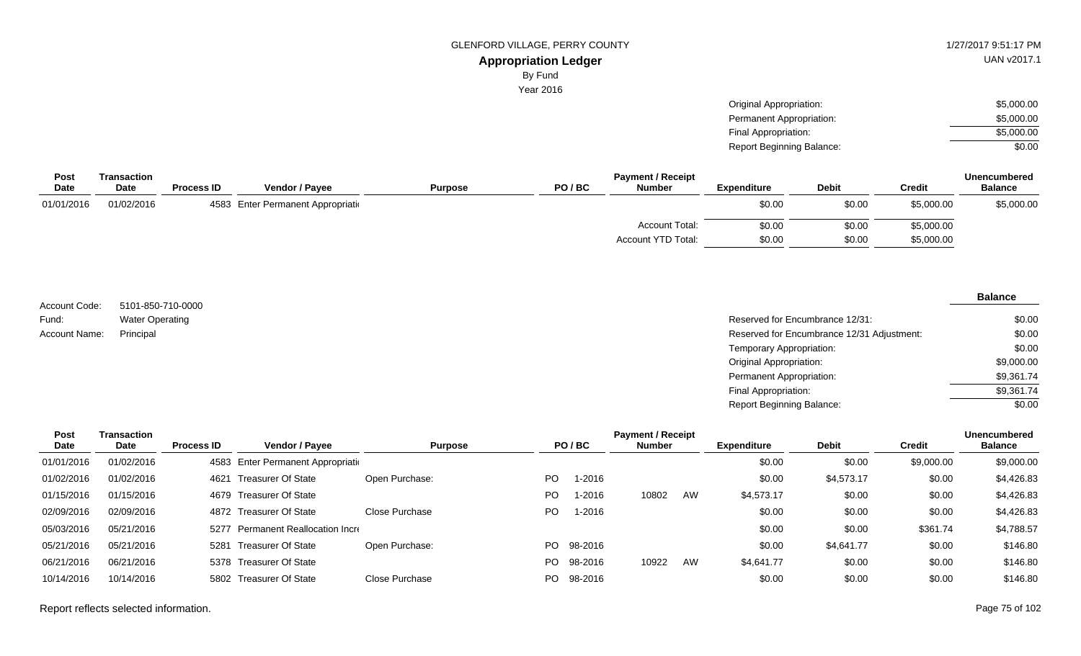#### **Appropriation Ledger** GLENFORD VILLAGE, PERRY COUNTY

By Fund

Year 2016

| 1/27/2017 9:51:17 PM |
|----------------------|
| LIAN v2017 1         |

UAN v2017.1

| Original Appropriation:   | \$5,000.00 |
|---------------------------|------------|
| Permanent Appropriation:  | \$5,000,00 |
| Final Appropriation:      | \$5,000,00 |
| Report Beginning Balance: | \$0.00     |

| Post        | Transaction |                   |                                    |                |       | <b>Payment / Receipt</b> |                    | <b>Unencumbered</b> |               |                |
|-------------|-------------|-------------------|------------------------------------|----------------|-------|--------------------------|--------------------|---------------------|---------------|----------------|
| <b>Date</b> | Date        | <b>Process ID</b> | <b>Vendor / Payee</b>              | <b>Purpose</b> | PO/BC | Number                   | <b>Expenditure</b> | <b>Debit</b>        | <b>Credit</b> | <b>Balance</b> |
| 01/01/2016  | 01/02/2016  |                   | 4583 Enter Permanent Appropriation |                |       |                          | \$0.00             | \$0.00              | \$5,000.00    | \$5,000.00     |
|             |             |                   |                                    |                |       | <b>Account Total:</b>    | \$0.00             | \$0.00              | \$5,000.00    |                |
|             |             |                   |                                    |                |       | Account YTD Total:       | \$0.00             | \$0.00              | \$5,000.00    |                |

5101-850-710-0000 Water Operating Account Code: Fund: Account Name:

**Balance**

| Water Operating | Reserved for Encumbrance 12/31:            | \$0.00     |
|-----------------|--------------------------------------------|------------|
| Principal       | Reserved for Encumbrance 12/31 Adjustment: | \$0.00     |
|                 | Temporary Appropriation:                   | \$0.00     |
|                 | Original Appropriation:                    | \$9,000.00 |
|                 | Permanent Appropriation:                   | \$9,361.74 |
|                 | Final Appropriation:                       | \$9,361.74 |
|                 | <b>Report Beginning Balance:</b>           | \$0.00     |

| Post       | Transaction |                   |                                    |                |     |         | <b>Payment / Receipt</b> |    |                    |              |               | <b>Unencumbered</b> |
|------------|-------------|-------------------|------------------------------------|----------------|-----|---------|--------------------------|----|--------------------|--------------|---------------|---------------------|
| Date       | <b>Date</b> | <b>Process ID</b> | <b>Vendor / Payee</b>              | <b>Purpose</b> |     | PO/BC   | <b>Number</b>            |    | <b>Expenditure</b> | <b>Debit</b> | <b>Credit</b> | <b>Balance</b>      |
| 01/01/2016 | 01/02/2016  |                   | 4583 Enter Permanent Appropriation |                |     |         |                          |    | \$0.00             | \$0.00       | \$9,000.00    | \$9,000.00          |
| 01/02/2016 | 01/02/2016  | 4621              | Treasurer Of State                 | Open Purchase: | PO. | -2016   |                          |    | \$0.00             | \$4,573.17   | \$0.00        | \$4,426.83          |
| 01/15/2016 | 01/15/2016  |                   | 4679 Treasurer Of State            |                | PO. | 1-2016  | 10802                    | AW | \$4,573.17         | \$0.00       | \$0.00        | \$4,426.83          |
| 02/09/2016 | 02/09/2016  |                   | 4872 Treasurer Of State            | Close Purchase | PO. | 1-2016  |                          |    | \$0.00             | \$0.00       | \$0.00        | \$4,426.83          |
| 05/03/2016 | 05/21/2016  | 5277              | Permanent Reallocation Incre       |                |     |         |                          |    | \$0.00             | \$0.00       | \$361.74      | \$4,788.57          |
| 05/21/2016 | 05/21/2016  | 5281              | Treasurer Of State                 | Open Purchase: | PO. | 98-2016 |                          |    | \$0.00             | \$4,641.77   | \$0.00        | \$146.80            |
| 06/21/2016 | 06/21/2016  |                   | 5378 Treasurer Of State            |                | PO. | 98-2016 | 10922                    | AW | \$4,641.77         | \$0.00       | \$0.00        | \$146.80            |
| 10/14/2016 | 10/14/2016  |                   | 5802 Treasurer Of State            | Close Purchase | PO. | 98-2016 |                          |    | \$0.00             | \$0.00       | \$0.00        | \$146.80            |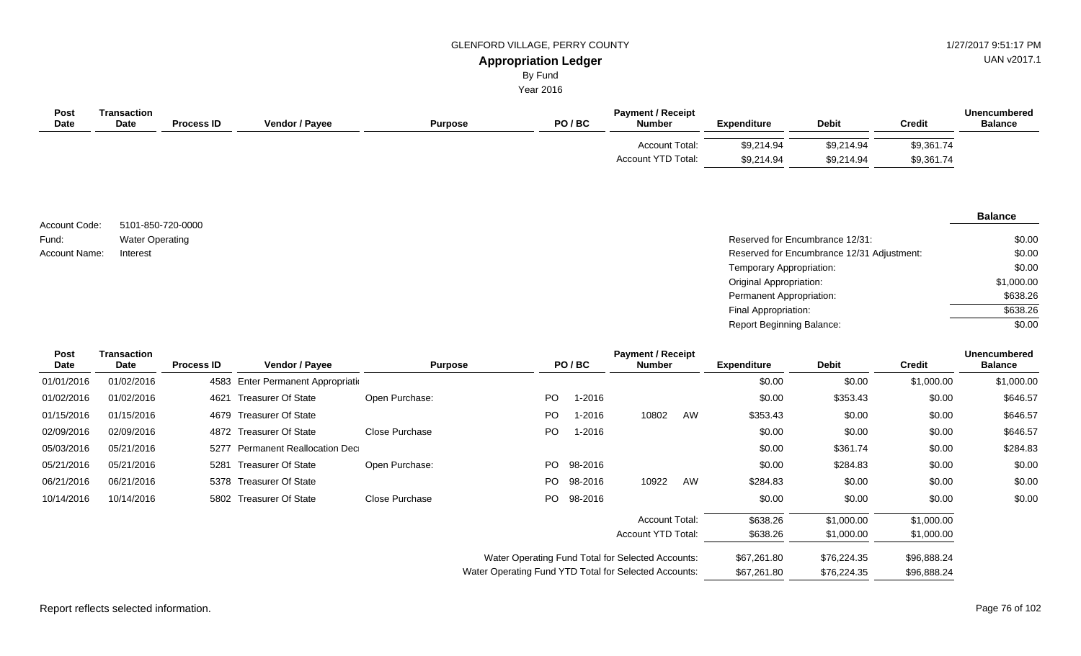UAN v2017.1

# By Fund

Year 2016

| <b>Post</b><br><b>Date</b> | <b>Fransaction</b><br><b>Date</b> | <b>Process ID</b> | Vendor / Payee | <b>Purpose</b> | PO/BC | <b>Payment / Receipt</b><br><b>Number</b>          | <b>Expenditure</b>       | <b>Debit</b>             | <b>Credit</b>            | Unencumbered<br><b>Balance</b> |
|----------------------------|-----------------------------------|-------------------|----------------|----------------|-------|----------------------------------------------------|--------------------------|--------------------------|--------------------------|--------------------------------|
|                            |                                   |                   |                |                |       | <b>Account Total:</b><br><b>Account YTD Total:</b> | \$9,214.94<br>\$9,214.94 | \$9,214.94<br>\$9,214.94 | \$9,361.74<br>\$9,361.74 |                                |

|                        |                                             |                                            | <b>Balance</b> |
|------------------------|---------------------------------------------|--------------------------------------------|----------------|
| Account Code:<br>Fund: | 5101-850-720-0000<br><b>Water Operating</b> | Reserved for Encumbrance 12/31:            | \$0.00         |
| Account Name:          | Interest                                    | Reserved for Encumbrance 12/31 Adjustment: | \$0.00         |
|                        |                                             | Temporary Appropriation:                   | \$0.00         |
|                        |                                             | <b>Original Appropriation:</b>             | \$1,000.00     |
|                        |                                             | Permanent Appropriation:                   | \$638.26       |
|                        |                                             | Final Appropriation:                       | \$638.26       |

Report Beginning Balance:

| <b>Post</b><br>Date | Transaction<br>Date | <b>Process ID</b> | Vendor / Payee                     | <b>Purpose</b> |                                                       | PO/BC   | <b>Payment / Receipt</b><br><b>Number</b> |    | <b>Expenditure</b> | <b>Debit</b> | <b>Credit</b> | <b>Unencumbered</b><br><b>Balance</b> |
|---------------------|---------------------|-------------------|------------------------------------|----------------|-------------------------------------------------------|---------|-------------------------------------------|----|--------------------|--------------|---------------|---------------------------------------|
| 01/01/2016          | 01/02/2016          |                   | 4583 Enter Permanent Appropriation |                |                                                       |         |                                           |    | \$0.00             | \$0.00       | \$1,000.00    | \$1,000.00                            |
| 01/02/2016          | 01/02/2016          | 4621              | <b>Treasurer Of State</b>          | Open Purchase: | PO                                                    | 1-2016  |                                           |    | \$0.00             | \$353.43     | \$0.00        | \$646.57                              |
| 01/15/2016          | 01/15/2016          |                   | 4679 Treasurer Of State            |                | PO                                                    | 1-2016  | 10802                                     | AW | \$353.43           | \$0.00       | \$0.00        | \$646.57                              |
| 02/09/2016          | 02/09/2016          |                   | 4872 Treasurer Of State            | Close Purchase | PO                                                    | 1-2016  |                                           |    | \$0.00             | \$0.00       | \$0.00        | \$646.57                              |
| 05/03/2016          | 05/21/2016          |                   | 5277 Permanent Reallocation Dec    |                |                                                       |         |                                           |    | \$0.00             | \$361.74     | \$0.00        | \$284.83                              |
| 05/21/2016          | 05/21/2016          | 5281              | <b>Treasurer Of State</b>          | Open Purchase: | PO.                                                   | 98-2016 |                                           |    | \$0.00             | \$284.83     | \$0.00        | \$0.00                                |
| 06/21/2016          | 06/21/2016          |                   | 5378 Treasurer Of State            |                | PO.                                                   | 98-2016 | 10922                                     | AW | \$284.83           | \$0.00       | \$0.00        | \$0.00                                |
| 10/14/2016          | 10/14/2016          |                   | 5802 Treasurer Of State            | Close Purchase | PO.                                                   | 98-2016 |                                           |    | \$0.00             | \$0.00       | \$0.00        | \$0.00                                |
|                     |                     |                   |                                    |                |                                                       |         | <b>Account Total:</b>                     |    | \$638.26           | \$1,000.00   | \$1,000.00    |                                       |
|                     |                     |                   |                                    |                | Account YTD Total:                                    |         |                                           |    | \$638.26           | \$1,000.00   | \$1,000.00    |                                       |
|                     |                     |                   |                                    |                | Water Operating Fund Total for Selected Accounts:     |         |                                           |    | \$67,261.80        | \$76,224.35  | \$96,888.24   |                                       |
|                     |                     |                   |                                    |                | Water Operating Fund YTD Total for Selected Accounts: |         |                                           |    | \$67,261.80        | \$76,224.35  | \$96,888.24   |                                       |

\$0.00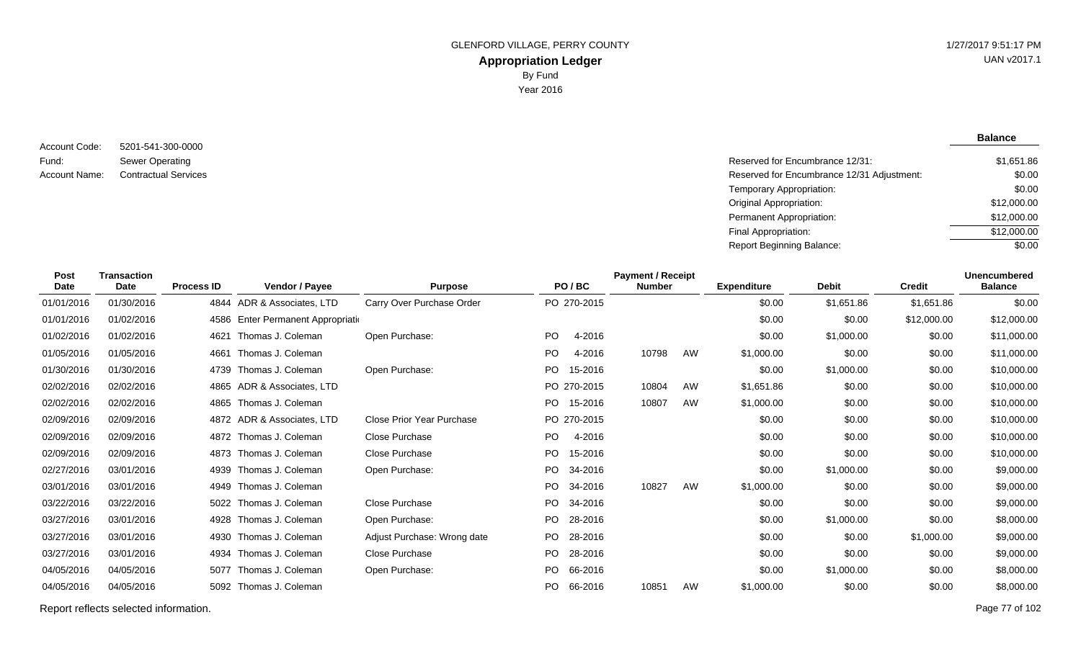5201-541-300-0000 Sewer Operating Account Code: Fund:

**Balance**

| Fund:         | Sewer Operating             | Reserved for Encumbrance 12/31:            | \$1,651.86  |
|---------------|-----------------------------|--------------------------------------------|-------------|
| Account Name: | <b>Contractual Services</b> | Reserved for Encumbrance 12/31 Adjustment: | \$0.00      |
|               |                             | Temporary Appropriation:                   | \$0.00      |
|               |                             | <b>Original Appropriation:</b>             | \$12,000.00 |
|               |                             | <b>Permanent Appropriation:</b>            | \$12,000.00 |
|               |                             | Final Appropriation:                       | \$12,000.00 |
|               |                             | Report Beginning Balance:                  | \$0.00      |
|               |                             |                                            |             |

| <b>Post</b><br><b>Date</b> | <b>Transaction</b><br><b>Date</b> | <b>Process ID</b> | Vendor / Payee                | <b>Purpose</b>              |     | PO/BC       | <b>Payment / Receipt</b><br><b>Number</b> |    | <b>Expenditure</b> | <b>Debit</b> | <b>Credit</b> | <b>Unencumbered</b><br><b>Balance</b> |
|----------------------------|-----------------------------------|-------------------|-------------------------------|-----------------------------|-----|-------------|-------------------------------------------|----|--------------------|--------------|---------------|---------------------------------------|
| 01/01/2016                 | 01/30/2016                        |                   | 4844 ADR & Associates, LTD    | Carry Over Purchase Order   |     | PO 270-2015 |                                           |    | \$0.00             | \$1,651.86   | \$1,651.86    | \$0.00                                |
| 01/01/2016                 | 01/02/2016                        | 4586              | Enter Permanent Appropriation |                             |     |             |                                           |    | \$0.00             | \$0.00       | \$12,000.00   | \$12,000.00                           |
| 01/02/2016                 | 01/02/2016                        | 4621              | Thomas J. Coleman             | Open Purchase:              | PO  | 4-2016      |                                           |    | \$0.00             | \$1,000.00   | \$0.00        | \$11,000.00                           |
| 01/05/2016                 | 01/05/2016                        | 4661              | Thomas J. Coleman             |                             | PO  | 4-2016      | 10798                                     | AW | \$1,000.00         | \$0.00       | \$0.00        | \$11,000.00                           |
| 01/30/2016                 | 01/30/2016                        | 4739              | Thomas J. Coleman             | Open Purchase:              | PO  | 15-2016     |                                           |    | \$0.00             | \$1,000.00   | \$0.00        | \$10,000.00                           |
| 02/02/2016                 | 02/02/2016                        | 4865              | ADR & Associates, LTD         |                             |     | PO 270-2015 | 10804                                     | AW | \$1,651.86         | \$0.00       | \$0.00        | \$10,000.00                           |
| 02/02/2016                 | 02/02/2016                        | 4865              | Thomas J. Coleman             |                             | PO. | 15-2016     | 10807                                     | AW | \$1,000.00         | \$0.00       | \$0.00        | \$10,000.00                           |
| 02/09/2016                 | 02/09/2016                        |                   | 4872 ADR & Associates, LTD    | Close Prior Year Purchase   |     | PO 270-2015 |                                           |    | \$0.00             | \$0.00       | \$0.00        | \$10,000.00                           |
| 02/09/2016                 | 02/09/2016                        |                   | 4872 Thomas J. Coleman        | <b>Close Purchase</b>       | PO. | 4-2016      |                                           |    | \$0.00             | \$0.00       | \$0.00        | \$10,000.00                           |
| 02/09/2016                 | 02/09/2016                        |                   | 4873 Thomas J. Coleman        | <b>Close Purchase</b>       | PO. | 15-2016     |                                           |    | \$0.00             | \$0.00       | \$0.00        | \$10,000.00                           |
| 02/27/2016                 | 03/01/2016                        | 4939              | Thomas J. Coleman             | Open Purchase:              | PO. | 34-2016     |                                           |    | \$0.00             | \$1,000.00   | \$0.00        | \$9,000.00                            |
| 03/01/2016                 | 03/01/2016                        | 4949              | Thomas J. Coleman             |                             | PO. | 34-2016     | 10827                                     | AW | \$1,000.00         | \$0.00       | \$0.00        | \$9,000.00                            |
| 03/22/2016                 | 03/22/2016                        | 5022              | Thomas J. Coleman             | Close Purchase              | PO. | 34-2016     |                                           |    | \$0.00             | \$0.00       | \$0.00        | \$9,000.00                            |
| 03/27/2016                 | 03/01/2016                        | 4928              | Thomas J. Coleman             | Open Purchase:              |     | PO 28-2016  |                                           |    | \$0.00             | \$1,000.00   | \$0.00        | \$8,000.00                            |
| 03/27/2016                 | 03/01/2016                        | 4930              | Thomas J. Coleman             | Adjust Purchase: Wrong date |     | PO 28-2016  |                                           |    | \$0.00             | \$0.00       | \$1,000.00    | \$9,000.00                            |
| 03/27/2016                 | 03/01/2016                        |                   | 4934 Thomas J. Coleman        | Close Purchase              | PO. | 28-2016     |                                           |    | \$0.00             | \$0.00       | \$0.00        | \$9,000.00                            |
| 04/05/2016                 | 04/05/2016                        | 5077              | Thomas J. Coleman             | Open Purchase:              | PO. | 66-2016     |                                           |    | \$0.00             | \$1,000.00   | \$0.00        | \$8,000.00                            |
| 04/05/2016                 | 04/05/2016                        | 5092              | Thomas J. Coleman             |                             | PO. | 66-2016     | 10851                                     | AW | \$1,000.00         | \$0.00       | \$0.00        | \$8,000.00                            |

Report reflects selected information. Page 77 of 102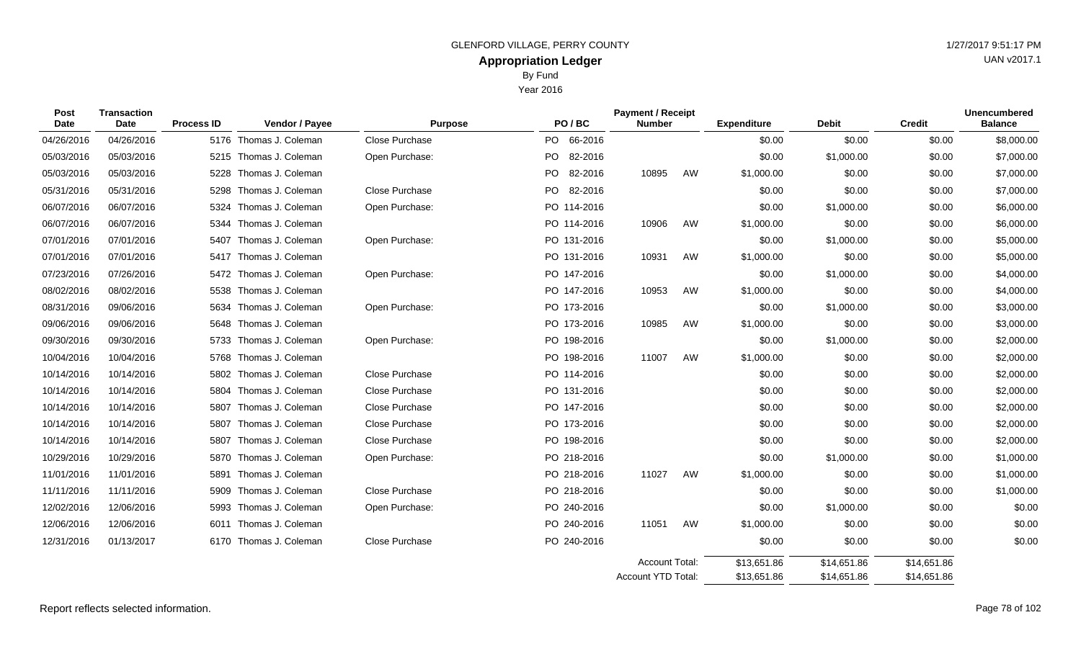Year 2016

| <b>Post</b><br><b>Date</b> | <b>Transaction</b><br>Date | <b>Process ID</b> | Vendor / Payee         | <b>Purpose</b> | PO/BC                | <b>Payment / Receipt</b><br><b>Number</b> |    | <b>Expenditure</b> | <b>Debit</b> | <b>Credit</b> | <b>Unencumbered</b><br><b>Balance</b> |
|----------------------------|----------------------------|-------------------|------------------------|----------------|----------------------|-------------------------------------------|----|--------------------|--------------|---------------|---------------------------------------|
| 04/26/2016                 | 04/26/2016                 |                   | 5176 Thomas J. Coleman | Close Purchase | PO 66-2016           |                                           |    | \$0.00             | \$0.00       | \$0.00        | \$8,000.00                            |
| 05/03/2016                 | 05/03/2016                 | 5215              | Thomas J. Coleman      | Open Purchase: | <b>PO</b><br>82-2016 |                                           |    | \$0.00             | \$1,000.00   | \$0.00        | \$7,000.00                            |
| 05/03/2016                 | 05/03/2016                 | 5228              | Thomas J. Coleman      |                | PO.<br>82-2016       | 10895                                     | AW | \$1,000.00         | \$0.00       | \$0.00        | \$7,000.00                            |
| 05/31/2016                 | 05/31/2016                 | 5298              | Thomas J. Coleman      | Close Purchase | PO -<br>82-2016      |                                           |    | \$0.00             | \$0.00       | \$0.00        | \$7,000.00                            |
| 06/07/2016                 | 06/07/2016                 | 5324              | Thomas J. Coleman      | Open Purchase: | PO 114-2016          |                                           |    | \$0.00             | \$1,000.00   | \$0.00        | \$6,000.00                            |
| 06/07/2016                 | 06/07/2016                 | 5344              | Thomas J. Coleman      |                | PO 114-2016          | 10906                                     | AW | \$1,000.00         | \$0.00       | \$0.00        | \$6,000.00                            |
| 07/01/2016                 | 07/01/2016                 | 5407              | Thomas J. Coleman      | Open Purchase: | PO 131-2016          |                                           |    | \$0.00             | \$1,000.00   | \$0.00        | \$5,000.00                            |
| 07/01/2016                 | 07/01/2016                 | 5417              | Thomas J. Coleman      |                | PO 131-2016          | 10931                                     | AW | \$1,000.00         | \$0.00       | \$0.00        | \$5,000.00                            |
| 07/23/2016                 | 07/26/2016                 | 5472              | Thomas J. Coleman      | Open Purchase: | PO 147-2016          |                                           |    | \$0.00             | \$1,000.00   | \$0.00        | \$4,000.00                            |
| 08/02/2016                 | 08/02/2016                 | 5538              | Thomas J. Coleman      |                | PO 147-2016          | 10953                                     | AW | \$1,000.00         | \$0.00       | \$0.00        | \$4,000.00                            |
| 08/31/2016                 | 09/06/2016                 | 5634              | Thomas J. Coleman      | Open Purchase: | PO 173-2016          |                                           |    | \$0.00             | \$1,000.00   | \$0.00        | \$3,000.00                            |
| 09/06/2016                 | 09/06/2016                 | 5648              | Thomas J. Coleman      |                | PO 173-2016          | 10985                                     | AW | \$1,000.00         | \$0.00       | \$0.00        | \$3,000.00                            |
| 09/30/2016                 | 09/30/2016                 | 5733              | Thomas J. Coleman      | Open Purchase: | PO 198-2016          |                                           |    | \$0.00             | \$1,000.00   | \$0.00        | \$2,000.00                            |
| 10/04/2016                 | 10/04/2016                 | 5768              | Thomas J. Coleman      |                | PO 198-2016          | 11007                                     | AW | \$1,000.00         | \$0.00       | \$0.00        | \$2,000.00                            |
| 10/14/2016                 | 10/14/2016                 | 5802              | Thomas J. Coleman      | Close Purchase | PO 114-2016          |                                           |    | \$0.00             | \$0.00       | \$0.00        | \$2,000.00                            |
| 10/14/2016                 | 10/14/2016                 | 5804              | Thomas J. Coleman      | Close Purchase | PO 131-2016          |                                           |    | \$0.00             | \$0.00       | \$0.00        | \$2,000.00                            |
| 10/14/2016                 | 10/14/2016                 | 5807              | Thomas J. Coleman      | Close Purchase | PO 147-2016          |                                           |    | \$0.00             | \$0.00       | \$0.00        | \$2,000.00                            |
| 10/14/2016                 | 10/14/2016                 | 5807              | Thomas J. Coleman      | Close Purchase | PO 173-2016          |                                           |    | \$0.00             | \$0.00       | \$0.00        | \$2,000.00                            |
| 10/14/2016                 | 10/14/2016                 | 5807              | Thomas J. Coleman      | Close Purchase | PO 198-2016          |                                           |    | \$0.00             | \$0.00       | \$0.00        | \$2,000.00                            |
| 10/29/2016                 | 10/29/2016                 | 5870              | Thomas J. Coleman      | Open Purchase: | PO 218-2016          |                                           |    | \$0.00             | \$1,000.00   | \$0.00        | \$1,000.00                            |
| 11/01/2016                 | 11/01/2016                 | 5891              | Thomas J. Coleman      |                | PO 218-2016          | 11027                                     | AW | \$1,000.00         | \$0.00       | \$0.00        | \$1,000.00                            |
| 11/11/2016                 | 11/11/2016                 | 5909              | Thomas J. Coleman      | Close Purchase | PO 218-2016          |                                           |    | \$0.00             | \$0.00       | \$0.00        | \$1,000.00                            |
| 12/02/2016                 | 12/06/2016                 | 5993              | Thomas J. Coleman      | Open Purchase: | PO 240-2016          |                                           |    | \$0.00             | \$1,000.00   | \$0.00        | \$0.00                                |
| 12/06/2016                 | 12/06/2016                 | 6011              | Thomas J. Coleman      |                | PO 240-2016          | 11051                                     | AW | \$1,000.00         | \$0.00       | \$0.00        | \$0.00                                |
| 12/31/2016                 | 01/13/2017                 |                   | 6170 Thomas J. Coleman | Close Purchase | PO 240-2016          |                                           |    | \$0.00             | \$0.00       | \$0.00        | \$0.00                                |
|                            |                            |                   |                        |                |                      | <b>Account Total:</b>                     |    | \$13,651.86        | \$14,651.86  | \$14,651.86   |                                       |

\$14,651.86

\$14,651.86

\$13,651.86

Account YTD Total: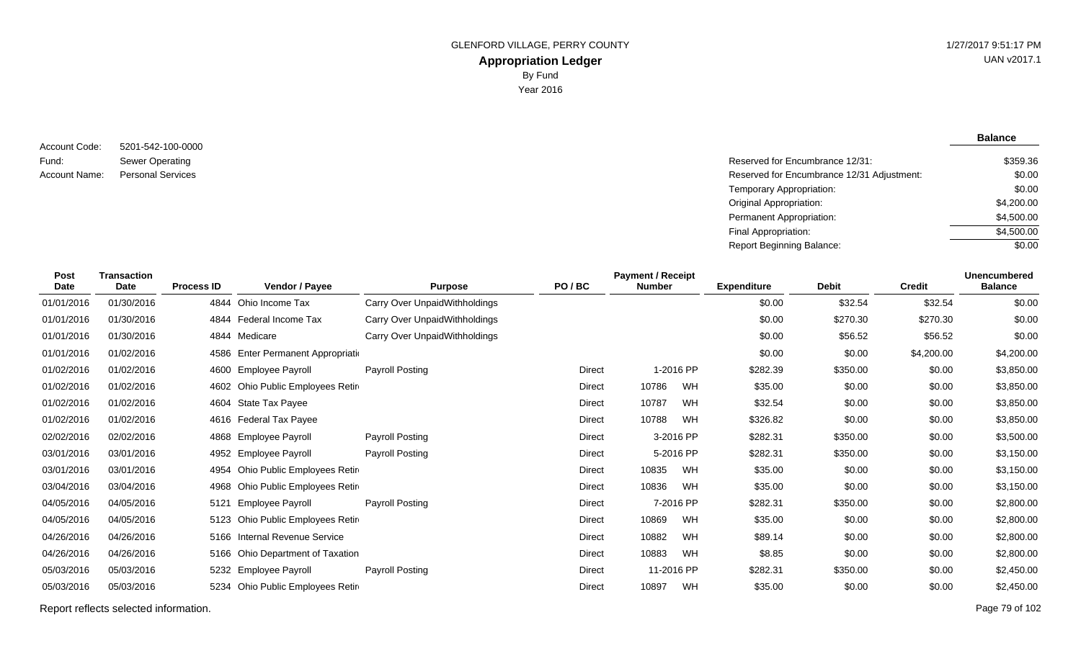**Balance**

#### 5201-542-100-0000 Sewer Operating Account Code: Fund: Account Name:

Reserved for Encumbrance 12/31: Personal Services **Reserved for Encumbrance 12/31 Adjustment:** Temporary Appropriation: Original Appropriation: Permanent Appropriation: Final Appropriation: Report Beginning Balance: \$359.36 \$0.00 \$0.00 \$4,200.00 \$4,500.00 \$4,500.00  $\sqrt{$0.00}$ 

| <b>Post</b><br>Date | <b>Transaction</b><br>Date | <b>Process ID</b> | Vendor / Payee                    | <b>Purpose</b>                | PO/BC         | <b>Payment / Receipt</b><br><b>Number</b> |            | <b>Expenditure</b> | <b>Debit</b> | <b>Credit</b> | <b>Unencumbered</b><br><b>Balance</b> |
|---------------------|----------------------------|-------------------|-----------------------------------|-------------------------------|---------------|-------------------------------------------|------------|--------------------|--------------|---------------|---------------------------------------|
| 01/01/2016          | 01/30/2016                 |                   | 4844 Ohio Income Tax              | Carry Over UnpaidWithholdings |               |                                           |            | \$0.00             | \$32.54      | \$32.54       | \$0.00                                |
| 01/01/2016          | 01/30/2016                 | 4844              | Federal Income Tax                | Carry Over UnpaidWithholdings |               |                                           |            | \$0.00             | \$270.30     | \$270.30      | \$0.00                                |
| 01/01/2016          | 01/30/2016                 |                   | 4844 Medicare                     | Carry Over UnpaidWithholdings |               |                                           |            | \$0.00             | \$56.52      | \$56.52       | \$0.00                                |
| 01/01/2016          | 01/02/2016                 | 4586              | Enter Permanent Appropriatio      |                               |               |                                           |            | \$0.00             | \$0.00       | \$4,200.00    | \$4,200.00                            |
| 01/02/2016          | 01/02/2016                 | 4600              | <b>Employee Payroll</b>           | Payroll Posting               | Direct        |                                           | 1-2016 PP  | \$282.39           | \$350.00     | \$0.00        | \$3,850.00                            |
| 01/02/2016          | 01/02/2016                 |                   | 4602 Ohio Public Employees Retire |                               | <b>Direct</b> | 10786                                     | WH         | \$35.00            | \$0.00       | \$0.00        | \$3,850.00                            |
| 01/02/2016          | 01/02/2016                 | 4604              | State Tax Payee                   |                               | Direct        | 10787                                     | <b>WH</b>  | \$32.54            | \$0.00       | \$0.00        | \$3,850.00                            |
| 01/02/2016          | 01/02/2016                 | 4616              | Federal Tax Payee                 |                               | Direct        | 10788                                     | WH         | \$326.82           | \$0.00       | \$0.00        | \$3,850.00                            |
| 02/02/2016          | 02/02/2016                 | 4868              | Employee Payroll                  | Payroll Posting               | Direct        |                                           | 3-2016 PP  | \$282.31           | \$350.00     | \$0.00        | \$3,500.00                            |
| 03/01/2016          | 03/01/2016                 | 4952              | <b>Employee Payroll</b>           | Payroll Posting               | Direct        |                                           | 5-2016 PP  | \$282.31           | \$350.00     | \$0.00        | \$3,150.00                            |
| 03/01/2016          | 03/01/2016                 | 4954              | Ohio Public Employees Retir       |                               | Direct        | 10835                                     | WH         | \$35.00            | \$0.00       | \$0.00        | \$3,150.00                            |
| 03/04/2016          | 03/04/2016                 | 4968              | Ohio Public Employees Retire      |                               | Direct        | 10836                                     | WH         | \$35.00            | \$0.00       | \$0.00        | \$3,150.00                            |
| 04/05/2016          | 04/05/2016                 | 5121              | Employee Payroll                  | Payroll Posting               | Direct        |                                           | 7-2016 PP  | \$282.31           | \$350.00     | \$0.00        | \$2,800.00                            |
| 04/05/2016          | 04/05/2016                 |                   | 5123 Ohio Public Employees Retire |                               | Direct        | 10869                                     | WH         | \$35.00            | \$0.00       | \$0.00        | \$2,800.00                            |
| 04/26/2016          | 04/26/2016                 |                   | 5166 Internal Revenue Service     |                               | Direct        | 10882                                     | <b>WH</b>  | \$89.14            | \$0.00       | \$0.00        | \$2,800.00                            |
| 04/26/2016          | 04/26/2016                 |                   | 5166 Ohio Department of Taxation  |                               | Direct        | 10883                                     | <b>WH</b>  | \$8.85             | \$0.00       | \$0.00        | \$2,800.00                            |
| 05/03/2016          | 05/03/2016                 | 5232              | <b>Employee Payroll</b>           | Payroll Posting               | <b>Direct</b> |                                           | 11-2016 PP | \$282.31           | \$350.00     | \$0.00        | \$2,450.00                            |
| 05/03/2016          | 05/03/2016                 | 5234              | Ohio Public Employees Retire      |                               | <b>Direct</b> | 10897                                     | WH         | \$35.00            | \$0.00       | \$0.00        | \$2,450.00                            |

Report reflects selected information. Page 79 of 102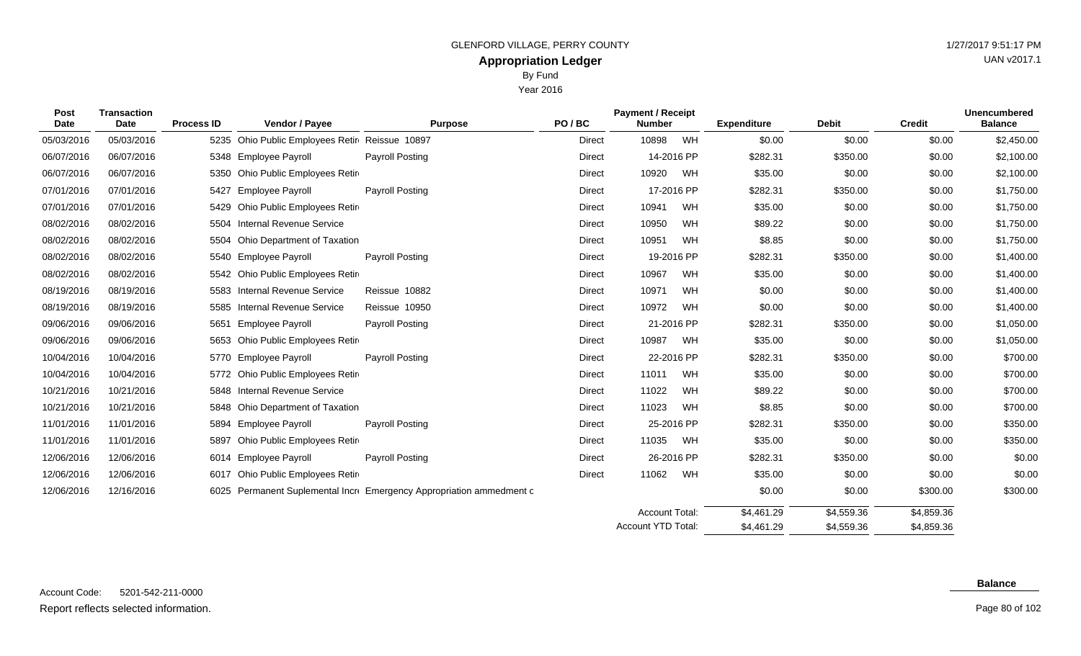Year 2016

| Post<br>Date | <b>Transaction</b><br>Date | <b>Process ID</b> | Vendor / Payee                            | <b>Purpose</b>                                                  | PO/BC         | <b>Payment / Receipt</b><br><b>Number</b> |            | <b>Expenditure</b> | <b>Debit</b> | <b>Credit</b> | <b>Unencumbered</b><br><b>Balance</b> |
|--------------|----------------------------|-------------------|-------------------------------------------|-----------------------------------------------------------------|---------------|-------------------------------------------|------------|--------------------|--------------|---------------|---------------------------------------|
| 05/03/2016   | 05/03/2016                 | 5235              | Ohio Public Employees Retir Reissue 10897 |                                                                 | Direct        | 10898                                     | WH         | \$0.00             | \$0.00       | \$0.00        | \$2,450.00                            |
| 06/07/2016   | 06/07/2016                 |                   | 5348 Employee Payroll                     | <b>Payroll Posting</b>                                          | <b>Direct</b> | 14-2016 PP                                |            | \$282.31           | \$350.00     | \$0.00        | \$2,100.00                            |
| 06/07/2016   | 06/07/2016                 | 5350              | Ohio Public Employees Retire              |                                                                 | Direct        | 10920                                     | WH         | \$35.00            | \$0.00       | \$0.00        | \$2,100.00                            |
| 07/01/2016   | 07/01/2016                 | 5427              | <b>Employee Payroll</b>                   | Payroll Posting                                                 | Direct        | 17-2016 PP                                |            | \$282.31           | \$350.00     | \$0.00        | \$1,750.00                            |
| 07/01/2016   | 07/01/2016                 |                   | 5429 Ohio Public Employees Retire         |                                                                 | Direct        | 10941                                     | WH         | \$35.00            | \$0.00       | \$0.00        | \$1,750.00                            |
| 08/02/2016   | 08/02/2016                 |                   | 5504 Internal Revenue Service             |                                                                 | Direct        | 10950                                     | WH         | \$89.22            | \$0.00       | \$0.00        | \$1,750.00                            |
| 08/02/2016   | 08/02/2016                 | 5504              | Ohio Department of Taxation               |                                                                 | Direct        | 10951                                     | WH         | \$8.85             | \$0.00       | \$0.00        | \$1,750.00                            |
| 08/02/2016   | 08/02/2016                 |                   | 5540 Employee Payroll                     | Payroll Posting                                                 | <b>Direct</b> |                                           | 19-2016 PP | \$282.31           | \$350.00     | \$0.00        | \$1,400.00                            |
| 08/02/2016   | 08/02/2016                 |                   | 5542 Ohio Public Employees Retir          |                                                                 | Direct        | 10967                                     | WH         | \$35.00            | \$0.00       | \$0.00        | \$1,400.00                            |
| 08/19/2016   | 08/19/2016                 |                   | 5583 Internal Revenue Service             | Reissue 10882                                                   | Direct        | 10971                                     | <b>WH</b>  | \$0.00             | \$0.00       | \$0.00        | \$1,400.00                            |
| 08/19/2016   | 08/19/2016                 | 5585              | <b>Internal Revenue Service</b>           | Reissue 10950                                                   | Direct        | 10972                                     | WH         | \$0.00             | \$0.00       | \$0.00        | \$1,400.00                            |
| 09/06/2016   | 09/06/2016                 | 5651              | <b>Employee Payroll</b>                   | Payroll Posting                                                 | Direct        | 21-2016 PP                                |            | \$282.31           | \$350.00     | \$0.00        | \$1,050.00                            |
| 09/06/2016   | 09/06/2016                 | 5653              | Ohio Public Employees Retir               |                                                                 | Direct        | 10987                                     | <b>WH</b>  | \$35.00            | \$0.00       | \$0.00        | \$1,050.00                            |
| 10/04/2016   | 10/04/2016                 |                   | 5770 Employee Payroll                     | Payroll Posting                                                 | Direct        |                                           | 22-2016 PP | \$282.31           | \$350.00     | \$0.00        | \$700.00                              |
| 10/04/2016   | 10/04/2016                 |                   | 5772 Ohio Public Employees Retire         |                                                                 | <b>Direct</b> | 11011                                     | WH         | \$35.00            | \$0.00       | \$0.00        | \$700.00                              |
| 10/21/2016   | 10/21/2016                 |                   | 5848 Internal Revenue Service             |                                                                 | Direct        | 11022                                     | WH         | \$89.22            | \$0.00       | \$0.00        | \$700.00                              |
| 10/21/2016   | 10/21/2016                 |                   | 5848 Ohio Department of Taxation          |                                                                 | <b>Direct</b> | 11023                                     | WH         | \$8.85             | \$0.00       | \$0.00        | \$700.00                              |
| 11/01/2016   | 11/01/2016                 | 5894              | <b>Employee Payroll</b>                   | <b>Payroll Posting</b>                                          | Direct        | 25-2016 PP                                |            | \$282.31           | \$350.00     | \$0.00        | \$350.00                              |
| 11/01/2016   | 11/01/2016                 | 5897              | Ohio Public Employees Retir               |                                                                 | Direct        | 11035                                     | WH         | \$35.00            | \$0.00       | \$0.00        | \$350.00                              |
| 12/06/2016   | 12/06/2016                 |                   | 6014 Employee Payroll                     | Payroll Posting                                                 | Direct        | 26-2016 PP                                |            | \$282.31           | \$350.00     | \$0.00        | \$0.00                                |
| 12/06/2016   | 12/06/2016                 | 6017              | Ohio Public Employees Retir               |                                                                 | <b>Direct</b> | 11062                                     | WH         | \$35.00            | \$0.00       | \$0.00        | \$0.00                                |
| 12/06/2016   | 12/16/2016                 | 6025              |                                           | Permanent Suplemental Incre Emergency Appropriation ammedment c |               |                                           |            | \$0.00             | \$0.00       | \$300.00      | \$300.00                              |

#### **Balance**

\$4,859.36 \$4,859.36

\$4,559.36 \$4,559.36

 $34,461.29$ \$4,461.29

Account Total: Account YTD Total: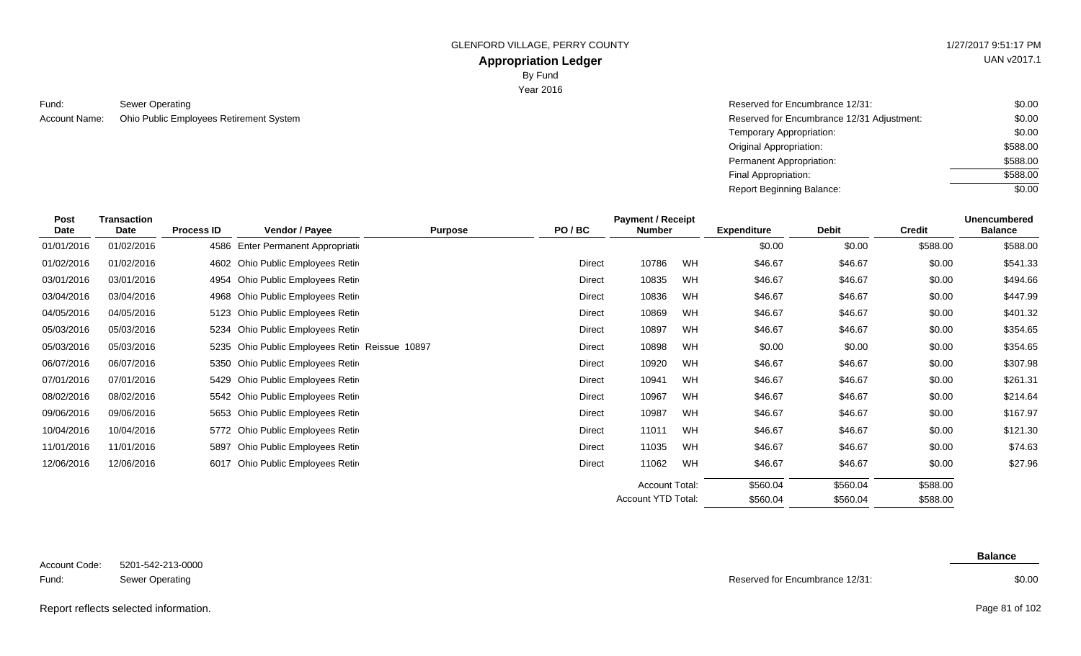### **Appropriation Ledger**

By Fund

Year 2016

Sewer Operating Reserved for Encumbrance 12/31: Account Name: Ohio Public Employees Retirement System **Reserved for Encumbrance 12/31 Adjustment:** Account Name: Compared for Encumbrance 12/31 Adjustment: Fund:

| Reserved for Encumbrance 12/31:            | \$0.00   |
|--------------------------------------------|----------|
| Reserved for Encumbrance 12/31 Adjustment: | \$0.00   |
| Temporary Appropriation:                   | \$0.00   |
| Original Appropriation:                    | \$588.00 |
| Permanent Appropriation:                   | \$588.00 |
| Final Appropriation:                       | \$588.00 |
| Report Beginning Balance:                  | \$0.00   |

|  |  | UAN v2017.1 |
|--|--|-------------|
|  |  |             |

| Post<br><b>Date</b> | <b>Transaction</b><br><b>Date</b> | <b>Process ID</b> | Vendor / Payee                                 | <b>Purpose</b> | <b>Payment / Receipt</b><br>PO/BC<br><b>Number</b> |                           | <b>Expenditure</b> | <b>Debit</b> | <b>Credit</b> | <b>Unencumbered</b><br><b>Balance</b> |          |
|---------------------|-----------------------------------|-------------------|------------------------------------------------|----------------|----------------------------------------------------|---------------------------|--------------------|--------------|---------------|---------------------------------------|----------|
| 01/01/2016          | 01/02/2016                        | 4586              | Enter Permanent Appropriation                  |                |                                                    |                           |                    | \$0.00       | \$0.00        | \$588.00                              | \$588.00 |
| 01/02/2016          | 01/02/2016                        |                   | 4602 Ohio Public Employees Retire              |                | <b>Direct</b>                                      | 10786                     | WH                 | \$46.67      | \$46.67       | \$0.00                                | \$541.33 |
| 03/01/2016          | 03/01/2016                        |                   | 4954 Ohio Public Employees Retire              |                | <b>Direct</b>                                      | 10835                     | WH                 | \$46.67      | \$46.67       | \$0.00                                | \$494.66 |
| 03/04/2016          | 03/04/2016                        |                   | 4968 Ohio Public Employees Retire              |                | Direct                                             | 10836                     | WH                 | \$46.67      | \$46.67       | \$0.00                                | \$447.99 |
| 04/05/2016          | 04/05/2016                        |                   | 5123 Ohio Public Employees Retir               |                | Direct                                             | 10869                     | WH                 | \$46.67      | \$46.67       | \$0.00                                | \$401.32 |
| 05/03/2016          | 05/03/2016                        |                   | 5234 Ohio Public Employees Retire              |                | Direct                                             | 10897                     | <b>WH</b>          | \$46.67      | \$46.67       | \$0.00                                | \$354.65 |
| 05/03/2016          | 05/03/2016                        |                   | 5235 Ohio Public Employees Retir Reissue 10897 |                | <b>Direct</b>                                      | 10898                     | WH                 | \$0.00       | \$0.00        | \$0.00                                | \$354.65 |
| 06/07/2016          | 06/07/2016                        |                   | 5350 Ohio Public Employees Retire              |                | <b>Direct</b>                                      | 10920                     | WH                 | \$46.67      | \$46.67       | \$0.00                                | \$307.98 |
| 07/01/2016          | 07/01/2016                        |                   | 5429 Ohio Public Employees Retire              |                | Direct                                             | 10941                     | WH                 | \$46.67      | \$46.67       | \$0.00                                | \$261.31 |
| 08/02/2016          | 08/02/2016                        |                   | 5542 Ohio Public Employees Retire              |                | Direct                                             | 10967                     | WH                 | \$46.67      | \$46.67       | \$0.00                                | \$214.64 |
| 09/06/2016          | 09/06/2016                        |                   | 5653 Ohio Public Employees Retire              |                | <b>Direct</b>                                      | 10987                     | WH                 | \$46.67      | \$46.67       | \$0.00                                | \$167.97 |
| 10/04/2016          | 10/04/2016                        |                   | 5772 Ohio Public Employees Retire              |                | Direct                                             | 11011                     | WH                 | \$46.67      | \$46.67       | \$0.00                                | \$121.30 |
| 11/01/2016          | 11/01/2016                        | 5897              | Ohio Public Employees Retir                    |                | Direct                                             | 11035                     | WH                 | \$46.67      | \$46.67       | \$0.00                                | \$74.63  |
| 12/06/2016          | 12/06/2016                        |                   | 6017 Ohio Public Employees Retire              |                | Direct                                             | 11062                     | WH                 | \$46.67      | \$46.67       | \$0.00                                | \$27.96  |
|                     |                                   |                   |                                                |                | <b>Account Total:</b>                              |                           | \$560.04           | \$560.04     | \$588.00      |                                       |          |
|                     |                                   |                   |                                                |                |                                                    | <b>Account YTD Total:</b> |                    | \$560.04     | \$560.04      | \$588.00                              |          |

5201-542-213-0000 Sewer Operating Account Code: Fund:

**Balance**

Reserved for Encumbrance 12/31:

\$0.00

Report reflects selected information. Page 81 of 102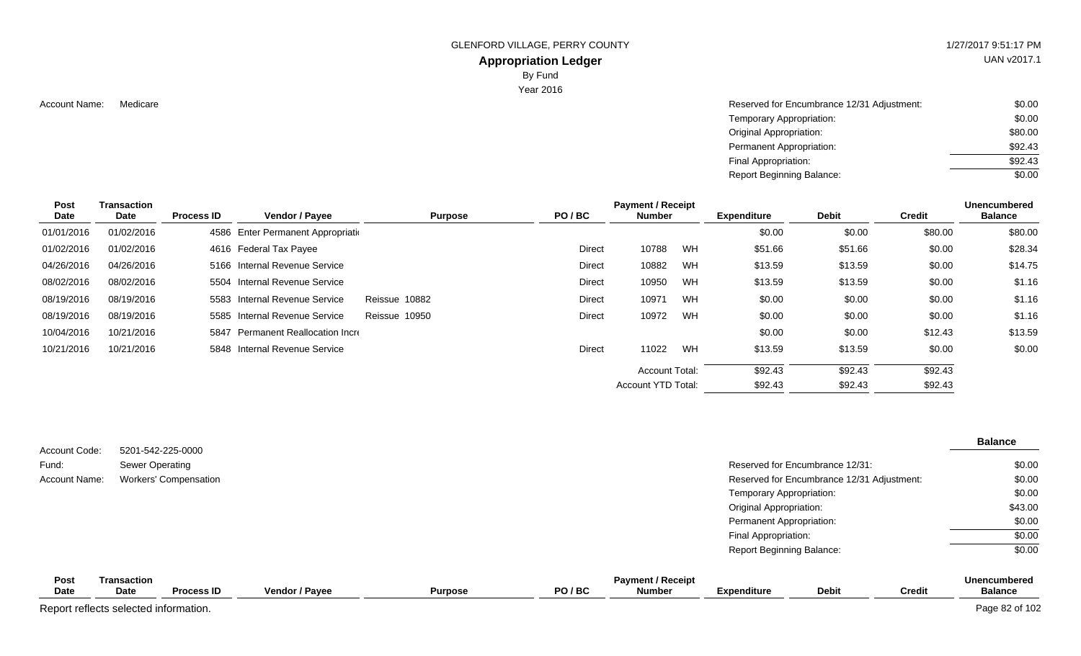### **Appropriation Ledger**

By Fund

Year 2016

Account Name: Medicare Medicare Account Name: Medicare Reserved for Encumbrance 12/31 Adjustment: \$0.00 Temporary Appropriation: Original Appropriation: Permanent Appropriation: Final Appropriation: Report Beginning Balance: \$0.00 \$80.00 \$92.43 \$92.43 \$0.00

| Post<br>Date | <b>Transaction</b><br>Date | <b>Process ID</b> | <b>Vendor / Payee</b>              | <b>Purpose</b> | PO/BC         | <b>Payment / Receipt</b><br><b>Number</b> |           | <b>Expenditure</b> | <b>Debit</b> | <b>Credit</b> | <b>Unencumbered</b><br><b>Balance</b> |
|--------------|----------------------------|-------------------|------------------------------------|----------------|---------------|-------------------------------------------|-----------|--------------------|--------------|---------------|---------------------------------------|
| 01/01/2016   | 01/02/2016                 |                   | 4586 Enter Permanent Appropriation |                |               |                                           |           | \$0.00             | \$0.00       | \$80.00       | \$80.00                               |
| 01/02/2016   | 01/02/2016                 |                   | 4616 Federal Tax Payee             |                | <b>Direct</b> | 10788                                     | <b>WH</b> | \$51.66            | \$51.66      | \$0.00        | \$28.34                               |
| 04/26/2016   | 04/26/2016                 |                   | 5166 Internal Revenue Service      |                | Direct        | 10882                                     | <b>WH</b> | \$13.59            | \$13.59      | \$0.00        | \$14.75                               |
| 08/02/2016   | 08/02/2016                 |                   | 5504 Internal Revenue Service      |                | <b>Direct</b> | 10950                                     | <b>WH</b> | \$13.59            | \$13.59      | \$0.00        | \$1.16                                |
| 08/19/2016   | 08/19/2016                 |                   | 5583 Internal Revenue Service      | Reissue 10882  | <b>Direct</b> | 10971                                     | <b>WH</b> | \$0.00             | \$0.00       | \$0.00        | \$1.16                                |
| 08/19/2016   | 08/19/2016                 |                   | 5585 Internal Revenue Service      | Reissue 10950  | Direct        | 10972                                     | <b>WH</b> | \$0.00             | \$0.00       | \$0.00        | \$1.16                                |
| 10/04/2016   | 10/21/2016                 |                   | 5847 Permanent Reallocation Incre  |                |               |                                           |           | \$0.00             | \$0.00       | \$12.43       | \$13.59                               |
| 10/21/2016   | 10/21/2016                 |                   | 5848 Internal Revenue Service      |                | <b>Direct</b> | 11022                                     | <b>WH</b> | \$13.59            | \$13.59      | \$0.00        | \$0.00                                |
|              |                            |                   |                                    |                |               | Account Total:                            |           | \$92.43            | \$92.43      | \$92.43       |                                       |
|              |                            |                   |                                    |                |               | Account YTD Total:                        |           | \$92.43            | \$92.43      | \$92.43       |                                       |

| Account Code:        | 5201-542-225-0000            |                                  | <b>Balance</b>                                       |
|----------------------|------------------------------|----------------------------------|------------------------------------------------------|
| Fund:                | Sewer Operating              | Reserved for Encumbrance 12/31:  | \$0.00                                               |
| <b>Account Name:</b> | <b>Workers' Compensation</b> |                                  | \$0.00<br>Reserved for Encumbrance 12/31 Adjustment: |
|                      |                              | Temporary Appropriation:         | \$0.00                                               |
|                      |                              | Original Appropriation:          | \$43.00                                              |
|                      |                              | Permanent Appropriation:         | \$0.00                                               |
|                      |                              | Final Appropriation:             | \$0.00                                               |
|                      |                              | <b>Report Beginning Balance:</b> | \$0.00                                               |
| <b>Post</b>          | Transaction                  | <b>Payment / Receipt</b>         | Unencumbered                                         |

| <b>Post</b> | <b>Fransaction</b>                    |                   |                       |                | <b>Unencumbered</b> |               |                    |              |               |                |
|-------------|---------------------------------------|-------------------|-----------------------|----------------|---------------------|---------------|--------------------|--------------|---------------|----------------|
| <b>Date</b> | <b>Date</b>                           | <b>Process ID</b> | <b>Vendor / Payee</b> | <b>Purpose</b> | PO/BC               | <b>Number</b> | <b>Expenditure</b> | <b>Debit</b> | <b>Credit</b> | <b>Balance</b> |
|             | Report reflects selected information. |                   |                       |                |                     |               |                    |              |               | Page 82 of 102 |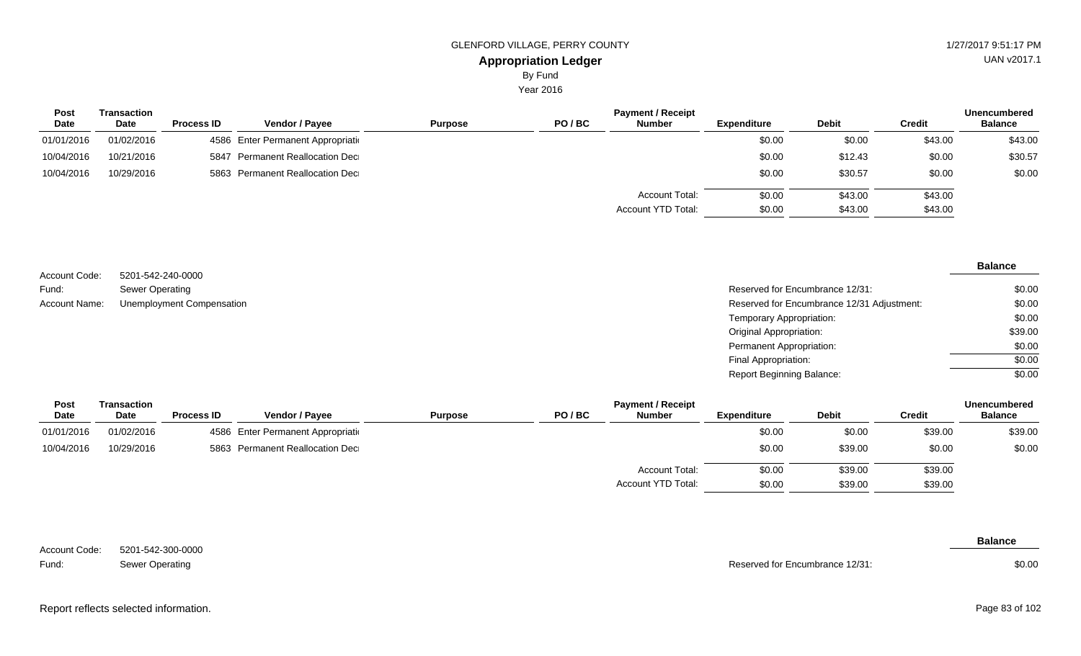By Fund

Year 2016

| <b>Post</b><br><b>Date</b> | Transaction<br>Date | <b>Process ID</b> | <b>Vendor / Payee</b>              | <b>Purpose</b> | PO/BC | <b>Payment / Receipt</b><br><b>Number</b> | <b>Expenditure</b> | <b>Debit</b> | <b>Credit</b> | <b>Unencumbered</b><br><b>Balance</b> |
|----------------------------|---------------------|-------------------|------------------------------------|----------------|-------|-------------------------------------------|--------------------|--------------|---------------|---------------------------------------|
| 01/01/2016                 | 01/02/2016          |                   | 4586 Enter Permanent Appropriation |                |       |                                           | \$0.00             | \$0.00       | \$43.00       | \$43.00                               |
| 10/04/2016                 | 10/21/2016          |                   | 5847 Permanent Reallocation Dec    |                |       |                                           | \$0.00             | \$12.43      | \$0.00        | \$30.57                               |
| 10/04/2016                 | 10/29/2016          |                   | 5863 Permanent Reallocation Dec    |                |       |                                           | \$0.00             | \$30.57      | \$0.00        | \$0.00                                |
|                            |                     |                   |                                    |                |       | Account Total:                            | \$0.00             | \$43.00      | \$43.00       |                                       |
|                            |                     |                   |                                    |                |       | Account YTD Total:                        | \$0.00             | \$43.00      | \$43.00       |                                       |

|                      |                                  |                                            | <b>Balance</b> |
|----------------------|----------------------------------|--------------------------------------------|----------------|
| Account Code:        | 5201-542-240-0000                |                                            |                |
| Fund:                | Sewer Operating                  | Reserved for Encumbrance 12/31:            | \$0.00         |
| <b>Account Name:</b> | <b>Unemployment Compensation</b> | Reserved for Encumbrance 12/31 Adjustment: | \$0.00         |
|                      |                                  | Temporary Appropriation:                   | \$0.00         |
|                      |                                  | Original Appropriation:                    | \$39.00        |
|                      |                                  | Permanent Appropriation:                   | \$0.00         |
|                      |                                  | Final Appropriation:                       | \$0.00         |
|                      |                                  | <b>Report Beginning Balance:</b>           | \$0.00         |

| Post       | <b>Payment / Receipt</b><br>Transaction |                   |                                    |                |       |                    |                    |              | <b>Unencumbered</b> |                |  |
|------------|-----------------------------------------|-------------------|------------------------------------|----------------|-------|--------------------|--------------------|--------------|---------------------|----------------|--|
| Date       | <b>Date</b>                             | <b>Process ID</b> | Vendor / Payee                     | <b>Purpose</b> | PO/BC | <b>Number</b>      | <b>Expenditure</b> | <b>Debit</b> | <b>Credit</b>       | <b>Balance</b> |  |
| 01/01/2016 | 01/02/2016                              |                   | 4586 Enter Permanent Appropriation |                |       |                    | \$0.00             | \$0.00       | \$39.00             | \$39.00        |  |
| 10/04/2016 | 10/29/2016                              |                   | 5863 Permanent Reallocation Dec    |                |       |                    | \$0.00             | \$39.00      | \$0.00              | \$0.00         |  |
|            |                                         |                   |                                    |                |       | Account Total:     | \$0.00             | \$39.00      | \$39.00             |                |  |
|            |                                         |                   |                                    |                |       | Account YTD Total: | \$0.00             | \$39.00      | \$39.00             |                |  |

5201-542-300-0000 Sewer Operating Account Code: Fund:

Reserved for Encumbrance 12/31:

**Balance**

\$0.00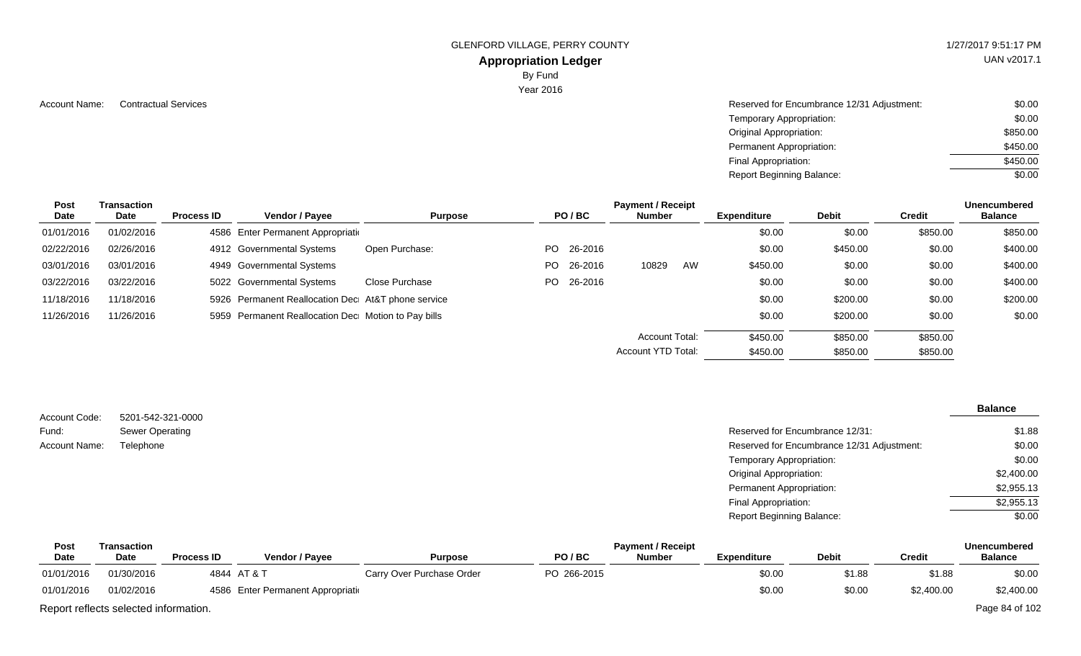### **Appropriation Ledger**

By Fund

Year 2016

Account Name: Contractual Services **Account Name:** Contractual Services **Account Name:** Contractual Services **Account Name:**  $\sim$  \$0.00 Temporary Appropriation: Original Appropriation: Permanent Appropriation: Final Appropriation: Report Beginning Balance: \$0.00 \$850.00 \$450.00 \$450.00 \$0.00

| <b>Post</b><br>Date | <b>Transaction</b><br>Date | <b>Process ID</b> | Vendor / Payee                                      | <b>Purpose</b> |     | PO/BC      | <b>Payment / Receipt</b><br><b>Number</b> |    | <b>Expenditure</b> | <b>Debit</b> | Credit   | <b>Unencumbered</b><br><b>Balance</b> |
|---------------------|----------------------------|-------------------|-----------------------------------------------------|----------------|-----|------------|-------------------------------------------|----|--------------------|--------------|----------|---------------------------------------|
| 01/01/2016          | 01/02/2016                 |                   | 4586 Enter Permanent Appropriation                  |                |     |            |                                           |    | \$0.00             | \$0.00       | \$850.00 | \$850.00                              |
| 02/22/2016          | 02/26/2016                 |                   | 4912 Governmental Systems                           | Open Purchase: |     | PO 26-2016 |                                           |    | \$0.00             | \$450.00     | \$0.00   | \$400.00                              |
| 03/01/2016          | 03/01/2016                 |                   | 4949 Governmental Systems                           |                | PO. | 26-2016    | 10829                                     | AW | \$450.00           | \$0.00       | \$0.00   | \$400.00                              |
| 03/22/2016          | 03/22/2016                 |                   | 5022 Governmental Systems                           | Close Purchase |     | PO 26-2016 |                                           |    | \$0.00             | \$0.00       | \$0.00   | \$400.00                              |
| 11/18/2016          | 11/18/2016                 |                   | 5926 Permanent Reallocation Dec At&T phone service  |                |     |            |                                           |    | \$0.00             | \$200.00     | \$0.00   | \$200.00                              |
| 11/26/2016          | 11/26/2016                 |                   | 5959 Permanent Reallocation Dec Motion to Pay bills |                |     |            |                                           |    | \$0.00             | \$200.00     | \$0.00   | \$0.00                                |
|                     |                            |                   |                                                     |                |     |            | Account Total:                            |    | \$450.00           | \$850.00     | \$850.00 |                                       |
|                     |                            |                   |                                                     |                |     |            | Account YTD Total:                        |    | \$450.00           | \$850.00     | \$850.00 |                                       |

| Account Code: | 5201-542-321-0000      |                                            | <b>Balance</b> |
|---------------|------------------------|--------------------------------------------|----------------|
| Fund:         | <b>Sewer Operating</b> | Reserved for Encumbrance 12/31:            | \$1.88         |
| Account Name: | Telephone              | Reserved for Encumbrance 12/31 Adjustment: | \$0.00         |
|               |                        | Temporary Appropriation:                   | \$0.00         |
|               |                        | <b>Original Appropriation:</b>             | \$2,400.00     |
|               |                        | Permanent Appropriation:                   | \$2,955.13     |
|               |                        | Final Appropriation:                       | \$2,955.13     |
|               |                        | <b>Report Beginning Balance:</b>           | \$0.00         |

| Post                                  | Transaction |                   |                                    |                           |             | <b>Payment / Receipt</b> |             |              |            | <b>Unencumbered</b> |
|---------------------------------------|-------------|-------------------|------------------------------------|---------------------------|-------------|--------------------------|-------------|--------------|------------|---------------------|
| <b>Date</b>                           | <b>Date</b> | <b>Process ID</b> | Vendor / Pavee                     | <b>Purpose</b>            | PO/BC       | <b>Number</b>            | Expenditure | <b>Debit</b> | Credit     | <b>Balance</b>      |
| 01/01/2016                            | 01/30/2016  |                   | 4844 AT & T                        | Carry Over Purchase Order | PO 266-2015 |                          | \$0.00      | \$1.88       | \$1.88     | \$0.00              |
| 01/01/2016                            | 01/02/2016  |                   | 4586 Enter Permanent Appropriation |                           |             |                          | \$0.00      | \$0.00       | \$2,400.00 | \$2,400.00          |
| Report reflects selected information. |             |                   |                                    |                           |             |                          |             |              |            | Page 84 of 102      |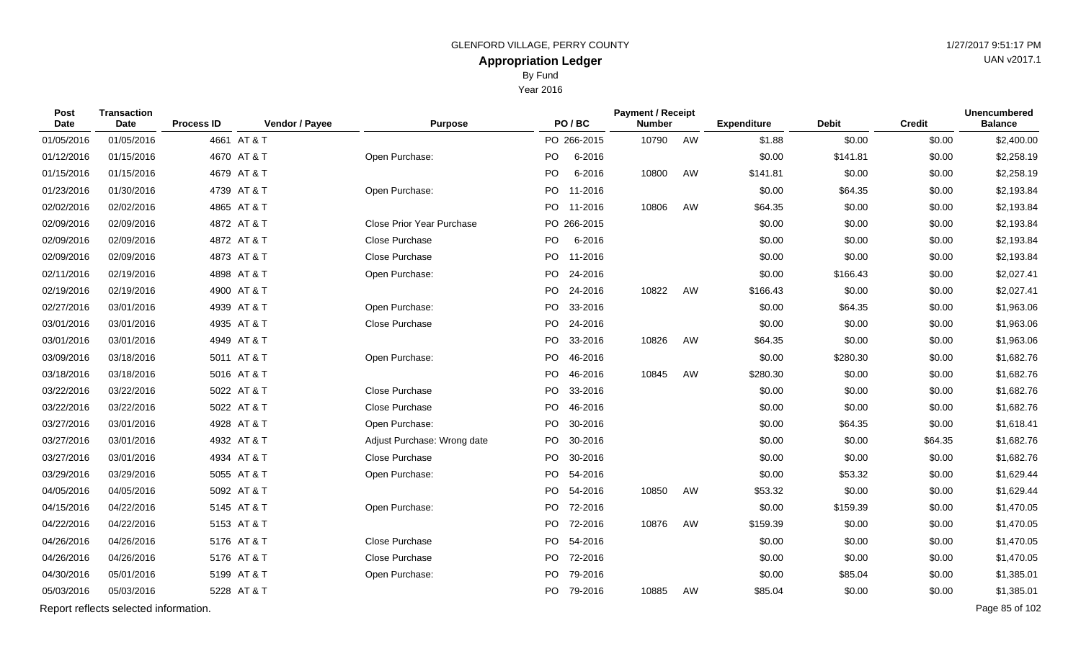UAN v2017.1

## By Fund

Year 2016

| Post<br>Date                          | <b>Transaction</b><br>Date | <b>Process ID</b> | Vendor / Payee | <b>Purpose</b>                   |     | PO/BC       | <b>Payment / Receipt</b><br><b>Number</b> |    | <b>Expenditure</b> | <b>Debit</b> | <b>Credit</b> | <b>Unencumbered</b><br><b>Balance</b> |
|---------------------------------------|----------------------------|-------------------|----------------|----------------------------------|-----|-------------|-------------------------------------------|----|--------------------|--------------|---------------|---------------------------------------|
| 01/05/2016                            | 01/05/2016                 | 4661 AT & T       |                |                                  |     | PO 266-2015 | 10790                                     | AW | \$1.88             | \$0.00       | \$0.00        | \$2,400.00                            |
| 01/12/2016                            | 01/15/2016                 | 4670 AT & T       |                | Open Purchase:                   | PO  | 6-2016      |                                           |    | \$0.00             | \$141.81     | \$0.00        | \$2,258.19                            |
| 01/15/2016                            | 01/15/2016                 | 4679 AT & T       |                |                                  | PO  | 6-2016      | 10800                                     | AW | \$141.81           | \$0.00       | \$0.00        | \$2,258.19                            |
| 01/23/2016                            | 01/30/2016                 | 4739 AT & T       |                | Open Purchase:                   | PO  | 11-2016     |                                           |    | \$0.00             | \$64.35      | \$0.00        | \$2,193.84                            |
| 02/02/2016                            | 02/02/2016                 | 4865 AT & T       |                |                                  |     | PO 11-2016  | 10806                                     | AW | \$64.35            | \$0.00       | \$0.00        | \$2,193.84                            |
| 02/09/2016                            | 02/09/2016                 | 4872 AT & T       |                | <b>Close Prior Year Purchase</b> |     | PO 266-2015 |                                           |    | \$0.00             | \$0.00       | \$0.00        | \$2,193.84                            |
| 02/09/2016                            | 02/09/2016                 | 4872 AT & T       |                | Close Purchase                   | PO  | 6-2016      |                                           |    | \$0.00             | \$0.00       | \$0.00        | \$2,193.84                            |
| 02/09/2016                            | 02/09/2016                 | 4873 AT & T       |                | Close Purchase                   | PO  | 11-2016     |                                           |    | \$0.00             | \$0.00       | \$0.00        | \$2,193.84                            |
| 02/11/2016                            | 02/19/2016                 | 4898 AT & T       |                | Open Purchase:                   |     | PO 24-2016  |                                           |    | \$0.00             | \$166.43     | \$0.00        | \$2,027.41                            |
| 02/19/2016                            | 02/19/2016                 | 4900 AT & T       |                |                                  | PO  | 24-2016     | 10822                                     | AW | \$166.43           | \$0.00       | \$0.00        | \$2,027.41                            |
| 02/27/2016                            | 03/01/2016                 | 4939 AT & T       |                | Open Purchase:                   |     | PO 33-2016  |                                           |    | \$0.00             | \$64.35      | \$0.00        | \$1,963.06                            |
| 03/01/2016                            | 03/01/2016                 | 4935 AT & T       |                | Close Purchase                   | PO. | 24-2016     |                                           |    | \$0.00             | \$0.00       | \$0.00        | \$1,963.06                            |
| 03/01/2016                            | 03/01/2016                 | 4949 AT & T       |                |                                  |     | PO 33-2016  | 10826                                     | AW | \$64.35            | \$0.00       | \$0.00        | \$1,963.06                            |
| 03/09/2016                            | 03/18/2016                 | 5011 AT & T       |                | Open Purchase:                   | PO  | 46-2016     |                                           |    | \$0.00             | \$280.30     | \$0.00        | \$1,682.76                            |
| 03/18/2016                            | 03/18/2016                 | 5016 AT & T       |                |                                  |     | PO 46-2016  | 10845                                     | AW | \$280.30           | \$0.00       | \$0.00        | \$1,682.76                            |
| 03/22/2016                            | 03/22/2016                 | 5022 AT & T       |                | Close Purchase                   | PO  | 33-2016     |                                           |    | \$0.00             | \$0.00       | \$0.00        | \$1,682.76                            |
| 03/22/2016                            | 03/22/2016                 | 5022 AT & T       |                | Close Purchase                   | PO  | 46-2016     |                                           |    | \$0.00             | \$0.00       | \$0.00        | \$1,682.76                            |
| 03/27/2016                            | 03/01/2016                 | 4928 AT & T       |                | Open Purchase:                   | PO  | 30-2016     |                                           |    | \$0.00             | \$64.35      | \$0.00        | \$1,618.41                            |
| 03/27/2016                            | 03/01/2016                 | 4932 AT & T       |                | Adjust Purchase: Wrong date      |     | PO 30-2016  |                                           |    | \$0.00             | \$0.00       | \$64.35       | \$1,682.76                            |
| 03/27/2016                            | 03/01/2016                 | 4934 AT & T       |                | Close Purchase                   | PO  | 30-2016     |                                           |    | \$0.00             | \$0.00       | \$0.00        | \$1,682.76                            |
| 03/29/2016                            | 03/29/2016                 | 5055 AT & T       |                | Open Purchase:                   |     | PO 54-2016  |                                           |    | \$0.00             | \$53.32      | \$0.00        | \$1,629.44                            |
| 04/05/2016                            | 04/05/2016                 | 5092 AT & T       |                |                                  |     | PO 54-2016  | 10850                                     | AW | \$53.32            | \$0.00       | \$0.00        | \$1,629.44                            |
| 04/15/2016                            | 04/22/2016                 | 5145 AT & T       |                | Open Purchase:                   | PO. | 72-2016     |                                           |    | \$0.00             | \$159.39     | \$0.00        | \$1,470.05                            |
| 04/22/2016                            | 04/22/2016                 | 5153 AT & T       |                |                                  |     | PO 72-2016  | 10876                                     | AW | \$159.39           | \$0.00       | \$0.00        | \$1,470.05                            |
| 04/26/2016                            | 04/26/2016                 | 5176 AT & T       |                | Close Purchase                   |     | PO 54-2016  |                                           |    | \$0.00             | \$0.00       | \$0.00        | \$1,470.05                            |
| 04/26/2016                            | 04/26/2016                 | 5176 AT & T       |                | Close Purchase                   |     | PO 72-2016  |                                           |    | \$0.00             | \$0.00       | \$0.00        | \$1,470.05                            |
| 04/30/2016                            | 05/01/2016                 | 5199 AT & T       |                | Open Purchase:                   | PO. | 79-2016     |                                           |    | \$0.00             | \$85.04      | \$0.00        | \$1,385.01                            |
| 05/03/2016                            | 05/03/2016                 | 5228 AT & T       |                |                                  |     | PO 79-2016  | 10885                                     | AW | \$85.04            | \$0.00       | \$0.00        | \$1,385.01                            |
| Report reflects selected information. |                            |                   |                |                                  |     |             |                                           |    | Page 85 of 102     |              |               |                                       |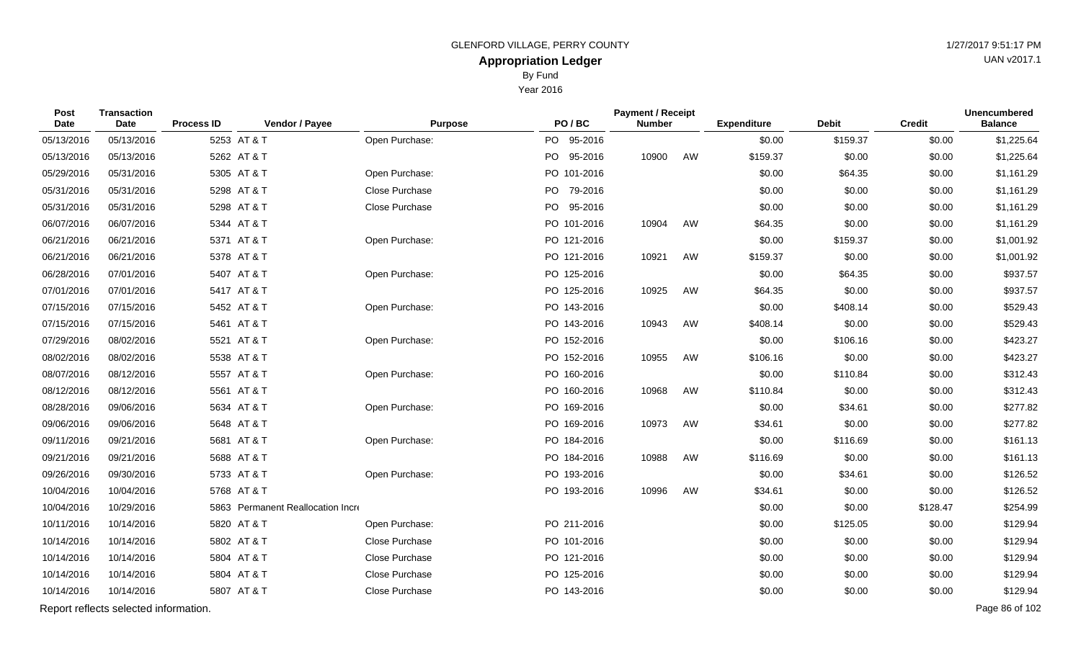By Fund

Year 2016

| <b>Post</b><br>Date | <b>Transaction</b><br>Date            | <b>Process ID</b> | Vendor / Payee                    | <b>Purpose</b> | PO/BC           | <b>Payment / Receipt</b><br><b>Number</b> |    | <b>Expenditure</b> | <b>Debit</b> | <b>Credit</b> | <b>Unencumbered</b><br><b>Balance</b> |
|---------------------|---------------------------------------|-------------------|-----------------------------------|----------------|-----------------|-------------------------------------------|----|--------------------|--------------|---------------|---------------------------------------|
| 05/13/2016          | 05/13/2016                            |                   | 5253 AT & T                       | Open Purchase: | PO 95-2016      |                                           |    | \$0.00             | \$159.37     | \$0.00        | \$1,225.64                            |
| 05/13/2016          | 05/13/2016                            |                   | 5262 AT & T                       |                | PO  <br>95-2016 | 10900                                     | AW | \$159.37           | \$0.00       | \$0.00        | \$1,225.64                            |
| 05/29/2016          | 05/31/2016                            |                   | 5305 AT & T                       | Open Purchase: | PO 101-2016     |                                           |    | \$0.00             | \$64.35      | \$0.00        | \$1,161.29                            |
| 05/31/2016          | 05/31/2016                            |                   | 5298 AT & T                       | Close Purchase | PO 79-2016      |                                           |    | \$0.00             | \$0.00       | \$0.00        | \$1,161.29                            |
| 05/31/2016          | 05/31/2016                            |                   | 5298 AT & T                       | Close Purchase | PO 95-2016      |                                           |    | \$0.00             | \$0.00       | \$0.00        | \$1,161.29                            |
| 06/07/2016          | 06/07/2016                            |                   | 5344 AT & T                       |                | PO 101-2016     | 10904                                     | AW | \$64.35            | \$0.00       | \$0.00        | \$1,161.29                            |
| 06/21/2016          | 06/21/2016                            |                   | 5371 AT & T                       | Open Purchase: | PO 121-2016     |                                           |    | \$0.00             | \$159.37     | \$0.00        | \$1,001.92                            |
| 06/21/2016          | 06/21/2016                            |                   | 5378 AT & T                       |                | PO 121-2016     | 10921                                     | AW | \$159.37           | \$0.00       | \$0.00        | \$1,001.92                            |
| 06/28/2016          | 07/01/2016                            |                   | 5407 AT & T                       | Open Purchase: | PO 125-2016     |                                           |    | \$0.00             | \$64.35      | \$0.00        | \$937.57                              |
| 07/01/2016          | 07/01/2016                            |                   | 5417 AT & T                       |                | PO 125-2016     | 10925                                     | AW | \$64.35            | \$0.00       | \$0.00        | \$937.57                              |
| 07/15/2016          | 07/15/2016                            |                   | 5452 AT & T                       | Open Purchase: | PO 143-2016     |                                           |    | \$0.00             | \$408.14     | \$0.00        | \$529.43                              |
| 07/15/2016          | 07/15/2016                            |                   | 5461 AT & T                       |                | PO 143-2016     | 10943                                     | AW | \$408.14           | \$0.00       | \$0.00        | \$529.43                              |
| 07/29/2016          | 08/02/2016                            |                   | 5521 AT & T                       | Open Purchase: | PO 152-2016     |                                           |    | \$0.00             | \$106.16     | \$0.00        | \$423.27                              |
| 08/02/2016          | 08/02/2016                            |                   | 5538 AT & T                       |                | PO 152-2016     | 10955                                     | AW | \$106.16           | \$0.00       | \$0.00        | \$423.27                              |
| 08/07/2016          | 08/12/2016                            |                   | 5557 AT & T                       | Open Purchase: | PO 160-2016     |                                           |    | \$0.00             | \$110.84     | \$0.00        | \$312.43                              |
| 08/12/2016          | 08/12/2016                            |                   | 5561 AT & T                       |                | PO 160-2016     | 10968                                     | AW | \$110.84           | \$0.00       | \$0.00        | \$312.43                              |
| 08/28/2016          | 09/06/2016                            |                   | 5634 AT & T                       | Open Purchase: | PO 169-2016     |                                           |    | \$0.00             | \$34.61      | \$0.00        | \$277.82                              |
| 09/06/2016          | 09/06/2016                            |                   | 5648 AT & T                       |                | PO 169-2016     | 10973                                     | AW | \$34.61            | \$0.00       | \$0.00        | \$277.82                              |
| 09/11/2016          | 09/21/2016                            |                   | 5681 AT & T                       | Open Purchase: | PO 184-2016     |                                           |    | \$0.00             | \$116.69     | \$0.00        | \$161.13                              |
| 09/21/2016          | 09/21/2016                            |                   | 5688 AT & T                       |                | PO 184-2016     | 10988                                     | AW | \$116.69           | \$0.00       | \$0.00        | \$161.13                              |
| 09/26/2016          | 09/30/2016                            |                   | 5733 AT & T                       | Open Purchase: | PO 193-2016     |                                           |    | \$0.00             | \$34.61      | \$0.00        | \$126.52                              |
| 10/04/2016          | 10/04/2016                            |                   | 5768 AT & T                       |                | PO 193-2016     | 10996                                     | AW | \$34.61            | \$0.00       | \$0.00        | \$126.52                              |
| 10/04/2016          | 10/29/2016                            |                   | 5863 Permanent Reallocation Incre |                |                 |                                           |    | \$0.00             | \$0.00       | \$128.47      | \$254.99                              |
| 10/11/2016          | 10/14/2016                            |                   | 5820 AT & T                       | Open Purchase: | PO 211-2016     |                                           |    | \$0.00             | \$125.05     | \$0.00        | \$129.94                              |
| 10/14/2016          | 10/14/2016                            |                   | 5802 AT & T                       | Close Purchase | PO 101-2016     |                                           |    | \$0.00             | \$0.00       | \$0.00        | \$129.94                              |
| 10/14/2016          | 10/14/2016                            |                   | 5804 AT & T                       | Close Purchase | PO 121-2016     |                                           |    | \$0.00             | \$0.00       | \$0.00        | \$129.94                              |
| 10/14/2016          | 10/14/2016                            |                   | 5804 AT & T                       | Close Purchase | PO 125-2016     |                                           |    | \$0.00             | \$0.00       | \$0.00        | \$129.94                              |
| 10/14/2016          | 10/14/2016                            |                   | 5807 AT & T                       | Close Purchase | PO 143-2016     |                                           |    | \$0.00             | \$0.00       | \$0.00        | \$129.94                              |
|                     | Report reflects selected information. |                   |                                   |                |                 |                                           |    |                    |              |               | Page 86 of 102                        |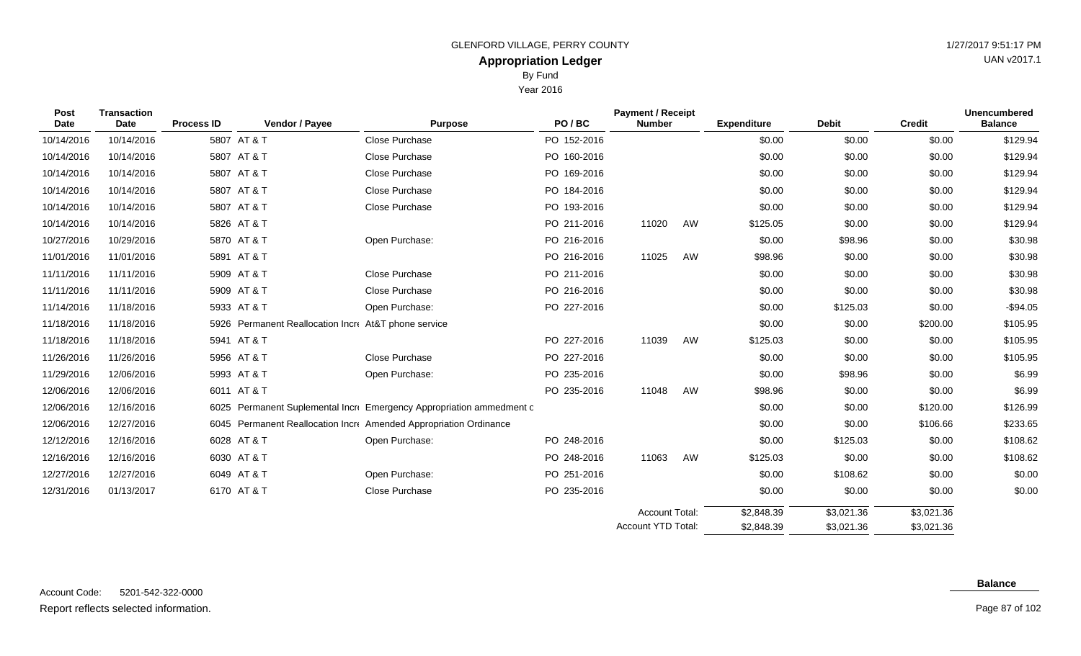By Fund

Year 2016

| Post        | <b>Transaction</b> |                   |                                                      |                                                                     |             | <b>Payment / Receipt</b> |    |                    |              |               | <b>Unencumbered</b> |
|-------------|--------------------|-------------------|------------------------------------------------------|---------------------------------------------------------------------|-------------|--------------------------|----|--------------------|--------------|---------------|---------------------|
| <b>Date</b> | Date               | <b>Process ID</b> | Vendor / Payee                                       | <b>Purpose</b>                                                      | PO/BC       | <b>Number</b>            |    | <b>Expenditure</b> | <b>Debit</b> | <b>Credit</b> | <b>Balance</b>      |
| 10/14/2016  | 10/14/2016         |                   | 5807 AT & T                                          | Close Purchase                                                      | PO 152-2016 |                          |    | \$0.00             | \$0.00       | \$0.00        | \$129.94            |
| 10/14/2016  | 10/14/2016         |                   | 5807 AT & T                                          | Close Purchase                                                      | PO 160-2016 |                          |    | \$0.00             | \$0.00       | \$0.00        | \$129.94            |
| 10/14/2016  | 10/14/2016         |                   | 5807 AT & T                                          | Close Purchase                                                      | PO 169-2016 |                          |    | \$0.00             | \$0.00       | \$0.00        | \$129.94            |
| 10/14/2016  | 10/14/2016         |                   | 5807 AT & T                                          | <b>Close Purchase</b>                                               | PO 184-2016 |                          |    | \$0.00             | \$0.00       | \$0.00        | \$129.94            |
| 10/14/2016  | 10/14/2016         |                   | 5807 AT & T                                          | Close Purchase                                                      | PO 193-2016 |                          |    | \$0.00             | \$0.00       | \$0.00        | \$129.94            |
| 10/14/2016  | 10/14/2016         |                   | 5826 AT & T                                          |                                                                     | PO 211-2016 | 11020                    | AW | \$125.05           | \$0.00       | \$0.00        | \$129.94            |
| 10/27/2016  | 10/29/2016         |                   | 5870 AT & T                                          | Open Purchase:                                                      | PO 216-2016 |                          |    | \$0.00             | \$98.96      | \$0.00        | \$30.98             |
| 11/01/2016  | 11/01/2016         |                   | 5891 AT & T                                          |                                                                     | PO 216-2016 | 11025                    | AW | \$98.96            | \$0.00       | \$0.00        | \$30.98             |
| 11/11/2016  | 11/11/2016         |                   | 5909 AT & T                                          | Close Purchase                                                      | PO 211-2016 |                          |    | \$0.00             | \$0.00       | \$0.00        | \$30.98             |
| 11/11/2016  | 11/11/2016         |                   | 5909 AT & T                                          | <b>Close Purchase</b>                                               | PO 216-2016 |                          |    | \$0.00             | \$0.00       | \$0.00        | \$30.98             |
| 11/14/2016  | 11/18/2016         |                   | 5933 AT & T                                          | Open Purchase:                                                      | PO 227-2016 |                          |    | \$0.00             | \$125.03     | \$0.00        | $-$94.05$           |
| 11/18/2016  | 11/18/2016         |                   | 5926 Permanent Reallocation Incre At&T phone service |                                                                     |             |                          |    | \$0.00             | \$0.00       | \$200.00      | \$105.95            |
| 11/18/2016  | 11/18/2016         |                   | 5941 AT & T                                          |                                                                     | PO 227-2016 | 11039                    | AW | \$125.03           | \$0.00       | \$0.00        | \$105.95            |
| 11/26/2016  | 11/26/2016         |                   | 5956 AT & T                                          | <b>Close Purchase</b>                                               | PO 227-2016 |                          |    | \$0.00             | \$0.00       | \$0.00        | \$105.95            |
| 11/29/2016  | 12/06/2016         |                   | 5993 AT & T                                          | Open Purchase:                                                      | PO 235-2016 |                          |    | \$0.00             | \$98.96      | \$0.00        | \$6.99              |
| 12/06/2016  | 12/06/2016         |                   | 6011 AT & T                                          |                                                                     | PO 235-2016 | 11048                    | AW | \$98.96            | \$0.00       | \$0.00        | \$6.99              |
| 12/06/2016  | 12/16/2016         | 6025              |                                                      | Permanent Suplemental Incre Emergency Appropriation ammedment c     |             |                          |    | \$0.00             | \$0.00       | \$120.00      | \$126.99            |
| 12/06/2016  | 12/27/2016         | 6045              |                                                      | <b>Permanent Reallocation Incre</b> Amended Appropriation Ordinance |             |                          |    | \$0.00             | \$0.00       | \$106.66      | \$233.65            |
| 12/12/2016  | 12/16/2016         |                   | 6028 AT & T                                          | Open Purchase:                                                      | PO 248-2016 |                          |    | \$0.00             | \$125.03     | \$0.00        | \$108.62            |

12/16/2016 12/16/2016 6030 AT & T PO 248-2016 11063 AW \$125.03 \$0.00 \$0.00 \$108.62 12/27/2016 12/27/2016 6049 AT & T Open Purchase: PO 251-2016 \$0.00 \$108.62 \$0.00 \$0.00 \$0.00 12/31/2016 01/13/2017 6170 AT & T Close Purchase PO 235-2016 \$0.00 \$0.00 \$0.00 \$0.00

Page 87 of 102

 $$3,021.36$ \$3,021.36

 $$3,021.36$ \$3,021.36

\$2,848.39 \$2,848.39

Account Total: Account YTD Total: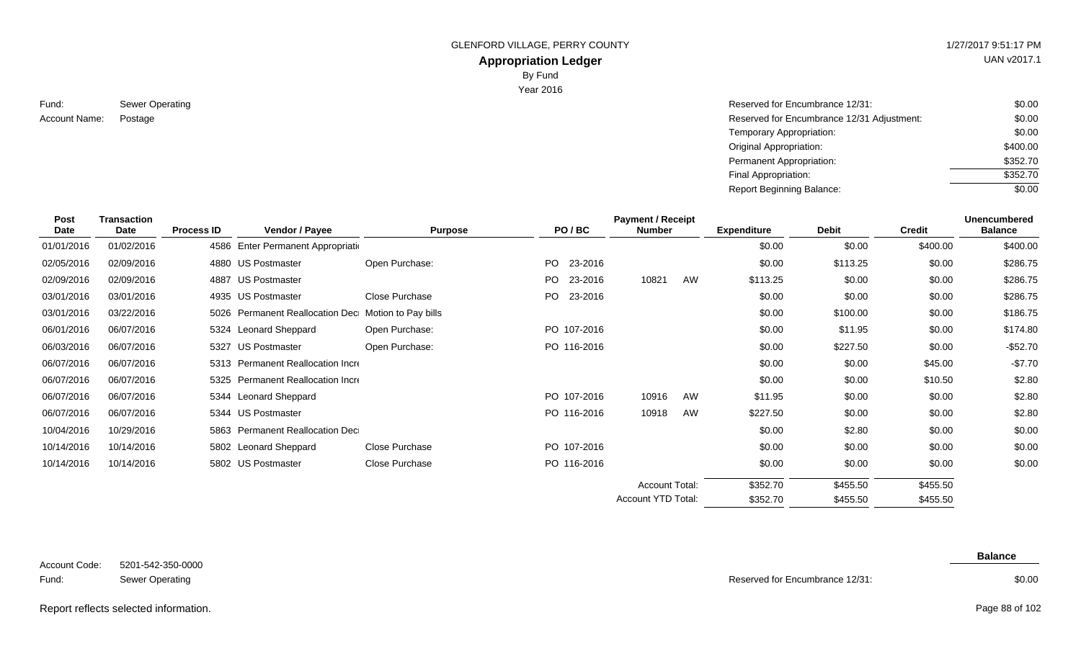## **Appropriation Ledger**

By Fund

Year 2016

| Fund:         | Sewer Operating |
|---------------|-----------------|
| Account Name: | Postage         |

| Sewer Operating | Reserved for Encumbrance 12/31:            | \$0.00   |
|-----------------|--------------------------------------------|----------|
| Postage         | Reserved for Encumbrance 12/31 Adjustment: | \$0.00   |
|                 | Temporary Appropriation:                   | \$0.00   |
|                 | Original Appropriation:                    | \$400.00 |
|                 | Permanent Appropriation:                   | \$352.70 |
|                 | Final Appropriation:                       | \$352.70 |
|                 | <b>Report Beginning Balance:</b>           | \$0.00   |

| <b>Post</b><br><b>Date</b> | <b>Transaction</b><br>Date | <b>Process ID</b> | Vendor / Payee                                      | <b>Purpose</b> | PO/BC           | <b>Payment / Receipt</b><br><b>Number</b>          |    | <b>Expenditure</b>   | <b>Debit</b>         | <b>Credit</b>        | <b>Unencumbered</b><br><b>Balance</b> |
|----------------------------|----------------------------|-------------------|-----------------------------------------------------|----------------|-----------------|----------------------------------------------------|----|----------------------|----------------------|----------------------|---------------------------------------|
| 01/01/2016                 | 01/02/2016                 |                   | 4586 Enter Permanent Appropriation                  |                |                 |                                                    |    | \$0.00               | \$0.00               | \$400.00             | \$400.00                              |
| 02/05/2016                 | 02/09/2016                 |                   | 4880 US Postmaster                                  | Open Purchase: | PO -<br>23-2016 |                                                    |    | \$0.00               | \$113.25             | \$0.00               | \$286.75                              |
| 02/09/2016                 | 02/09/2016                 |                   | 4887 US Postmaster                                  |                | PO 23-2016      | 10821                                              | AW | \$113.25             | \$0.00               | \$0.00               | \$286.75                              |
| 03/01/2016                 | 03/01/2016                 |                   | 4935 US Postmaster                                  | Close Purchase | PO.<br>23-2016  |                                                    |    | \$0.00               | \$0.00               | \$0.00               | \$286.75                              |
| 03/01/2016                 | 03/22/2016                 |                   | 5026 Permanent Reallocation Dec Motion to Pay bills |                |                 |                                                    |    | \$0.00               | \$100.00             | \$0.00               | \$186.75                              |
| 06/01/2016                 | 06/07/2016                 |                   | 5324 Leonard Sheppard                               | Open Purchase: | PO 107-2016     |                                                    |    | \$0.00               | \$11.95              | \$0.00               | \$174.80                              |
| 06/03/2016                 | 06/07/2016                 |                   | 5327 US Postmaster                                  | Open Purchase: | PO 116-2016     |                                                    |    | \$0.00               | \$227.50             | \$0.00               | $-$52.70$                             |
| 06/07/2016                 | 06/07/2016                 |                   | 5313 Permanent Reallocation Incre                   |                |                 |                                                    |    | \$0.00               | \$0.00               | \$45.00              | $-$7.70$                              |
| 06/07/2016                 | 06/07/2016                 |                   | 5325 Permanent Reallocation Incre                   |                |                 |                                                    |    | \$0.00               | \$0.00               | \$10.50              | \$2.80                                |
| 06/07/2016                 | 06/07/2016                 |                   | 5344 Leonard Sheppard                               |                | PO 107-2016     | 10916                                              | AW | \$11.95              | \$0.00               | \$0.00               | \$2.80                                |
| 06/07/2016                 | 06/07/2016                 |                   | 5344 US Postmaster                                  |                | PO 116-2016     | 10918                                              | AW | \$227.50             | \$0.00               | \$0.00               | \$2.80                                |
| 10/04/2016                 | 10/29/2016                 |                   | 5863 Permanent Reallocation Dec                     |                |                 |                                                    |    | \$0.00               | \$2.80               | \$0.00               | \$0.00                                |
| 10/14/2016                 | 10/14/2016                 |                   | 5802 Leonard Sheppard                               | Close Purchase | PO 107-2016     |                                                    |    | \$0.00               | \$0.00               | \$0.00               | \$0.00                                |
| 10/14/2016                 | 10/14/2016                 |                   | 5802 US Postmaster                                  | Close Purchase | PO 116-2016     |                                                    |    | \$0.00               | \$0.00               | \$0.00               | \$0.00                                |
|                            |                            |                   |                                                     |                |                 | <b>Account Total:</b><br><b>Account YTD Total:</b> |    | \$352.70<br>\$352.70 | \$455.50<br>\$455.50 | \$455.50<br>\$455.50 |                                       |

| Account Code: | 5201-542-350-0000      |
|---------------|------------------------|
| Fund:         | <b>Sewer Operating</b> |

**Balance**

\$455.50

Reserved for Encumbrance 12/31:

\$352.70

#### \$0.00

#### Report reflects selected information. Page 88 of 102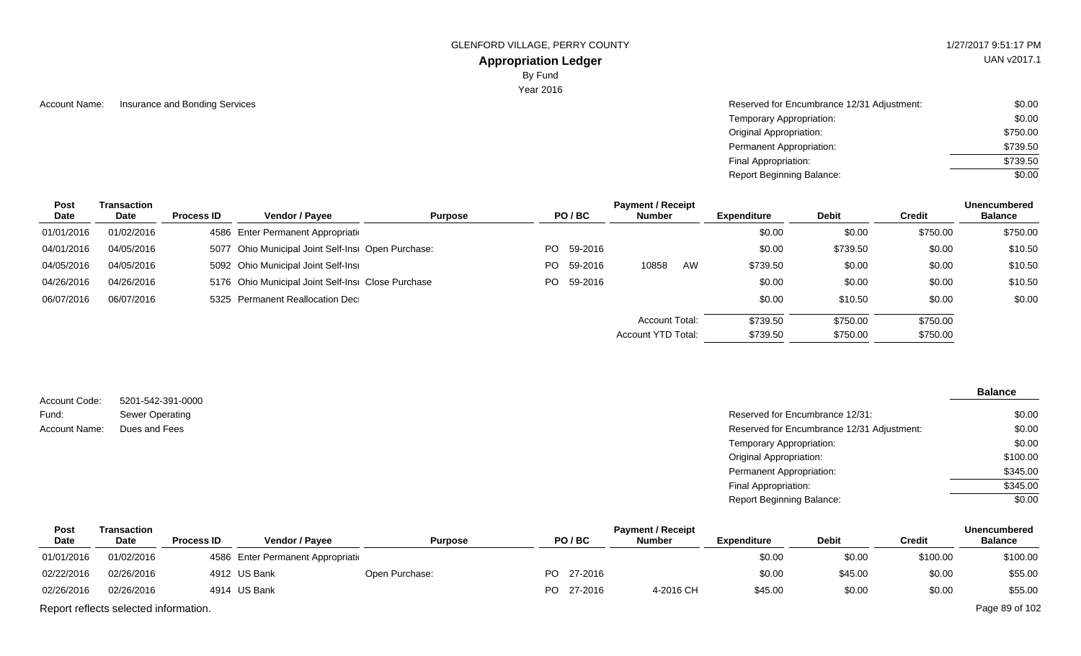#### **Appropriation Ledger**

By Fund

Year 2016

| Account Name: | Insurance and Bonding Services | Reserved for Encumbrance 12/31 Adjustment: | \$0.00   |
|---------------|--------------------------------|--------------------------------------------|----------|
|               |                                | Temporary Appropriation:                   | \$0.00   |
|               |                                | <b>Original Appropriation:</b>             | \$750.00 |
|               |                                | Permanent Appropriation:                   | \$739.50 |
|               |                                | Final Appropriation:                       | \$739.50 |
|               |                                | <b>Report Beginning Balance:</b>           | \$0.00   |

| Post       | Transaction |                   |                                                    |                |     |            | <b>Payment / Receipt</b> |    |             |              |               | <b>Unencumbered</b> |
|------------|-------------|-------------------|----------------------------------------------------|----------------|-----|------------|--------------------------|----|-------------|--------------|---------------|---------------------|
| Date       | Date        | <b>Process ID</b> | Vendor / Payee                                     | <b>Purpose</b> |     | PO/BC      | <b>Number</b>            |    | Expenditure | <b>Debit</b> | <b>Credit</b> | <b>Balance</b>      |
| 01/01/2016 | 01/02/2016  |                   | 4586 Enter Permanent Appropriation                 |                |     |            |                          |    | \$0.00      | \$0.00       | \$750.00      | \$750.00            |
| 04/01/2016 | 04/05/2016  |                   | 5077 Ohio Municipal Joint Self-Insi Open Purchase: |                |     | PO 59-2016 |                          |    | \$0.00      | \$739.50     | \$0.00        | \$10.50             |
| 04/05/2016 | 04/05/2016  |                   | 5092 Ohio Municipal Joint Self-Insi                |                | PO. | 59-2016    | 10858                    | AW | \$739.50    | \$0.00       | \$0.00        | \$10.50             |
| 04/26/2016 | 04/26/2016  |                   | 5176 Ohio Municipal Joint Self-Insi Close Purchase |                |     | PO 59-2016 |                          |    | \$0.00      | \$0.00       | \$0.00        | \$10.50             |
| 06/07/2016 | 06/07/2016  |                   | 5325 Permanent Reallocation Dec                    |                |     |            |                          |    | \$0.00      | \$10.50      | \$0.00        | \$0.00              |
|            |             |                   |                                                    |                |     |            | Account Total:           |    | \$739.50    | \$750.00     | \$750.00      |                     |
|            |             |                   |                                                    |                |     |            | Account YTD Total:       |    | \$739.50    | \$750.00     | \$750.00      |                     |

5201-542-391-0000 Sewer Operating Account Code: Fund: Account Name:

#### **Balance**

| Reserved for Encumbrance 12/31:            | \$0.00   |
|--------------------------------------------|----------|
| Reserved for Encumbrance 12/31 Adjustment: | \$0.00   |
| Temporary Appropriation:                   | \$0.00   |
| Original Appropriation:                    | \$100.00 |
| Permanent Appropriation:                   | \$345.00 |
| Final Appropriation:                       | \$345.00 |
| <b>Report Beginning Balance:</b>           | \$0.00   |
|                                            |          |

| <b>Payment / Receipt</b><br>Post<br>Transaction |                                       |                   |                                    |                |  |            | <b>Unencumbered</b> |                    |              |          |                |
|-------------------------------------------------|---------------------------------------|-------------------|------------------------------------|----------------|--|------------|---------------------|--------------------|--------------|----------|----------------|
| Date                                            | Date                                  | <b>Process ID</b> | <b>Vendor / Pavee</b>              | <b>Purpose</b> |  | PO/BC      | Number              | <b>Expenditure</b> | <b>Debit</b> | Credit   | <b>Balance</b> |
| 01/01/2016                                      | 01/02/2016                            |                   | 4586 Enter Permanent Appropriation |                |  |            |                     | \$0.00             | \$0.00       | \$100.00 | \$100.00       |
| 02/22/2016                                      | 02/26/2016                            |                   | 4912 US Bank                       | Open Purchase: |  | PO 27-2016 |                     | \$0.00             | \$45.00      | \$0.00   | \$55.00        |
| 02/26/2016                                      | 02/26/2016                            |                   | 4914 US Bank                       |                |  | PO 27-2016 | 4-2016 CH           | \$45.00            | \$0.00       | \$0.00   | \$55.00        |
|                                                 | Report reflects selected information. |                   |                                    |                |  |            |                     |                    |              |          | Page 89 of 102 |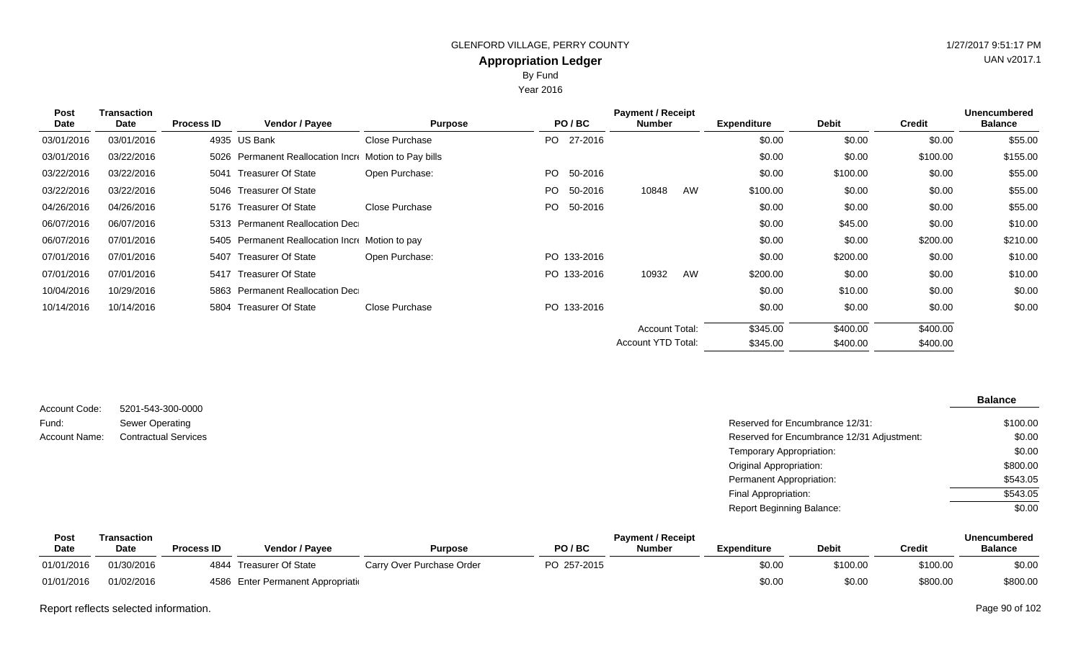By Fund

Year 2016

| Post       | <b>Transaction</b> |                   |                                                       |                |             | <b>Payment / Receipt</b> |    |                    |              |               | <b>Unencumbered</b> |
|------------|--------------------|-------------------|-------------------------------------------------------|----------------|-------------|--------------------------|----|--------------------|--------------|---------------|---------------------|
| Date       | Date               | <b>Process ID</b> | Vendor / Payee                                        | <b>Purpose</b> | PO/BC       | <b>Number</b>            |    | <b>Expenditure</b> | <b>Debit</b> | <b>Credit</b> | <b>Balance</b>      |
| 03/01/2016 | 03/01/2016         |                   | 4935 US Bank                                          | Close Purchase | PO 27-2016  |                          |    | \$0.00             | \$0.00       | \$0.00        | \$55.00             |
| 03/01/2016 | 03/22/2016         |                   | 5026 Permanent Reallocation Incre Motion to Pay bills |                |             |                          |    | \$0.00             | \$0.00       | \$100.00      | \$155.00            |
| 03/22/2016 | 03/22/2016         | 5041              | Treasurer Of State                                    | Open Purchase: | PO 50-2016  |                          |    | \$0.00             | \$100.00     | \$0.00        | \$55.00             |
| 03/22/2016 | 03/22/2016         |                   | 5046 Treasurer Of State                               |                | PO 50-2016  | 10848                    | AW | \$100.00           | \$0.00       | \$0.00        | \$55.00             |
| 04/26/2016 | 04/26/2016         |                   | 5176 Treasurer Of State                               | Close Purchase | PO 50-2016  |                          |    | \$0.00             | \$0.00       | \$0.00        | \$55.00             |
| 06/07/2016 | 06/07/2016         |                   | 5313 Permanent Reallocation Dec                       |                |             |                          |    | \$0.00             | \$45.00      | \$0.00        | \$10.00             |
| 06/07/2016 | 07/01/2016         |                   | 5405 Permanent Reallocation Incre Motion to pay       |                |             |                          |    | \$0.00             | \$0.00       | \$200.00      | \$210.00            |
| 07/01/2016 | 07/01/2016         |                   | 5407 Treasurer Of State                               | Open Purchase: | PO 133-2016 |                          |    | \$0.00             | \$200.00     | \$0.00        | \$10.00             |
| 07/01/2016 | 07/01/2016         |                   | 5417 Treasurer Of State                               |                | PO 133-2016 | 10932                    | AW | \$200.00           | \$0.00       | \$0.00        | \$10.00             |
| 10/04/2016 | 10/29/2016         |                   | 5863 Permanent Reallocation Dec                       |                |             |                          |    | \$0.00             | \$10.00      | \$0.00        | \$0.00              |
| 10/14/2016 | 10/14/2016         |                   | 5804 Treasurer Of State                               | Close Purchase | PO 133-2016 |                          |    | \$0.00             | \$0.00       | \$0.00        | \$0.00              |
|            |                    |                   |                                                       |                |             | <b>Account Total:</b>    |    | \$345.00           | \$400.00     | \$400.00      |                     |
|            |                    |                   |                                                       |                |             | Account YTD Total:       |    | \$345.00           | \$400.00     | \$400.00      |                     |

| Account Code: | 5201-543-300-0000           |                                            | <b>Balance</b> |
|---------------|-----------------------------|--------------------------------------------|----------------|
| Fund:         | Sewer Operating             | Reserved for Encumbrance 12/31:            | \$100.00       |
| Account Name: | <b>Contractual Services</b> | Reserved for Encumbrance 12/31 Adjustment: | \$0.00         |
|               |                             | Temporary Appropriation:                   | \$0.00         |
|               |                             | <b>Original Appropriation:</b>             | \$800.00       |
|               |                             | Permanent Appropriation:                   | \$543.05       |
|               |                             | Final Appropriation:                       | \$543.05       |
|               |                             | <b>Report Beginning Balance:</b>           | \$0.00         |

| Post        | Transaction |                   |                                    |                           |             | <b>Payment / Receipt</b> |             |              |          | Unencumbered   |
|-------------|-------------|-------------------|------------------------------------|---------------------------|-------------|--------------------------|-------------|--------------|----------|----------------|
| <b>Date</b> | <b>Date</b> | <b>Process ID</b> | <b>Vendor / Pavee</b>              | <b>Purpose</b>            | PO/BC       | <b>Numbe</b>             | Expenditure | <b>Debit</b> | Credit   | <b>Balance</b> |
| 01/01/2016  | 01/30/2016  | 4844              | Treasurer Of State                 | Carry Over Purchase Order | PO 257-2015 |                          | \$0.00      | \$100.00     | \$100.00 | \$0.00         |
| 01/01/2016  | 01/02/2016  |                   | 4586 Enter Permanent Appropriation |                           |             |                          | \$0.00      | \$0.00       | \$800.00 | \$800.00       |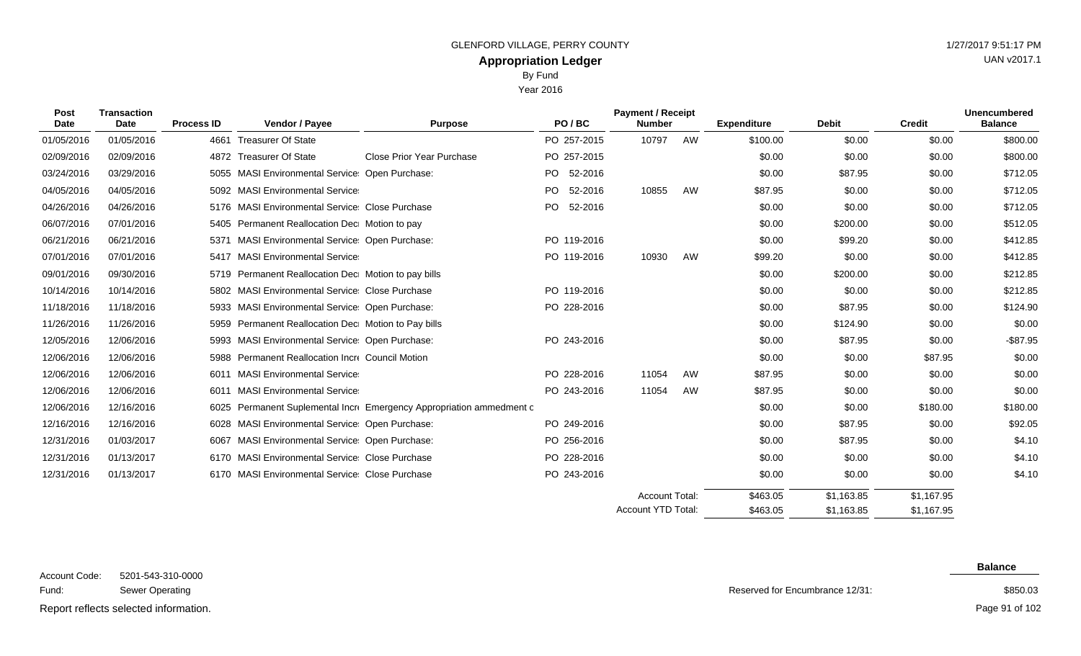Year 2016

| Post<br><b>Date</b> | <b>Transaction</b><br><b>Date</b> | <b>Process ID</b> | Vendor / Payee                                      | Purpose                                                        | PO/BC          | <b>Payment / Receipt</b><br><b>Number</b> |    | <b>Expenditure</b> | <b>Debit</b> | <b>Credit</b> | <b>Unencumbered</b><br><b>Balance</b> |
|---------------------|-----------------------------------|-------------------|-----------------------------------------------------|----------------------------------------------------------------|----------------|-------------------------------------------|----|--------------------|--------------|---------------|---------------------------------------|
| 01/05/2016          | 01/05/2016                        | 4661              | <b>Treasurer Of State</b>                           |                                                                | PO 257-2015    | 10797                                     | AW | \$100.00           | \$0.00       | \$0.00        | \$800.00                              |
| 02/09/2016          | 02/09/2016                        |                   | 4872 Treasurer Of State                             | <b>Close Prior Year Purchase</b>                               | PO 257-2015    |                                           |    | \$0.00             | \$0.00       | \$0.00        | \$800.00                              |
| 03/24/2016          | 03/29/2016                        | 5055              | MASI Environmental Service Open Purchase:           |                                                                | 52-2016<br>PO. |                                           |    | \$0.00             | \$87.95      | \$0.00        | \$712.05                              |
| 04/05/2016          | 04/05/2016                        |                   | 5092 MASI Environmental Service                     |                                                                | PO<br>52-2016  | 10855                                     | AW | \$87.95            | \$0.00       | \$0.00        | \$712.05                              |
| 04/26/2016          | 04/26/2016                        |                   | 5176 MASI Environmental Service Close Purchase      |                                                                | PO<br>52-2016  |                                           |    | \$0.00             | \$0.00       | \$0.00        | \$712.05                              |
| 06/07/2016          | 07/01/2016                        |                   | 5405 Permanent Reallocation Dec Motion to pay       |                                                                |                |                                           |    | \$0.00             | \$200.00     | \$0.00        | \$512.05                              |
| 06/21/2016          | 06/21/2016                        |                   | 5371 MASI Environmental Service: Open Purchase:     |                                                                | PO 119-2016    |                                           |    | \$0.00             | \$99.20      | \$0.00        | \$412.85                              |
| 07/01/2016          | 07/01/2016                        | 5417              | <b>MASI Environmental Service</b>                   |                                                                | PO 119-2016    | 10930                                     | AW | \$99.20            | \$0.00       | \$0.00        | \$412.85                              |
| 09/01/2016          | 09/30/2016                        | 5719              | Permanent Reallocation Dec Motion to pay bills      |                                                                |                |                                           |    | \$0.00             | \$200.00     | \$0.00        | \$212.85                              |
| 10/14/2016          | 10/14/2016                        |                   | 5802 MASI Environmental Service Close Purchase      |                                                                | PO 119-2016    |                                           |    | \$0.00             | \$0.00       | \$0.00        | \$212.85                              |
| 11/18/2016          | 11/18/2016                        | 5933              | <b>MASI Environmental Service: Open Purchase:</b>   |                                                                | PO 228-2016    |                                           |    | \$0.00             | \$87.95      | \$0.00        | \$124.90                              |
| 11/26/2016          | 11/26/2016                        |                   | 5959 Permanent Reallocation Dec Motion to Pay bills |                                                                |                |                                           |    | \$0.00             | \$124.90     | \$0.00        | \$0.00                                |
| 12/05/2016          | 12/06/2016                        |                   | 5993 MASI Environmental Service: Open Purchase:     |                                                                | PO 243-2016    |                                           |    | \$0.00             | \$87.95      | \$0.00        | $-$ \$87.95                           |
| 12/06/2016          | 12/06/2016                        |                   | 5988 Permanent Reallocation Incre Council Motion    |                                                                |                |                                           |    | \$0.00             | \$0.00       | \$87.95       | \$0.00                                |
| 12/06/2016          | 12/06/2016                        | 6011              | <b>MASI Environmental Service</b>                   |                                                                | PO 228-2016    | 11054                                     | AW | \$87.95            | \$0.00       | \$0.00        | \$0.00                                |
| 12/06/2016          | 12/06/2016                        | 6011              | <b>MASI Environmental Service</b>                   |                                                                | PO 243-2016    | 11054                                     | AW | \$87.95            | \$0.00       | \$0.00        | \$0.00                                |
| 12/06/2016          | 12/16/2016                        | 6025              |                                                     | Permanent Suplemental Incr Emergency Appropriation ammedment c |                |                                           |    | \$0.00             | \$0.00       | \$180.00      | \$180.00                              |
| 12/16/2016          | 12/16/2016                        |                   | 6028 MASI Environmental Service: Open Purchase:     |                                                                | PO 249-2016    |                                           |    | \$0.00             | \$87.95      | \$0.00        | \$92.05                               |
| 12/31/2016          | 01/03/2017                        |                   | 6067 MASI Environmental Service: Open Purchase:     |                                                                | PO 256-2016    |                                           |    | \$0.00             | \$87.95      | \$0.00        | \$4.10                                |
| 12/31/2016          | 01/13/2017                        |                   | 6170 MASI Environmental Service Close Purchase      |                                                                | PO 228-2016    |                                           |    | \$0.00             | \$0.00       | \$0.00        | \$4.10                                |
| 12/31/2016          | 01/13/2017                        |                   | 6170 MASI Environmental Service Close Purchase      |                                                                | PO 243-2016    |                                           |    | \$0.00             | \$0.00       | \$0.00        | \$4.10                                |
|                     |                                   |                   |                                                     |                                                                |                | <b>Account Total:</b>                     |    | \$463.05           | \$1,163.85   | \$1,167.95    |                                       |

5201-543-310-0000 Sewer Operating  $\Omega$ octod information Account Code: Fund: Report reflects selected information. The page 91 of 102

Reserved for Encumbrance 12/31:

\$463.05

Account YTD Total:

\$1,163.85

**Balance**

\$1,167.95

\$850.03

Page 91 of 102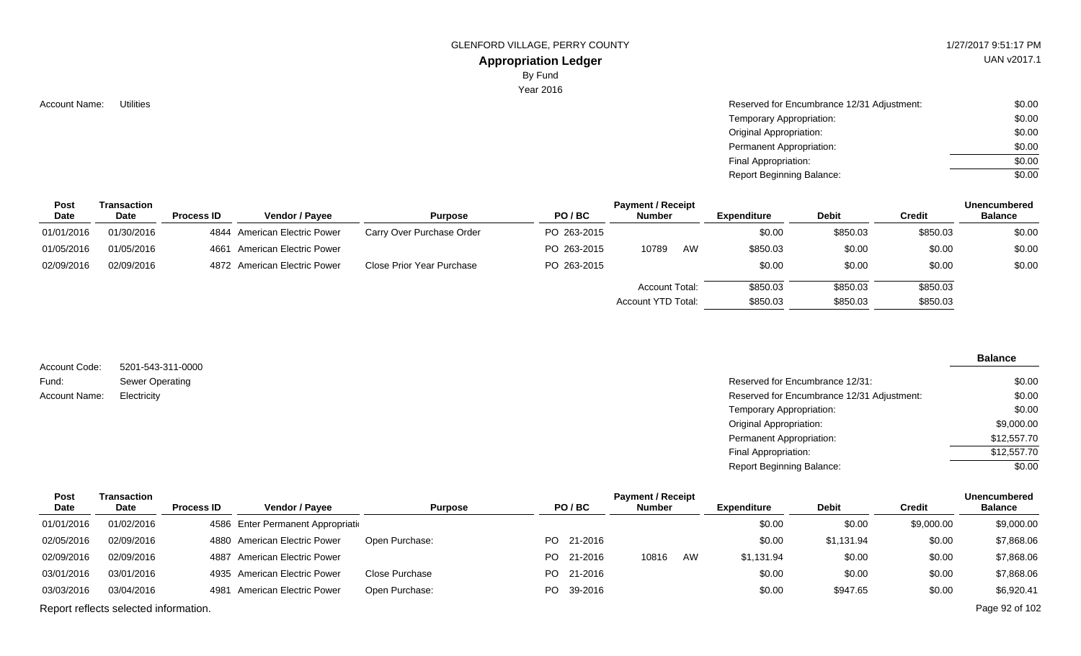# **Appropriation Ledger**

By Fund

Year 2016

|  | <b>Account Name:</b> |  | Utilities |
|--|----------------------|--|-----------|
|--|----------------------|--|-----------|

| Account Name: | <b>Utilities</b> | Reserved for Encumbrance 12/31 Adjustment: | \$0.00 |
|---------------|------------------|--------------------------------------------|--------|
|               |                  | Temporary Appropriation:                   | \$0.00 |
|               |                  | <b>Original Appropriation:</b>             | \$0.00 |
|               |                  | Permanent Appropriation:                   | \$0.00 |
|               |                  | Final Appropriation:                       | \$0.00 |
|               |                  | <b>Report Beginning Balance:</b>           | \$0.00 |

| <b>Post</b> | Transaction |                   |                              |                           |             | <b>Payment / Receipt</b> |    |             |          |          | <b>Unencumbered</b> |
|-------------|-------------|-------------------|------------------------------|---------------------------|-------------|--------------------------|----|-------------|----------|----------|---------------------|
| Date        | <b>Date</b> | <b>Process ID</b> | <b>Vendor / Pavee</b>        | <b>Purpose</b>            | PO/BC       | <b>Number</b>            |    | Expenditure | Debit    | Credit   | <b>Balance</b>      |
| 01/01/2016  | 01/30/2016  |                   | 4844 American Electric Power | Carry Over Purchase Order | PO 263-2015 |                          |    | \$0.00      | \$850.03 | \$850.03 | \$0.00              |
| 01/05/2016  | 01/05/2016  |                   | 4661 American Electric Power |                           | PO 263-2015 | 10789                    | AW | \$850.03    | \$0.00   | \$0.00   | \$0.00              |
| 02/09/2016  | 02/09/2016  |                   | 4872 American Electric Power | Close Prior Year Purchase | PO 263-2015 |                          |    | \$0.00      | \$0.00   | \$0.00   | \$0.00              |
|             |             |                   |                              |                           |             | Account Total:           |    | \$850.03    | \$850.03 | \$850.03 |                     |
|             |             |                   |                              |                           |             | Account YTD Total:       |    | \$850.03    | \$850.03 | \$850.03 |                     |

| Account Code: | 5201-543-311-0000      |
|---------------|------------------------|
| Fund:         | <b>Sewer Operating</b> |
| Account Name: | Electricity            |

#### **Balance**

| Reserved for Encumbrance 12/31:            | \$0.00      |
|--------------------------------------------|-------------|
| Reserved for Encumbrance 12/31 Adjustment: | \$0.00      |
| Temporary Appropriation:                   | \$0.00      |
| Original Appropriation:                    | \$9,000.00  |
| Permanent Appropriation:                   | \$12,557.70 |
| Final Appropriation:                       | \$12,557.70 |
| <b>Report Beginning Balance:</b>           | \$0.00      |
|                                            |             |

| <b>Post</b> | Transaction                           |                   |                                    |                |            | <b>Payment / Receipt</b> |    |             |              |            | Unencumbered   |
|-------------|---------------------------------------|-------------------|------------------------------------|----------------|------------|--------------------------|----|-------------|--------------|------------|----------------|
| Date        | <b>Date</b>                           | <b>Process ID</b> | <b>Vendor / Payee</b>              | <b>Purpose</b> | PO/BC      | <b>Number</b>            |    | Expenditure | <b>Debit</b> | Credit     | <b>Balance</b> |
| 01/01/2016  | 01/02/2016                            |                   | 4586 Enter Permanent Appropriation |                |            |                          |    | \$0.00      | \$0.00       | \$9,000.00 | \$9,000.00     |
| 02/05/2016  | 02/09/2016                            |                   | 4880 American Electric Power       | Open Purchase: | PO 21-2016 |                          |    | \$0.00      | \$1,131.94   | \$0.00     | \$7,868.06     |
| 02/09/2016  | 02/09/2016                            |                   | 4887 American Electric Power       |                | PO 21-2016 | 10816                    | AW | \$1,131.94  | \$0.00       | \$0.00     | \$7,868.06     |
| 03/01/2016  | 03/01/2016                            |                   | 4935 American Electric Power       | Close Purchase | PO 21-2016 |                          |    | \$0.00      | \$0.00       | \$0.00     | \$7,868.06     |
| 03/03/2016  | 03/04/2016                            |                   | 4981 American Electric Power       | Open Purchase: | PO 39-2016 |                          |    | \$0.00      | \$947.65     | \$0.00     | \$6,920.41     |
|             | Report reflects selected information. |                   |                                    |                |            |                          |    |             |              |            | Page 92 of 102 |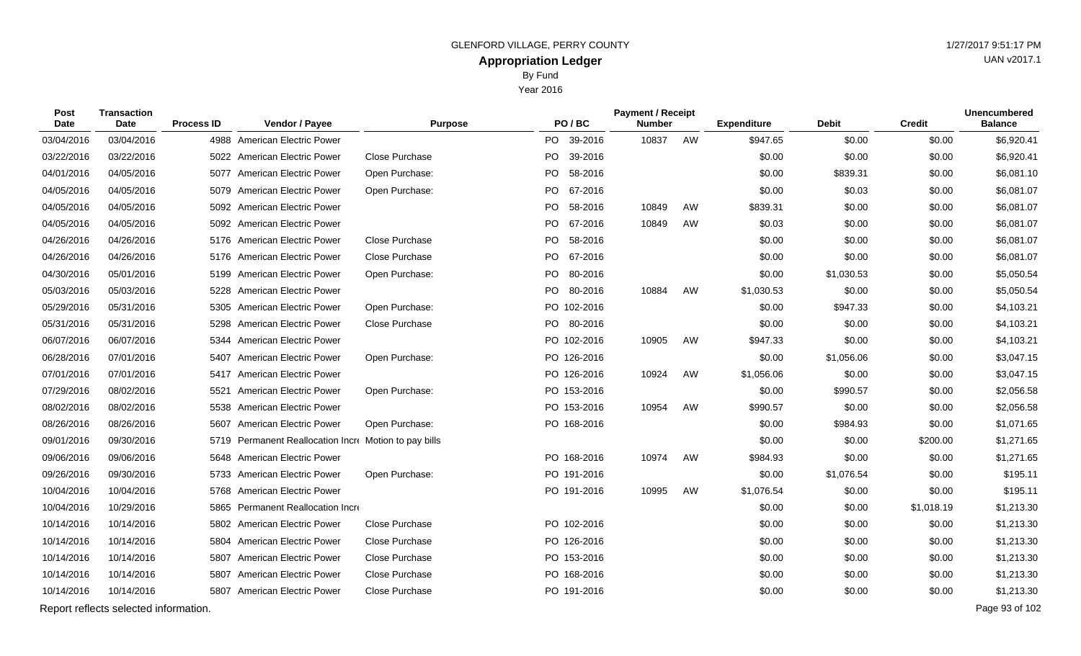Year 2016

| Post<br>Date | <b>Transaction</b><br><b>Date</b>     | <b>Process ID</b> | Vendor / Payee                                        | <b>Purpose</b> |     | PO/BC       | <b>Payment / Receipt</b><br><b>Number</b> |    | <b>Expenditure</b> | <b>Debit</b> | <b>Credit</b> | <b>Unencumbered</b><br><b>Balance</b> |
|--------------|---------------------------------------|-------------------|-------------------------------------------------------|----------------|-----|-------------|-------------------------------------------|----|--------------------|--------------|---------------|---------------------------------------|
| 03/04/2016   | 03/04/2016                            |                   | 4988 American Electric Power                          |                |     | PO 39-2016  | 10837                                     | AW | \$947.65           | \$0.00       | \$0.00        | \$6,920.41                            |
| 03/22/2016   | 03/22/2016                            |                   | 5022 American Electric Power                          | Close Purchase | PO. | 39-2016     |                                           |    | \$0.00             | \$0.00       | \$0.00        | \$6,920.41                            |
| 04/01/2016   | 04/05/2016                            |                   | 5077 American Electric Power                          | Open Purchase: | PO. | 58-2016     |                                           |    | \$0.00             | \$839.31     | \$0.00        | \$6,081.10                            |
| 04/05/2016   | 04/05/2016                            |                   | 5079 American Electric Power                          | Open Purchase: | PO. | 67-2016     |                                           |    | \$0.00             | \$0.03       | \$0.00        | \$6,081.07                            |
| 04/05/2016   | 04/05/2016                            |                   | 5092 American Electric Power                          |                |     | PO 58-2016  | 10849                                     | AW | \$839.31           | \$0.00       | \$0.00        | \$6,081.07                            |
| 04/05/2016   | 04/05/2016                            |                   | 5092 American Electric Power                          |                | PO  | 67-2016     | 10849                                     | AW | \$0.03             | \$0.00       | \$0.00        | \$6,081.07                            |
| 04/26/2016   | 04/26/2016                            |                   | 5176 American Electric Power                          | Close Purchase |     | PO 58-2016  |                                           |    | \$0.00             | \$0.00       | \$0.00        | \$6,081.07                            |
| 04/26/2016   | 04/26/2016                            |                   | 5176 American Electric Power                          | Close Purchase | PO. | 67-2016     |                                           |    | \$0.00             | \$0.00       | \$0.00        | \$6,081.07                            |
| 04/30/2016   | 05/01/2016                            |                   | 5199 American Electric Power                          | Open Purchase: |     | PO 80-2016  |                                           |    | \$0.00             | \$1,030.53   | \$0.00        | \$5,050.54                            |
| 05/03/2016   | 05/03/2016                            |                   | 5228 American Electric Power                          |                | PO  | 80-2016     | 10884                                     | AW | \$1,030.53         | \$0.00       | \$0.00        | \$5,050.54                            |
| 05/29/2016   | 05/31/2016                            |                   | 5305 American Electric Power                          | Open Purchase: |     | PO 102-2016 |                                           |    | \$0.00             | \$947.33     | \$0.00        | \$4,103.21                            |
| 05/31/2016   | 05/31/2016                            | 5298              | <b>American Electric Power</b>                        | Close Purchase | PO. | 80-2016     |                                           |    | \$0.00             | \$0.00       | \$0.00        | \$4,103.21                            |
| 06/07/2016   | 06/07/2016                            |                   | 5344 American Electric Power                          |                |     | PO 102-2016 | 10905                                     | AW | \$947.33           | \$0.00       | \$0.00        | \$4,103.21                            |
| 06/28/2016   | 07/01/2016                            | 5407              | <b>American Electric Power</b>                        | Open Purchase: |     | PO 126-2016 |                                           |    | \$0.00             | \$1,056.06   | \$0.00        | \$3,047.15                            |
| 07/01/2016   | 07/01/2016                            |                   | 5417 American Electric Power                          |                |     | PO 126-2016 | 10924                                     | AW | \$1,056.06         | \$0.00       | \$0.00        | \$3,047.15                            |
| 07/29/2016   | 08/02/2016                            | 5521              | American Electric Power                               | Open Purchase: |     | PO 153-2016 |                                           |    | \$0.00             | \$990.57     | \$0.00        | \$2,056.58                            |
| 08/02/2016   | 08/02/2016                            |                   | 5538 American Electric Power                          |                |     | PO 153-2016 | 10954                                     | AW | \$990.57           | \$0.00       | \$0.00        | \$2,056.58                            |
| 08/26/2016   | 08/26/2016                            | 5607              | <b>American Electric Power</b>                        | Open Purchase: |     | PO 168-2016 |                                           |    | \$0.00             | \$984.93     | \$0.00        | \$1,071.65                            |
| 09/01/2016   | 09/30/2016                            |                   | 5719 Permanent Reallocation Incre Motion to pay bills |                |     |             |                                           |    | \$0.00             | \$0.00       | \$200.00      | \$1,271.65                            |
| 09/06/2016   | 09/06/2016                            |                   | 5648 American Electric Power                          |                |     | PO 168-2016 | 10974                                     | AW | \$984.93           | \$0.00       | \$0.00        | \$1,271.65                            |
| 09/26/2016   | 09/30/2016                            |                   | 5733 American Electric Power                          | Open Purchase: |     | PO 191-2016 |                                           |    | \$0.00             | \$1,076.54   | \$0.00        | \$195.11                              |
| 10/04/2016   | 10/04/2016                            |                   | 5768 American Electric Power                          |                |     | PO 191-2016 | 10995                                     | AW | \$1,076.54         | \$0.00       | \$0.00        | \$195.11                              |
| 10/04/2016   | 10/29/2016                            | 5865              | Permanent Reallocation Incre                          |                |     |             |                                           |    | \$0.00             | \$0.00       | \$1,018.19    | \$1,213.30                            |
| 10/14/2016   | 10/14/2016                            |                   | 5802 American Electric Power                          | Close Purchase |     | PO 102-2016 |                                           |    | \$0.00             | \$0.00       | \$0.00        | \$1,213.30                            |
| 10/14/2016   | 10/14/2016                            |                   | 5804 American Electric Power                          | Close Purchase |     | PO 126-2016 |                                           |    | \$0.00             | \$0.00       | \$0.00        | \$1,213.30                            |
| 10/14/2016   | 10/14/2016                            |                   | 5807 American Electric Power                          | Close Purchase |     | PO 153-2016 |                                           |    | \$0.00             | \$0.00       | \$0.00        | \$1,213.30                            |
| 10/14/2016   | 10/14/2016                            | 5807              | American Electric Power                               | Close Purchase |     | PO 168-2016 |                                           |    | \$0.00             | \$0.00       | \$0.00        | \$1,213.30                            |
| 10/14/2016   | 10/14/2016                            |                   | 5807 American Electric Power                          | Close Purchase |     | PO 191-2016 |                                           |    | \$0.00             | \$0.00       | \$0.00        | \$1,213.30                            |
|              | Report reflects selected information. |                   |                                                       |                |     |             |                                           |    |                    |              |               | Page 93 of 102                        |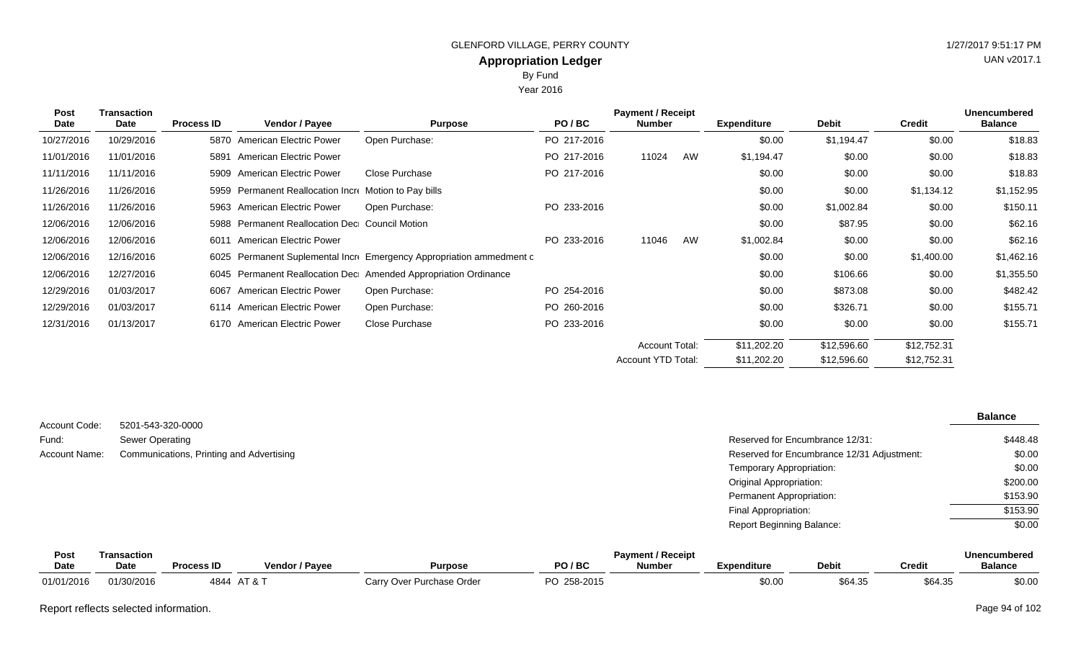Year 2016

| <b>Post</b><br>Date | <b>Transaction</b><br>Date | <b>Process ID</b> | Vendor / Payee                                   | <b>Purpose</b>                                                  | PO/BC       | <b>Payment / Receipt</b><br><b>Number</b> |    | <b>Expenditure</b> | <b>Debit</b> | <b>Credit</b> | <b>Unencumbered</b><br><b>Balance</b> |
|---------------------|----------------------------|-------------------|--------------------------------------------------|-----------------------------------------------------------------|-------------|-------------------------------------------|----|--------------------|--------------|---------------|---------------------------------------|
|                     |                            |                   |                                                  |                                                                 |             |                                           |    |                    |              |               |                                       |
| 10/27/2016          | 10/29/2016                 |                   | 5870 American Electric Power                     | Open Purchase:                                                  | PO 217-2016 |                                           |    | \$0.00             | \$1,194.47   | \$0.00        | \$18.83                               |
| 11/01/2016          | 11/01/2016                 | 5891              | American Electric Power                          |                                                                 | PO 217-2016 | 11024                                     | AW | \$1,194.47         | \$0.00       | \$0.00        | \$18.83                               |
| 11/11/2016          | 11/11/2016                 |                   | 5909 American Electric Power                     | Close Purchase                                                  | PO 217-2016 |                                           |    | \$0.00             | \$0.00       | \$0.00        | \$18.83                               |
| 11/26/2016          | 11/26/2016                 | 5959              | Permanent Reallocation Incre Motion to Pay bills |                                                                 |             |                                           |    | \$0.00             | \$0.00       | \$1,134.12    | \$1,152.95                            |
| 11/26/2016          | 11/26/2016                 |                   | 5963 American Electric Power                     | Open Purchase:                                                  | PO 233-2016 |                                           |    | \$0.00             | \$1,002.84   | \$0.00        | \$150.11                              |
| 12/06/2016          | 12/06/2016                 | 5988              | <b>Permanent Reallocation Dec</b> Council Motion |                                                                 |             |                                           |    | \$0.00             | \$87.95      | \$0.00        | \$62.16                               |
| 12/06/2016          | 12/06/2016                 |                   | 6011 American Electric Power                     |                                                                 | PO 233-2016 | 11046                                     | AW | \$1,002.84         | \$0.00       | \$0.00        | \$62.16                               |
| 12/06/2016          | 12/16/2016                 | 6025              |                                                  | Permanent Suplemental Incre Emergency Appropriation ammedment c |             |                                           |    | \$0.00             | \$0.00       | \$1,400.00    | \$1,462.16                            |
| 12/06/2016          | 12/27/2016                 | 6045              |                                                  | Permanent Reallocation Dec Amended Appropriation Ordinance      |             |                                           |    | \$0.00             | \$106.66     | \$0.00        | \$1,355.50                            |
| 12/29/2016          | 01/03/2017                 |                   | 6067 American Electric Power                     | Open Purchase:                                                  | PO 254-2016 |                                           |    | \$0.00             | \$873.08     | \$0.00        | \$482.42                              |
| 12/29/2016          | 01/03/2017                 |                   | 6114 American Electric Power                     | Open Purchase:                                                  | PO 260-2016 |                                           |    | \$0.00             | \$326.71     | \$0.00        | \$155.71                              |
| 12/31/2016          | 01/13/2017                 |                   | 6170 American Electric Power                     | Close Purchase                                                  | PO 233-2016 |                                           |    | \$0.00             | \$0.00       | \$0.00        | \$155.71                              |
|                     |                            |                   |                                                  |                                                                 |             | <b>Account Total:</b>                     |    | \$11,202.20        | \$12,596.60  | \$12,752.31   |                                       |
|                     |                            |                   |                                                  |                                                                 |             | Account YTD Total:                        |    | \$11,202.20        | \$12,596.60  | \$12,752.31   |                                       |

|               |                                          |                                            | <b>Balance</b> |
|---------------|------------------------------------------|--------------------------------------------|----------------|
| Account Code: | 5201-543-320-0000                        |                                            |                |
| Fund:         | Sewer Operating                          | Reserved for Encumbrance 12/31:            | \$448.48       |
| Account Name: | Communications, Printing and Advertising | Reserved for Encumbrance 12/31 Adjustment: | \$0.00         |
|               |                                          | Temporary Appropriation:                   | \$0.00         |
|               |                                          | Original Appropriation:                    | \$200.00       |
|               |                                          | Permanent Appropriation:                   | \$153.90       |
|               |                                          | Final Appropriation:                       | \$153.90       |
|               |                                          | <b>Report Beginning Balance:</b>           | \$0.00         |

| Pos        | Transaction |                   |                                |                           |                | <b>Payment / Receipt</b> |             |         |                 | <b>Unencumbered</b> |
|------------|-------------|-------------------|--------------------------------|---------------------------|----------------|--------------------------|-------------|---------|-----------------|---------------------|
| Date       | <b>Date</b> | <b>Process ID</b> | <b>Vendor / Payee</b>          | <b>Purpose</b>            | PO/BC          | <b>Number</b>            | Expenditure | Debit   | Credit          | <b>Balance</b>      |
| 01/01/2016 | 01/30/2016  | 4844              | $\lambda$ $\pm$ 0 $\pm$<br>AIX | Carry Over Purchase Order | מה<br>258-2015 |                          | \$0.00      | \$64.35 | 0.012<br>DO4.33 | \$0.00              |

Report reflects selected information. Page 94 of 102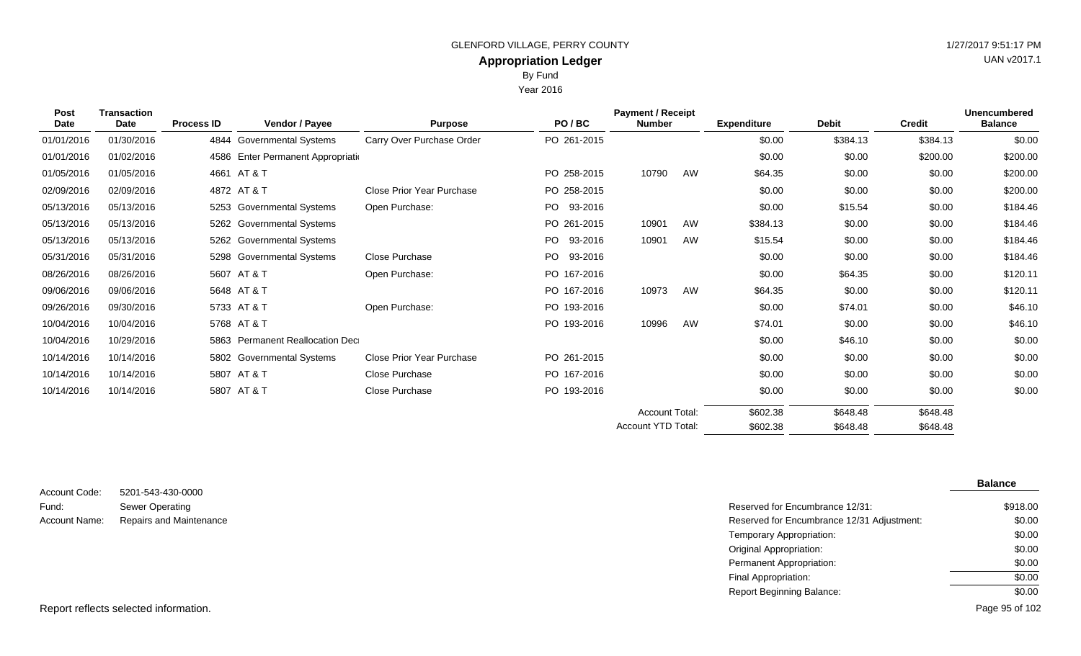Year 2016

| <b>Transaction</b><br>Post<br><b>Date</b><br><b>Date</b> |            | <b>Process ID</b> | Vendor / Payee                     | <b>Purpose</b>                   | PO/BC          | <b>Payment / Receipt</b><br><b>Number</b> |    | <b>Expenditure</b> | <b>Debit</b> | <b>Credit</b> | <b>Unencumbered</b><br><b>Balance</b> |
|----------------------------------------------------------|------------|-------------------|------------------------------------|----------------------------------|----------------|-------------------------------------------|----|--------------------|--------------|---------------|---------------------------------------|
| 01/01/2016                                               | 01/30/2016 |                   | 4844 Governmental Systems          | Carry Over Purchase Order        | PO 261-2015    |                                           |    | \$0.00             | \$384.13     | \$384.13      | \$0.00                                |
| 01/01/2016                                               | 01/02/2016 |                   | 4586 Enter Permanent Appropriation |                                  |                |                                           |    | \$0.00             | \$0.00       | \$200.00      | \$200.00                              |
| 01/05/2016                                               | 01/05/2016 |                   | 4661 AT & T                        |                                  | PO 258-2015    | 10790                                     | AW | \$64.35            | \$0.00       | \$0.00        | \$200.00                              |
| 02/09/2016                                               | 02/09/2016 |                   | 4872 AT & T                        | <b>Close Prior Year Purchase</b> | PO 258-2015    |                                           |    | \$0.00             | \$0.00       | \$0.00        | \$200.00                              |
| 05/13/2016                                               | 05/13/2016 |                   | 5253 Governmental Systems          | Open Purchase:                   | PO 93-2016     |                                           |    | \$0.00             | \$15.54      | \$0.00        | \$184.46                              |
| 05/13/2016                                               | 05/13/2016 |                   | 5262 Governmental Systems          |                                  | PO 261-2015    | 10901                                     | AW | \$384.13           | \$0.00       | \$0.00        | \$184.46                              |
| 05/13/2016                                               | 05/13/2016 |                   | 5262 Governmental Systems          |                                  | PO.<br>93-2016 | 10901                                     | AW | \$15.54            | \$0.00       | \$0.00        | \$184.46                              |
| 05/31/2016                                               | 05/31/2016 | 5298              | <b>Governmental Systems</b>        | Close Purchase                   | PO.<br>93-2016 |                                           |    | \$0.00             | \$0.00       | \$0.00        | \$184.46                              |
| 08/26/2016                                               | 08/26/2016 |                   | 5607 AT & T                        | Open Purchase:                   | PO 167-2016    |                                           |    | \$0.00             | \$64.35      | \$0.00        | \$120.11                              |
| 09/06/2016                                               | 09/06/2016 |                   | 5648 AT & T                        |                                  | PO 167-2016    | 10973                                     | AW | \$64.35            | \$0.00       | \$0.00        | \$120.11                              |
| 09/26/2016                                               | 09/30/2016 |                   | 5733 AT & T                        | Open Purchase:                   | PO 193-2016    |                                           |    | \$0.00             | \$74.01      | \$0.00        | \$46.10                               |
| 10/04/2016                                               | 10/04/2016 |                   | 5768 AT & T                        |                                  | PO 193-2016    | 10996                                     | AW | \$74.01            | \$0.00       | \$0.00        | \$46.10                               |
| 10/04/2016                                               | 10/29/2016 |                   | 5863 Permanent Reallocation Dec    |                                  |                |                                           |    | \$0.00             | \$46.10      | \$0.00        | \$0.00                                |
| 10/14/2016                                               | 10/14/2016 |                   | 5802 Governmental Systems          | Close Prior Year Purchase        | PO 261-2015    |                                           |    | \$0.00             | \$0.00       | \$0.00        | \$0.00                                |
| 10/14/2016                                               | 10/14/2016 |                   | 5807 AT & T                        | Close Purchase                   | PO 167-2016    |                                           |    | \$0.00             | \$0.00       | \$0.00        | \$0.00                                |
| 10/14/2016                                               | 10/14/2016 |                   | 5807 AT & T                        | Close Purchase                   | PO 193-2016    |                                           |    | \$0.00             | \$0.00       | \$0.00        | \$0.00                                |
|                                                          |            |                   |                                    |                                  |                | <b>Account Total:</b>                     |    | \$602.38           | \$648.48     | \$648.48      |                                       |
|                                                          |            |                   |                                    |                                  |                | Account YTD Total:                        |    | \$602.38           | \$648.48     | \$648.48      |                                       |

|               |                         |                                            | <b>Balance</b> |
|---------------|-------------------------|--------------------------------------------|----------------|
| Account Code: | 5201-543-430-0000       |                                            |                |
| Fund:         | Sewer Operating         | Reserved for Encumbrance 12/31:            | \$918.00       |
| Account Name: | Repairs and Maintenance | Reserved for Encumbrance 12/31 Adjustment: | \$0.00         |
|               |                         | Temporary Appropriation:                   | \$0.00         |
|               |                         | <b>Original Appropriation:</b>             | \$0.00         |
|               |                         | Permanent Appropriation:                   | \$0.00         |
|               |                         | Final Appropriation:                       | \$0.00         |
|               |                         | <b>Report Beginning Balance:</b>           | \$0.00         |

Report reflects selected information. Page 95 of 102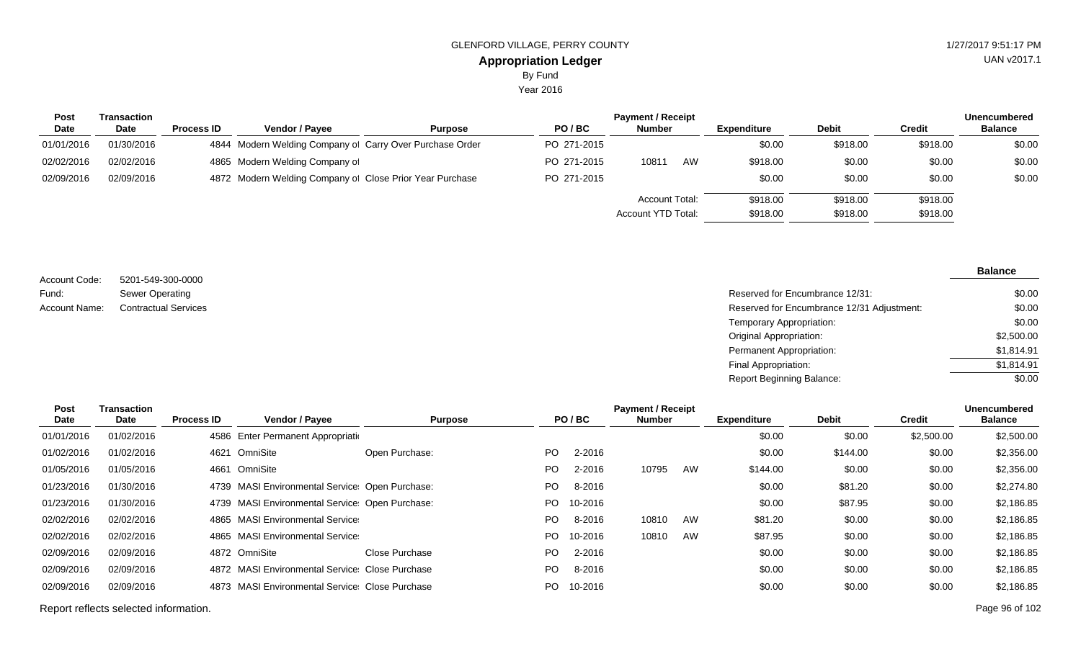Year 2016

| <b>Post</b> | Transaction |                   |                                                          |                |             | <b>Payment / Receipt</b>                    |    |                      |                      |                      | <b>Unencumbered</b> |
|-------------|-------------|-------------------|----------------------------------------------------------|----------------|-------------|---------------------------------------------|----|----------------------|----------------------|----------------------|---------------------|
| <b>Date</b> | <b>Date</b> | <b>Process ID</b> | Vendor / Payee                                           | <b>Purpose</b> | PO/BC       | <b>Number</b>                               |    | <b>Expenditure</b>   | <b>Debit</b>         | Credit               | <b>Balance</b>      |
| 01/01/2016  | 01/30/2016  |                   | 4844 Modern Welding Company of Carry Over Purchase Order |                | PO 271-2015 |                                             |    | \$0.00               | \$918.00             | \$918.00             | \$0.00              |
| 02/02/2016  | 02/02/2016  |                   | 4865 Modern Welding Company of                           |                | PO 271-2015 | 10811                                       | AW | \$918.00             | \$0.00               | \$0.00               | \$0.00              |
| 02/09/2016  | 02/09/2016  |                   | 4872 Modern Welding Company of Close Prior Year Purchase |                | PO 271-2015 |                                             |    | \$0.00               | \$0.00               | \$0.00               | \$0.00              |
|             |             |                   |                                                          |                |             | <b>Account Total:</b><br>Account YTD Total: |    | \$918.00<br>\$918.00 | \$918.00<br>\$918.00 | \$918.00<br>\$918.00 |                     |

5201-549-300-0000 Sewer Operating Account Code: Fund: Account Name:

**Balance**

#### Reserved for Encumbrance 12/31: Contractual Services **Reserved for Encumbrance 12/31 Adjustment:** Temporary Appropriation: Original Appropriation: Permanent Appropriation: Final Appropriation: Report Beginning Balance: \$0.00 \$0.00 \$0.00 \$2,500.00 \$1,814.91 \$1,814.91 \$0.00

| Post       | Transaction |                   |                                                 |                |     |         | <b>Payment / Receipt</b> |    |                    |              |               | <b>Unencumbered</b> |
|------------|-------------|-------------------|-------------------------------------------------|----------------|-----|---------|--------------------------|----|--------------------|--------------|---------------|---------------------|
| Date       | Date        | <b>Process ID</b> | Vendor / Payee                                  | <b>Purpose</b> |     | PO/BC   | <b>Number</b>            |    | <b>Expenditure</b> | <b>Debit</b> | <b>Credit</b> | <b>Balance</b>      |
| 01/01/2016 | 01/02/2016  |                   | 4586 Enter Permanent Appropriation              |                |     |         |                          |    | \$0.00             | \$0.00       | \$2,500.00    | \$2,500.00          |
| 01/02/2016 | 01/02/2016  | 4621              | OmniSite                                        | Open Purchase: | PO. | 2-2016  |                          |    | \$0.00             | \$144.00     | \$0.00        | \$2,356.00          |
| 01/05/2016 | 01/05/2016  | 4661              | OmniSite                                        |                | PO. | 2-2016  | 10795                    | AW | \$144.00           | \$0.00       | \$0.00        | \$2,356.00          |
| 01/23/2016 | 01/30/2016  |                   | 4739 MASI Environmental Service: Open Purchase: |                | PO. | 8-2016  |                          |    | \$0.00             | \$81.20      | \$0.00        | \$2,274.80          |
| 01/23/2016 | 01/30/2016  |                   | 4739 MASI Environmental Service: Open Purchase: |                | PO. | 10-2016 |                          |    | \$0.00             | \$87.95      | \$0.00        | \$2,186.85          |
| 02/02/2016 | 02/02/2016  |                   | 4865 MASI Environmental Service                 |                | PO. | 8-2016  | 10810                    | AW | \$81.20            | \$0.00       | \$0.00        | \$2,186.85          |
| 02/02/2016 | 02/02/2016  |                   | 4865 MASI Environmental Service                 |                | PO. | 10-2016 | 10810                    | AW | \$87.95            | \$0.00       | \$0.00        | \$2,186.85          |
| 02/09/2016 | 02/09/2016  |                   | 4872 OmniSite                                   | Close Purchase | PO. | 2-2016  |                          |    | \$0.00             | \$0.00       | \$0.00        | \$2,186.85          |
| 02/09/2016 | 02/09/2016  |                   | 4872 MASI Environmental Service Close Purchase  |                | PO. | 8-2016  |                          |    | \$0.00             | \$0.00       | \$0.00        | \$2,186.85          |
| 02/09/2016 | 02/09/2016  |                   | 4873 MASI Environmental Service Close Purchase  |                | PO. | 10-2016 |                          |    | \$0.00             | \$0.00       | \$0.00        | \$2,186.85          |
|            |             |                   |                                                 |                |     |         |                          |    |                    |              |               |                     |

Report reflects selected information. Page 96 of 102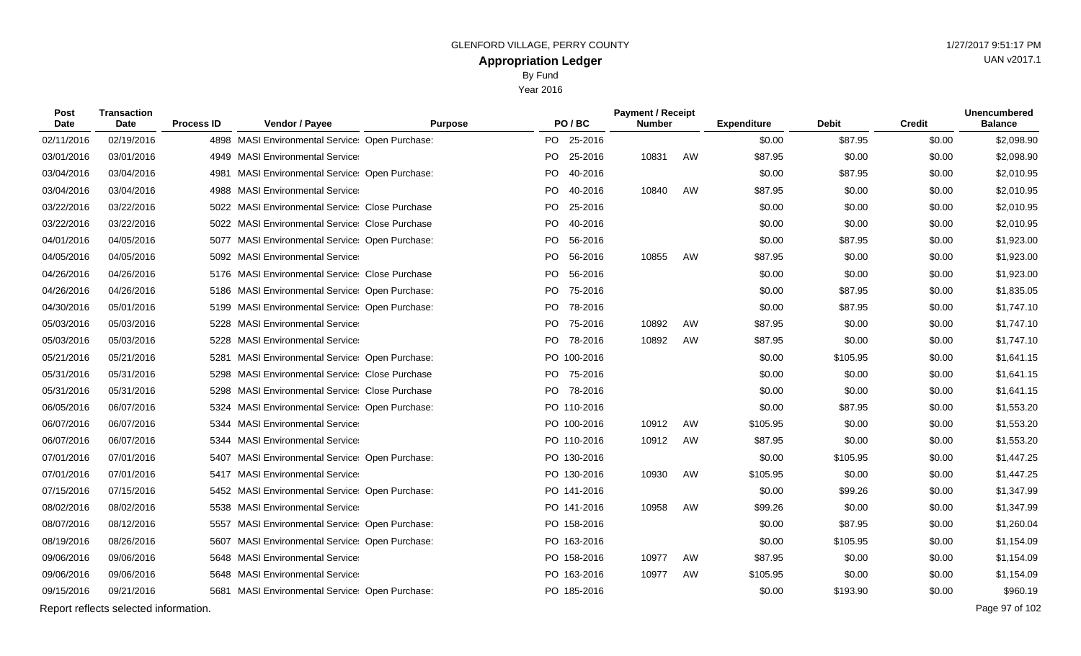Year 2016

| <b>Post</b><br>Date | <b>Transaction</b><br>Date            | <b>Process ID</b> | Vendor / Payee                                   | <b>Purpose</b> |           | PO/BC       | <b>Payment / Receipt</b><br><b>Number</b> |    | <b>Expenditure</b> | <b>Debit</b> | <b>Credit</b> | <b>Unencumbered</b><br><b>Balance</b> |
|---------------------|---------------------------------------|-------------------|--------------------------------------------------|----------------|-----------|-------------|-------------------------------------------|----|--------------------|--------------|---------------|---------------------------------------|
| 02/11/2016          | 02/19/2016                            |                   | 4898 MASI Environmental Service: Open Purchase:  |                | PO -      | 25-2016     |                                           |    | \$0.00             | \$87.95      | \$0.00        | \$2,098.90                            |
| 03/01/2016          | 03/01/2016                            |                   | 4949 MASI Environmental Service                  |                |           | PO 25-2016  | 10831                                     | AW | \$87.95            | \$0.00       | \$0.00        | \$2,098.90                            |
| 03/04/2016          | 03/04/2016                            | 4981              | <b>MASI Environmental Service Open Purchase:</b> |                | PO.       | 40-2016     |                                           |    | \$0.00             | \$87.95      | \$0.00        | \$2,010.95                            |
| 03/04/2016          | 03/04/2016                            |                   | 4988 MASI Environmental Service                  |                | PO.       | 40-2016     | 10840                                     | AW | \$87.95            | \$0.00       | \$0.00        | \$2,010.95                            |
| 03/22/2016          | 03/22/2016                            |                   | 5022 MASI Environmental Service Close Purchase   |                | PO.       | 25-2016     |                                           |    | \$0.00             | \$0.00       | \$0.00        | \$2,010.95                            |
| 03/22/2016          | 03/22/2016                            |                   | 5022 MASI Environmental Service Close Purchase   |                | PO        | 40-2016     |                                           |    | \$0.00             | \$0.00       | \$0.00        | \$2,010.95                            |
| 04/01/2016          | 04/05/2016                            |                   | 5077 MASI Environmental Service: Open Purchase:  |                |           | PO 56-2016  |                                           |    | \$0.00             | \$87.95      | \$0.00        | \$1,923.00                            |
| 04/05/2016          | 04/05/2016                            |                   | 5092 MASI Environmental Service                  |                | PO.       | 56-2016     | 10855                                     | AW | \$87.95            | \$0.00       | \$0.00        | \$1,923.00                            |
| 04/26/2016          | 04/26/2016                            |                   | 5176 MASI Environmental Service Close Purchase   |                | PO        | 56-2016     |                                           |    | \$0.00             | \$0.00       | \$0.00        | \$1,923.00                            |
| 04/26/2016          | 04/26/2016                            |                   | 5186 MASI Environmental Service Open Purchase:   |                | <b>PO</b> | 75-2016     |                                           |    | \$0.00             | \$87.95      | \$0.00        | \$1,835.05                            |
| 04/30/2016          | 05/01/2016                            |                   | 5199 MASI Environmental Service Open Purchase:   |                |           | PO 78-2016  |                                           |    | \$0.00             | \$87.95      | \$0.00        | \$1,747.10                            |
| 05/03/2016          | 05/03/2016                            | 5228              | <b>MASI Environmental Service</b>                |                | PO.       | 75-2016     | 10892                                     | AW | \$87.95            | \$0.00       | \$0.00        | \$1,747.10                            |
| 05/03/2016          | 05/03/2016                            |                   | 5228 MASI Environmental Service                  |                |           | PO 78-2016  | 10892                                     | AW | \$87.95            | \$0.00       | \$0.00        | \$1,747.10                            |
| 05/21/2016          | 05/21/2016                            | 5281              | MASI Environmental Service: Open Purchase:       |                |           | PO 100-2016 |                                           |    | \$0.00             | \$105.95     | \$0.00        | \$1,641.15                            |
| 05/31/2016          | 05/31/2016                            |                   | 5298 MASI Environmental Service Close Purchase   |                |           | PO 75-2016  |                                           |    | \$0.00             | \$0.00       | \$0.00        | \$1,641.15                            |
| 05/31/2016          | 05/31/2016                            | 5298              | <b>MASI Environmental Service Close Purchase</b> |                | PO i      | 78-2016     |                                           |    | \$0.00             | \$0.00       | \$0.00        | \$1,641.15                            |
| 06/05/2016          | 06/07/2016                            |                   | 5324 MASI Environmental Service Open Purchase:   |                |           | PO 110-2016 |                                           |    | \$0.00             | \$87.95      | \$0.00        | \$1,553.20                            |
| 06/07/2016          | 06/07/2016                            |                   | 5344 MASI Environmental Service                  |                |           | PO 100-2016 | 10912                                     | AW | \$105.95           | \$0.00       | \$0.00        | \$1,553.20                            |
| 06/07/2016          | 06/07/2016                            |                   | 5344 MASI Environmental Service                  |                |           | PO 110-2016 | 10912                                     | AW | \$87.95            | \$0.00       | \$0.00        | \$1,553.20                            |
| 07/01/2016          | 07/01/2016                            |                   | 5407 MASI Environmental Service Open Purchase:   |                |           | PO 130-2016 |                                           |    | \$0.00             | \$105.95     | \$0.00        | \$1,447.25                            |
| 07/01/2016          | 07/01/2016                            |                   | 5417 MASI Environmental Service                  |                |           | PO 130-2016 | 10930                                     | AW | \$105.95           | \$0.00       | \$0.00        | \$1,447.25                            |
| 07/15/2016          | 07/15/2016                            |                   | 5452 MASI Environmental Service: Open Purchase:  |                |           | PO 141-2016 |                                           |    | \$0.00             | \$99.26      | \$0.00        | \$1,347.99                            |
| 08/02/2016          | 08/02/2016                            |                   | 5538 MASI Environmental Service                  |                |           | PO 141-2016 | 10958                                     | AW | \$99.26            | \$0.00       | \$0.00        | \$1,347.99                            |
| 08/07/2016          | 08/12/2016                            |                   | 5557 MASI Environmental Service Open Purchase:   |                |           | PO 158-2016 |                                           |    | \$0.00             | \$87.95      | \$0.00        | \$1,260.04                            |
| 08/19/2016          | 08/26/2016                            | 5607              | MASI Environmental Service Open Purchase:        |                |           | PO 163-2016 |                                           |    | \$0.00             | \$105.95     | \$0.00        | \$1,154.09                            |
| 09/06/2016          | 09/06/2016                            |                   | 5648 MASI Environmental Service                  |                |           | PO 158-2016 | 10977                                     | AW | \$87.95            | \$0.00       | \$0.00        | \$1,154.09                            |
| 09/06/2016          | 09/06/2016                            |                   | 5648 MASI Environmental Service                  |                |           | PO 163-2016 | 10977                                     | AW | \$105.95           | \$0.00       | \$0.00        | \$1,154.09                            |
| 09/15/2016          | 09/21/2016                            |                   | 5681 MASI Environmental Service Open Purchase:   |                |           | PO 185-2016 |                                           |    | \$0.00             | \$193.90     | \$0.00        | \$960.19                              |
|                     | Report reflects selected information. |                   |                                                  |                |           |             |                                           |    |                    |              |               | Page 97 of 102                        |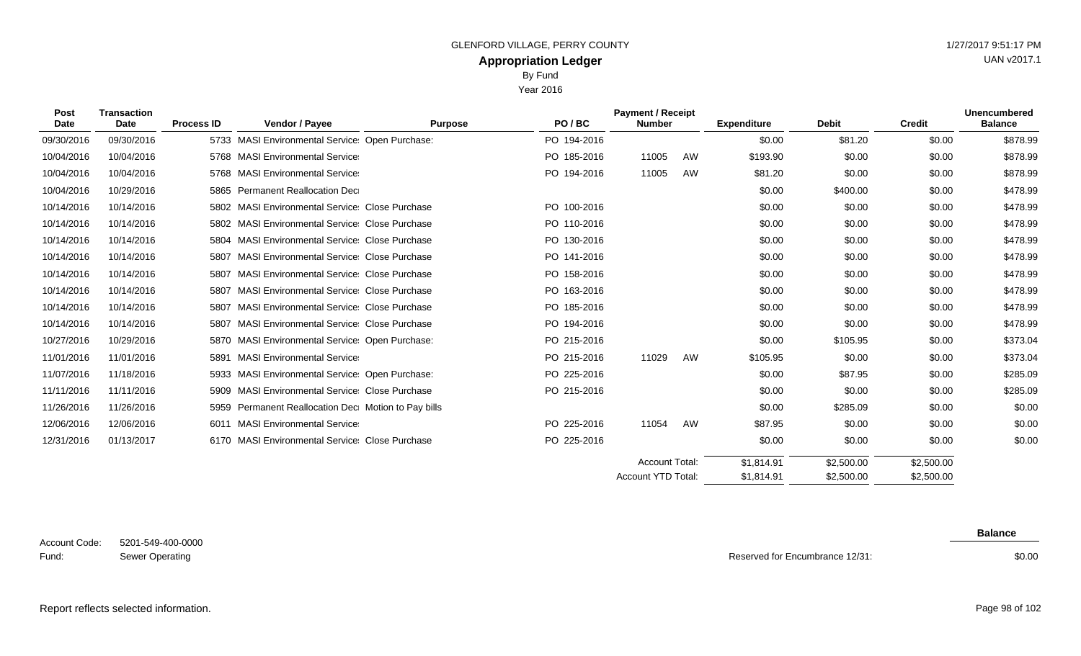Year 2016

| <b>Post</b><br><b>Date</b> | <b>Transaction</b><br>Date | <b>Process ID</b> | Vendor / Payee                                      | <b>Purpose</b> | PO/BC       | <b>Payment / Receipt</b><br><b>Number</b> |    | <b>Expenditure</b> | <b>Debit</b> | <b>Credit</b> | <b>Unencumbered</b><br><b>Balance</b> |
|----------------------------|----------------------------|-------------------|-----------------------------------------------------|----------------|-------------|-------------------------------------------|----|--------------------|--------------|---------------|---------------------------------------|
| 09/30/2016                 | 09/30/2016                 |                   | 5733 MASI Environmental Service Open Purchase:      |                | PO 194-2016 |                                           |    | \$0.00             | \$81.20      | \$0.00        | \$878.99                              |
| 10/04/2016                 | 10/04/2016                 |                   | 5768 MASI Environmental Service                     |                | PO 185-2016 | 11005                                     | AW | \$193.90           | \$0.00       | \$0.00        | \$878.99                              |
| 10/04/2016                 | 10/04/2016                 |                   | 5768 MASI Environmental Service                     |                | PO 194-2016 | 11005                                     | AW | \$81.20            | \$0.00       | \$0.00        | \$878.99                              |
| 10/04/2016                 | 10/29/2016                 | 5865              | <b>Permanent Reallocation Dec</b>                   |                |             |                                           |    | \$0.00             | \$400.00     | \$0.00        | \$478.99                              |
| 10/14/2016                 | 10/14/2016                 |                   | 5802 MASI Environmental Service Close Purchase      |                | PO 100-2016 |                                           |    | \$0.00             | \$0.00       | \$0.00        | \$478.99                              |
| 10/14/2016                 | 10/14/2016                 |                   | 5802 MASI Environmental Service Close Purchase      |                | PO 110-2016 |                                           |    | \$0.00             | \$0.00       | \$0.00        | \$478.99                              |
| 10/14/2016                 | 10/14/2016                 | 5804              | <b>MASI Environmental Service Close Purchase</b>    |                | PO 130-2016 |                                           |    | \$0.00             | \$0.00       | \$0.00        | \$478.99                              |
| 10/14/2016                 | 10/14/2016                 | 5807              | <b>MASI Environmental Service Close Purchase</b>    |                | PO 141-2016 |                                           |    | \$0.00             | \$0.00       | \$0.00        | \$478.99                              |
| 10/14/2016                 | 10/14/2016                 | 5807              | MASI Environmental Service Close Purchase           |                | PO 158-2016 |                                           |    | \$0.00             | \$0.00       | \$0.00        | \$478.99                              |
| 10/14/2016                 | 10/14/2016                 | 5807              | <b>MASI Environmental Service Close Purchase</b>    |                | PO 163-2016 |                                           |    | \$0.00             | \$0.00       | \$0.00        | \$478.99                              |
| 10/14/2016                 | 10/14/2016                 | 5807              | <b>MASI Environmental Service Close Purchase</b>    |                | PO 185-2016 |                                           |    | \$0.00             | \$0.00       | \$0.00        | \$478.99                              |
| 10/14/2016                 | 10/14/2016                 | 5807              | MASI Environmental Service Close Purchase           |                | PO 194-2016 |                                           |    | \$0.00             | \$0.00       | \$0.00        | \$478.99                              |
| 10/27/2016                 | 10/29/2016                 | 5870              | MASI Environmental Service Open Purchase:           |                | PO 215-2016 |                                           |    | \$0.00             | \$105.95     | \$0.00        | \$373.04                              |
| 11/01/2016                 | 11/01/2016                 | 5891              | <b>MASI Environmental Service</b>                   |                | PO 215-2016 | 11029                                     | AW | \$105.95           | \$0.00       | \$0.00        | \$373.04                              |
| 11/07/2016                 | 11/18/2016                 |                   | 5933 MASI Environmental Service Open Purchase:      |                | PO 225-2016 |                                           |    | \$0.00             | \$87.95      | \$0.00        | \$285.09                              |
| 11/11/2016                 | 11/11/2016                 | 5909              | <b>MASI Environmental Service Close Purchase</b>    |                | PO 215-2016 |                                           |    | \$0.00             | \$0.00       | \$0.00        | \$285.09                              |
| 11/26/2016                 | 11/26/2016                 |                   | 5959 Permanent Reallocation Dec Motion to Pay bills |                |             |                                           |    | \$0.00             | \$285.09     | \$0.00        | \$0.00                                |
| 12/06/2016                 | 12/06/2016                 | 6011              | <b>MASI Environmental Service</b>                   |                | PO 225-2016 | 11054                                     | AW | \$87.95            | \$0.00       | \$0.00        | \$0.00                                |
| 12/31/2016                 | 01/13/2017                 |                   | 6170 MASI Environmental Service Close Purchase      |                | PO 225-2016 |                                           |    | \$0.00             | \$0.00       | \$0.00        | \$0.00                                |
|                            |                            |                   |                                                     |                |             | <b>Account Total:</b>                     |    | \$1,814.91         | \$2,500.00   | \$2,500.00    |                                       |
|                            |                            |                   |                                                     |                |             | <b>Account YTD Total:</b>                 |    | \$1,814.91         | \$2,500.00   | \$2,500.00    |                                       |

**Balance**

\$0.00

Report reflects selected information. Page 98 of 102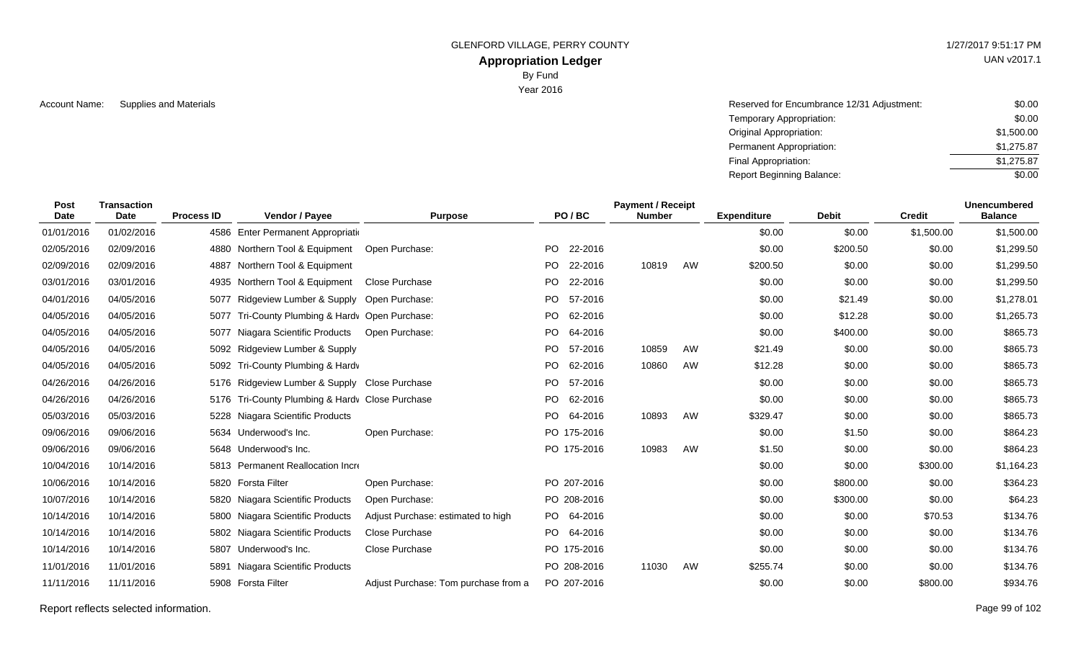### **Appropriation Ledger**

By Fund

Year 2016

Account Name: Supplies and Materials **Account Name:** Supplies and Materials **Account Name:** Supplies and Materials **Account Name:** Supplies and Materials \$0.00 Temporary Appropriation: Original Appropriation: Permanent Appropriation: Final Appropriation: Report Beginning Balance: \$0.00 \$1,500.00 \$1,275.87 \$1,275.87 \$0.00

| <b>Post</b><br><b>Date</b> | <b>Transaction</b><br>Date | <b>Process ID</b> | Vendor / Payee                                  | <b>Purpose</b>                       |           | PO/BC       | <b>Payment / Receipt</b><br><b>Number</b> |    | <b>Expenditure</b> | <b>Debit</b> | <b>Credit</b> | <b>Unencumbered</b><br><b>Balance</b> |
|----------------------------|----------------------------|-------------------|-------------------------------------------------|--------------------------------------|-----------|-------------|-------------------------------------------|----|--------------------|--------------|---------------|---------------------------------------|
| 01/01/2016                 | 01/02/2016                 |                   | 4586 Enter Permanent Appropriation              |                                      |           |             |                                           |    | \$0.00             | \$0.00       | \$1,500.00    | \$1,500.00                            |
| 02/05/2016                 | 02/09/2016                 |                   | 4880 Northern Tool & Equipment                  | Open Purchase:                       | PO.       | 22-2016     |                                           |    | \$0.00             | \$200.50     | \$0.00        | \$1,299.50                            |
| 02/09/2016                 | 02/09/2016                 |                   | 4887 Northern Tool & Equipment                  |                                      | PO.       | 22-2016     | 10819                                     | AW | \$200.50           | \$0.00       | \$0.00        | \$1,299.50                            |
| 03/01/2016                 | 03/01/2016                 |                   | 4935 Northern Tool & Equipment                  | Close Purchase                       | PO.       | 22-2016     |                                           |    | \$0.00             | \$0.00       | \$0.00        | \$1,299.50                            |
| 04/01/2016                 | 04/05/2016                 | 5077              | Ridgeview Lumber & Supply Open Purchase:        |                                      | <b>PO</b> | 57-2016     |                                           |    | \$0.00             | \$21.49      | \$0.00        | \$1,278.01                            |
| 04/05/2016                 | 04/05/2016                 | 5077              | Tri-County Plumbing & Hardv Open Purchase:      |                                      | PO.       | 62-2016     |                                           |    | \$0.00             | \$12.28      | \$0.00        | \$1,265.73                            |
| 04/05/2016                 | 04/05/2016                 |                   | 5077 Niagara Scientific Products                | Open Purchase:                       | PO.       | 64-2016     |                                           |    | \$0.00             | \$400.00     | \$0.00        | \$865.73                              |
| 04/05/2016                 | 04/05/2016                 |                   | 5092 Ridgeview Lumber & Supply                  |                                      | PO.       | 57-2016     | 10859                                     | AW | \$21.49            | \$0.00       | \$0.00        | \$865.73                              |
| 04/05/2016                 | 04/05/2016                 |                   | 5092 Tri-County Plumbing & Hardv                |                                      | PO.       | 62-2016     | 10860                                     | AW | \$12.28            | \$0.00       | \$0.00        | \$865.73                              |
| 04/26/2016                 | 04/26/2016                 |                   | 5176 Ridgeview Lumber & Supply Close Purchase   |                                      | PO.       | 57-2016     |                                           |    | \$0.00             | \$0.00       | \$0.00        | \$865.73                              |
| 04/26/2016                 | 04/26/2016                 |                   | 5176 Tri-County Plumbing & Hardy Close Purchase |                                      | <b>PO</b> | 62-2016     |                                           |    | \$0.00             | \$0.00       | \$0.00        | \$865.73                              |
| 05/03/2016                 | 05/03/2016                 |                   | 5228 Niagara Scientific Products                |                                      | PO.       | 64-2016     | 10893                                     | AW | \$329.47           | \$0.00       | \$0.00        | \$865.73                              |
| 09/06/2016                 | 09/06/2016                 |                   | 5634 Underwood's Inc.                           | Open Purchase:                       |           | PO 175-2016 |                                           |    | \$0.00             | \$1.50       | \$0.00        | \$864.23                              |
| 09/06/2016                 | 09/06/2016                 |                   | 5648 Underwood's Inc.                           |                                      |           | PO 175-2016 | 10983                                     | AW | \$1.50             | \$0.00       | \$0.00        | \$864.23                              |
| 10/04/2016                 | 10/14/2016                 |                   | 5813 Permanent Reallocation Incre               |                                      |           |             |                                           |    | \$0.00             | \$0.00       | \$300.00      | \$1,164.23                            |
| 10/06/2016                 | 10/14/2016                 |                   | 5820 Forsta Filter                              | Open Purchase:                       |           | PO 207-2016 |                                           |    | \$0.00             | \$800.00     | \$0.00        | \$364.23                              |
| 10/07/2016                 | 10/14/2016                 | 5820              | Niagara Scientific Products                     | Open Purchase:                       |           | PO 208-2016 |                                           |    | \$0.00             | \$300.00     | \$0.00        | \$64.23                               |
| 10/14/2016                 | 10/14/2016                 |                   | 5800 Niagara Scientific Products                | Adjust Purchase: estimated to high   |           | PO 64-2016  |                                           |    | \$0.00             | \$0.00       | \$70.53       | \$134.76                              |
| 10/14/2016                 | 10/14/2016                 |                   | 5802 Niagara Scientific Products                | Close Purchase                       |           | PO 64-2016  |                                           |    | \$0.00             | \$0.00       | \$0.00        | \$134.76                              |
| 10/14/2016                 | 10/14/2016                 |                   | 5807 Underwood's Inc.                           | <b>Close Purchase</b>                |           | PO 175-2016 |                                           |    | \$0.00             | \$0.00       | \$0.00        | \$134.76                              |
| 11/01/2016                 | 11/01/2016                 | 5891              | Niagara Scientific Products                     |                                      |           | PO 208-2016 | 11030                                     | AW | \$255.74           | \$0.00       | \$0.00        | \$134.76                              |
| 11/11/2016                 | 11/11/2016                 |                   | 5908 Forsta Filter                              | Adjust Purchase: Tom purchase from a |           | PO 207-2016 |                                           |    | \$0.00             | \$0.00       | \$800.00      | \$934.76                              |

Report reflects selected information. Page 99 of 102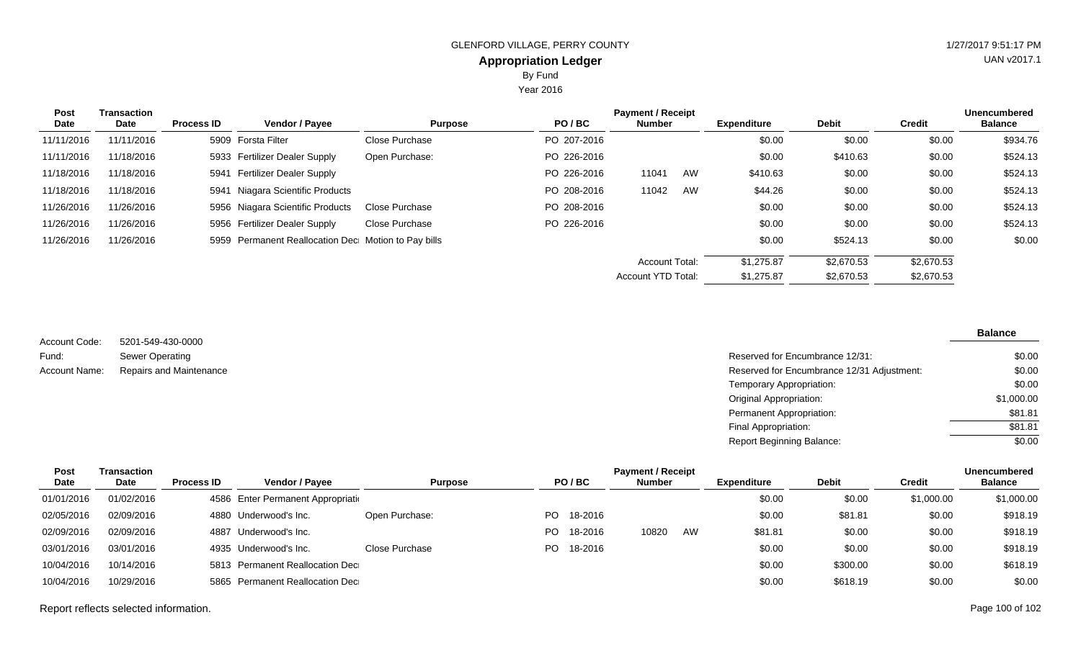Year 2016

| <b>Post</b> | Transaction |                   |                                                     |                |             | <b>Payment / Receipt</b>  |    |                    |              |               | <b>Unencumbered</b> |
|-------------|-------------|-------------------|-----------------------------------------------------|----------------|-------------|---------------------------|----|--------------------|--------------|---------------|---------------------|
| Date        | Date        | <b>Process ID</b> | <b>Vendor / Payee</b>                               | <b>Purpose</b> | PO/BC       | <b>Number</b>             |    | <b>Expenditure</b> | <b>Debit</b> | <b>Credit</b> | <b>Balance</b>      |
| 11/11/2016  | 11/11/2016  |                   | 5909 Forsta Filter                                  | Close Purchase | PO 207-2016 |                           |    | \$0.00             | \$0.00       | \$0.00        | \$934.76            |
| 11/11/2016  | 11/18/2016  |                   | 5933 Fertilizer Dealer Supply                       | Open Purchase: | PO 226-2016 |                           |    | \$0.00             | \$410.63     | \$0.00        | \$524.13            |
| 11/18/2016  | 11/18/2016  |                   | 5941 Fertilizer Dealer Supply                       |                | PO 226-2016 | 11041                     | AW | \$410.63           | \$0.00       | \$0.00        | \$524.13            |
| 11/18/2016  | 11/18/2016  |                   | 5941 Niagara Scientific Products                    |                | PO 208-2016 | 11042                     | AW | \$44.26            | \$0.00       | \$0.00        | \$524.13            |
| 11/26/2016  | 11/26/2016  |                   | 5956 Niagara Scientific Products                    | Close Purchase | PO 208-2016 |                           |    | \$0.00             | \$0.00       | \$0.00        | \$524.13            |
| 11/26/2016  | 11/26/2016  |                   | 5956 Fertilizer Dealer Supply                       | Close Purchase | PO 226-2016 |                           |    | \$0.00             | \$0.00       | \$0.00        | \$524.13            |
| 11/26/2016  | 11/26/2016  |                   | 5959 Permanent Reallocation Dec Motion to Pay bills |                |             |                           |    | \$0.00             | \$524.13     | \$0.00        | \$0.00              |
|             |             |                   |                                                     |                |             | <b>Account Total:</b>     |    | \$1,275.87         | \$2.670.53   | \$2,670.53    |                     |
|             |             |                   |                                                     |                |             | <b>Account YTD Total:</b> |    | \$1,275.87         | \$2,670.53   | \$2,670.53    |                     |

5201-549-430-0000 Sewer Operating Repairs and Maintenance Account Code: Fund: Account Name:

#### **Balance**

| Reserved for Encumbrance 12/31:            | \$0.00     |
|--------------------------------------------|------------|
| Reserved for Encumbrance 12/31 Adjustment: | \$0.00     |
| Temporary Appropriation:                   | \$0.00     |
| Original Appropriation:                    | \$1,000.00 |
| Permanent Appropriation:                   | \$81.81    |
| Final Appropriation:                       | \$81.81    |
| Report Beginning Balance:                  | \$0.00     |

| <b>Post</b> | Transaction |                   |                                    |                |     |         | <b>Payment / Receipt</b> |    |             |              |            | <b>Unencumbered</b> |
|-------------|-------------|-------------------|------------------------------------|----------------|-----|---------|--------------------------|----|-------------|--------------|------------|---------------------|
| Date        | Date        | <b>Process ID</b> | <b>Vendor / Payee</b>              | <b>Purpose</b> |     | PO/BC   | <b>Number</b>            |    | Expenditure | <b>Debit</b> | Credit     | <b>Balance</b>      |
| 01/01/2016  | 01/02/2016  |                   | 4586 Enter Permanent Appropriation |                |     |         |                          |    | \$0.00      | \$0.00       | \$1,000.00 | \$1,000.00          |
| 02/05/2016  | 02/09/2016  |                   | 4880 Underwood's Inc.              | Open Purchase: | PO. | 18-2016 |                          |    | \$0.00      | \$81.81      | \$0.00     | \$918.19            |
| 02/09/2016  | 02/09/2016  | 4887              | Underwood's Inc.                   |                | PO. | 18-2016 | 10820                    | AW | \$81.81     | \$0.00       | \$0.00     | \$918.19            |
| 03/01/2016  | 03/01/2016  |                   | 4935 Underwood's Inc.              | Close Purchase | PO. | 18-2016 |                          |    | \$0.00      | \$0.00       | \$0.00     | \$918.19            |
| 10/04/2016  | 10/14/2016  |                   | 5813 Permanent Reallocation Dec    |                |     |         |                          |    | \$0.00      | \$300.00     | \$0.00     | \$618.19            |
| 10/04/2016  | 10/29/2016  |                   | 5865 Permanent Reallocation Dec    |                |     |         |                          |    | \$0.00      | \$618.19     | \$0.00     | \$0.00              |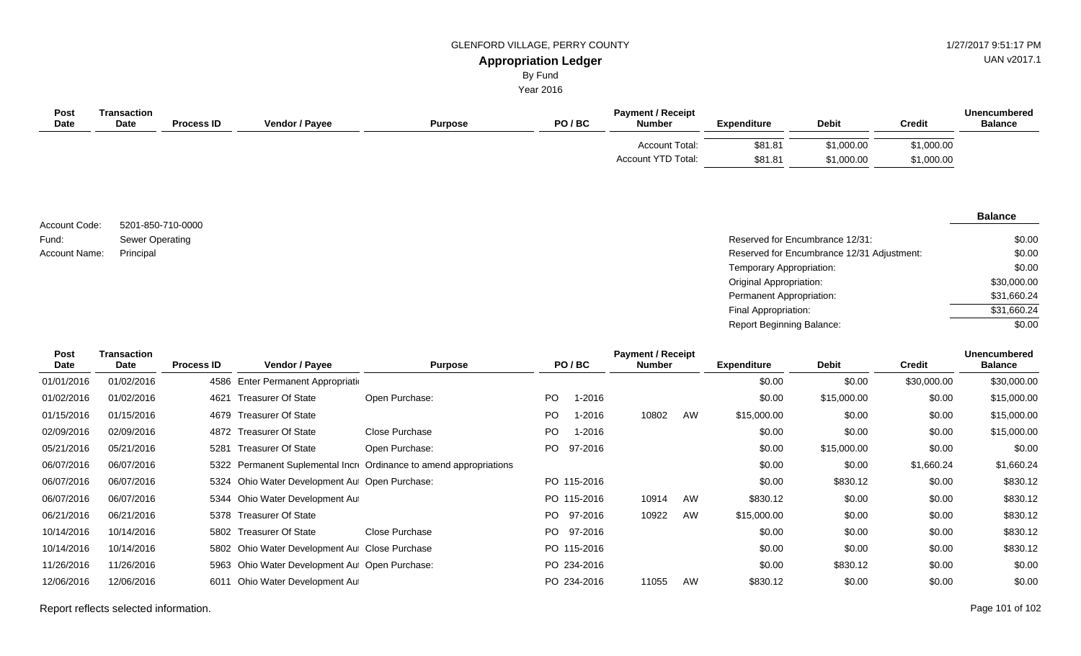UAN v2017.1

#### **Appropriation Ledger** By Fund

Year 2016

| Post<br><b>Date</b> | Transaction<br><b>Date</b> | <b>Process ID</b> | Vendor / Payee | <b>Purpose</b> | PO/BC | <b>Payment / Receipt</b><br><b>Number</b>   | <b>Expenditure</b> | <b>Debit</b>             | Credit                   | <b>Unencumbered</b><br><b>Balance</b> |
|---------------------|----------------------------|-------------------|----------------|----------------|-------|---------------------------------------------|--------------------|--------------------------|--------------------------|---------------------------------------|
|                     |                            |                   |                |                |       | <b>Account Total:</b><br>Account YTD Total: | \$81.81<br>\$81.81 | \$1,000.00<br>\$1,000.00 | \$1,000.00<br>\$1,000.00 |                                       |

5201-850-710-0000 Sewer Operating Account Code: Fund: Account Name:

#### **Balance**

| Sewer Operating | Reserved for Encumbrance 12/31:            | \$0.00      |
|-----------------|--------------------------------------------|-------------|
| Principal       | Reserved for Encumbrance 12/31 Adjustment: | \$0.00      |
|                 | Temporary Appropriation:                   | \$0.00      |
|                 | Original Appropriation:                    | \$30,000.00 |
|                 | Permanent Appropriation:                   | \$31,660.24 |
|                 | Final Appropriation:                       | \$31,660.24 |
|                 | <b>Report Beginning Balance:</b>           | \$0.00      |

| <b>Post</b> | <b>Transaction</b> |                   |                                                |                                                                    |     |             | <b>Payment / Receipt</b> |    |                    |              |               | <b>Unencumbered</b> |
|-------------|--------------------|-------------------|------------------------------------------------|--------------------------------------------------------------------|-----|-------------|--------------------------|----|--------------------|--------------|---------------|---------------------|
| Date        | Date               | <b>Process ID</b> | <b>Vendor / Payee</b>                          | <b>Purpose</b>                                                     |     | PO/BC       | <b>Number</b>            |    | <b>Expenditure</b> | <b>Debit</b> | <b>Credit</b> | <b>Balance</b>      |
| 01/01/2016  | 01/02/2016         | 4586              | Enter Permanent Appropriation                  |                                                                    |     |             |                          |    | \$0.00             | \$0.00       | \$30,000.00   | \$30,000.00         |
| 01/02/2016  | 01/02/2016         | 4621              | <b>Treasurer Of State</b>                      | Open Purchase:                                                     | PO. | 1-2016      |                          |    | \$0.00             | \$15,000.00  | \$0.00        | \$15,000.00         |
| 01/15/2016  | 01/15/2016         |                   | 4679 Treasurer Of State                        |                                                                    | PO. | $1 - 2016$  | 10802                    | AW | \$15,000.00        | \$0.00       | \$0.00        | \$15,000.00         |
| 02/09/2016  | 02/09/2016         |                   | 4872 Treasurer Of State                        | Close Purchase                                                     | PO. | 1-2016      |                          |    | \$0.00             | \$0.00       | \$0.00        | \$15,000.00         |
| 05/21/2016  | 05/21/2016         | 5281              | <b>Treasurer Of State</b>                      | Open Purchase:                                                     |     | PO 97-2016  |                          |    | \$0.00             | \$15,000.00  | \$0.00        | \$0.00              |
| 06/07/2016  | 06/07/2016         |                   |                                                | 5322 Permanent Suplemental Incre Ordinance to amend appropriations |     |             |                          |    | \$0.00             | \$0.00       | \$1,660.24    | \$1,660.24          |
| 06/07/2016  | 06/07/2016         |                   | 5324 Ohio Water Development Au: Open Purchase: |                                                                    |     | PO 115-2016 |                          |    | \$0.00             | \$830.12     | \$0.00        | \$830.12            |
| 06/07/2016  | 06/07/2016         |                   | 5344 Ohio Water Development Au                 |                                                                    |     | PO 115-2016 | 10914                    | AW | \$830.12           | \$0.00       | \$0.00        | \$830.12            |
| 06/21/2016  | 06/21/2016         |                   | 5378 Treasurer Of State                        |                                                                    |     | PO 97-2016  | 10922                    | AW | \$15,000.00        | \$0.00       | \$0.00        | \$830.12            |
| 10/14/2016  | 10/14/2016         |                   | 5802 Treasurer Of State                        | Close Purchase                                                     |     | PO 97-2016  |                          |    | \$0.00             | \$0.00       | \$0.00        | \$830.12            |
| 10/14/2016  | 10/14/2016         |                   | 5802 Ohio Water Development Au Close Purchase  |                                                                    |     | PO 115-2016 |                          |    | \$0.00             | \$0.00       | \$0.00        | \$830.12            |
| 11/26/2016  | 11/26/2016         |                   | 5963 Ohio Water Development Au: Open Purchase: |                                                                    |     | PO 234-2016 |                          |    | \$0.00             | \$830.12     | \$0.00        | \$0.00              |
| 12/06/2016  | 12/06/2016         | 6011              | Ohio Water Development Au                      |                                                                    |     | PO 234-2016 | 11055                    | AW | \$830.12           | \$0.00       | \$0.00        | \$0.00              |